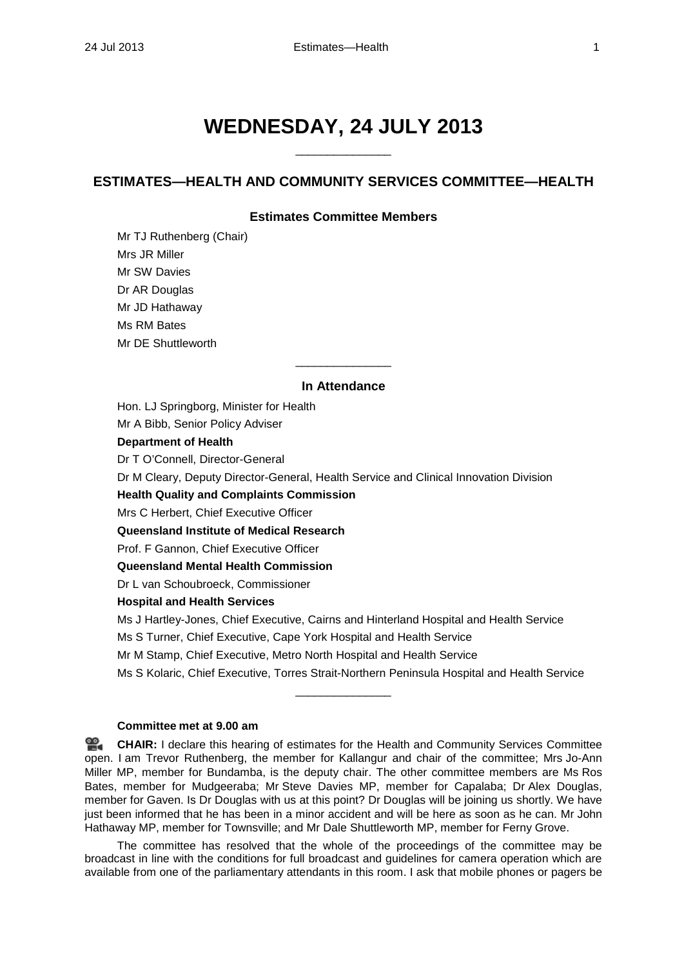# **WEDNESDAY, 24 JULY 2013**

 $\overline{\phantom{a}}$  , where the contract of  $\overline{\phantom{a}}$ 

## **ESTIMATES—HEALTH AND COMMUNITY SERVICES COMMITTEE—HEALTH**

## **Estimates Committee Members**

Mr TJ Ruthenberg (Chair) Mrs JR Miller Mr SW Davies Dr AR Douglas Mr JD Hathaway Ms RM Bates Mr DE Shuttleworth

## **In Attendance**

 $\overline{\phantom{a}}$  , we can also the contract of  $\overline{\phantom{a}}$ 

Hon. LJ Springborg, Minister for Health

Mr A Bibb, Senior Policy Adviser

#### **Department of Health**

Dr T O'Connell, Director-General

Dr M Cleary, Deputy Director-General, Health Service and Clinical Innovation Division

### **Health Quality and Complaints Commission**

Mrs C Herbert, Chief Executive Officer

**Queensland Institute of Medical Research**

Prof. F Gannon, Chief Executive Officer

#### **Queensland Mental Health Commission**

Dr L van Schoubroeck, Commissioner

#### **Hospital and Health Services**

Ms J Hartley-Jones, Chief Executive, Cairns and Hinterland Hospital and Health Service

Ms S Turner, Chief Executive, Cape York Hospital and Health Service

Mr M Stamp, Chief Executive, Metro North Hospital and Health Service

Ms S Kolaric, Chief Executive, Torres Strait-Northern Peninsula Hospital and Health Service

\_\_\_\_\_\_\_\_\_\_\_\_\_\_\_

## **Committee met at 9.00 am**

**[CHAIR:](http://www.parliament.qld.gov.au/docs/find.aspx?id=0Mba20130724_090040)** I declare this hearing of estimates for the Health and Community Services Committee open. I am Trevor Ruthenberg, the member for Kallangur and chair of the committee; Mrs Jo-Ann Miller MP, member for Bundamba, is the deputy chair. The other committee members are Ms Ros Bates, member for Mudgeeraba; Mr Steve Davies MP, member for Capalaba; Dr Alex Douglas, member for Gaven. Is Dr Douglas with us at this point? Dr Douglas will be joining us shortly. We have just been informed that he has been in a minor accident and will be here as soon as he can. Mr John Hathaway MP, member for Townsville; and Mr Dale Shuttleworth MP, member for Ferny Grove.

The committee has resolved that the whole of the proceedings of the committee may be broadcast in line with the conditions for full broadcast and guidelines for camera operation which are available from one of the parliamentary attendants in this room. I ask that mobile phones or pagers be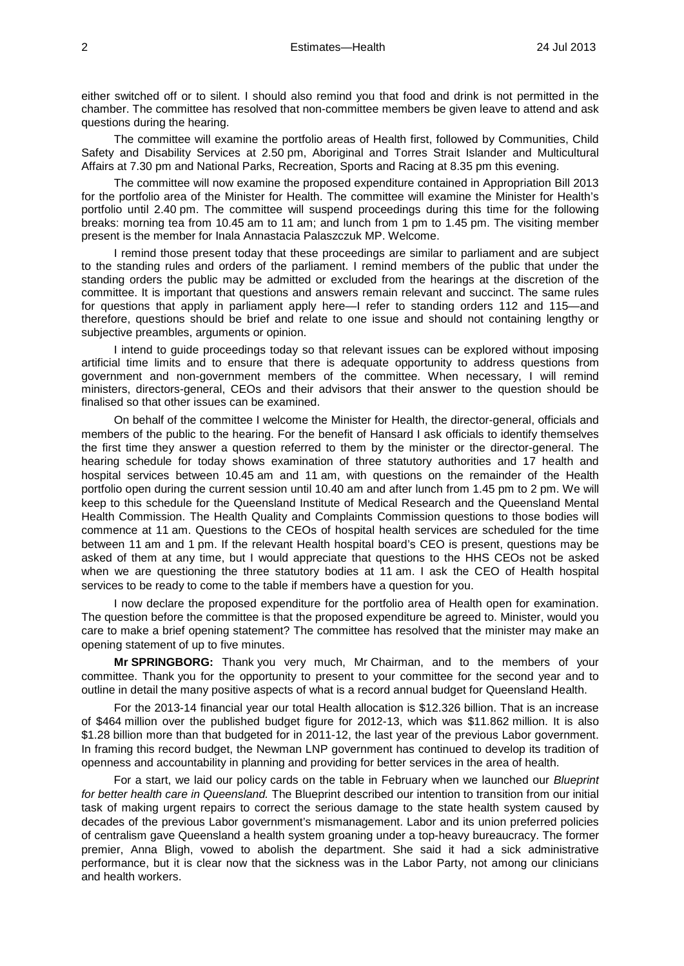either switched off or to silent. I should also remind you that food and drink is not permitted in the chamber. The committee has resolved that non-committee members be given leave to attend and ask questions during the hearing.

The committee will examine the portfolio areas of Health first, followed by Communities, Child Safety and Disability Services at 2.50 pm, Aboriginal and Torres Strait Islander and Multicultural Affairs at 7.30 pm and National Parks, Recreation, Sports and Racing at 8.35 pm this evening.

The committee will now examine the proposed expenditure contained in Appropriation Bill 2013 for the portfolio area of the Minister for Health. The committee will examine the Minister for Health's portfolio until 2.40 pm. The committee will suspend proceedings during this time for the following breaks: morning tea from 10.45 am to 11 am; and lunch from 1 pm to 1.45 pm. The visiting member present is the member for Inala Annastacia Palaszczuk MP. Welcome.

I remind those present today that these proceedings are similar to parliament and are subject to the standing rules and orders of the parliament. I remind members of the public that under the standing orders the public may be admitted or excluded from the hearings at the discretion of the committee. It is important that questions and answers remain relevant and succinct. The same rules for questions that apply in parliament apply here—I refer to standing orders 112 and 115—and therefore, questions should be brief and relate to one issue and should not containing lengthy or subjective preambles, arguments or opinion.

I intend to guide proceedings today so that relevant issues can be explored without imposing artificial time limits and to ensure that there is adequate opportunity to address questions from government and non-government members of the committee. When necessary, I will remind ministers, directors-general, CEOs and their advisors that their answer to the question should be finalised so that other issues can be examined.

On behalf of the committee I welcome the Minister for Health, the director-general, officials and members of the public to the hearing. For the benefit of Hansard I ask officials to identify themselves the first time they answer a question referred to them by the minister or the director-general. The hearing schedule for today shows examination of three statutory authorities and 17 health and hospital services between 10.45 am and 11 am, with questions on the remainder of the Health portfolio open during the current session until 10.40 am and after lunch from 1.45 pm to 2 pm. We will keep to this schedule for the Queensland Institute of Medical Research and the Queensland Mental Health Commission. The Health Quality and Complaints Commission questions to those bodies will commence at 11 am. Questions to the CEOs of hospital health services are scheduled for the time between 11 am and 1 pm. If the relevant Health hospital board's CEO is present, questions may be asked of them at any time, but I would appreciate that questions to the HHS CEOs not be asked when we are questioning the three statutory bodies at 11 am. I ask the CEO of Health hospital services to be ready to come to the table if members have a question for you.

I now declare the proposed expenditure for the portfolio area of Health open for examination. The question before the committee is that the proposed expenditure be agreed to. Minister, would you care to make a brief opening statement? The committee has resolved that the minister may make an opening statement of up to five minutes.

**Mr SPRINGBORG:** Thank you very much, Mr Chairman, and to the members of your committee. Thank you for the opportunity to present to your committee for the second year and to outline in detail the many positive aspects of what is a record annual budget for Queensland Health.

For the 2013-14 financial year our total Health allocation is \$12.326 billion. That is an increase of \$464 million over the published budget figure for 2012-13, which was \$11.862 million. It is also \$1.28 billion more than that budgeted for in 2011-12, the last year of the previous Labor government. In framing this record budget, the Newman LNP government has continued to develop its tradition of openness and accountability in planning and providing for better services in the area of health.

For a start, we laid our policy cards on the table in February when we launched our *Blueprint for better health care in Queensland.* The Blueprint described our intention to transition from our initial task of making urgent repairs to correct the serious damage to the state health system caused by decades of the previous Labor government's mismanagement. Labor and its union preferred policies of centralism gave Queensland a health system groaning under a top-heavy bureaucracy. The former premier, Anna Bligh, vowed to abolish the department. She said it had a sick administrative performance, but it is clear now that the sickness was in the Labor Party, not among our clinicians and health workers.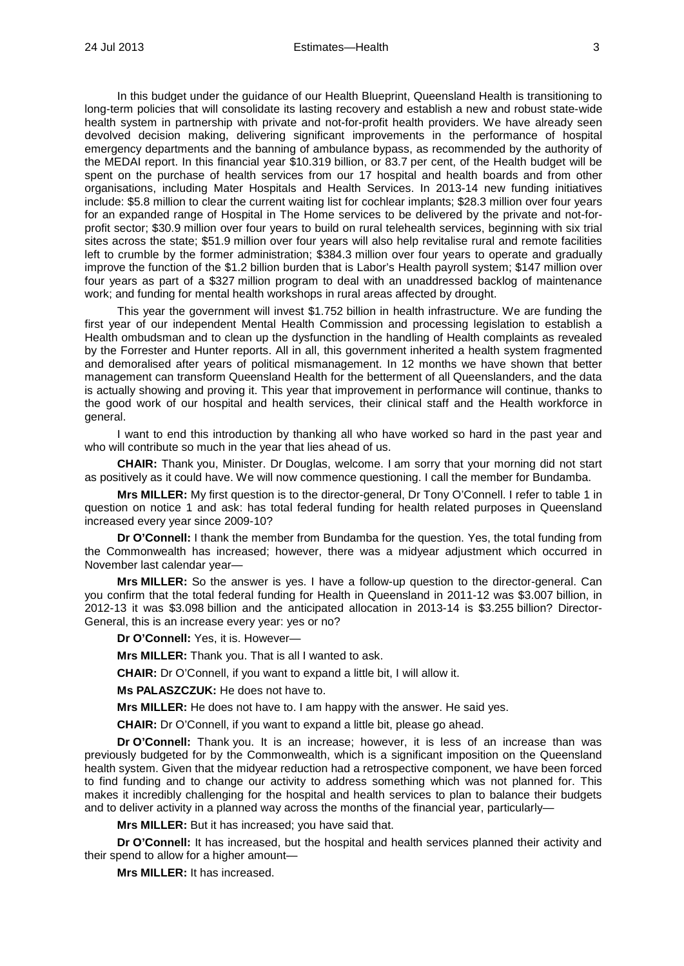In this budget under the guidance of our Health Blueprint, Queensland Health is transitioning to long-term policies that will consolidate its lasting recovery and establish a new and robust state-wide health system in partnership with private and not-for-profit health providers. We have already seen devolved decision making, delivering significant improvements in the performance of hospital emergency departments and the banning of ambulance bypass, as recommended by the authority of the MEDAI report. In this financial year \$10.319 billion, or 83.7 per cent, of the Health budget will be spent on the purchase of health services from our 17 hospital and health boards and from other organisations, including Mater Hospitals and Health Services. In 2013-14 new funding initiatives include: \$5.8 million to clear the current waiting list for cochlear implants; \$28.3 million over four years for an expanded range of Hospital in The Home services to be delivered by the private and not-forprofit sector; \$30.9 million over four years to build on rural telehealth services, beginning with six trial sites across the state; \$51.9 million over four years will also help revitalise rural and remote facilities left to crumble by the former administration; \$384.3 million over four years to operate and gradually improve the function of the \$1.2 billion burden that is Labor's Health payroll system; \$147 million over four years as part of a \$327 million program to deal with an unaddressed backlog of maintenance work; and funding for mental health workshops in rural areas affected by drought.

This year the government will invest \$1.752 billion in health infrastructure. We are funding the first year of our independent Mental Health Commission and processing legislation to establish a Health ombudsman and to clean up the dysfunction in the handling of Health complaints as revealed by the Forrester and Hunter reports. All in all, this government inherited a health system fragmented and demoralised after years of political mismanagement. In 12 months we have shown that better management can transform Queensland Health for the betterment of all Queenslanders, and the data is actually showing and proving it. This year that improvement in performance will continue, thanks to the good work of our hospital and health services, their clinical staff and the Health workforce in general.

I want to end this introduction by thanking all who have worked so hard in the past year and who will contribute so much in the year that lies ahead of us.

**CHAIR:** Thank you, Minister. Dr Douglas, welcome. I am sorry that your morning did not start as positively as it could have. We will now commence questioning. I call the member for Bundamba.

**Mrs MILLER:** My first question is to the director-general, Dr Tony O'Connell. I refer to table 1 in question on notice 1 and ask: has total federal funding for health related purposes in Queensland increased every year since 2009-10?

**Dr O'Connell:** I thank the member from Bundamba for the question. Yes, the total funding from the Commonwealth has increased; however, there was a midyear adjustment which occurred in November last calendar year—

**Mrs MILLER:** So the answer is yes. I have a follow-up question to the director-general. Can you confirm that the total federal funding for Health in Queensland in 2011-12 was \$3.007 billion, in 2012-13 it was \$3.098 billion and the anticipated allocation in 2013-14 is \$3.255 billion? Director-General, this is an increase every year: yes or no?

**Dr O'Connell:** Yes, it is. However—

**Mrs MILLER:** Thank you. That is all I wanted to ask.

**CHAIR:** Dr O'Connell, if you want to expand a little bit, I will allow it.

**Ms PALASZCZUK:** He does not have to.

**Mrs MILLER:** He does not have to. I am happy with the answer. He said yes.

**CHAIR:** Dr O'Connell, if you want to expand a little bit, please go ahead.

**Dr O'Connell:** Thank you. It is an increase; however, it is less of an increase than was previously budgeted for by the Commonwealth, which is a significant imposition on the Queensland health system. Given that the midyear reduction had a retrospective component, we have been forced to find funding and to change our activity to address something which was not planned for. This makes it incredibly challenging for the hospital and health services to plan to balance their budgets and to deliver activity in a planned way across the months of the financial year, particularly-

**Mrs MILLER:** But it has increased; you have said that.

**Dr O'Connell:** It has increased, but the hospital and health services planned their activity and their spend to allow for a higher amount—

**Mrs MILLER:** It has increased.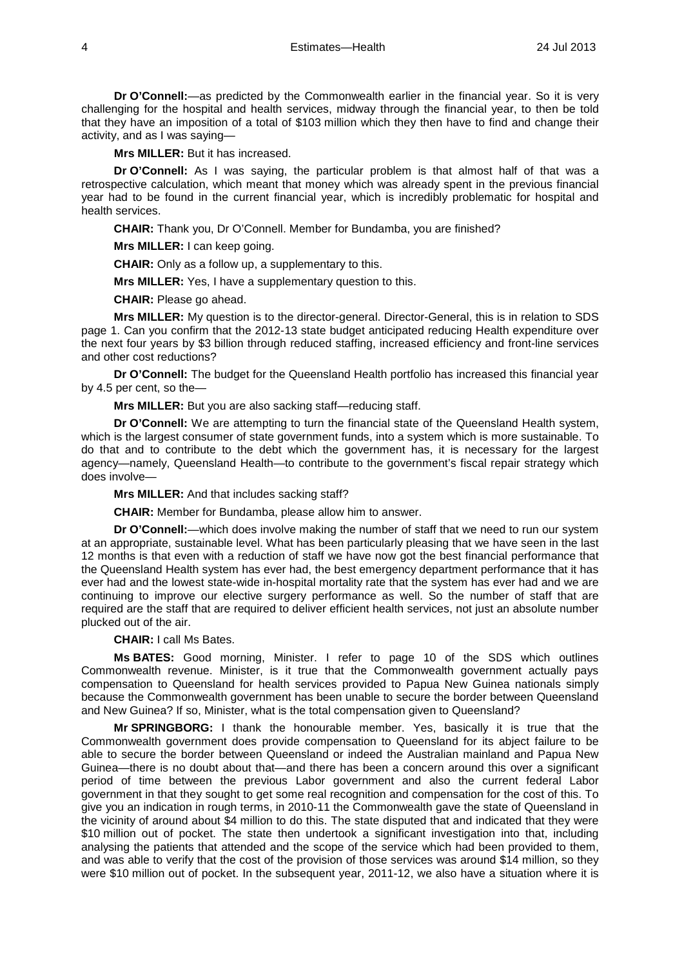**Dr O'Connell:**—as predicted by the Commonwealth earlier in the financial year. So it is very challenging for the hospital and health services, midway through the financial year, to then be told that they have an imposition of a total of \$103 million which they then have to find and change their activity, and as I was saying—

**Mrs MILLER:** But it has increased.

**Dr O'Connell:** As I was saying, the particular problem is that almost half of that was a retrospective calculation, which meant that money which was already spent in the previous financial year had to be found in the current financial year, which is incredibly problematic for hospital and health services.

**CHAIR:** Thank you, Dr O'Connell. Member for Bundamba, you are finished?

**Mrs MILLER:** I can keep going.

**CHAIR:** Only as a follow up, a supplementary to this.

**Mrs MILLER:** Yes, I have a supplementary question to this.

**CHAIR:** Please go ahead.

**Mrs MILLER:** My question is to the director-general. Director-General, this is in relation to SDS page 1. Can you confirm that the 2012-13 state budget anticipated reducing Health expenditure over the next four years by \$3 billion through reduced staffing, increased efficiency and front-line services and other cost reductions?

**Dr O'Connell:** The budget for the Queensland Health portfolio has increased this financial year by 4.5 per cent, so the—

**Mrs MILLER:** But you are also sacking staff—reducing staff.

**Dr O'Connell:** We are attempting to turn the financial state of the Queensland Health system, which is the largest consumer of state government funds, into a system which is more sustainable. To do that and to contribute to the debt which the government has, it is necessary for the largest agency—namely, Queensland Health—to contribute to the government's fiscal repair strategy which does involve—

**Mrs MILLER:** And that includes sacking staff?

**CHAIR:** Member for Bundamba, please allow him to answer.

**Dr O'Connell:**—which does involve making the number of staff that we need to run our system at an appropriate, sustainable level. What has been particularly pleasing that we have seen in the last 12 months is that even with a reduction of staff we have now got the best financial performance that the Queensland Health system has ever had, the best emergency department performance that it has ever had and the lowest state-wide in-hospital mortality rate that the system has ever had and we are continuing to improve our elective surgery performance as well. So the number of staff that are required are the staff that are required to deliver efficient health services, not just an absolute number plucked out of the air.

**CHAIR:** I call Ms Bates.

**Ms BATES:** Good morning, Minister. I refer to page 10 of the SDS which outlines Commonwealth revenue. Minister, is it true that the Commonwealth government actually pays compensation to Queensland for health services provided to Papua New Guinea nationals simply because the Commonwealth government has been unable to secure the border between Queensland and New Guinea? If so, Minister, what is the total compensation given to Queensland?

**Mr SPRINGBORG:** I thank the honourable member. Yes, basically it is true that the Commonwealth government does provide compensation to Queensland for its abject failure to be able to secure the border between Queensland or indeed the Australian mainland and Papua New Guinea—there is no doubt about that—and there has been a concern around this over a significant period of time between the previous Labor government and also the current federal Labor government in that they sought to get some real recognition and compensation for the cost of this. To give you an indication in rough terms, in 2010-11 the Commonwealth gave the state of Queensland in the vicinity of around about \$4 million to do this. The state disputed that and indicated that they were \$10 million out of pocket. The state then undertook a significant investigation into that, including analysing the patients that attended and the scope of the service which had been provided to them, and was able to verify that the cost of the provision of those services was around \$14 million, so they were \$10 million out of pocket. In the subsequent year, 2011-12, we also have a situation where it is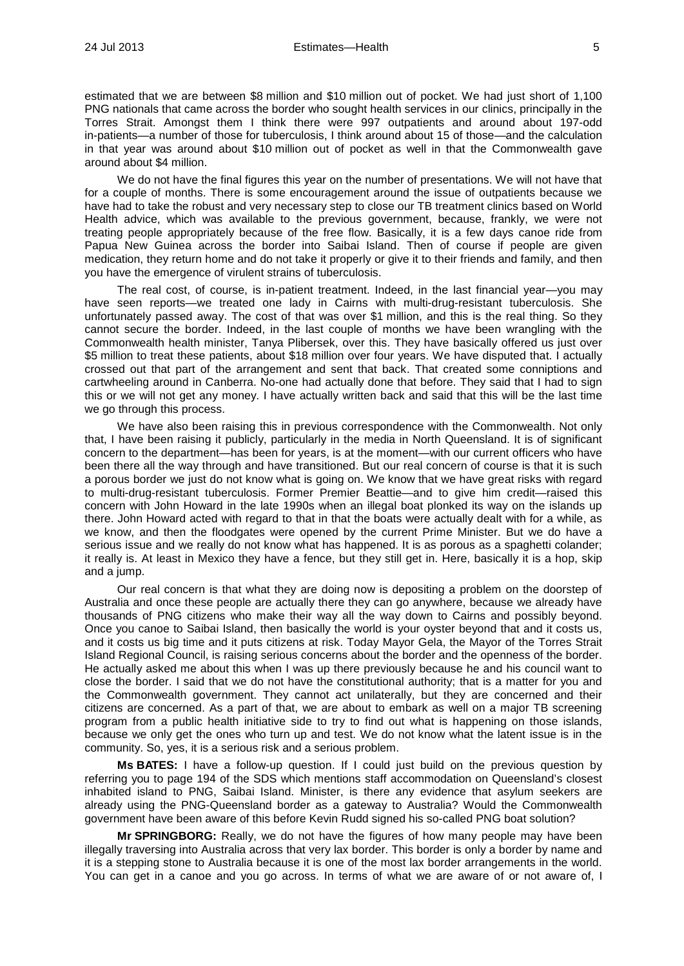estimated that we are between \$8 million and \$10 million out of pocket. We had just short of 1,100 PNG nationals that came across the border who sought health services in our clinics, principally in the Torres Strait. Amongst them I think there were 997 outpatients and around about 197-odd in-patients—a number of those for tuberculosis, I think around about 15 of those—and the calculation in that year was around about \$10 million out of pocket as well in that the Commonwealth gave around about \$4 million.

We do not have the final figures this year on the number of presentations. We will not have that for a couple of months. There is some encouragement around the issue of outpatients because we have had to take the robust and very necessary step to close our TB treatment clinics based on World Health advice, which was available to the previous government, because, frankly, we were not treating people appropriately because of the free flow. Basically, it is a few days canoe ride from Papua New Guinea across the border into Saibai Island. Then of course if people are given medication, they return home and do not take it properly or give it to their friends and family, and then you have the emergence of virulent strains of tuberculosis.

The real cost, of course, is in-patient treatment. Indeed, in the last financial year—you may have seen reports—we treated one lady in Cairns with multi-drug-resistant tuberculosis. She unfortunately passed away. The cost of that was over \$1 million, and this is the real thing. So they cannot secure the border. Indeed, in the last couple of months we have been wrangling with the Commonwealth health minister, Tanya Plibersek, over this. They have basically offered us just over \$5 million to treat these patients, about \$18 million over four years. We have disputed that. I actually crossed out that part of the arrangement and sent that back. That created some conniptions and cartwheeling around in Canberra. No-one had actually done that before. They said that I had to sign this or we will not get any money. I have actually written back and said that this will be the last time we go through this process.

We have also been raising this in previous correspondence with the Commonwealth. Not only that, I have been raising it publicly, particularly in the media in North Queensland. It is of significant concern to the department—has been for years, is at the moment—with our current officers who have been there all the way through and have transitioned. But our real concern of course is that it is such a porous border we just do not know what is going on. We know that we have great risks with regard to multi-drug-resistant tuberculosis. Former Premier Beattie—and to give him credit—raised this concern with John Howard in the late 1990s when an illegal boat plonked its way on the islands up there. John Howard acted with regard to that in that the boats were actually dealt with for a while, as we know, and then the floodgates were opened by the current Prime Minister. But we do have a serious issue and we really do not know what has happened. It is as porous as a spaghetti colander; it really is. At least in Mexico they have a fence, but they still get in. Here, basically it is a hop, skip and a jump.

Our real concern is that what they are doing now is depositing a problem on the doorstep of Australia and once these people are actually there they can go anywhere, because we already have thousands of PNG citizens who make their way all the way down to Cairns and possibly beyond. Once you canoe to Saibai Island, then basically the world is your oyster beyond that and it costs us, and it costs us big time and it puts citizens at risk. Today Mayor Gela, the Mayor of the Torres Strait Island Regional Council, is raising serious concerns about the border and the openness of the border. He actually asked me about this when I was up there previously because he and his council want to close the border. I said that we do not have the constitutional authority; that is a matter for you and the Commonwealth government. They cannot act unilaterally, but they are concerned and their citizens are concerned. As a part of that, we are about to embark as well on a major TB screening program from a public health initiative side to try to find out what is happening on those islands, because we only get the ones who turn up and test. We do not know what the latent issue is in the community. So, yes, it is a serious risk and a serious problem.

**Ms BATES:** I have a follow-up question. If I could just build on the previous question by referring you to page 194 of the SDS which mentions staff accommodation on Queensland's closest inhabited island to PNG, Saibai Island. Minister, is there any evidence that asylum seekers are already using the PNG-Queensland border as a gateway to Australia? Would the Commonwealth government have been aware of this before Kevin Rudd signed his so-called PNG boat solution?

**Mr SPRINGBORG:** Really, we do not have the figures of how many people may have been illegally traversing into Australia across that very lax border. This border is only a border by name and it is a stepping stone to Australia because it is one of the most lax border arrangements in the world. You can get in a canoe and you go across. In terms of what we are aware of or not aware of, I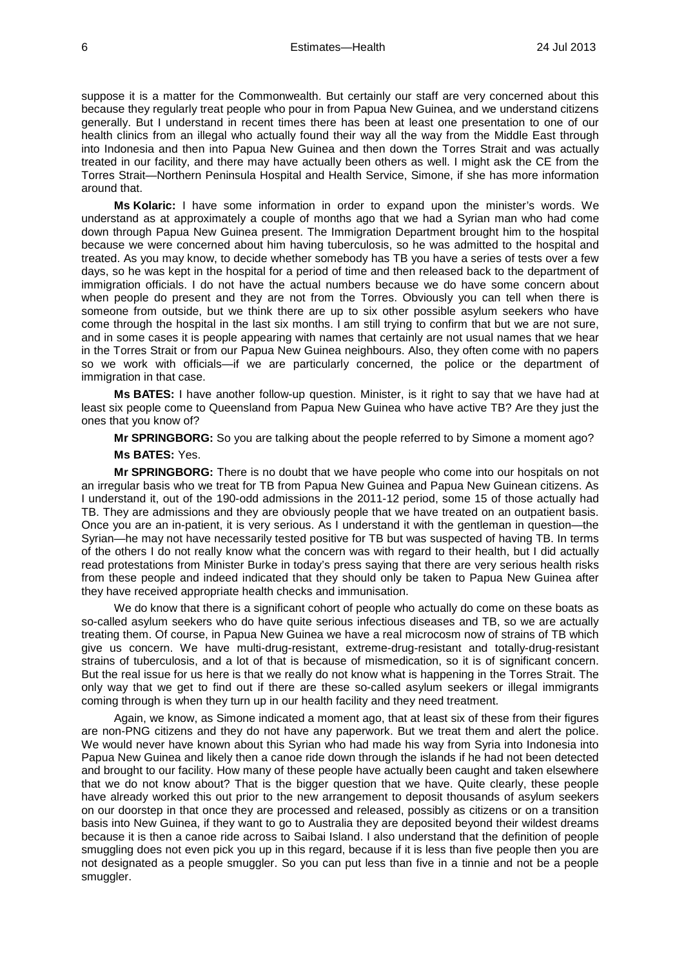suppose it is a matter for the Commonwealth. But certainly our staff are very concerned about this because they regularly treat people who pour in from Papua New Guinea, and we understand citizens generally. But I understand in recent times there has been at least one presentation to one of our health clinics from an illegal who actually found their way all the way from the Middle East through into Indonesia and then into Papua New Guinea and then down the Torres Strait and was actually treated in our facility, and there may have actually been others as well. I might ask the CE from the Torres Strait—Northern Peninsula Hospital and Health Service, Simone, if she has more information around that.

**Ms Kolaric:** I have some information in order to expand upon the minister's words. We understand as at approximately a couple of months ago that we had a Syrian man who had come down through Papua New Guinea present. The Immigration Department brought him to the hospital because we were concerned about him having tuberculosis, so he was admitted to the hospital and treated. As you may know, to decide whether somebody has TB you have a series of tests over a few days, so he was kept in the hospital for a period of time and then released back to the department of immigration officials. I do not have the actual numbers because we do have some concern about when people do present and they are not from the Torres. Obviously you can tell when there is someone from outside, but we think there are up to six other possible asylum seekers who have come through the hospital in the last six months. I am still trying to confirm that but we are not sure, and in some cases it is people appearing with names that certainly are not usual names that we hear in the Torres Strait or from our Papua New Guinea neighbours. Also, they often come with no papers so we work with officials—if we are particularly concerned, the police or the department of immigration in that case.

**Ms BATES:** I have another follow-up question. Minister, is it right to say that we have had at least six people come to Queensland from Papua New Guinea who have active TB? Are they just the ones that you know of?

**Mr SPRINGBORG:** So you are talking about the people referred to by Simone a moment ago?

#### **Ms BATES:** Yes.

**Mr SPRINGBORG:** There is no doubt that we have people who come into our hospitals on not an irregular basis who we treat for TB from Papua New Guinea and Papua New Guinean citizens. As I understand it, out of the 190-odd admissions in the 2011-12 period, some 15 of those actually had TB. They are admissions and they are obviously people that we have treated on an outpatient basis. Once you are an in-patient, it is very serious. As I understand it with the gentleman in question—the Syrian—he may not have necessarily tested positive for TB but was suspected of having TB. In terms of the others I do not really know what the concern was with regard to their health, but I did actually read protestations from Minister Burke in today's press saying that there are very serious health risks from these people and indeed indicated that they should only be taken to Papua New Guinea after they have received appropriate health checks and immunisation.

We do know that there is a significant cohort of people who actually do come on these boats as so-called asylum seekers who do have quite serious infectious diseases and TB, so we are actually treating them. Of course, in Papua New Guinea we have a real microcosm now of strains of TB which give us concern. We have multi-drug-resistant, extreme-drug-resistant and totally-drug-resistant strains of tuberculosis, and a lot of that is because of mismedication, so it is of significant concern. But the real issue for us here is that we really do not know what is happening in the Torres Strait. The only way that we get to find out if there are these so-called asylum seekers or illegal immigrants coming through is when they turn up in our health facility and they need treatment.

Again, we know, as Simone indicated a moment ago, that at least six of these from their figures are non-PNG citizens and they do not have any paperwork. But we treat them and alert the police. We would never have known about this Syrian who had made his way from Syria into Indonesia into Papua New Guinea and likely then a canoe ride down through the islands if he had not been detected and brought to our facility. How many of these people have actually been caught and taken elsewhere that we do not know about? That is the bigger question that we have. Quite clearly, these people have already worked this out prior to the new arrangement to deposit thousands of asylum seekers on our doorstep in that once they are processed and released, possibly as citizens or on a transition basis into New Guinea, if they want to go to Australia they are deposited beyond their wildest dreams because it is then a canoe ride across to Saibai Island. I also understand that the definition of people smuggling does not even pick you up in this regard, because if it is less than five people then you are not designated as a people smuggler. So you can put less than five in a tinnie and not be a people smuggler.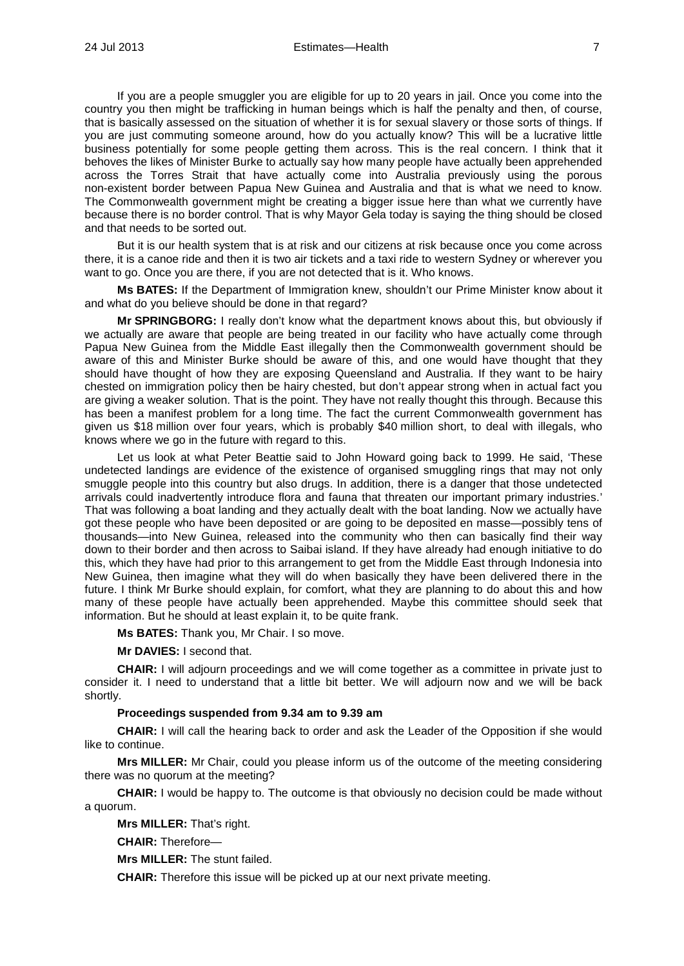If you are a people smuggler you are eligible for up to 20 years in jail. Once you come into the country you then might be trafficking in human beings which is half the penalty and then, of course, that is basically assessed on the situation of whether it is for sexual slavery or those sorts of things. If you are just commuting someone around, how do you actually know? This will be a lucrative little business potentially for some people getting them across. This is the real concern. I think that it behoves the likes of Minister Burke to actually say how many people have actually been apprehended across the Torres Strait that have actually come into Australia previously using the porous non-existent border between Papua New Guinea and Australia and that is what we need to know. The Commonwealth government might be creating a bigger issue here than what we currently have because there is no border control. That is why Mayor Gela today is saying the thing should be closed and that needs to be sorted out.

But it is our health system that is at risk and our citizens at risk because once you come across there, it is a canoe ride and then it is two air tickets and a taxi ride to western Sydney or wherever you want to go. Once you are there, if you are not detected that is it. Who knows.

**Ms BATES:** If the Department of Immigration knew, shouldn't our Prime Minister know about it and what do you believe should be done in that regard?

**Mr SPRINGBORG:** I really don't know what the department knows about this, but obviously if we actually are aware that people are being treated in our facility who have actually come through Papua New Guinea from the Middle East illegally then the Commonwealth government should be aware of this and Minister Burke should be aware of this, and one would have thought that they should have thought of how they are exposing Queensland and Australia. If they want to be hairy chested on immigration policy then be hairy chested, but don't appear strong when in actual fact you are giving a weaker solution. That is the point. They have not really thought this through. Because this has been a manifest problem for a long time. The fact the current Commonwealth government has given us \$18 million over four years, which is probably \$40 million short, to deal with illegals, who knows where we go in the future with regard to this.

Let us look at what Peter Beattie said to John Howard going back to 1999. He said, 'These undetected landings are evidence of the existence of organised smuggling rings that may not only smuggle people into this country but also drugs. In addition, there is a danger that those undetected arrivals could inadvertently introduce flora and fauna that threaten our important primary industries.' That was following a boat landing and they actually dealt with the boat landing. Now we actually have got these people who have been deposited or are going to be deposited en masse—possibly tens of thousands—into New Guinea, released into the community who then can basically find their way down to their border and then across to Saibai island. If they have already had enough initiative to do this, which they have had prior to this arrangement to get from the Middle East through Indonesia into New Guinea, then imagine what they will do when basically they have been delivered there in the future. I think Mr Burke should explain, for comfort, what they are planning to do about this and how many of these people have actually been apprehended. Maybe this committee should seek that information. But he should at least explain it, to be quite frank.

**Ms BATES:** Thank you, Mr Chair. I so move.

**Mr DAVIES:** I second that.

**CHAIR:** I will adjourn proceedings and we will come together as a committee in private just to consider it. I need to understand that a little bit better. We will adjourn now and we will be back shortly.

## **Proceedings suspended from 9.34 am to 9.39 am**

**CHAIR:** I will call the hearing back to order and ask the Leader of the Opposition if she would like to continue.

**Mrs MILLER:** Mr Chair, could you please inform us of the outcome of the meeting considering there was no quorum at the meeting?

**CHAIR:** I would be happy to. The outcome is that obviously no decision could be made without a quorum.

**Mrs MILLER:** That's right.

**CHAIR:** Therefore—

**Mrs MILLER:** The stunt failed.

**CHAIR:** Therefore this issue will be picked up at our next private meeting.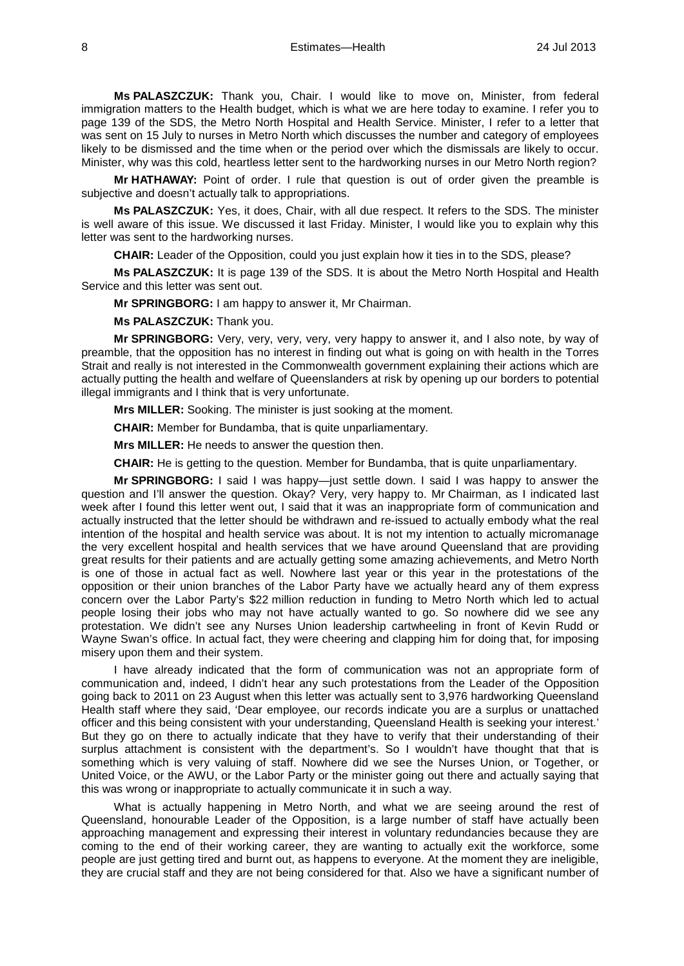**Ms PALASZCZUK:** Thank you, Chair. I would like to move on, Minister, from federal immigration matters to the Health budget, which is what we are here today to examine. I refer you to page 139 of the SDS, the Metro North Hospital and Health Service. Minister, I refer to a letter that was sent on 15 July to nurses in Metro North which discusses the number and category of employees likely to be dismissed and the time when or the period over which the dismissals are likely to occur. Minister, why was this cold, heartless letter sent to the hardworking nurses in our Metro North region?

**Mr HATHAWAY:** Point of order. I rule that question is out of order given the preamble is subjective and doesn't actually talk to appropriations.

**Ms PALASZCZUK:** Yes, it does, Chair, with all due respect. It refers to the SDS. The minister is well aware of this issue. We discussed it last Friday. Minister, I would like you to explain why this letter was sent to the hardworking nurses.

**CHAIR:** Leader of the Opposition, could you just explain how it ties in to the SDS, please?

**Ms PALASZCZUK:** It is page 139 of the SDS. It is about the Metro North Hospital and Health Service and this letter was sent out.

**Mr SPRINGBORG:** I am happy to answer it, Mr Chairman.

**Ms PALASZCZUK:** Thank you.

**Mr SPRINGBORG:** Very, very, very, very, very happy to answer it, and I also note, by way of preamble, that the opposition has no interest in finding out what is going on with health in the Torres Strait and really is not interested in the Commonwealth government explaining their actions which are actually putting the health and welfare of Queenslanders at risk by opening up our borders to potential illegal immigrants and I think that is very unfortunate.

**Mrs MILLER:** Sooking. The minister is just sooking at the moment.

**CHAIR:** Member for Bundamba, that is quite unparliamentary.

**Mrs MILLER:** He needs to answer the question then.

**CHAIR:** He is getting to the question. Member for Bundamba, that is quite unparliamentary.

**Mr SPRINGBORG:** I said I was happy—just settle down. I said I was happy to answer the question and I'll answer the question. Okay? Very, very happy to. Mr Chairman, as I indicated last week after I found this letter went out, I said that it was an inappropriate form of communication and actually instructed that the letter should be withdrawn and re-issued to actually embody what the real intention of the hospital and health service was about. It is not my intention to actually micromanage the very excellent hospital and health services that we have around Queensland that are providing great results for their patients and are actually getting some amazing achievements, and Metro North is one of those in actual fact as well. Nowhere last year or this year in the protestations of the opposition or their union branches of the Labor Party have we actually heard any of them express concern over the Labor Party's \$22 million reduction in funding to Metro North which led to actual people losing their jobs who may not have actually wanted to go. So nowhere did we see any protestation. We didn't see any Nurses Union leadership cartwheeling in front of Kevin Rudd or Wayne Swan's office. In actual fact, they were cheering and clapping him for doing that, for imposing misery upon them and their system.

I have already indicated that the form of communication was not an appropriate form of communication and, indeed, I didn't hear any such protestations from the Leader of the Opposition going back to 2011 on 23 August when this letter was actually sent to 3,976 hardworking Queensland Health staff where they said, 'Dear employee, our records indicate you are a surplus or unattached officer and this being consistent with your understanding, Queensland Health is seeking your interest.' But they go on there to actually indicate that they have to verify that their understanding of their surplus attachment is consistent with the department's. So I wouldn't have thought that that is something which is very valuing of staff. Nowhere did we see the Nurses Union, or Together, or United Voice, or the AWU, or the Labor Party or the minister going out there and actually saying that this was wrong or inappropriate to actually communicate it in such a way.

What is actually happening in Metro North, and what we are seeing around the rest of Queensland, honourable Leader of the Opposition, is a large number of staff have actually been approaching management and expressing their interest in voluntary redundancies because they are coming to the end of their working career, they are wanting to actually exit the workforce, some people are just getting tired and burnt out, as happens to everyone. At the moment they are ineligible, they are crucial staff and they are not being considered for that. Also we have a significant number of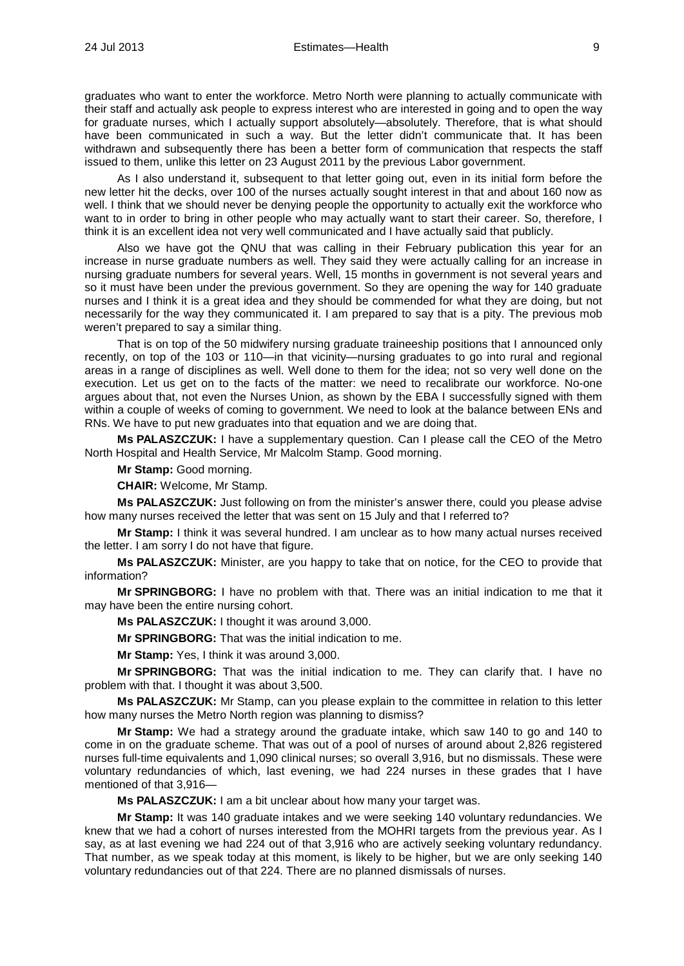graduates who want to enter the workforce. Metro North were planning to actually communicate with their staff and actually ask people to express interest who are interested in going and to open the way for graduate nurses, which I actually support absolutely—absolutely. Therefore, that is what should have been communicated in such a way. But the letter didn't communicate that. It has been withdrawn and subsequently there has been a better form of communication that respects the staff issued to them, unlike this letter on 23 August 2011 by the previous Labor government.

As I also understand it, subsequent to that letter going out, even in its initial form before the new letter hit the decks, over 100 of the nurses actually sought interest in that and about 160 now as well. I think that we should never be denying people the opportunity to actually exit the workforce who want to in order to bring in other people who may actually want to start their career. So, therefore, I think it is an excellent idea not very well communicated and I have actually said that publicly.

Also we have got the QNU that was calling in their February publication this year for an increase in nurse graduate numbers as well. They said they were actually calling for an increase in nursing graduate numbers for several years. Well, 15 months in government is not several years and so it must have been under the previous government. So they are opening the way for 140 graduate nurses and I think it is a great idea and they should be commended for what they are doing, but not necessarily for the way they communicated it. I am prepared to say that is a pity. The previous mob weren't prepared to say a similar thing.

That is on top of the 50 midwifery nursing graduate traineeship positions that I announced only recently, on top of the 103 or 110—in that vicinity—nursing graduates to go into rural and regional areas in a range of disciplines as well. Well done to them for the idea; not so very well done on the execution. Let us get on to the facts of the matter: we need to recalibrate our workforce. No-one argues about that, not even the Nurses Union, as shown by the EBA I successfully signed with them within a couple of weeks of coming to government. We need to look at the balance between ENs and RNs. We have to put new graduates into that equation and we are doing that.

**Ms PALASZCZUK:** I have a supplementary question. Can I please call the CEO of the Metro North Hospital and Health Service, Mr Malcolm Stamp. Good morning.

**Mr Stamp:** Good morning.

**CHAIR:** Welcome, Mr Stamp.

**Ms PALASZCZUK:** Just following on from the minister's answer there, could you please advise how many nurses received the letter that was sent on 15 July and that I referred to?

**Mr Stamp:** I think it was several hundred. I am unclear as to how many actual nurses received the letter. I am sorry I do not have that figure.

**Ms PALASZCZUK:** Minister, are you happy to take that on notice, for the CEO to provide that information?

**Mr SPRINGBORG:** I have no problem with that. There was an initial indication to me that it may have been the entire nursing cohort.

**Ms PALASZCZUK:** I thought it was around 3,000.

**Mr SPRINGBORG:** That was the initial indication to me.

**Mr Stamp:** Yes, I think it was around 3,000.

**Mr SPRINGBORG:** That was the initial indication to me. They can clarify that. I have no problem with that. I thought it was about 3,500.

**Ms PALASZCZUK:** Mr Stamp, can you please explain to the committee in relation to this letter how many nurses the Metro North region was planning to dismiss?

**Mr Stamp:** We had a strategy around the graduate intake, which saw 140 to go and 140 to come in on the graduate scheme. That was out of a pool of nurses of around about 2,826 registered nurses full-time equivalents and 1,090 clinical nurses; so overall 3,916, but no dismissals. These were voluntary redundancies of which, last evening, we had 224 nurses in these grades that I have mentioned of that 3,916—

**Ms PALASZCZUK:** I am a bit unclear about how many your target was.

**Mr Stamp:** It was 140 graduate intakes and we were seeking 140 voluntary redundancies. We knew that we had a cohort of nurses interested from the MOHRI targets from the previous year. As I say, as at last evening we had 224 out of that 3,916 who are actively seeking voluntary redundancy. That number, as we speak today at this moment, is likely to be higher, but we are only seeking 140 voluntary redundancies out of that 224. There are no planned dismissals of nurses.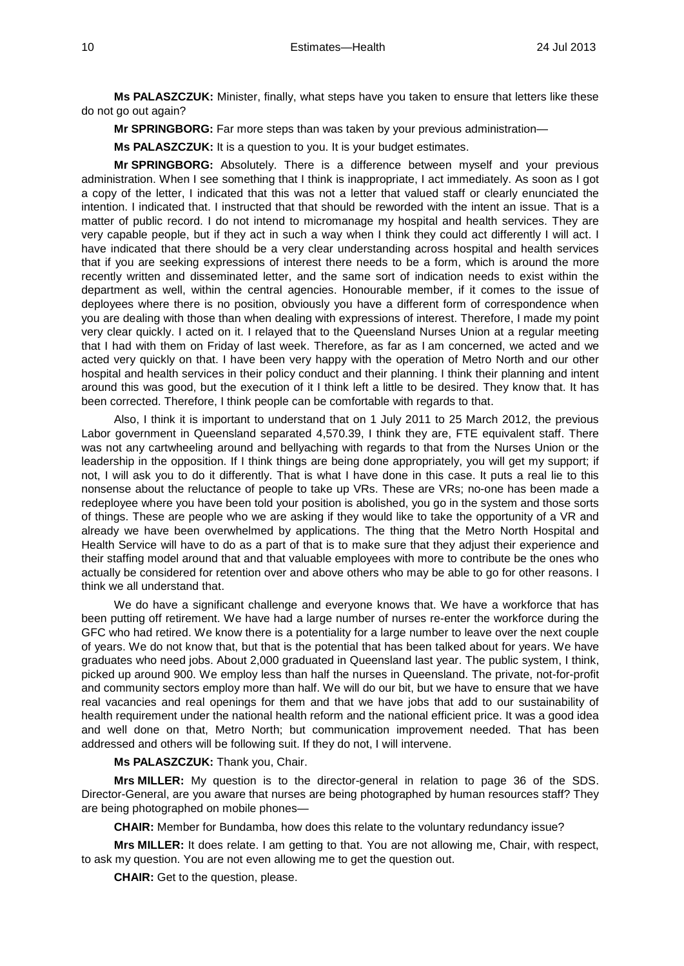**Ms PALASZCZUK:** Minister, finally, what steps have you taken to ensure that letters like these do not go out again?

**Mr SPRINGBORG:** Far more steps than was taken by your previous administration—

**Ms PALASZCZUK:** It is a question to you. It is your budget estimates.

**Mr SPRINGBORG:** Absolutely. There is a difference between myself and your previous administration. When I see something that I think is inappropriate, I act immediately. As soon as I got a copy of the letter, I indicated that this was not a letter that valued staff or clearly enunciated the intention. I indicated that. I instructed that that should be reworded with the intent an issue. That is a matter of public record. I do not intend to micromanage my hospital and health services. They are very capable people, but if they act in such a way when I think they could act differently I will act. I have indicated that there should be a very clear understanding across hospital and health services that if you are seeking expressions of interest there needs to be a form, which is around the more recently written and disseminated letter, and the same sort of indication needs to exist within the department as well, within the central agencies. Honourable member, if it comes to the issue of deployees where there is no position, obviously you have a different form of correspondence when you are dealing with those than when dealing with expressions of interest. Therefore, I made my point very clear quickly. I acted on it. I relayed that to the Queensland Nurses Union at a regular meeting that I had with them on Friday of last week. Therefore, as far as I am concerned, we acted and we acted very quickly on that. I have been very happy with the operation of Metro North and our other hospital and health services in their policy conduct and their planning. I think their planning and intent around this was good, but the execution of it I think left a little to be desired. They know that. It has been corrected. Therefore, I think people can be comfortable with regards to that.

Also, I think it is important to understand that on 1 July 2011 to 25 March 2012, the previous Labor government in Queensland separated 4,570.39, I think they are, FTE equivalent staff. There was not any cartwheeling around and bellyaching with regards to that from the Nurses Union or the leadership in the opposition. If I think things are being done appropriately, you will get my support; if not, I will ask you to do it differently. That is what I have done in this case. It puts a real lie to this nonsense about the reluctance of people to take up VRs. These are VRs; no-one has been made a redeployee where you have been told your position is abolished, you go in the system and those sorts of things. These are people who we are asking if they would like to take the opportunity of a VR and already we have been overwhelmed by applications. The thing that the Metro North Hospital and Health Service will have to do as a part of that is to make sure that they adjust their experience and their staffing model around that and that valuable employees with more to contribute be the ones who actually be considered for retention over and above others who may be able to go for other reasons. I think we all understand that.

We do have a significant challenge and everyone knows that. We have a workforce that has been putting off retirement. We have had a large number of nurses re-enter the workforce during the GFC who had retired. We know there is a potentiality for a large number to leave over the next couple of years. We do not know that, but that is the potential that has been talked about for years. We have graduates who need jobs. About 2,000 graduated in Queensland last year. The public system, I think, picked up around 900. We employ less than half the nurses in Queensland. The private, not-for-profit and community sectors employ more than half. We will do our bit, but we have to ensure that we have real vacancies and real openings for them and that we have jobs that add to our sustainability of health requirement under the national health reform and the national efficient price. It was a good idea and well done on that, Metro North; but communication improvement needed. That has been addressed and others will be following suit. If they do not, I will intervene.

**Ms PALASZCZUK:** Thank you, Chair.

**Mrs MILLER:** My question is to the director-general in relation to page 36 of the SDS. Director-General, are you aware that nurses are being photographed by human resources staff? They are being photographed on mobile phones—

**CHAIR:** Member for Bundamba, how does this relate to the voluntary redundancy issue?

**Mrs MILLER:** It does relate. I am getting to that. You are not allowing me, Chair, with respect, to ask my question. You are not even allowing me to get the question out.

**CHAIR:** Get to the question, please.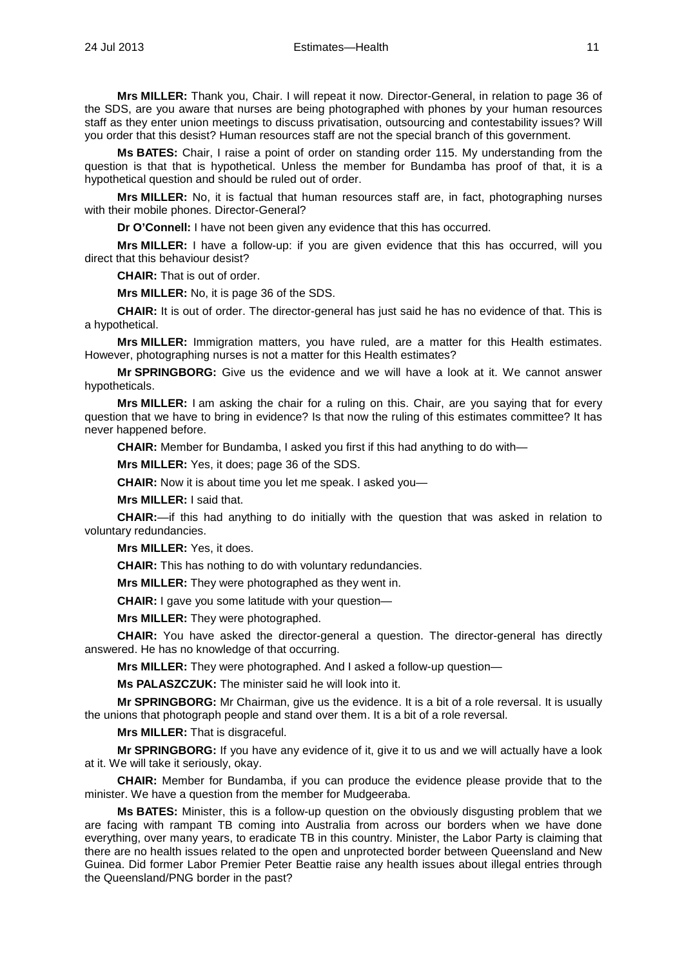**Mrs MILLER:** Thank you, Chair. I will repeat it now. Director-General, in relation to page 36 of the SDS, are you aware that nurses are being photographed with phones by your human resources staff as they enter union meetings to discuss privatisation, outsourcing and contestability issues? Will you order that this desist? Human resources staff are not the special branch of this government.

**Ms BATES:** Chair, I raise a point of order on standing order 115. My understanding from the question is that that is hypothetical. Unless the member for Bundamba has proof of that, it is a hypothetical question and should be ruled out of order.

**Mrs MILLER:** No, it is factual that human resources staff are, in fact, photographing nurses with their mobile phones. Director-General?

**Dr O'Connell:** I have not been given any evidence that this has occurred.

**Mrs MILLER:** I have a follow-up: if you are given evidence that this has occurred, will you direct that this behaviour desist?

**CHAIR:** That is out of order.

**Mrs MILLER:** No, it is page 36 of the SDS.

**CHAIR:** It is out of order. The director-general has just said he has no evidence of that. This is a hypothetical.

**Mrs MILLER:** Immigration matters, you have ruled, are a matter for this Health estimates. However, photographing nurses is not a matter for this Health estimates?

**Mr SPRINGBORG:** Give us the evidence and we will have a look at it. We cannot answer hypotheticals.

**Mrs MILLER:** I am asking the chair for a ruling on this. Chair, are you saying that for every question that we have to bring in evidence? Is that now the ruling of this estimates committee? It has never happened before.

**CHAIR:** Member for Bundamba, I asked you first if this had anything to do with—

**Mrs MILLER:** Yes, it does; page 36 of the SDS.

**CHAIR:** Now it is about time you let me speak. I asked you—

**Mrs MILLER:** I said that.

**CHAIR:**—if this had anything to do initially with the question that was asked in relation to voluntary redundancies.

**Mrs MILLER:** Yes, it does.

**CHAIR:** This has nothing to do with voluntary redundancies.

**Mrs MILLER:** They were photographed as they went in.

**CHAIR:** I gave you some latitude with your question—

**Mrs MILLER:** They were photographed.

**CHAIR:** You have asked the director-general a question. The director-general has directly answered. He has no knowledge of that occurring.

**Mrs MILLER:** They were photographed. And I asked a follow-up question—

**Ms PALASZCZUK:** The minister said he will look into it.

**Mr SPRINGBORG:** Mr Chairman, give us the evidence. It is a bit of a role reversal. It is usually the unions that photograph people and stand over them. It is a bit of a role reversal.

**Mrs MILLER:** That is disgraceful.

**Mr SPRINGBORG:** If you have any evidence of it, give it to us and we will actually have a look at it. We will take it seriously, okay.

**CHAIR:** Member for Bundamba, if you can produce the evidence please provide that to the minister. We have a question from the member for Mudgeeraba.

**Ms BATES:** Minister, this is a follow-up question on the obviously disgusting problem that we are facing with rampant TB coming into Australia from across our borders when we have done everything, over many years, to eradicate TB in this country. Minister, the Labor Party is claiming that there are no health issues related to the open and unprotected border between Queensland and New Guinea. Did former Labor Premier Peter Beattie raise any health issues about illegal entries through the Queensland/PNG border in the past?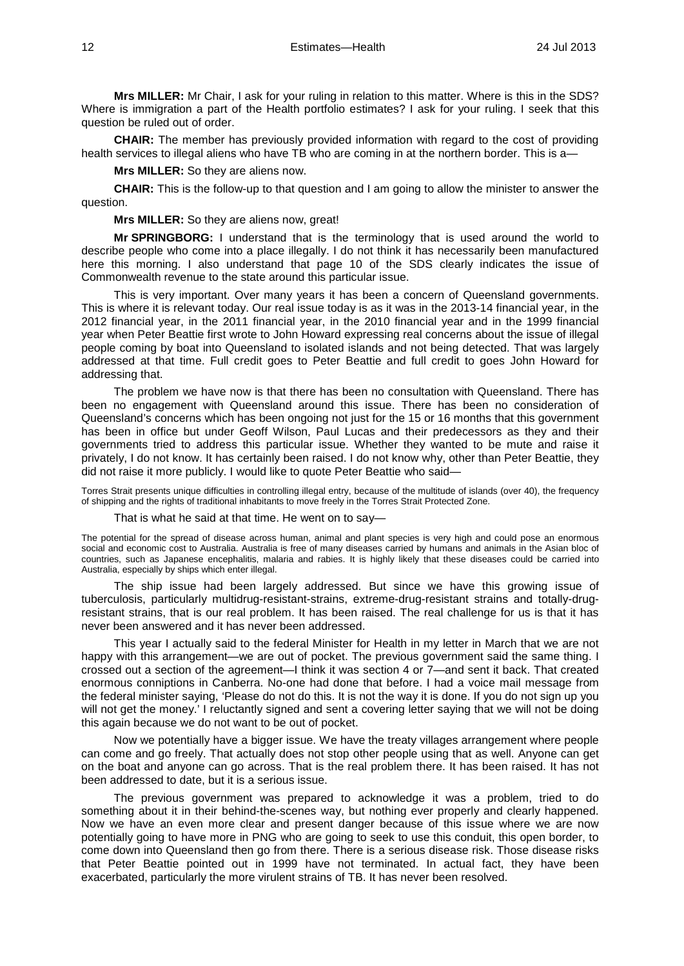**Mrs MILLER:** Mr Chair, I ask for your ruling in relation to this matter. Where is this in the SDS? Where is immigration a part of the Health portfolio estimates? I ask for your ruling. I seek that this question be ruled out of order.

**CHAIR:** The member has previously provided information with regard to the cost of providing health services to illegal aliens who have TB who are coming in at the northern border. This is a-

**Mrs MILLER:** So they are aliens now.

**CHAIR:** This is the follow-up to that question and I am going to allow the minister to answer the question.

**Mrs MILLER:** So they are aliens now, great!

**Mr SPRINGBORG:** I understand that is the terminology that is used around the world to describe people who come into a place illegally. I do not think it has necessarily been manufactured here this morning. I also understand that page 10 of the SDS clearly indicates the issue of Commonwealth revenue to the state around this particular issue.

This is very important. Over many years it has been a concern of Queensland governments. This is where it is relevant today. Our real issue today is as it was in the 2013-14 financial year, in the 2012 financial year, in the 2011 financial year, in the 2010 financial year and in the 1999 financial year when Peter Beattie first wrote to John Howard expressing real concerns about the issue of illegal people coming by boat into Queensland to isolated islands and not being detected. That was largely addressed at that time. Full credit goes to Peter Beattie and full credit to goes John Howard for addressing that.

The problem we have now is that there has been no consultation with Queensland. There has been no engagement with Queensland around this issue. There has been no consideration of Queensland's concerns which has been ongoing not just for the 15 or 16 months that this government has been in office but under Geoff Wilson, Paul Lucas and their predecessors as they and their governments tried to address this particular issue. Whether they wanted to be mute and raise it privately, I do not know. It has certainly been raised. I do not know why, other than Peter Beattie, they did not raise it more publicly. I would like to quote Peter Beattie who said—

Torres Strait presents unique difficulties in controlling illegal entry, because of the multitude of islands (over 40), the frequency of shipping and the rights of traditional inhabitants to move freely in the Torres Strait Protected Zone.

That is what he said at that time. He went on to say—

The potential for the spread of disease across human, animal and plant species is very high and could pose an enormous social and economic cost to Australia. Australia is free of many diseases carried by humans and animals in the Asian bloc of countries, such as Japanese encephalitis, malaria and rabies. It is highly likely that these diseases could be carried into Australia, especially by ships which enter illegal.

The ship issue had been largely addressed. But since we have this growing issue of tuberculosis, particularly multidrug-resistant-strains, extreme-drug-resistant strains and totally-drugresistant strains, that is our real problem. It has been raised. The real challenge for us is that it has never been answered and it has never been addressed.

This year I actually said to the federal Minister for Health in my letter in March that we are not happy with this arrangement—we are out of pocket. The previous government said the same thing. I crossed out a section of the agreement—I think it was section 4 or 7—and sent it back. That created enormous conniptions in Canberra. No-one had done that before. I had a voice mail message from the federal minister saying, 'Please do not do this. It is not the way it is done. If you do not sign up you will not get the money.' I reluctantly signed and sent a covering letter saying that we will not be doing this again because we do not want to be out of pocket.

Now we potentially have a bigger issue. We have the treaty villages arrangement where people can come and go freely. That actually does not stop other people using that as well. Anyone can get on the boat and anyone can go across. That is the real problem there. It has been raised. It has not been addressed to date, but it is a serious issue.

The previous government was prepared to acknowledge it was a problem, tried to do something about it in their behind-the-scenes way, but nothing ever properly and clearly happened. Now we have an even more clear and present danger because of this issue where we are now potentially going to have more in PNG who are going to seek to use this conduit, this open border, to come down into Queensland then go from there. There is a serious disease risk. Those disease risks that Peter Beattie pointed out in 1999 have not terminated. In actual fact, they have been exacerbated, particularly the more virulent strains of TB. It has never been resolved.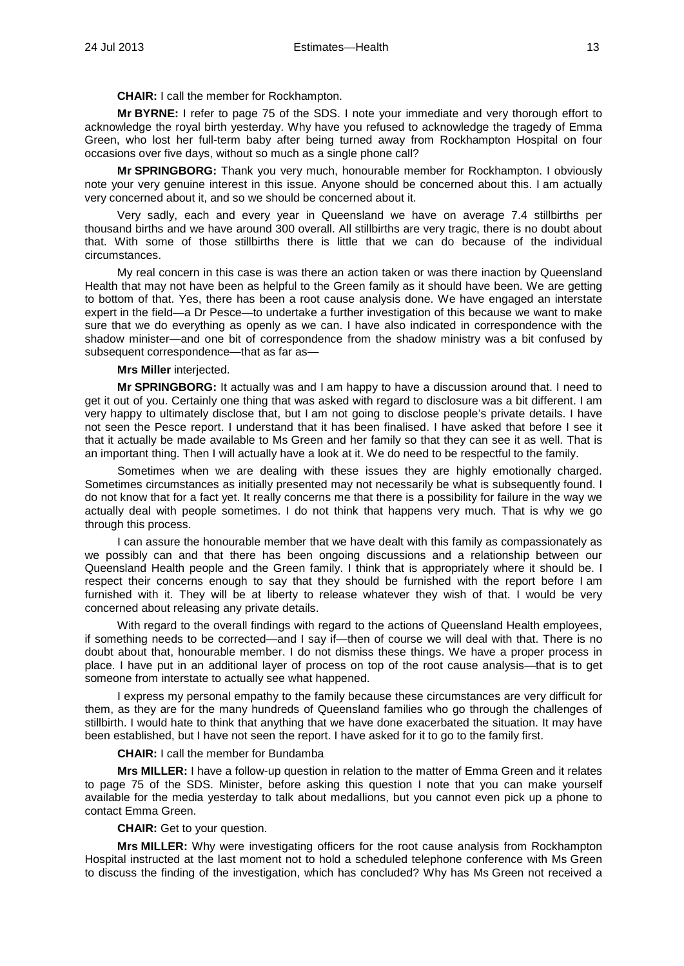**CHAIR:** I call the member for Rockhampton.

**Mr BYRNE:** I refer to page 75 of the SDS. I note your immediate and very thorough effort to acknowledge the royal birth yesterday. Why have you refused to acknowledge the tragedy of Emma Green, who lost her full-term baby after being turned away from Rockhampton Hospital on four occasions over five days, without so much as a single phone call?

**Mr SPRINGBORG:** Thank you very much, honourable member for Rockhampton. I obviously note your very genuine interest in this issue. Anyone should be concerned about this. I am actually very concerned about it, and so we should be concerned about it.

Very sadly, each and every year in Queensland we have on average 7.4 stillbirths per thousand births and we have around 300 overall. All stillbirths are very tragic, there is no doubt about that. With some of those stillbirths there is little that we can do because of the individual circumstances.

My real concern in this case is was there an action taken or was there inaction by Queensland Health that may not have been as helpful to the Green family as it should have been. We are getting to bottom of that. Yes, there has been a root cause analysis done. We have engaged an interstate expert in the field—a Dr Pesce—to undertake a further investigation of this because we want to make sure that we do everything as openly as we can. I have also indicated in correspondence with the shadow minister—and one bit of correspondence from the shadow ministry was a bit confused by subsequent correspondence—that as far as—

### **Mrs Miller** interjected.

**Mr SPRINGBORG:** It actually was and I am happy to have a discussion around that. I need to get it out of you. Certainly one thing that was asked with regard to disclosure was a bit different. I am very happy to ultimately disclose that, but I am not going to disclose people's private details. I have not seen the Pesce report. I understand that it has been finalised. I have asked that before I see it that it actually be made available to Ms Green and her family so that they can see it as well. That is an important thing. Then I will actually have a look at it. We do need to be respectful to the family.

Sometimes when we are dealing with these issues they are highly emotionally charged. Sometimes circumstances as initially presented may not necessarily be what is subsequently found. I do not know that for a fact yet. It really concerns me that there is a possibility for failure in the way we actually deal with people sometimes. I do not think that happens very much. That is why we go through this process.

I can assure the honourable member that we have dealt with this family as compassionately as we possibly can and that there has been ongoing discussions and a relationship between our Queensland Health people and the Green family. I think that is appropriately where it should be. I respect their concerns enough to say that they should be furnished with the report before I am furnished with it. They will be at liberty to release whatever they wish of that. I would be very concerned about releasing any private details.

With regard to the overall findings with regard to the actions of Queensland Health employees, if something needs to be corrected—and I say if—then of course we will deal with that. There is no doubt about that, honourable member. I do not dismiss these things. We have a proper process in place. I have put in an additional layer of process on top of the root cause analysis—that is to get someone from interstate to actually see what happened.

I express my personal empathy to the family because these circumstances are very difficult for them, as they are for the many hundreds of Queensland families who go through the challenges of stillbirth. I would hate to think that anything that we have done exacerbated the situation. It may have been established, but I have not seen the report. I have asked for it to go to the family first.

#### **CHAIR:** I call the member for Bundamba

**Mrs MILLER:** I have a follow-up question in relation to the matter of Emma Green and it relates to page 75 of the SDS. Minister, before asking this question I note that you can make yourself available for the media yesterday to talk about medallions, but you cannot even pick up a phone to contact Emma Green.

**CHAIR:** Get to your question.

**Mrs MILLER:** Why were investigating officers for the root cause analysis from Rockhampton Hospital instructed at the last moment not to hold a scheduled telephone conference with Ms Green to discuss the finding of the investigation, which has concluded? Why has Ms Green not received a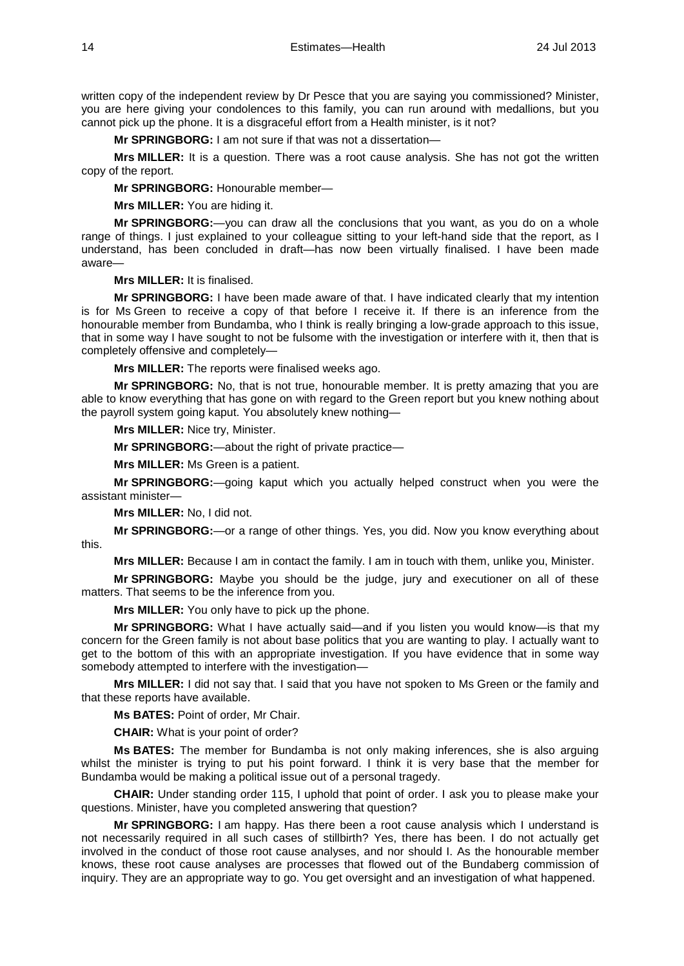written copy of the independent review by Dr Pesce that you are saying you commissioned? Minister, you are here giving your condolences to this family, you can run around with medallions, but you cannot pick up the phone. It is a disgraceful effort from a Health minister, is it not?

**Mr SPRINGBORG:** I am not sure if that was not a dissertation—

**Mrs MILLER:** It is a question. There was a root cause analysis. She has not got the written copy of the report.

**Mr SPRINGBORG:** Honourable member—

**Mrs MILLER:** You are hiding it.

**Mr SPRINGBORG:**—you can draw all the conclusions that you want, as you do on a whole range of things. I just explained to your colleague sitting to your left-hand side that the report, as I understand, has been concluded in draft—has now been virtually finalised. I have been made aware—

**Mrs MILLER:** It is finalised.

**Mr SPRINGBORG:** I have been made aware of that. I have indicated clearly that my intention is for Ms Green to receive a copy of that before I receive it. If there is an inference from the honourable member from Bundamba, who I think is really bringing a low-grade approach to this issue, that in some way I have sought to not be fulsome with the investigation or interfere with it, then that is completely offensive and completely—

**Mrs MILLER:** The reports were finalised weeks ago.

**Mr SPRINGBORG:** No, that is not true, honourable member. It is pretty amazing that you are able to know everything that has gone on with regard to the Green report but you knew nothing about the payroll system going kaput. You absolutely knew nothing—

**Mrs MILLER:** Nice try, Minister.

**Mr SPRINGBORG:**—about the right of private practice—

**Mrs MILLER:** Ms Green is a patient.

**Mr SPRINGBORG:**—going kaput which you actually helped construct when you were the assistant minister—

**Mrs MILLER:** No, I did not.

**Mr SPRINGBORG:**—or a range of other things. Yes, you did. Now you know everything about this.

**Mrs MILLER:** Because I am in contact the family. I am in touch with them, unlike you, Minister.

**Mr SPRINGBORG:** Maybe you should be the judge, jury and executioner on all of these matters. That seems to be the inference from you.

**Mrs MILLER:** You only have to pick up the phone.

**Mr SPRINGBORG:** What I have actually said—and if you listen you would know—is that my concern for the Green family is not about base politics that you are wanting to play. I actually want to get to the bottom of this with an appropriate investigation. If you have evidence that in some way somebody attempted to interfere with the investigation—

**Mrs MILLER:** I did not say that. I said that you have not spoken to Ms Green or the family and that these reports have available.

**Ms BATES:** Point of order, Mr Chair.

**CHAIR:** What is your point of order?

**Ms BATES:** The member for Bundamba is not only making inferences, she is also arguing whilst the minister is trying to put his point forward. I think it is very base that the member for Bundamba would be making a political issue out of a personal tragedy.

**CHAIR:** Under standing order 115, I uphold that point of order. I ask you to please make your questions. Minister, have you completed answering that question?

**Mr SPRINGBORG:** I am happy. Has there been a root cause analysis which I understand is not necessarily required in all such cases of stillbirth? Yes, there has been. I do not actually get involved in the conduct of those root cause analyses, and nor should I. As the honourable member knows, these root cause analyses are processes that flowed out of the Bundaberg commission of inquiry. They are an appropriate way to go. You get oversight and an investigation of what happened.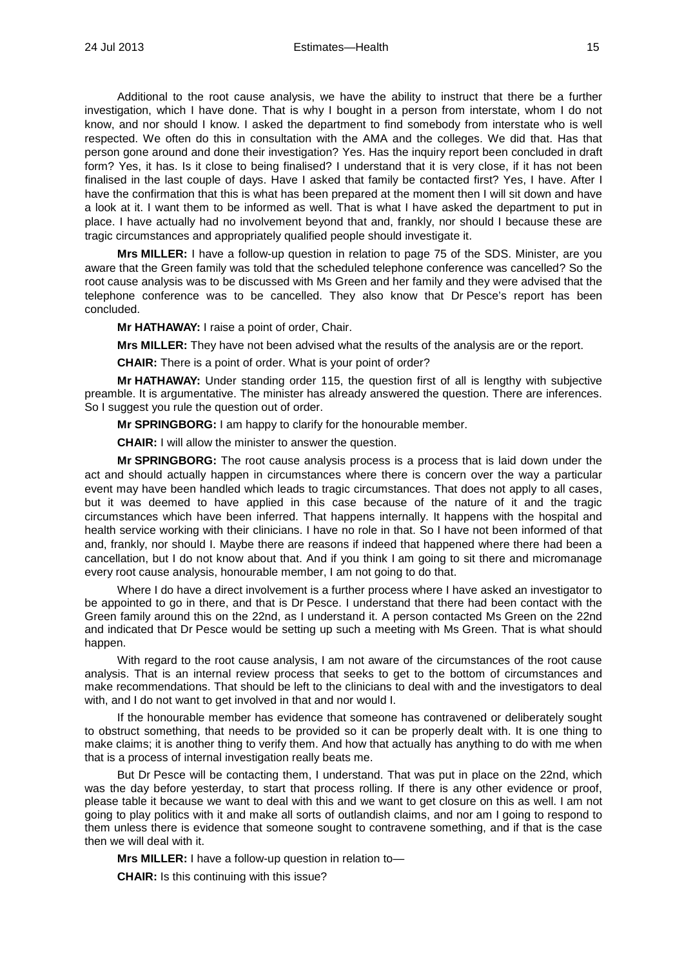Additional to the root cause analysis, we have the ability to instruct that there be a further investigation, which I have done. That is why I bought in a person from interstate, whom I do not know, and nor should I know. I asked the department to find somebody from interstate who is well respected. We often do this in consultation with the AMA and the colleges. We did that. Has that person gone around and done their investigation? Yes. Has the inquiry report been concluded in draft form? Yes, it has. Is it close to being finalised? I understand that it is very close, if it has not been finalised in the last couple of days. Have I asked that family be contacted first? Yes, I have. After I have the confirmation that this is what has been prepared at the moment then I will sit down and have a look at it. I want them to be informed as well. That is what I have asked the department to put in place. I have actually had no involvement beyond that and, frankly, nor should I because these are tragic circumstances and appropriately qualified people should investigate it.

**Mrs MILLER:** I have a follow-up question in relation to page 75 of the SDS. Minister, are you aware that the Green family was told that the scheduled telephone conference was cancelled? So the root cause analysis was to be discussed with Ms Green and her family and they were advised that the telephone conference was to be cancelled. They also know that Dr Pesce's report has been concluded.

**Mr HATHAWAY:** I raise a point of order, Chair.

**Mrs MILLER:** They have not been advised what the results of the analysis are or the report.

**CHAIR:** There is a point of order. What is your point of order?

**Mr HATHAWAY:** Under standing order 115, the question first of all is lengthy with subjective preamble. It is argumentative. The minister has already answered the question. There are inferences. So I suggest you rule the question out of order.

**Mr SPRINGBORG:** I am happy to clarify for the honourable member.

**CHAIR:** I will allow the minister to answer the question.

**Mr SPRINGBORG:** The root cause analysis process is a process that is laid down under the act and should actually happen in circumstances where there is concern over the way a particular event may have been handled which leads to tragic circumstances. That does not apply to all cases, but it was deemed to have applied in this case because of the nature of it and the tragic circumstances which have been inferred. That happens internally. It happens with the hospital and health service working with their clinicians. I have no role in that. So I have not been informed of that and, frankly, nor should I. Maybe there are reasons if indeed that happened where there had been a cancellation, but I do not know about that. And if you think I am going to sit there and micromanage every root cause analysis, honourable member, I am not going to do that.

Where I do have a direct involvement is a further process where I have asked an investigator to be appointed to go in there, and that is Dr Pesce. I understand that there had been contact with the Green family around this on the 22nd, as I understand it. A person contacted Ms Green on the 22nd and indicated that Dr Pesce would be setting up such a meeting with Ms Green. That is what should happen.

With regard to the root cause analysis, I am not aware of the circumstances of the root cause analysis. That is an internal review process that seeks to get to the bottom of circumstances and make recommendations. That should be left to the clinicians to deal with and the investigators to deal with, and I do not want to get involved in that and nor would I.

If the honourable member has evidence that someone has contravened or deliberately sought to obstruct something, that needs to be provided so it can be properly dealt with. It is one thing to make claims; it is another thing to verify them. And how that actually has anything to do with me when that is a process of internal investigation really beats me.

But Dr Pesce will be contacting them, I understand. That was put in place on the 22nd, which was the day before yesterday, to start that process rolling. If there is any other evidence or proof, please table it because we want to deal with this and we want to get closure on this as well. I am not going to play politics with it and make all sorts of outlandish claims, and nor am I going to respond to them unless there is evidence that someone sought to contravene something, and if that is the case then we will deal with it.

**Mrs MILLER:** I have a follow-up question in relation to—

**CHAIR:** Is this continuing with this issue?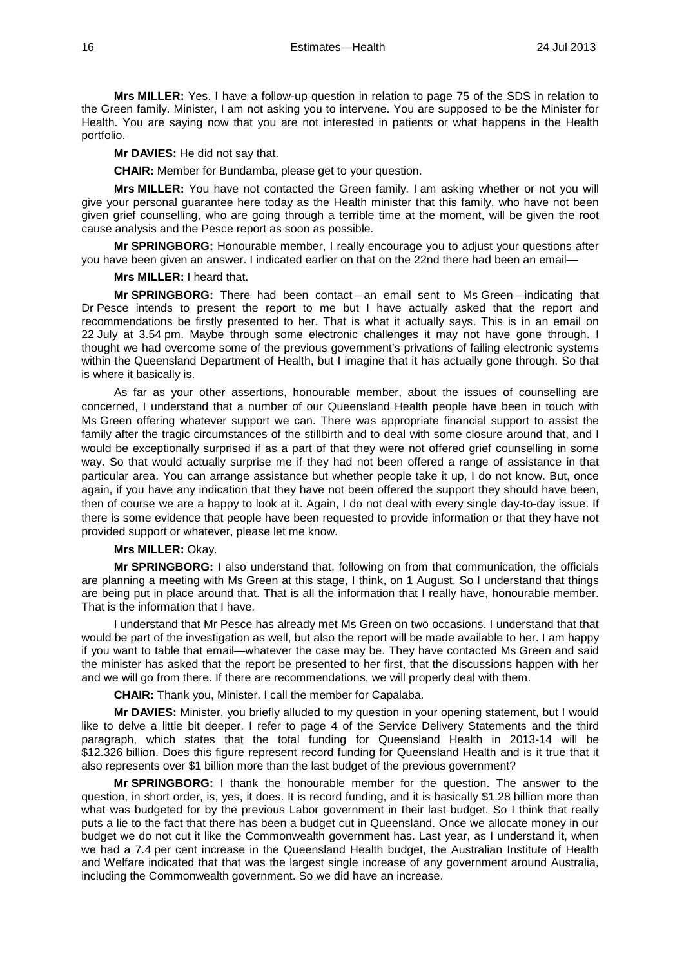**Mrs MILLER:** Yes. I have a follow-up question in relation to page 75 of the SDS in relation to the Green family. Minister, I am not asking you to intervene. You are supposed to be the Minister for Health. You are saying now that you are not interested in patients or what happens in the Health portfolio.

**Mr DAVIES:** He did not say that.

**CHAIR:** Member for Bundamba, please get to your question.

**Mrs MILLER:** You have not contacted the Green family. I am asking whether or not you will give your personal guarantee here today as the Health minister that this family, who have not been given grief counselling, who are going through a terrible time at the moment, will be given the root cause analysis and the Pesce report as soon as possible.

**Mr SPRINGBORG:** Honourable member, I really encourage you to adjust your questions after you have been given an answer. I indicated earlier on that on the 22nd there had been an email—

#### **Mrs MILLER:** I heard that.

**Mr SPRINGBORG:** There had been contact—an email sent to Ms Green—indicating that Dr Pesce intends to present the report to me but I have actually asked that the report and recommendations be firstly presented to her. That is what it actually says. This is in an email on 22 July at 3.54 pm. Maybe through some electronic challenges it may not have gone through. I thought we had overcome some of the previous government's privations of failing electronic systems within the Queensland Department of Health, but I imagine that it has actually gone through. So that is where it basically is.

As far as your other assertions, honourable member, about the issues of counselling are concerned, I understand that a number of our Queensland Health people have been in touch with Ms Green offering whatever support we can. There was appropriate financial support to assist the family after the tragic circumstances of the stillbirth and to deal with some closure around that, and I would be exceptionally surprised if as a part of that they were not offered grief counselling in some way. So that would actually surprise me if they had not been offered a range of assistance in that particular area. You can arrange assistance but whether people take it up, I do not know. But, once again, if you have any indication that they have not been offered the support they should have been, then of course we are a happy to look at it. Again, I do not deal with every single day-to-day issue. If there is some evidence that people have been requested to provide information or that they have not provided support or whatever, please let me know.

### **Mrs MILLER:** Okay.

**Mr SPRINGBORG:** I also understand that, following on from that communication, the officials are planning a meeting with Ms Green at this stage, I think, on 1 August. So I understand that things are being put in place around that. That is all the information that I really have, honourable member. That is the information that I have.

I understand that Mr Pesce has already met Ms Green on two occasions. I understand that that would be part of the investigation as well, but also the report will be made available to her. I am happy if you want to table that email—whatever the case may be. They have contacted Ms Green and said the minister has asked that the report be presented to her first, that the discussions happen with her and we will go from there. If there are recommendations, we will properly deal with them.

**CHAIR:** Thank you, Minister. I call the member for Capalaba.

**Mr DAVIES:** Minister, you briefly alluded to my question in your opening statement, but I would like to delve a little bit deeper. I refer to page 4 of the Service Delivery Statements and the third paragraph, which states that the total funding for Queensland Health in 2013-14 will be \$12.326 billion. Does this figure represent record funding for Queensland Health and is it true that it also represents over \$1 billion more than the last budget of the previous government?

**Mr SPRINGBORG:** I thank the honourable member for the question. The answer to the question, in short order, is, yes, it does. It is record funding, and it is basically \$1.28 billion more than what was budgeted for by the previous Labor government in their last budget. So I think that really puts a lie to the fact that there has been a budget cut in Queensland. Once we allocate money in our budget we do not cut it like the Commonwealth government has. Last year, as I understand it, when we had a 7.4 per cent increase in the Queensland Health budget, the Australian Institute of Health and Welfare indicated that that was the largest single increase of any government around Australia, including the Commonwealth government. So we did have an increase.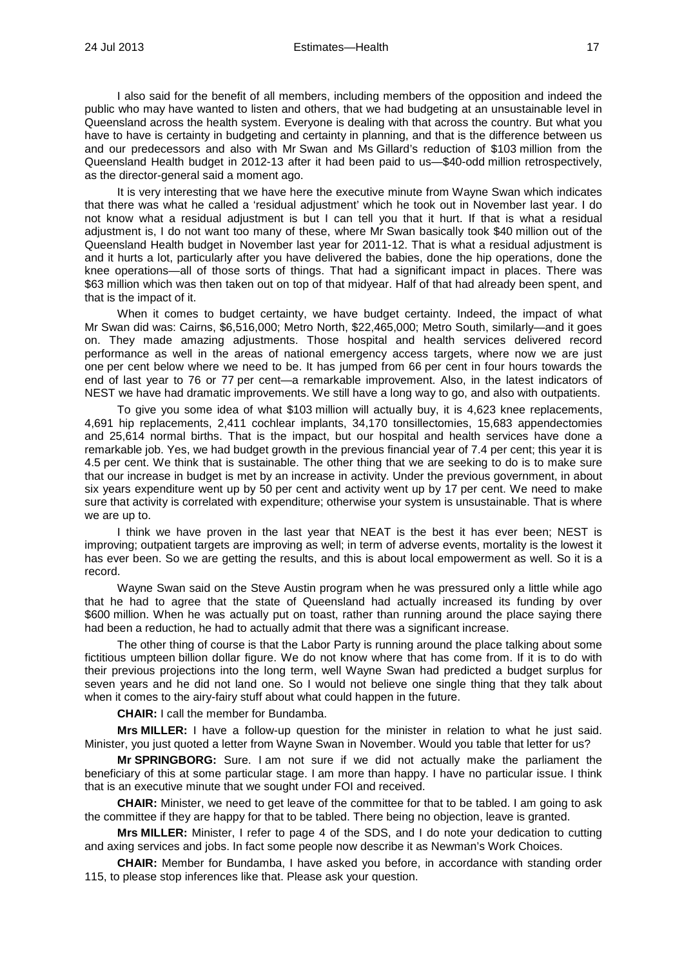I also said for the benefit of all members, including members of the opposition and indeed the public who may have wanted to listen and others, that we had budgeting at an unsustainable level in Queensland across the health system. Everyone is dealing with that across the country. But what you have to have is certainty in budgeting and certainty in planning, and that is the difference between us and our predecessors and also with Mr Swan and Ms Gillard's reduction of \$103 million from the Queensland Health budget in 2012-13 after it had been paid to us—\$40-odd million retrospectively, as the director-general said a moment ago.

It is very interesting that we have here the executive minute from Wayne Swan which indicates that there was what he called a 'residual adjustment' which he took out in November last year. I do not know what a residual adjustment is but I can tell you that it hurt. If that is what a residual adjustment is, I do not want too many of these, where Mr Swan basically took \$40 million out of the Queensland Health budget in November last year for 2011-12. That is what a residual adjustment is and it hurts a lot, particularly after you have delivered the babies, done the hip operations, done the knee operations—all of those sorts of things. That had a significant impact in places. There was \$63 million which was then taken out on top of that midyear. Half of that had already been spent, and that is the impact of it.

When it comes to budget certainty, we have budget certainty. Indeed, the impact of what Mr Swan did was: Cairns, \$6,516,000; Metro North, \$22,465,000; Metro South, similarly—and it goes on. They made amazing adjustments. Those hospital and health services delivered record performance as well in the areas of national emergency access targets, where now we are just one per cent below where we need to be. It has jumped from 66 per cent in four hours towards the end of last year to 76 or 77 per cent—a remarkable improvement. Also, in the latest indicators of NEST we have had dramatic improvements. We still have a long way to go, and also with outpatients.

To give you some idea of what \$103 million will actually buy, it is 4,623 knee replacements, 4,691 hip replacements, 2,411 cochlear implants, 34,170 tonsillectomies, 15,683 appendectomies and 25,614 normal births. That is the impact, but our hospital and health services have done a remarkable job. Yes, we had budget growth in the previous financial year of 7.4 per cent; this year it is 4.5 per cent. We think that is sustainable. The other thing that we are seeking to do is to make sure that our increase in budget is met by an increase in activity. Under the previous government, in about six years expenditure went up by 50 per cent and activity went up by 17 per cent. We need to make sure that activity is correlated with expenditure; otherwise your system is unsustainable. That is where we are up to.

I think we have proven in the last year that NEAT is the best it has ever been; NEST is improving; outpatient targets are improving as well; in term of adverse events, mortality is the lowest it has ever been. So we are getting the results, and this is about local empowerment as well. So it is a record.

Wayne Swan said on the Steve Austin program when he was pressured only a little while ago that he had to agree that the state of Queensland had actually increased its funding by over \$600 million. When he was actually put on toast, rather than running around the place saying there had been a reduction, he had to actually admit that there was a significant increase.

The other thing of course is that the Labor Party is running around the place talking about some fictitious umpteen billion dollar figure. We do not know where that has come from. If it is to do with their previous projections into the long term, well Wayne Swan had predicted a budget surplus for seven years and he did not land one. So I would not believe one single thing that they talk about when it comes to the airy-fairy stuff about what could happen in the future.

**CHAIR:** I call the member for Bundamba.

**Mrs MILLER:** I have a follow-up question for the minister in relation to what he just said. Minister, you just quoted a letter from Wayne Swan in November. Would you table that letter for us?

**Mr SPRINGBORG:** Sure. I am not sure if we did not actually make the parliament the beneficiary of this at some particular stage. I am more than happy. I have no particular issue. I think that is an executive minute that we sought under FOI and received.

**CHAIR:** Minister, we need to get leave of the committee for that to be tabled. I am going to ask the committee if they are happy for that to be tabled. There being no objection, leave is granted.

**Mrs MILLER:** Minister, I refer to page 4 of the SDS, and I do note your dedication to cutting and axing services and jobs. In fact some people now describe it as Newman's Work Choices.

**CHAIR:** Member for Bundamba, I have asked you before, in accordance with standing order 115, to please stop inferences like that. Please ask your question.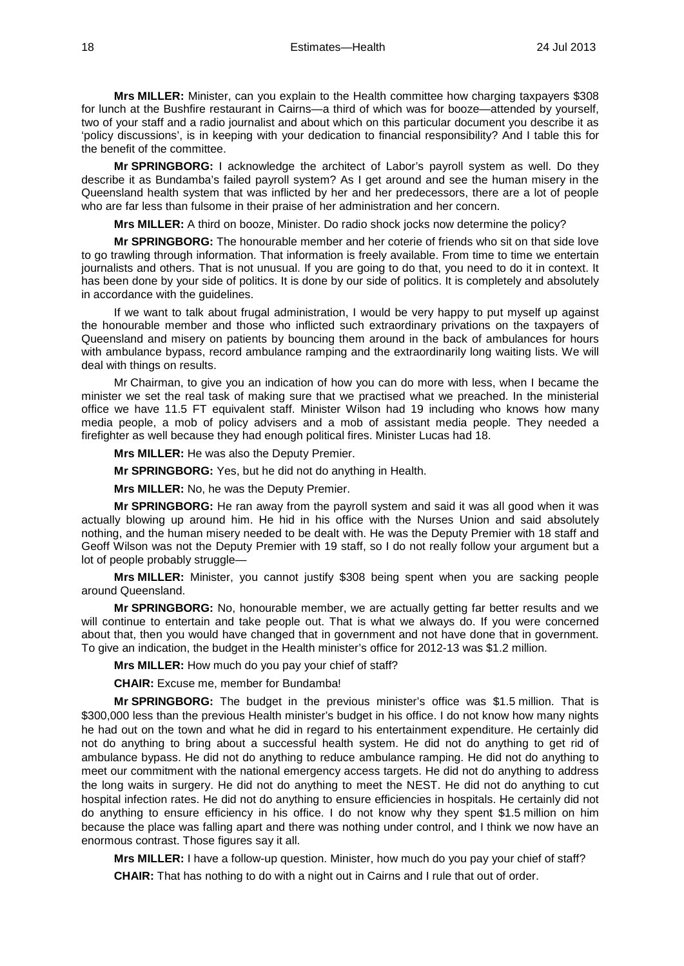**Mrs MILLER:** Minister, can you explain to the Health committee how charging taxpayers \$308 for lunch at the Bushfire restaurant in Cairns—a third of which was for booze—attended by yourself, two of your staff and a radio journalist and about which on this particular document you describe it as 'policy discussions', is in keeping with your dedication to financial responsibility? And I table this for the benefit of the committee.

**Mr SPRINGBORG:** I acknowledge the architect of Labor's payroll system as well. Do they describe it as Bundamba's failed payroll system? As I get around and see the human misery in the Queensland health system that was inflicted by her and her predecessors, there are a lot of people who are far less than fulsome in their praise of her administration and her concern.

**Mrs MILLER:** A third on booze, Minister. Do radio shock jocks now determine the policy?

**Mr SPRINGBORG:** The honourable member and her coterie of friends who sit on that side love to go trawling through information. That information is freely available. From time to time we entertain journalists and others. That is not unusual. If you are going to do that, you need to do it in context. It has been done by your side of politics. It is done by our side of politics. It is completely and absolutely in accordance with the guidelines.

If we want to talk about frugal administration, I would be very happy to put myself up against the honourable member and those who inflicted such extraordinary privations on the taxpayers of Queensland and misery on patients by bouncing them around in the back of ambulances for hours with ambulance bypass, record ambulance ramping and the extraordinarily long waiting lists. We will deal with things on results.

Mr Chairman, to give you an indication of how you can do more with less, when I became the minister we set the real task of making sure that we practised what we preached. In the ministerial office we have 11.5 FT equivalent staff. Minister Wilson had 19 including who knows how many media people, a mob of policy advisers and a mob of assistant media people. They needed a firefighter as well because they had enough political fires. Minister Lucas had 18.

**Mrs MILLER:** He was also the Deputy Premier.

**Mr SPRINGBORG:** Yes, but he did not do anything in Health.

**Mrs MILLER:** No, he was the Deputy Premier.

**Mr SPRINGBORG:** He ran away from the payroll system and said it was all good when it was actually blowing up around him. He hid in his office with the Nurses Union and said absolutely nothing, and the human misery needed to be dealt with. He was the Deputy Premier with 18 staff and Geoff Wilson was not the Deputy Premier with 19 staff, so I do not really follow your argument but a lot of people probably struggle—

**Mrs MILLER:** Minister, you cannot justify \$308 being spent when you are sacking people around Queensland.

**Mr SPRINGBORG:** No, honourable member, we are actually getting far better results and we will continue to entertain and take people out. That is what we always do. If you were concerned about that, then you would have changed that in government and not have done that in government. To give an indication, the budget in the Health minister's office for 2012-13 was \$1.2 million.

**Mrs MILLER:** How much do you pay your chief of staff?

**CHAIR:** Excuse me, member for Bundamba!

**Mr SPRINGBORG:** The budget in the previous minister's office was \$1.5 million. That is \$300,000 less than the previous Health minister's budget in his office. I do not know how many nights he had out on the town and what he did in regard to his entertainment expenditure. He certainly did not do anything to bring about a successful health system. He did not do anything to get rid of ambulance bypass. He did not do anything to reduce ambulance ramping. He did not do anything to meet our commitment with the national emergency access targets. He did not do anything to address the long waits in surgery. He did not do anything to meet the NEST. He did not do anything to cut hospital infection rates. He did not do anything to ensure efficiencies in hospitals. He certainly did not do anything to ensure efficiency in his office. I do not know why they spent \$1.5 million on him because the place was falling apart and there was nothing under control, and I think we now have an enormous contrast. Those figures say it all.

**Mrs MILLER:** I have a follow-up question. Minister, how much do you pay your chief of staff?

**CHAIR:** That has nothing to do with a night out in Cairns and I rule that out of order.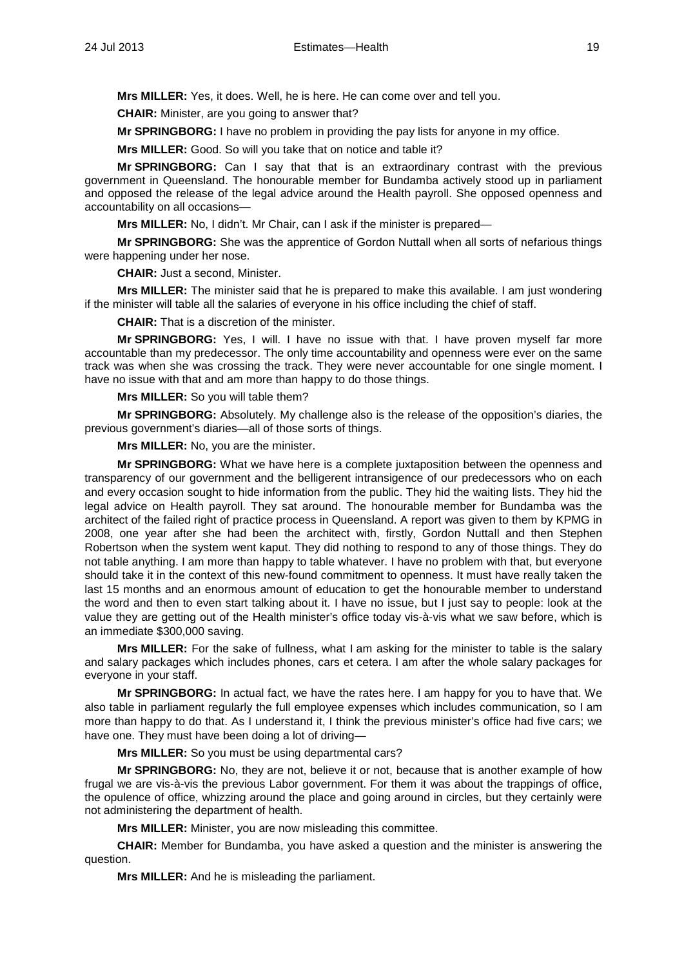**Mrs MILLER:** Yes, it does. Well, he is here. He can come over and tell you.

**CHAIR:** Minister, are you going to answer that?

**Mr SPRINGBORG:** I have no problem in providing the pay lists for anyone in my office.

**Mrs MILLER:** Good. So will you take that on notice and table it?

**Mr SPRINGBORG:** Can I say that that is an extraordinary contrast with the previous government in Queensland. The honourable member for Bundamba actively stood up in parliament and opposed the release of the legal advice around the Health payroll. She opposed openness and accountability on all occasions—

**Mrs MILLER:** No, I didn't. Mr Chair, can I ask if the minister is prepared—

**Mr SPRINGBORG:** She was the apprentice of Gordon Nuttall when all sorts of nefarious things were happening under her nose.

**CHAIR:** Just a second, Minister.

**Mrs MILLER:** The minister said that he is prepared to make this available. I am just wondering if the minister will table all the salaries of everyone in his office including the chief of staff.

**CHAIR:** That is a discretion of the minister.

**Mr SPRINGBORG:** Yes, I will. I have no issue with that. I have proven myself far more accountable than my predecessor. The only time accountability and openness were ever on the same track was when she was crossing the track. They were never accountable for one single moment. I have no issue with that and am more than happy to do those things.

**Mrs MILLER:** So you will table them?

**Mr SPRINGBORG:** Absolutely. My challenge also is the release of the opposition's diaries, the previous government's diaries—all of those sorts of things.

**Mrs MILLER:** No, you are the minister.

**Mr SPRINGBORG:** What we have here is a complete juxtaposition between the openness and transparency of our government and the belligerent intransigence of our predecessors who on each and every occasion sought to hide information from the public. They hid the waiting lists. They hid the legal advice on Health payroll. They sat around. The honourable member for Bundamba was the architect of the failed right of practice process in Queensland. A report was given to them by KPMG in 2008, one year after she had been the architect with, firstly, Gordon Nuttall and then Stephen Robertson when the system went kaput. They did nothing to respond to any of those things. They do not table anything. I am more than happy to table whatever. I have no problem with that, but everyone should take it in the context of this new-found commitment to openness. It must have really taken the last 15 months and an enormous amount of education to get the honourable member to understand the word and then to even start talking about it. I have no issue, but I just say to people: look at the value they are getting out of the Health minister's office today vis-à-vis what we saw before, which is an immediate \$300,000 saving.

**Mrs MILLER:** For the sake of fullness, what I am asking for the minister to table is the salary and salary packages which includes phones, cars et cetera. I am after the whole salary packages for everyone in your staff.

**Mr SPRINGBORG:** In actual fact, we have the rates here. I am happy for you to have that. We also table in parliament regularly the full employee expenses which includes communication, so I am more than happy to do that. As I understand it, I think the previous minister's office had five cars; we have one. They must have been doing a lot of driving—

**Mrs MILLER:** So you must be using departmental cars?

**Mr SPRINGBORG:** No, they are not, believe it or not, because that is another example of how frugal we are vis-à-vis the previous Labor government. For them it was about the trappings of office, the opulence of office, whizzing around the place and going around in circles, but they certainly were not administering the department of health.

**Mrs MILLER:** Minister, you are now misleading this committee.

**CHAIR:** Member for Bundamba, you have asked a question and the minister is answering the question.

**Mrs MILLER:** And he is misleading the parliament.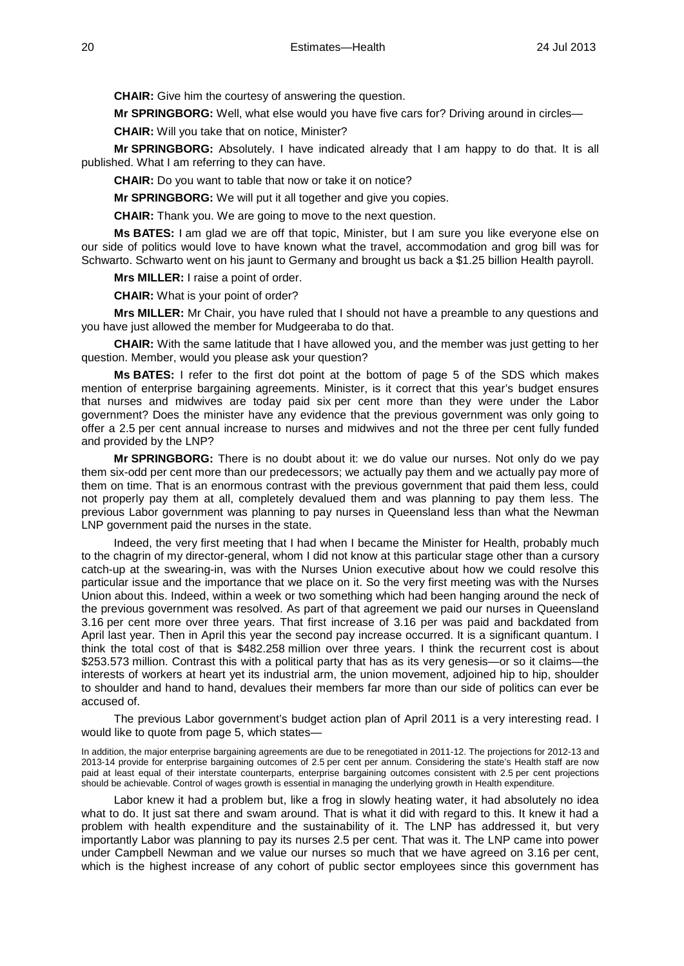**CHAIR:** Give him the courtesy of answering the question.

**Mr SPRINGBORG:** Well, what else would you have five cars for? Driving around in circles—

**CHAIR:** Will you take that on notice, Minister?

**Mr SPRINGBORG:** Absolutely. I have indicated already that I am happy to do that. It is all published. What I am referring to they can have.

**CHAIR:** Do you want to table that now or take it on notice?

**Mr SPRINGBORG:** We will put it all together and give you copies.

**CHAIR:** Thank you. We are going to move to the next question.

**Ms BATES:** I am glad we are off that topic, Minister, but I am sure you like everyone else on our side of politics would love to have known what the travel, accommodation and grog bill was for Schwarto. Schwarto went on his jaunt to Germany and brought us back a \$1.25 billion Health payroll.

**Mrs MILLER:** I raise a point of order.

**CHAIR:** What is your point of order?

**Mrs MILLER:** Mr Chair, you have ruled that I should not have a preamble to any questions and you have just allowed the member for Mudgeeraba to do that.

**CHAIR:** With the same latitude that I have allowed you, and the member was just getting to her question. Member, would you please ask your question?

**Ms BATES:** I refer to the first dot point at the bottom of page 5 of the SDS which makes mention of enterprise bargaining agreements. Minister, is it correct that this year's budget ensures that nurses and midwives are today paid six per cent more than they were under the Labor government? Does the minister have any evidence that the previous government was only going to offer a 2.5 per cent annual increase to nurses and midwives and not the three per cent fully funded and provided by the LNP?

**Mr SPRINGBORG:** There is no doubt about it: we do value our nurses. Not only do we pay them six-odd per cent more than our predecessors; we actually pay them and we actually pay more of them on time. That is an enormous contrast with the previous government that paid them less, could not properly pay them at all, completely devalued them and was planning to pay them less. The previous Labor government was planning to pay nurses in Queensland less than what the Newman LNP government paid the nurses in the state.

Indeed, the very first meeting that I had when I became the Minister for Health, probably much to the chagrin of my director-general, whom I did not know at this particular stage other than a cursory catch-up at the swearing-in, was with the Nurses Union executive about how we could resolve this particular issue and the importance that we place on it. So the very first meeting was with the Nurses Union about this. Indeed, within a week or two something which had been hanging around the neck of the previous government was resolved. As part of that agreement we paid our nurses in Queensland 3.16 per cent more over three years. That first increase of 3.16 per was paid and backdated from April last year. Then in April this year the second pay increase occurred. It is a significant quantum. I think the total cost of that is \$482.258 million over three years. I think the recurrent cost is about \$253.573 million. Contrast this with a political party that has as its very genesis—or so it claims—the interests of workers at heart yet its industrial arm, the union movement, adjoined hip to hip, shoulder to shoulder and hand to hand, devalues their members far more than our side of politics can ever be accused of.

The previous Labor government's budget action plan of April 2011 is a very interesting read. I would like to quote from page 5, which states—

In addition, the major enterprise bargaining agreements are due to be renegotiated in 2011-12. The projections for 2012-13 and 2013-14 provide for enterprise bargaining outcomes of 2.5 per cent per annum. Considering the state's Health staff are now paid at least equal of their interstate counterparts, enterprise bargaining outcomes consistent with 2.5 per cent projections should be achievable. Control of wages growth is essential in managing the underlying growth in Health expenditure.

Labor knew it had a problem but, like a frog in slowly heating water, it had absolutely no idea what to do. It just sat there and swam around. That is what it did with regard to this. It knew it had a problem with health expenditure and the sustainability of it. The LNP has addressed it, but very importantly Labor was planning to pay its nurses 2.5 per cent. That was it. The LNP came into power under Campbell Newman and we value our nurses so much that we have agreed on 3.16 per cent, which is the highest increase of any cohort of public sector employees since this government has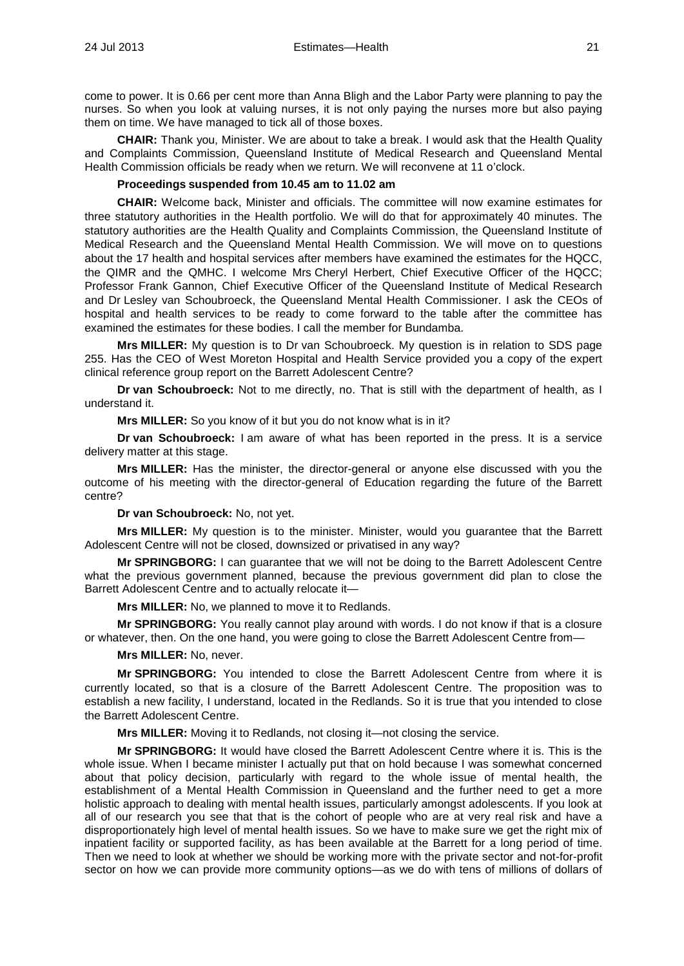come to power. It is 0.66 per cent more than Anna Bligh and the Labor Party were planning to pay the nurses. So when you look at valuing nurses, it is not only paying the nurses more but also paying them on time. We have managed to tick all of those boxes.

**CHAIR:** Thank you, Minister. We are about to take a break. I would ask that the Health Quality and Complaints Commission, Queensland Institute of Medical Research and Queensland Mental Health Commission officials be ready when we return. We will reconvene at 11 o'clock.

## **Proceedings suspended from 10.45 am to 11.02 am**

**CHAIR:** Welcome back, Minister and officials. The committee will now examine estimates for three statutory authorities in the Health portfolio. We will do that for approximately 40 minutes. The statutory authorities are the Health Quality and Complaints Commission, the Queensland Institute of Medical Research and the Queensland Mental Health Commission. We will move on to questions about the 17 health and hospital services after members have examined the estimates for the HQCC, the QIMR and the QMHC. I welcome Mrs Cheryl Herbert, Chief Executive Officer of the HQCC; Professor Frank Gannon, Chief Executive Officer of the Queensland Institute of Medical Research and Dr Lesley van Schoubroeck, the Queensland Mental Health Commissioner. I ask the CEOs of hospital and health services to be ready to come forward to the table after the committee has examined the estimates for these bodies. I call the member for Bundamba.

**Mrs MILLER:** My question is to Dr van Schoubroeck. My question is in relation to SDS page 255. Has the CEO of West Moreton Hospital and Health Service provided you a copy of the expert clinical reference group report on the Barrett Adolescent Centre?

**Dr van Schoubroeck:** Not to me directly, no. That is still with the department of health, as I understand it.

**Mrs MILLER:** So you know of it but you do not know what is in it?

**Dr van Schoubroeck:** I am aware of what has been reported in the press. It is a service delivery matter at this stage.

**Mrs MILLER:** Has the minister, the director-general or anyone else discussed with you the outcome of his meeting with the director-general of Education regarding the future of the Barrett centre?

**Dr van Schoubroeck:** No, not yet.

**Mrs MILLER:** My question is to the minister. Minister, would you guarantee that the Barrett Adolescent Centre will not be closed, downsized or privatised in any way?

**Mr SPRINGBORG:** I can guarantee that we will not be doing to the Barrett Adolescent Centre what the previous government planned, because the previous government did plan to close the Barrett Adolescent Centre and to actually relocate it—

**Mrs MILLER:** No, we planned to move it to Redlands.

**Mr SPRINGBORG:** You really cannot play around with words. I do not know if that is a closure or whatever, then. On the one hand, you were going to close the Barrett Adolescent Centre from—

**Mrs MILLER:** No, never.

**Mr SPRINGBORG:** You intended to close the Barrett Adolescent Centre from where it is currently located, so that is a closure of the Barrett Adolescent Centre. The proposition was to establish a new facility, I understand, located in the Redlands. So it is true that you intended to close the Barrett Adolescent Centre.

**Mrs MILLER:** Moving it to Redlands, not closing it—not closing the service.

**Mr SPRINGBORG:** It would have closed the Barrett Adolescent Centre where it is. This is the whole issue. When I became minister I actually put that on hold because I was somewhat concerned about that policy decision, particularly with regard to the whole issue of mental health, the establishment of a Mental Health Commission in Queensland and the further need to get a more holistic approach to dealing with mental health issues, particularly amongst adolescents. If you look at all of our research you see that that is the cohort of people who are at very real risk and have a disproportionately high level of mental health issues. So we have to make sure we get the right mix of inpatient facility or supported facility, as has been available at the Barrett for a long period of time. Then we need to look at whether we should be working more with the private sector and not-for-profit sector on how we can provide more community options—as we do with tens of millions of dollars of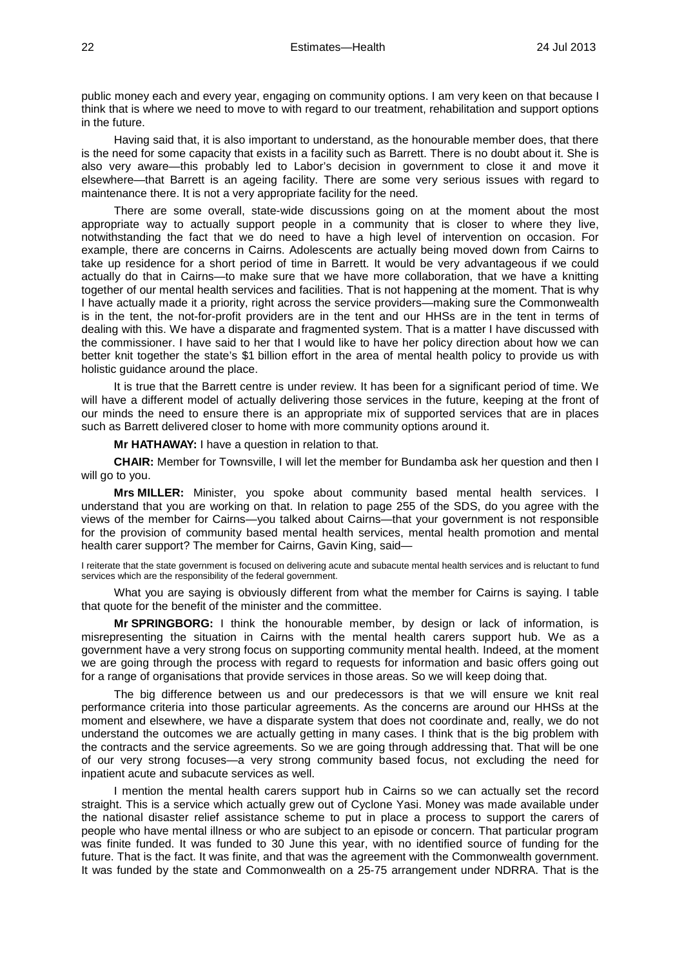public money each and every year, engaging on community options. I am very keen on that because I think that is where we need to move to with regard to our treatment, rehabilitation and support options in the future.

Having said that, it is also important to understand, as the honourable member does, that there is the need for some capacity that exists in a facility such as Barrett. There is no doubt about it. She is also very aware—this probably led to Labor's decision in government to close it and move it elsewhere—that Barrett is an ageing facility. There are some very serious issues with regard to maintenance there. It is not a very appropriate facility for the need.

There are some overall, state-wide discussions going on at the moment about the most appropriate way to actually support people in a community that is closer to where they live, notwithstanding the fact that we do need to have a high level of intervention on occasion. For example, there are concerns in Cairns. Adolescents are actually being moved down from Cairns to take up residence for a short period of time in Barrett. It would be very advantageous if we could actually do that in Cairns—to make sure that we have more collaboration, that we have a knitting together of our mental health services and facilities. That is not happening at the moment. That is why I have actually made it a priority, right across the service providers—making sure the Commonwealth is in the tent, the not-for-profit providers are in the tent and our HHSs are in the tent in terms of dealing with this. We have a disparate and fragmented system. That is a matter I have discussed with the commissioner. I have said to her that I would like to have her policy direction about how we can better knit together the state's \$1 billion effort in the area of mental health policy to provide us with holistic guidance around the place.

It is true that the Barrett centre is under review. It has been for a significant period of time. We will have a different model of actually delivering those services in the future, keeping at the front of our minds the need to ensure there is an appropriate mix of supported services that are in places such as Barrett delivered closer to home with more community options around it.

**Mr HATHAWAY:** I have a question in relation to that.

**CHAIR:** Member for Townsville, I will let the member for Bundamba ask her question and then I will go to you.

**Mrs MILLER:** Minister, you spoke about community based mental health services. I understand that you are working on that. In relation to page 255 of the SDS, do you agree with the views of the member for Cairns—you talked about Cairns—that your government is not responsible for the provision of community based mental health services, mental health promotion and mental health carer support? The member for Cairns, Gavin King, said—

I reiterate that the state government is focused on delivering acute and subacute mental health services and is reluctant to fund services which are the responsibility of the federal government.

What you are saying is obviously different from what the member for Cairns is saying. I table that quote for the benefit of the minister and the committee.

**Mr SPRINGBORG:** I think the honourable member, by design or lack of information, is misrepresenting the situation in Cairns with the mental health carers support hub. We as a government have a very strong focus on supporting community mental health. Indeed, at the moment we are going through the process with regard to requests for information and basic offers going out for a range of organisations that provide services in those areas. So we will keep doing that.

The big difference between us and our predecessors is that we will ensure we knit real performance criteria into those particular agreements. As the concerns are around our HHSs at the moment and elsewhere, we have a disparate system that does not coordinate and, really, we do not understand the outcomes we are actually getting in many cases. I think that is the big problem with the contracts and the service agreements. So we are going through addressing that. That will be one of our very strong focuses—a very strong community based focus, not excluding the need for inpatient acute and subacute services as well.

I mention the mental health carers support hub in Cairns so we can actually set the record straight. This is a service which actually grew out of Cyclone Yasi. Money was made available under the national disaster relief assistance scheme to put in place a process to support the carers of people who have mental illness or who are subject to an episode or concern. That particular program was finite funded. It was funded to 30 June this year, with no identified source of funding for the future. That is the fact. It was finite, and that was the agreement with the Commonwealth government. It was funded by the state and Commonwealth on a 25-75 arrangement under NDRRA. That is the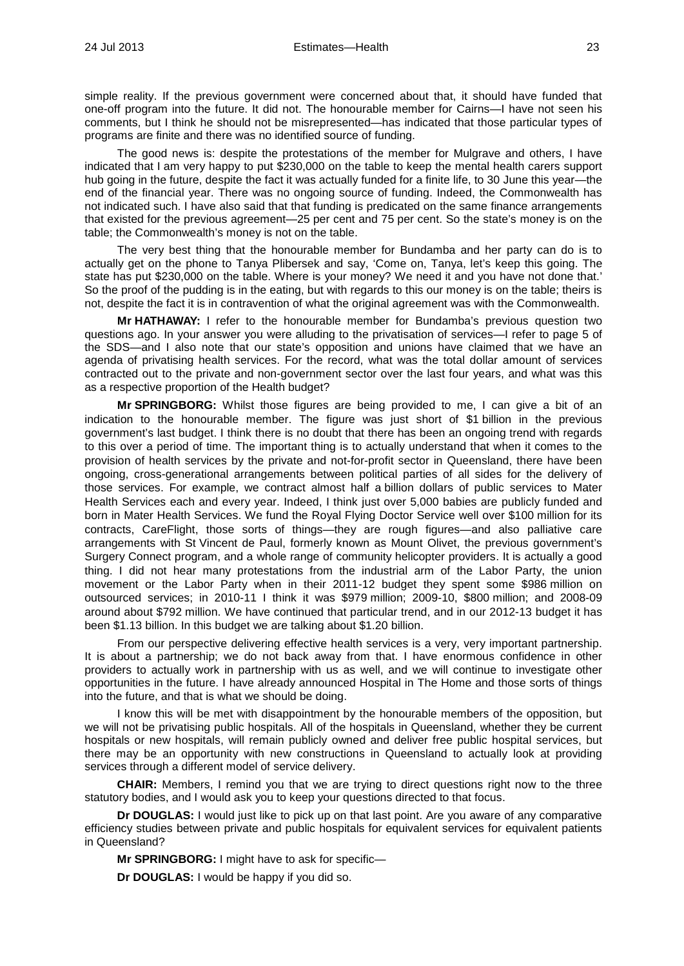simple reality. If the previous government were concerned about that, it should have funded that one-off program into the future. It did not. The honourable member for Cairns—I have not seen his comments, but I think he should not be misrepresented—has indicated that those particular types of programs are finite and there was no identified source of funding.

The good news is: despite the protestations of the member for Mulgrave and others, I have indicated that I am very happy to put \$230,000 on the table to keep the mental health carers support hub going in the future, despite the fact it was actually funded for a finite life, to 30 June this year—the end of the financial year. There was no ongoing source of funding. Indeed, the Commonwealth has not indicated such. I have also said that that funding is predicated on the same finance arrangements that existed for the previous agreement—25 per cent and 75 per cent. So the state's money is on the table; the Commonwealth's money is not on the table.

The very best thing that the honourable member for Bundamba and her party can do is to actually get on the phone to Tanya Plibersek and say, 'Come on, Tanya, let's keep this going. The state has put \$230,000 on the table. Where is your money? We need it and you have not done that.' So the proof of the pudding is in the eating, but with regards to this our money is on the table; theirs is not, despite the fact it is in contravention of what the original agreement was with the Commonwealth.

**Mr HATHAWAY:** I refer to the honourable member for Bundamba's previous question two questions ago. In your answer you were alluding to the privatisation of services—I refer to page 5 of the SDS—and I also note that our state's opposition and unions have claimed that we have an agenda of privatising health services. For the record, what was the total dollar amount of services contracted out to the private and non-government sector over the last four years, and what was this as a respective proportion of the Health budget?

**Mr SPRINGBORG:** Whilst those figures are being provided to me, I can give a bit of an indication to the honourable member. The figure was just short of \$1 billion in the previous government's last budget. I think there is no doubt that there has been an ongoing trend with regards to this over a period of time. The important thing is to actually understand that when it comes to the provision of health services by the private and not-for-profit sector in Queensland, there have been ongoing, cross-generational arrangements between political parties of all sides for the delivery of those services. For example, we contract almost half a billion dollars of public services to Mater Health Services each and every year. Indeed, I think just over 5,000 babies are publicly funded and born in Mater Health Services. We fund the Royal Flying Doctor Service well over \$100 million for its contracts, CareFlight, those sorts of things—they are rough figures—and also palliative care arrangements with St Vincent de Paul, formerly known as Mount Olivet, the previous government's Surgery Connect program, and a whole range of community helicopter providers. It is actually a good thing. I did not hear many protestations from the industrial arm of the Labor Party, the union movement or the Labor Party when in their 2011-12 budget they spent some \$986 million on outsourced services; in 2010-11 I think it was \$979 million; 2009-10, \$800 million; and 2008-09 around about \$792 million. We have continued that particular trend, and in our 2012-13 budget it has been \$1.13 billion. In this budget we are talking about \$1.20 billion.

From our perspective delivering effective health services is a very, very important partnership. It is about a partnership; we do not back away from that. I have enormous confidence in other providers to actually work in partnership with us as well, and we will continue to investigate other opportunities in the future. I have already announced Hospital in The Home and those sorts of things into the future, and that is what we should be doing.

I know this will be met with disappointment by the honourable members of the opposition, but we will not be privatising public hospitals. All of the hospitals in Queensland, whether they be current hospitals or new hospitals, will remain publicly owned and deliver free public hospital services, but there may be an opportunity with new constructions in Queensland to actually look at providing services through a different model of service delivery.

**CHAIR:** Members, I remind you that we are trying to direct questions right now to the three statutory bodies, and I would ask you to keep your questions directed to that focus.

**Dr DOUGLAS:** I would just like to pick up on that last point. Are you aware of any comparative efficiency studies between private and public hospitals for equivalent services for equivalent patients in Queensland?

**Mr SPRINGBORG:** I might have to ask for specific—

**Dr DOUGLAS:** I would be happy if you did so.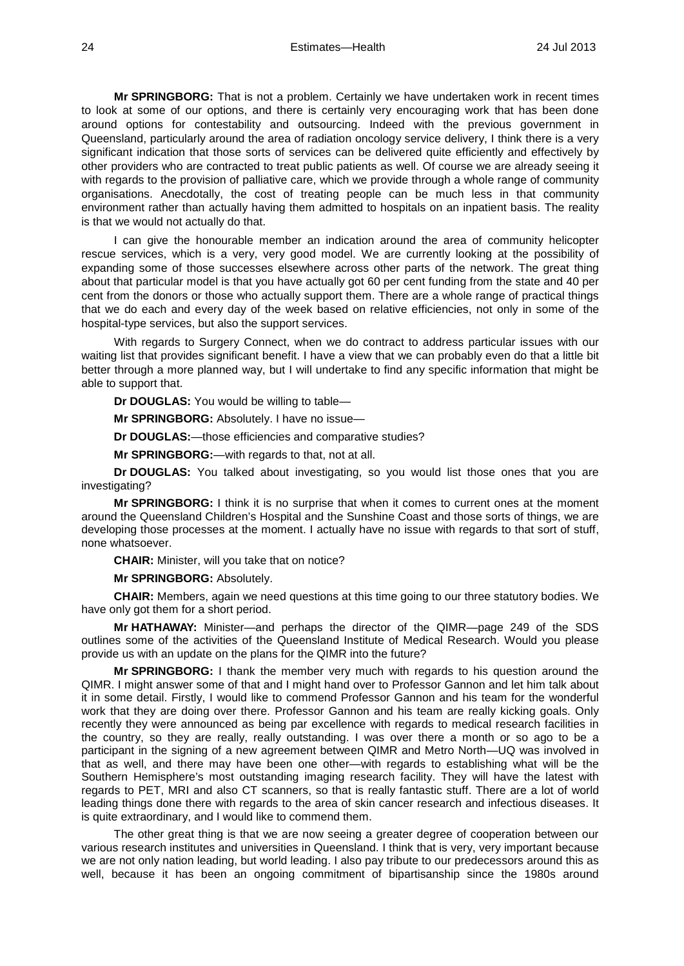**Mr SPRINGBORG:** That is not a problem. Certainly we have undertaken work in recent times to look at some of our options, and there is certainly very encouraging work that has been done around options for contestability and outsourcing. Indeed with the previous government in Queensland, particularly around the area of radiation oncology service delivery, I think there is a very significant indication that those sorts of services can be delivered quite efficiently and effectively by other providers who are contracted to treat public patients as well. Of course we are already seeing it with regards to the provision of palliative care, which we provide through a whole range of community organisations. Anecdotally, the cost of treating people can be much less in that community environment rather than actually having them admitted to hospitals on an inpatient basis. The reality is that we would not actually do that.

I can give the honourable member an indication around the area of community helicopter rescue services, which is a very, very good model. We are currently looking at the possibility of expanding some of those successes elsewhere across other parts of the network. The great thing about that particular model is that you have actually got 60 per cent funding from the state and 40 per cent from the donors or those who actually support them. There are a whole range of practical things that we do each and every day of the week based on relative efficiencies, not only in some of the hospital-type services, but also the support services.

With regards to Surgery Connect, when we do contract to address particular issues with our waiting list that provides significant benefit. I have a view that we can probably even do that a little bit better through a more planned way, but I will undertake to find any specific information that might be able to support that.

**Dr DOUGLAS:** You would be willing to table—

**Mr SPRINGBORG:** Absolutely. I have no issue—

**Dr DOUGLAS:**—those efficiencies and comparative studies?

**Mr SPRINGBORG:**—with regards to that, not at all.

**Dr DOUGLAS:** You talked about investigating, so you would list those ones that you are investigating?

**Mr SPRINGBORG:** I think it is no surprise that when it comes to current ones at the moment around the Queensland Children's Hospital and the Sunshine Coast and those sorts of things, we are developing those processes at the moment. I actually have no issue with regards to that sort of stuff, none whatsoever.

**CHAIR:** Minister, will you take that on notice?

**Mr SPRINGBORG:** Absolutely.

**CHAIR:** Members, again we need questions at this time going to our three statutory bodies. We have only got them for a short period.

**Mr HATHAWAY:** Minister—and perhaps the director of the QIMR—page 249 of the SDS outlines some of the activities of the Queensland Institute of Medical Research. Would you please provide us with an update on the plans for the QIMR into the future?

**Mr SPRINGBORG:** I thank the member very much with regards to his question around the QIMR. I might answer some of that and I might hand over to Professor Gannon and let him talk about it in some detail. Firstly, I would like to commend Professor Gannon and his team for the wonderful work that they are doing over there. Professor Gannon and his team are really kicking goals. Only recently they were announced as being par excellence with regards to medical research facilities in the country, so they are really, really outstanding. I was over there a month or so ago to be a participant in the signing of a new agreement between QIMR and Metro North—UQ was involved in that as well, and there may have been one other—with regards to establishing what will be the Southern Hemisphere's most outstanding imaging research facility. They will have the latest with regards to PET, MRI and also CT scanners, so that is really fantastic stuff. There are a lot of world leading things done there with regards to the area of skin cancer research and infectious diseases. It is quite extraordinary, and I would like to commend them.

The other great thing is that we are now seeing a greater degree of cooperation between our various research institutes and universities in Queensland. I think that is very, very important because we are not only nation leading, but world leading. I also pay tribute to our predecessors around this as well, because it has been an ongoing commitment of bipartisanship since the 1980s around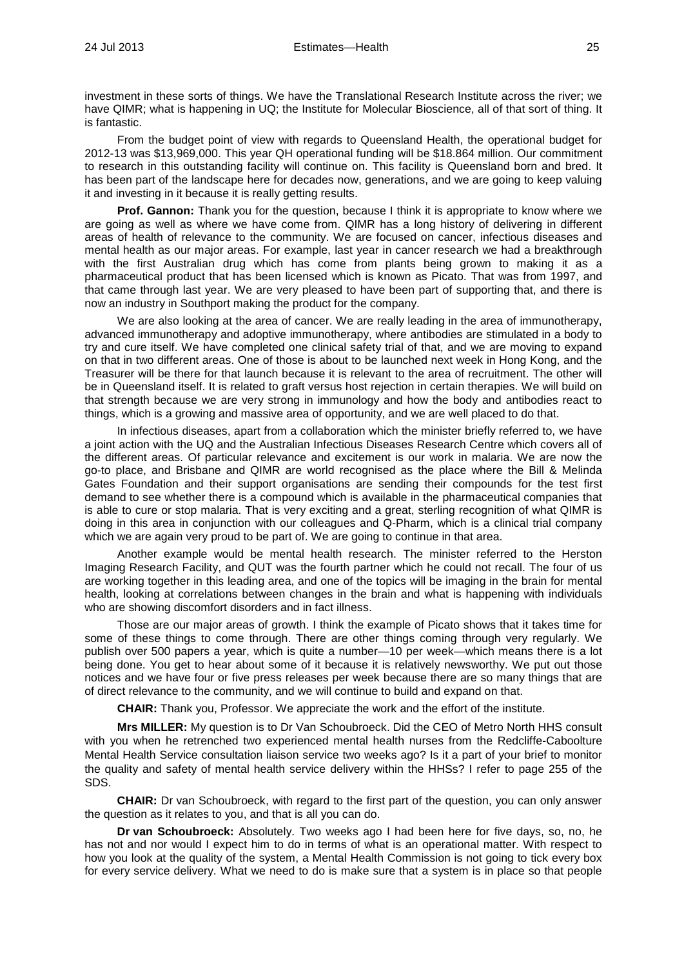investment in these sorts of things. We have the Translational Research Institute across the river; we have QIMR; what is happening in UQ; the Institute for Molecular Bioscience, all of that sort of thing. It is fantastic.

From the budget point of view with regards to Queensland Health, the operational budget for 2012-13 was \$13,969,000. This year QH operational funding will be \$18.864 million. Our commitment to research in this outstanding facility will continue on. This facility is Queensland born and bred. It has been part of the landscape here for decades now, generations, and we are going to keep valuing it and investing in it because it is really getting results.

**Prof. Gannon:** Thank you for the question, because I think it is appropriate to know where we are going as well as where we have come from. QIMR has a long history of delivering in different areas of health of relevance to the community. We are focused on cancer, infectious diseases and mental health as our major areas. For example, last year in cancer research we had a breakthrough with the first Australian drug which has come from plants being grown to making it as a pharmaceutical product that has been licensed which is known as Picato. That was from 1997, and that came through last year. We are very pleased to have been part of supporting that, and there is now an industry in Southport making the product for the company.

We are also looking at the area of cancer. We are really leading in the area of immunotherapy, advanced immunotherapy and adoptive immunotherapy, where antibodies are stimulated in a body to try and cure itself. We have completed one clinical safety trial of that, and we are moving to expand on that in two different areas. One of those is about to be launched next week in Hong Kong, and the Treasurer will be there for that launch because it is relevant to the area of recruitment. The other will be in Queensland itself. It is related to graft versus host rejection in certain therapies. We will build on that strength because we are very strong in immunology and how the body and antibodies react to things, which is a growing and massive area of opportunity, and we are well placed to do that.

In infectious diseases, apart from a collaboration which the minister briefly referred to, we have a joint action with the UQ and the Australian Infectious Diseases Research Centre which covers all of the different areas. Of particular relevance and excitement is our work in malaria. We are now the go-to place, and Brisbane and QIMR are world recognised as the place where the Bill & Melinda Gates Foundation and their support organisations are sending their compounds for the test first demand to see whether there is a compound which is available in the pharmaceutical companies that is able to cure or stop malaria. That is very exciting and a great, sterling recognition of what QIMR is doing in this area in conjunction with our colleagues and Q-Pharm, which is a clinical trial company which we are again very proud to be part of. We are going to continue in that area.

Another example would be mental health research. The minister referred to the Herston Imaging Research Facility, and QUT was the fourth partner which he could not recall. The four of us are working together in this leading area, and one of the topics will be imaging in the brain for mental health, looking at correlations between changes in the brain and what is happening with individuals who are showing discomfort disorders and in fact illness.

Those are our major areas of growth. I think the example of Picato shows that it takes time for some of these things to come through. There are other things coming through very regularly. We publish over 500 papers a year, which is quite a number—10 per week—which means there is a lot being done. You get to hear about some of it because it is relatively newsworthy. We put out those notices and we have four or five press releases per week because there are so many things that are of direct relevance to the community, and we will continue to build and expand on that.

**CHAIR:** Thank you, Professor. We appreciate the work and the effort of the institute.

**Mrs MILLER:** My question is to Dr Van Schoubroeck. Did the CEO of Metro North HHS consult with you when he retrenched two experienced mental health nurses from the Redcliffe-Caboolture Mental Health Service consultation liaison service two weeks ago? Is it a part of your brief to monitor the quality and safety of mental health service delivery within the HHSs? I refer to page 255 of the SDS.

**CHAIR:** Dr van Schoubroeck, with regard to the first part of the question, you can only answer the question as it relates to you, and that is all you can do.

**Dr van Schoubroeck:** Absolutely. Two weeks ago I had been here for five days, so, no, he has not and nor would I expect him to do in terms of what is an operational matter. With respect to how you look at the quality of the system, a Mental Health Commission is not going to tick every box for every service delivery. What we need to do is make sure that a system is in place so that people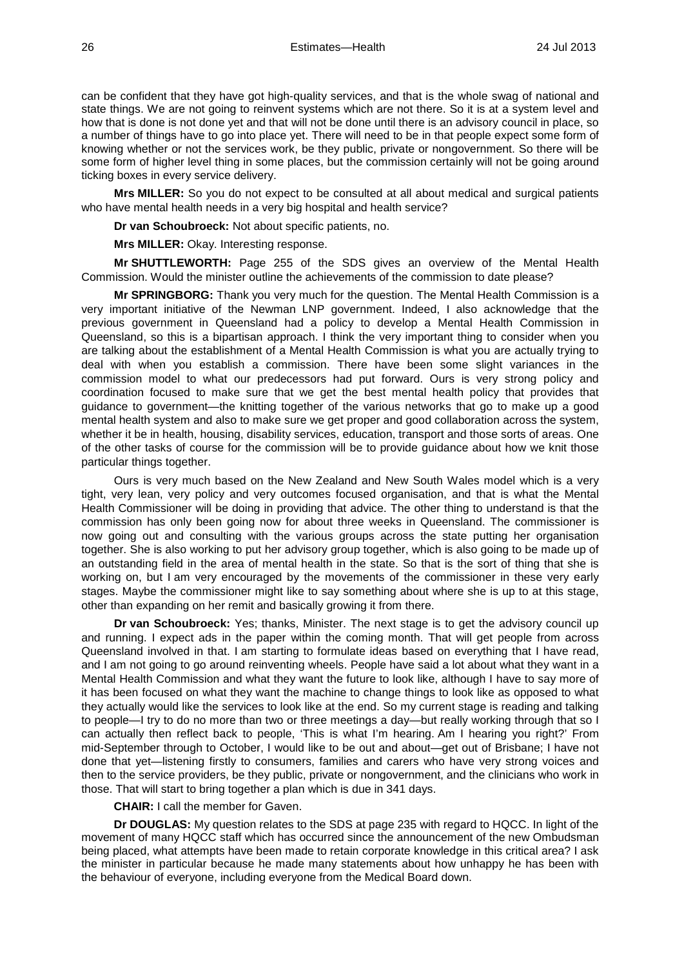can be confident that they have got high-quality services, and that is the whole swag of national and state things. We are not going to reinvent systems which are not there. So it is at a system level and how that is done is not done yet and that will not be done until there is an advisory council in place, so a number of things have to go into place yet. There will need to be in that people expect some form of knowing whether or not the services work, be they public, private or nongovernment. So there will be some form of higher level thing in some places, but the commission certainly will not be going around ticking boxes in every service delivery.

**Mrs MILLER:** So you do not expect to be consulted at all about medical and surgical patients who have mental health needs in a very big hospital and health service?

**Dr van Schoubroeck:** Not about specific patients, no.

**Mrs MILLER:** Okay. Interesting response.

**Mr SHUTTLEWORTH:** Page 255 of the SDS gives an overview of the Mental Health Commission. Would the minister outline the achievements of the commission to date please?

**Mr SPRINGBORG:** Thank you very much for the question. The Mental Health Commission is a very important initiative of the Newman LNP government. Indeed, I also acknowledge that the previous government in Queensland had a policy to develop a Mental Health Commission in Queensland, so this is a bipartisan approach. I think the very important thing to consider when you are talking about the establishment of a Mental Health Commission is what you are actually trying to deal with when you establish a commission. There have been some slight variances in the commission model to what our predecessors had put forward. Ours is very strong policy and coordination focused to make sure that we get the best mental health policy that provides that guidance to government—the knitting together of the various networks that go to make up a good mental health system and also to make sure we get proper and good collaboration across the system, whether it be in health, housing, disability services, education, transport and those sorts of areas. One of the other tasks of course for the commission will be to provide guidance about how we knit those particular things together.

Ours is very much based on the New Zealand and New South Wales model which is a very tight, very lean, very policy and very outcomes focused organisation, and that is what the Mental Health Commissioner will be doing in providing that advice. The other thing to understand is that the commission has only been going now for about three weeks in Queensland. The commissioner is now going out and consulting with the various groups across the state putting her organisation together. She is also working to put her advisory group together, which is also going to be made up of an outstanding field in the area of mental health in the state. So that is the sort of thing that she is working on, but I am very encouraged by the movements of the commissioner in these very early stages. Maybe the commissioner might like to say something about where she is up to at this stage, other than expanding on her remit and basically growing it from there.

**Dr van Schoubroeck:** Yes; thanks, Minister. The next stage is to get the advisory council up and running. I expect ads in the paper within the coming month. That will get people from across Queensland involved in that. I am starting to formulate ideas based on everything that I have read, and I am not going to go around reinventing wheels. People have said a lot about what they want in a Mental Health Commission and what they want the future to look like, although I have to say more of it has been focused on what they want the machine to change things to look like as opposed to what they actually would like the services to look like at the end. So my current stage is reading and talking to people—I try to do no more than two or three meetings a day—but really working through that so I can actually then reflect back to people, 'This is what I'm hearing. Am I hearing you right?' From mid-September through to October, I would like to be out and about—get out of Brisbane; I have not done that yet—listening firstly to consumers, families and carers who have very strong voices and then to the service providers, be they public, private or nongovernment, and the clinicians who work in those. That will start to bring together a plan which is due in 341 days.

**CHAIR:** I call the member for Gaven.

**Dr DOUGLAS:** My question relates to the SDS at page 235 with regard to HQCC. In light of the movement of many HQCC staff which has occurred since the announcement of the new Ombudsman being placed, what attempts have been made to retain corporate knowledge in this critical area? I ask the minister in particular because he made many statements about how unhappy he has been with the behaviour of everyone, including everyone from the Medical Board down.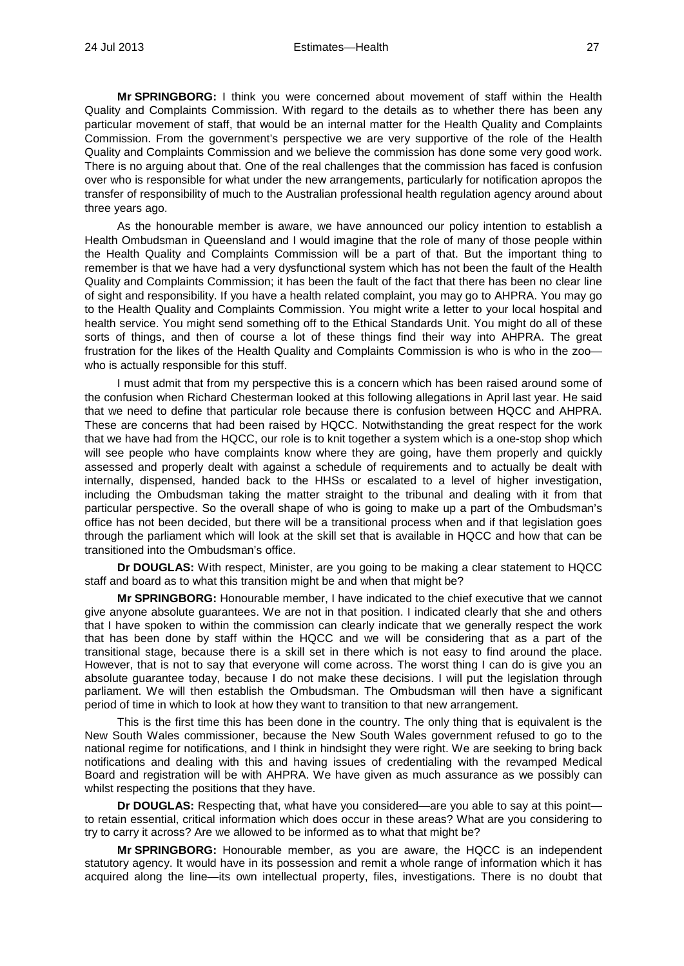**Mr SPRINGBORG:** I think you were concerned about movement of staff within the Health Quality and Complaints Commission. With regard to the details as to whether there has been any particular movement of staff, that would be an internal matter for the Health Quality and Complaints Commission. From the government's perspective we are very supportive of the role of the Health Quality and Complaints Commission and we believe the commission has done some very good work. There is no arguing about that. One of the real challenges that the commission has faced is confusion over who is responsible for what under the new arrangements, particularly for notification apropos the transfer of responsibility of much to the Australian professional health regulation agency around about three years ago.

As the honourable member is aware, we have announced our policy intention to establish a Health Ombudsman in Queensland and I would imagine that the role of many of those people within the Health Quality and Complaints Commission will be a part of that. But the important thing to remember is that we have had a very dysfunctional system which has not been the fault of the Health Quality and Complaints Commission; it has been the fault of the fact that there has been no clear line of sight and responsibility. If you have a health related complaint, you may go to AHPRA. You may go to the Health Quality and Complaints Commission. You might write a letter to your local hospital and health service. You might send something off to the Ethical Standards Unit. You might do all of these sorts of things, and then of course a lot of these things find their way into AHPRA. The great frustration for the likes of the Health Quality and Complaints Commission is who is who in the zoo who is actually responsible for this stuff.

I must admit that from my perspective this is a concern which has been raised around some of the confusion when Richard Chesterman looked at this following allegations in April last year. He said that we need to define that particular role because there is confusion between HQCC and AHPRA. These are concerns that had been raised by HQCC. Notwithstanding the great respect for the work that we have had from the HQCC, our role is to knit together a system which is a one-stop shop which will see people who have complaints know where they are going, have them properly and quickly assessed and properly dealt with against a schedule of requirements and to actually be dealt with internally, dispensed, handed back to the HHSs or escalated to a level of higher investigation, including the Ombudsman taking the matter straight to the tribunal and dealing with it from that particular perspective. So the overall shape of who is going to make up a part of the Ombudsman's office has not been decided, but there will be a transitional process when and if that legislation goes through the parliament which will look at the skill set that is available in HQCC and how that can be transitioned into the Ombudsman's office.

**Dr DOUGLAS:** With respect, Minister, are you going to be making a clear statement to HQCC staff and board as to what this transition might be and when that might be?

**Mr SPRINGBORG:** Honourable member, I have indicated to the chief executive that we cannot give anyone absolute guarantees. We are not in that position. I indicated clearly that she and others that I have spoken to within the commission can clearly indicate that we generally respect the work that has been done by staff within the HQCC and we will be considering that as a part of the transitional stage, because there is a skill set in there which is not easy to find around the place. However, that is not to say that everyone will come across. The worst thing I can do is give you an absolute guarantee today, because I do not make these decisions. I will put the legislation through parliament. We will then establish the Ombudsman. The Ombudsman will then have a significant period of time in which to look at how they want to transition to that new arrangement.

This is the first time this has been done in the country. The only thing that is equivalent is the New South Wales commissioner, because the New South Wales government refused to go to the national regime for notifications, and I think in hindsight they were right. We are seeking to bring back notifications and dealing with this and having issues of credentialing with the revamped Medical Board and registration will be with AHPRA. We have given as much assurance as we possibly can whilst respecting the positions that they have.

**Dr DOUGLAS:** Respecting that, what have you considered—are you able to say at this point to retain essential, critical information which does occur in these areas? What are you considering to try to carry it across? Are we allowed to be informed as to what that might be?

**Mr SPRINGBORG:** Honourable member, as you are aware, the HQCC is an independent statutory agency. It would have in its possession and remit a whole range of information which it has acquired along the line—its own intellectual property, files, investigations. There is no doubt that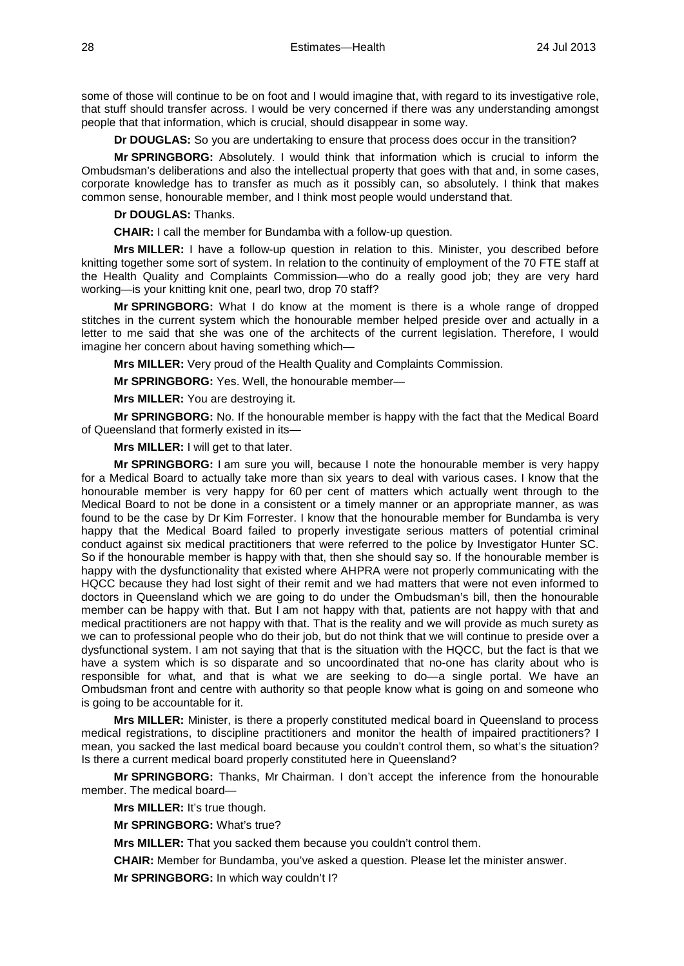some of those will continue to be on foot and I would imagine that, with regard to its investigative role, that stuff should transfer across. I would be very concerned if there was any understanding amongst people that that information, which is crucial, should disappear in some way.

**Dr DOUGLAS:** So you are undertaking to ensure that process does occur in the transition?

**Mr SPRINGBORG:** Absolutely. I would think that information which is crucial to inform the Ombudsman's deliberations and also the intellectual property that goes with that and, in some cases, corporate knowledge has to transfer as much as it possibly can, so absolutely. I think that makes common sense, honourable member, and I think most people would understand that.

**Dr DOUGLAS:** Thanks.

**CHAIR:** I call the member for Bundamba with a follow-up question.

**Mrs MILLER:** I have a follow-up question in relation to this. Minister, you described before knitting together some sort of system. In relation to the continuity of employment of the 70 FTE staff at the Health Quality and Complaints Commission—who do a really good job; they are very hard working—is your knitting knit one, pearl two, drop 70 staff?

**Mr SPRINGBORG:** What I do know at the moment is there is a whole range of dropped stitches in the current system which the honourable member helped preside over and actually in a letter to me said that she was one of the architects of the current legislation. Therefore, I would imagine her concern about having something which—

**Mrs MILLER:** Very proud of the Health Quality and Complaints Commission.

**Mr SPRINGBORG:** Yes. Well, the honourable member—

**Mrs MILLER:** You are destroying it.

**Mr SPRINGBORG:** No. If the honourable member is happy with the fact that the Medical Board of Queensland that formerly existed in its—

**Mrs MILLER:** I will get to that later.

**Mr SPRINGBORG:** I am sure you will, because I note the honourable member is very happy for a Medical Board to actually take more than six years to deal with various cases. I know that the honourable member is very happy for 60 per cent of matters which actually went through to the Medical Board to not be done in a consistent or a timely manner or an appropriate manner, as was found to be the case by Dr Kim Forrester. I know that the honourable member for Bundamba is very happy that the Medical Board failed to properly investigate serious matters of potential criminal conduct against six medical practitioners that were referred to the police by Investigator Hunter SC. So if the honourable member is happy with that, then she should say so. If the honourable member is happy with the dysfunctionality that existed where AHPRA were not properly communicating with the HQCC because they had lost sight of their remit and we had matters that were not even informed to doctors in Queensland which we are going to do under the Ombudsman's bill, then the honourable member can be happy with that. But I am not happy with that, patients are not happy with that and medical practitioners are not happy with that. That is the reality and we will provide as much surety as we can to professional people who do their job, but do not think that we will continue to preside over a dysfunctional system. I am not saying that that is the situation with the HQCC, but the fact is that we have a system which is so disparate and so uncoordinated that no-one has clarity about who is responsible for what, and that is what we are seeking to do—a single portal. We have an Ombudsman front and centre with authority so that people know what is going on and someone who is going to be accountable for it.

**Mrs MILLER:** Minister, is there a properly constituted medical board in Queensland to process medical registrations, to discipline practitioners and monitor the health of impaired practitioners? I mean, you sacked the last medical board because you couldn't control them, so what's the situation? Is there a current medical board properly constituted here in Queensland?

**Mr SPRINGBORG:** Thanks, Mr Chairman. I don't accept the inference from the honourable member. The medical board—

**Mrs MILLER:** It's true though.

**Mr SPRINGBORG:** What's true?

**Mrs MILLER:** That you sacked them because you couldn't control them.

**CHAIR:** Member for Bundamba, you've asked a question. Please let the minister answer.

**Mr SPRINGBORG:** In which way couldn't I?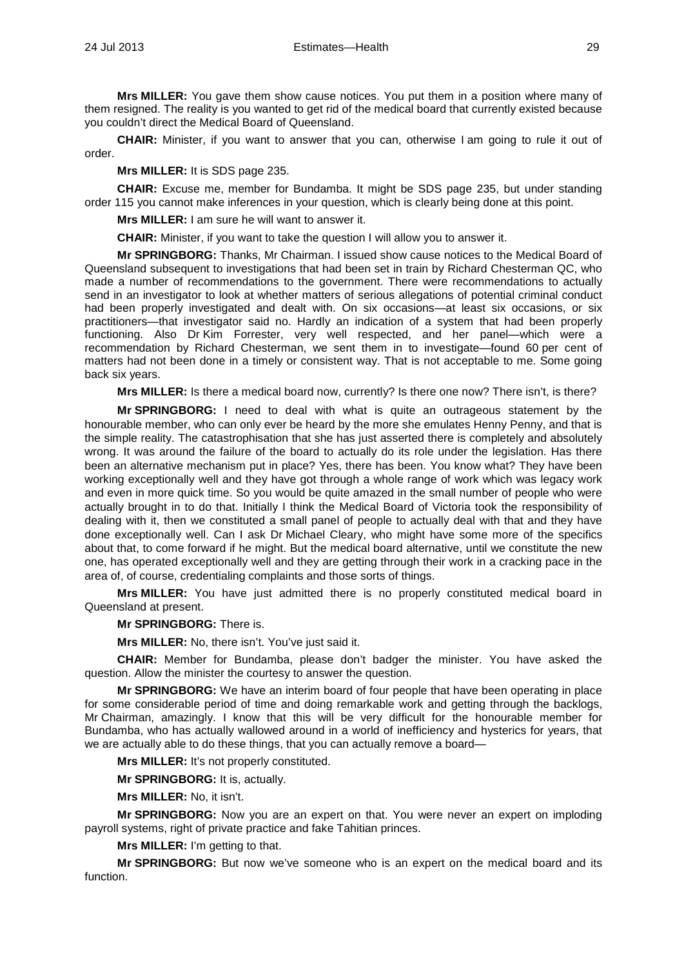**Mrs MILLER:** You gave them show cause notices. You put them in a position where many of them resigned. The reality is you wanted to get rid of the medical board that currently existed because you couldn't direct the Medical Board of Queensland.

**CHAIR:** Minister, if you want to answer that you can, otherwise I am going to rule it out of order.

**Mrs MILLER:** It is SDS page 235.

**CHAIR:** Excuse me, member for Bundamba. It might be SDS page 235, but under standing order 115 you cannot make inferences in your question, which is clearly being done at this point.

**Mrs MILLER:** I am sure he will want to answer it.

**CHAIR:** Minister, if you want to take the question I will allow you to answer it.

**Mr SPRINGBORG:** Thanks, Mr Chairman. I issued show cause notices to the Medical Board of Queensland subsequent to investigations that had been set in train by Richard Chesterman QC, who made a number of recommendations to the government. There were recommendations to actually send in an investigator to look at whether matters of serious allegations of potential criminal conduct had been properly investigated and dealt with. On six occasions—at least six occasions, or six practitioners—that investigator said no. Hardly an indication of a system that had been properly functioning. Also Dr Kim Forrester, very well respected, and her panel—which were a recommendation by Richard Chesterman, we sent them in to investigate—found 60 per cent of matters had not been done in a timely or consistent way. That is not acceptable to me. Some going back six years.

**Mrs MILLER:** Is there a medical board now, currently? Is there one now? There isn't, is there?

**Mr SPRINGBORG:** I need to deal with what is quite an outrageous statement by the honourable member, who can only ever be heard by the more she emulates Henny Penny, and that is the simple reality. The catastrophisation that she has just asserted there is completely and absolutely wrong. It was around the failure of the board to actually do its role under the legislation. Has there been an alternative mechanism put in place? Yes, there has been. You know what? They have been working exceptionally well and they have got through a whole range of work which was legacy work and even in more quick time. So you would be quite amazed in the small number of people who were actually brought in to do that. Initially I think the Medical Board of Victoria took the responsibility of dealing with it, then we constituted a small panel of people to actually deal with that and they have done exceptionally well. Can I ask Dr Michael Cleary, who might have some more of the specifics about that, to come forward if he might. But the medical board alternative, until we constitute the new one, has operated exceptionally well and they are getting through their work in a cracking pace in the area of, of course, credentialing complaints and those sorts of things.

**Mrs MILLER:** You have just admitted there is no properly constituted medical board in Queensland at present.

**Mr SPRINGBORG:** There is.

**Mrs MILLER:** No, there isn't. You've just said it.

**CHAIR:** Member for Bundamba, please don't badger the minister. You have asked the question. Allow the minister the courtesy to answer the question.

**Mr SPRINGBORG:** We have an interim board of four people that have been operating in place for some considerable period of time and doing remarkable work and getting through the backlogs, Mr Chairman, amazingly. I know that this will be very difficult for the honourable member for Bundamba, who has actually wallowed around in a world of inefficiency and hysterics for years, that we are actually able to do these things, that you can actually remove a board—

**Mrs MILLER:** It's not properly constituted.

**Mr SPRINGBORG:** It is, actually.

**Mrs MILLER:** No, it isn't.

**Mr SPRINGBORG:** Now you are an expert on that. You were never an expert on imploding payroll systems, right of private practice and fake Tahitian princes.

**Mrs MILLER:** I'm getting to that.

**Mr SPRINGBORG:** But now we've someone who is an expert on the medical board and its function.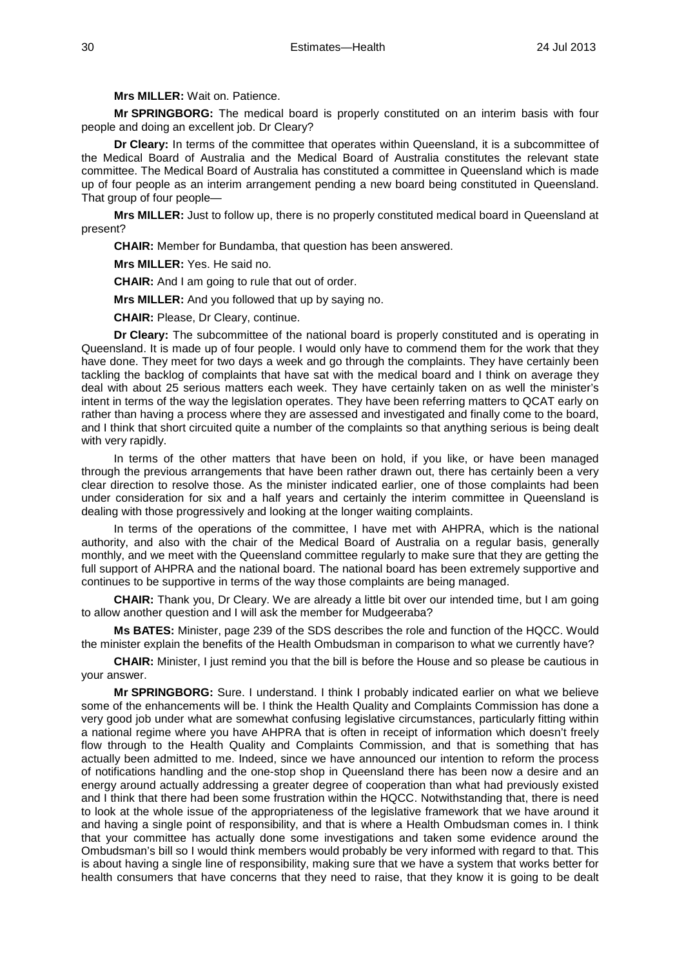**Mrs MILLER:** Wait on. Patience.

**Mr SPRINGBORG:** The medical board is properly constituted on an interim basis with four people and doing an excellent job. Dr Cleary?

**Dr Cleary:** In terms of the committee that operates within Queensland, it is a subcommittee of the Medical Board of Australia and the Medical Board of Australia constitutes the relevant state committee. The Medical Board of Australia has constituted a committee in Queensland which is made up of four people as an interim arrangement pending a new board being constituted in Queensland. That group of four people—

**Mrs MILLER:** Just to follow up, there is no properly constituted medical board in Queensland at present?

**CHAIR:** Member for Bundamba, that question has been answered.

**Mrs MILLER:** Yes. He said no.

**CHAIR:** And I am going to rule that out of order.

**Mrs MILLER:** And you followed that up by saying no.

**CHAIR:** Please, Dr Cleary, continue.

**Dr Cleary:** The subcommittee of the national board is properly constituted and is operating in Queensland. It is made up of four people. I would only have to commend them for the work that they have done. They meet for two days a week and go through the complaints. They have certainly been tackling the backlog of complaints that have sat with the medical board and I think on average they deal with about 25 serious matters each week. They have certainly taken on as well the minister's intent in terms of the way the legislation operates. They have been referring matters to QCAT early on rather than having a process where they are assessed and investigated and finally come to the board, and I think that short circuited quite a number of the complaints so that anything serious is being dealt with very rapidly.

In terms of the other matters that have been on hold, if you like, or have been managed through the previous arrangements that have been rather drawn out, there has certainly been a very clear direction to resolve those. As the minister indicated earlier, one of those complaints had been under consideration for six and a half years and certainly the interim committee in Queensland is dealing with those progressively and looking at the longer waiting complaints.

In terms of the operations of the committee, I have met with AHPRA, which is the national authority, and also with the chair of the Medical Board of Australia on a regular basis, generally monthly, and we meet with the Queensland committee regularly to make sure that they are getting the full support of AHPRA and the national board. The national board has been extremely supportive and continues to be supportive in terms of the way those complaints are being managed.

**CHAIR:** Thank you, Dr Cleary. We are already a little bit over our intended time, but I am going to allow another question and I will ask the member for Mudgeeraba?

**Ms BATES:** Minister, page 239 of the SDS describes the role and function of the HQCC. Would the minister explain the benefits of the Health Ombudsman in comparison to what we currently have?

**CHAIR:** Minister, I just remind you that the bill is before the House and so please be cautious in your answer.

**Mr SPRINGBORG:** Sure. I understand. I think I probably indicated earlier on what we believe some of the enhancements will be. I think the Health Quality and Complaints Commission has done a very good job under what are somewhat confusing legislative circumstances, particularly fitting within a national regime where you have AHPRA that is often in receipt of information which doesn't freely flow through to the Health Quality and Complaints Commission, and that is something that has actually been admitted to me. Indeed, since we have announced our intention to reform the process of notifications handling and the one-stop shop in Queensland there has been now a desire and an energy around actually addressing a greater degree of cooperation than what had previously existed and I think that there had been some frustration within the HQCC. Notwithstanding that, there is need to look at the whole issue of the appropriateness of the legislative framework that we have around it and having a single point of responsibility, and that is where a Health Ombudsman comes in. I think that your committee has actually done some investigations and taken some evidence around the Ombudsman's bill so I would think members would probably be very informed with regard to that. This is about having a single line of responsibility, making sure that we have a system that works better for health consumers that have concerns that they need to raise, that they know it is going to be dealt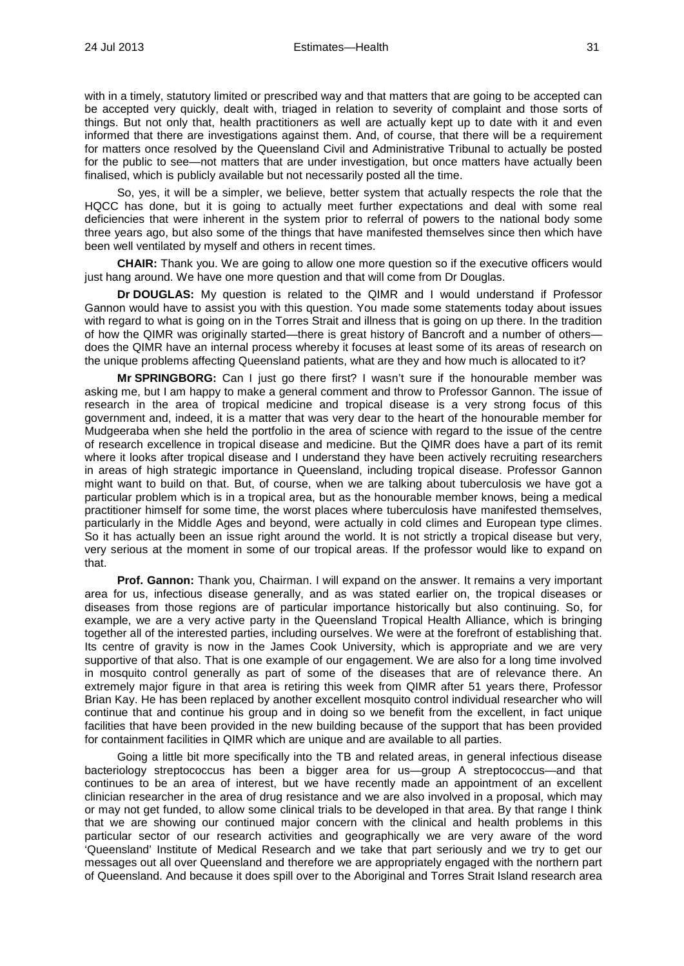with in a timely, statutory limited or prescribed way and that matters that are going to be accepted can be accepted very quickly, dealt with, triaged in relation to severity of complaint and those sorts of things. But not only that, health practitioners as well are actually kept up to date with it and even informed that there are investigations against them. And, of course, that there will be a requirement for matters once resolved by the Queensland Civil and Administrative Tribunal to actually be posted for the public to see—not matters that are under investigation, but once matters have actually been finalised, which is publicly available but not necessarily posted all the time.

So, yes, it will be a simpler, we believe, better system that actually respects the role that the HQCC has done, but it is going to actually meet further expectations and deal with some real deficiencies that were inherent in the system prior to referral of powers to the national body some three years ago, but also some of the things that have manifested themselves since then which have been well ventilated by myself and others in recent times.

**CHAIR:** Thank you. We are going to allow one more question so if the executive officers would just hang around. We have one more question and that will come from Dr Douglas.

**Dr DOUGLAS:** My question is related to the QIMR and I would understand if Professor Gannon would have to assist you with this question. You made some statements today about issues with regard to what is going on in the Torres Strait and illness that is going on up there. In the tradition of how the QIMR was originally started—there is great history of Bancroft and a number of others does the QIMR have an internal process whereby it focuses at least some of its areas of research on the unique problems affecting Queensland patients, what are they and how much is allocated to it?

**Mr SPRINGBORG:** Can I just go there first? I wasn't sure if the honourable member was asking me, but I am happy to make a general comment and throw to Professor Gannon. The issue of research in the area of tropical medicine and tropical disease is a very strong focus of this government and, indeed, it is a matter that was very dear to the heart of the honourable member for Mudgeeraba when she held the portfolio in the area of science with regard to the issue of the centre of research excellence in tropical disease and medicine. But the QIMR does have a part of its remit where it looks after tropical disease and I understand they have been actively recruiting researchers in areas of high strategic importance in Queensland, including tropical disease. Professor Gannon might want to build on that. But, of course, when we are talking about tuberculosis we have got a particular problem which is in a tropical area, but as the honourable member knows, being a medical practitioner himself for some time, the worst places where tuberculosis have manifested themselves, particularly in the Middle Ages and beyond, were actually in cold climes and European type climes. So it has actually been an issue right around the world. It is not strictly a tropical disease but very, very serious at the moment in some of our tropical areas. If the professor would like to expand on that.

**Prof. Gannon:** Thank you, Chairman. I will expand on the answer. It remains a very important area for us, infectious disease generally, and as was stated earlier on, the tropical diseases or diseases from those regions are of particular importance historically but also continuing. So, for example, we are a very active party in the Queensland Tropical Health Alliance, which is bringing together all of the interested parties, including ourselves. We were at the forefront of establishing that. Its centre of gravity is now in the James Cook University, which is appropriate and we are very supportive of that also. That is one example of our engagement. We are also for a long time involved in mosquito control generally as part of some of the diseases that are of relevance there. An extremely major figure in that area is retiring this week from QIMR after 51 years there, Professor Brian Kay. He has been replaced by another excellent mosquito control individual researcher who will continue that and continue his group and in doing so we benefit from the excellent, in fact unique facilities that have been provided in the new building because of the support that has been provided for containment facilities in QIMR which are unique and are available to all parties.

Going a little bit more specifically into the TB and related areas, in general infectious disease bacteriology streptococcus has been a bigger area for us—group A streptococcus—and that continues to be an area of interest, but we have recently made an appointment of an excellent clinician researcher in the area of drug resistance and we are also involved in a proposal, which may or may not get funded, to allow some clinical trials to be developed in that area. By that range I think that we are showing our continued major concern with the clinical and health problems in this particular sector of our research activities and geographically we are very aware of the word 'Queensland' Institute of Medical Research and we take that part seriously and we try to get our messages out all over Queensland and therefore we are appropriately engaged with the northern part of Queensland. And because it does spill over to the Aboriginal and Torres Strait Island research area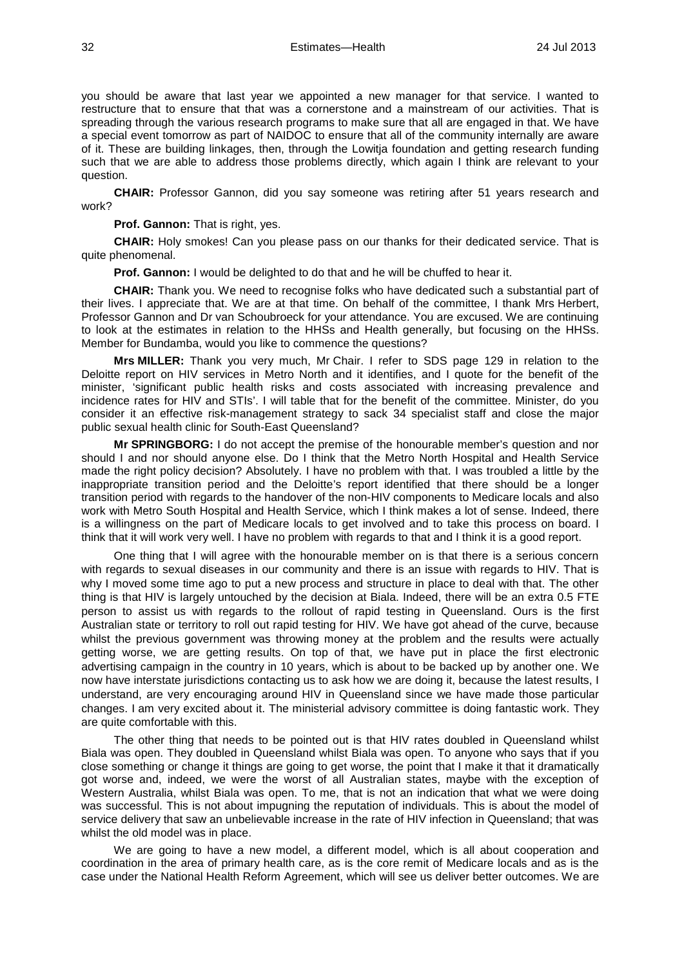you should be aware that last year we appointed a new manager for that service. I wanted to restructure that to ensure that that was a cornerstone and a mainstream of our activities. That is spreading through the various research programs to make sure that all are engaged in that. We have a special event tomorrow as part of NAIDOC to ensure that all of the community internally are aware of it. These are building linkages, then, through the Lowitja foundation and getting research funding such that we are able to address those problems directly, which again I think are relevant to your question.

**CHAIR:** Professor Gannon, did you say someone was retiring after 51 years research and work?

**Prof. Gannon:** That is right, yes.

**CHAIR:** Holy smokes! Can you please pass on our thanks for their dedicated service. That is quite phenomenal.

**Prof. Gannon:** I would be delighted to do that and he will be chuffed to hear it.

**CHAIR:** Thank you. We need to recognise folks who have dedicated such a substantial part of their lives. I appreciate that. We are at that time. On behalf of the committee, I thank Mrs Herbert, Professor Gannon and Dr van Schoubroeck for your attendance. You are excused. We are continuing to look at the estimates in relation to the HHSs and Health generally, but focusing on the HHSs. Member for Bundamba, would you like to commence the questions?

**Mrs MILLER:** Thank you very much, Mr Chair. I refer to SDS page 129 in relation to the Deloitte report on HIV services in Metro North and it identifies, and I quote for the benefit of the minister, 'significant public health risks and costs associated with increasing prevalence and incidence rates for HIV and STIs'. I will table that for the benefit of the committee. Minister, do you consider it an effective risk-management strategy to sack 34 specialist staff and close the major public sexual health clinic for South-East Queensland?

**Mr SPRINGBORG:** I do not accept the premise of the honourable member's question and nor should I and nor should anyone else. Do I think that the Metro North Hospital and Health Service made the right policy decision? Absolutely. I have no problem with that. I was troubled a little by the inappropriate transition period and the Deloitte's report identified that there should be a longer transition period with regards to the handover of the non-HIV components to Medicare locals and also work with Metro South Hospital and Health Service, which I think makes a lot of sense. Indeed, there is a willingness on the part of Medicare locals to get involved and to take this process on board. I think that it will work very well. I have no problem with regards to that and I think it is a good report.

One thing that I will agree with the honourable member on is that there is a serious concern with regards to sexual diseases in our community and there is an issue with regards to HIV. That is why I moved some time ago to put a new process and structure in place to deal with that. The other thing is that HIV is largely untouched by the decision at Biala. Indeed, there will be an extra 0.5 FTE person to assist us with regards to the rollout of rapid testing in Queensland. Ours is the first Australian state or territory to roll out rapid testing for HIV. We have got ahead of the curve, because whilst the previous government was throwing money at the problem and the results were actually getting worse, we are getting results. On top of that, we have put in place the first electronic advertising campaign in the country in 10 years, which is about to be backed up by another one. We now have interstate jurisdictions contacting us to ask how we are doing it, because the latest results, I understand, are very encouraging around HIV in Queensland since we have made those particular changes. I am very excited about it. The ministerial advisory committee is doing fantastic work. They are quite comfortable with this.

The other thing that needs to be pointed out is that HIV rates doubled in Queensland whilst Biala was open. They doubled in Queensland whilst Biala was open. To anyone who says that if you close something or change it things are going to get worse, the point that I make it that it dramatically got worse and, indeed, we were the worst of all Australian states, maybe with the exception of Western Australia, whilst Biala was open. To me, that is not an indication that what we were doing was successful. This is not about impugning the reputation of individuals. This is about the model of service delivery that saw an unbelievable increase in the rate of HIV infection in Queensland; that was whilst the old model was in place.

We are going to have a new model, a different model, which is all about cooperation and coordination in the area of primary health care, as is the core remit of Medicare locals and as is the case under the National Health Reform Agreement, which will see us deliver better outcomes. We are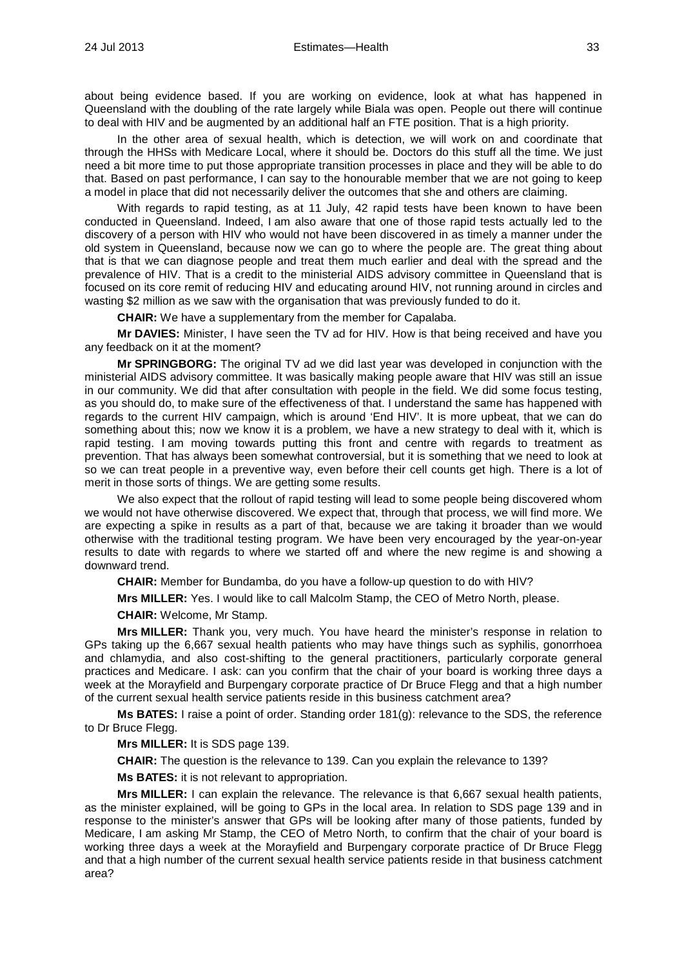about being evidence based. If you are working on evidence, look at what has happened in Queensland with the doubling of the rate largely while Biala was open. People out there will continue to deal with HIV and be augmented by an additional half an FTE position. That is a high priority.

In the other area of sexual health, which is detection, we will work on and coordinate that through the HHSs with Medicare Local, where it should be. Doctors do this stuff all the time. We just need a bit more time to put those appropriate transition processes in place and they will be able to do that. Based on past performance, I can say to the honourable member that we are not going to keep a model in place that did not necessarily deliver the outcomes that she and others are claiming.

With regards to rapid testing, as at 11 July, 42 rapid tests have been known to have been conducted in Queensland. Indeed, I am also aware that one of those rapid tests actually led to the discovery of a person with HIV who would not have been discovered in as timely a manner under the old system in Queensland, because now we can go to where the people are. The great thing about that is that we can diagnose people and treat them much earlier and deal with the spread and the prevalence of HIV. That is a credit to the ministerial AIDS advisory committee in Queensland that is focused on its core remit of reducing HIV and educating around HIV, not running around in circles and wasting \$2 million as we saw with the organisation that was previously funded to do it.

**CHAIR:** We have a supplementary from the member for Capalaba.

**Mr DAVIES:** Minister, I have seen the TV ad for HIV. How is that being received and have you any feedback on it at the moment?

**Mr SPRINGBORG:** The original TV ad we did last year was developed in conjunction with the ministerial AIDS advisory committee. It was basically making people aware that HIV was still an issue in our community. We did that after consultation with people in the field. We did some focus testing, as you should do, to make sure of the effectiveness of that. I understand the same has happened with regards to the current HIV campaign, which is around 'End HIV'. It is more upbeat, that we can do something about this; now we know it is a problem, we have a new strategy to deal with it, which is rapid testing. I am moving towards putting this front and centre with regards to treatment as prevention. That has always been somewhat controversial, but it is something that we need to look at so we can treat people in a preventive way, even before their cell counts get high. There is a lot of merit in those sorts of things. We are getting some results.

We also expect that the rollout of rapid testing will lead to some people being discovered whom we would not have otherwise discovered. We expect that, through that process, we will find more. We are expecting a spike in results as a part of that, because we are taking it broader than we would otherwise with the traditional testing program. We have been very encouraged by the year-on-year results to date with regards to where we started off and where the new regime is and showing a downward trend.

**CHAIR:** Member for Bundamba, do you have a follow-up question to do with HIV?

**Mrs MILLER:** Yes. I would like to call Malcolm Stamp, the CEO of Metro North, please.

**CHAIR:** Welcome, Mr Stamp.

**Mrs MILLER:** Thank you, very much. You have heard the minister's response in relation to GPs taking up the 6,667 sexual health patients who may have things such as syphilis, gonorrhoea and chlamydia, and also cost-shifting to the general practitioners, particularly corporate general practices and Medicare. I ask: can you confirm that the chair of your board is working three days a week at the Morayfield and Burpengary corporate practice of Dr Bruce Flegg and that a high number of the current sexual health service patients reside in this business catchment area?

**Ms BATES:** I raise a point of order. Standing order 181(g): relevance to the SDS, the reference to Dr Bruce Flegg.

**Mrs MILLER:** It is SDS page 139.

**CHAIR:** The question is the relevance to 139. Can you explain the relevance to 139?

**Ms BATES:** it is not relevant to appropriation.

**Mrs MILLER:** I can explain the relevance. The relevance is that 6,667 sexual health patients, as the minister explained, will be going to GPs in the local area. In relation to SDS page 139 and in response to the minister's answer that GPs will be looking after many of those patients, funded by Medicare, I am asking Mr Stamp, the CEO of Metro North, to confirm that the chair of your board is working three days a week at the Morayfield and Burpengary corporate practice of Dr Bruce Flegg and that a high number of the current sexual health service patients reside in that business catchment area?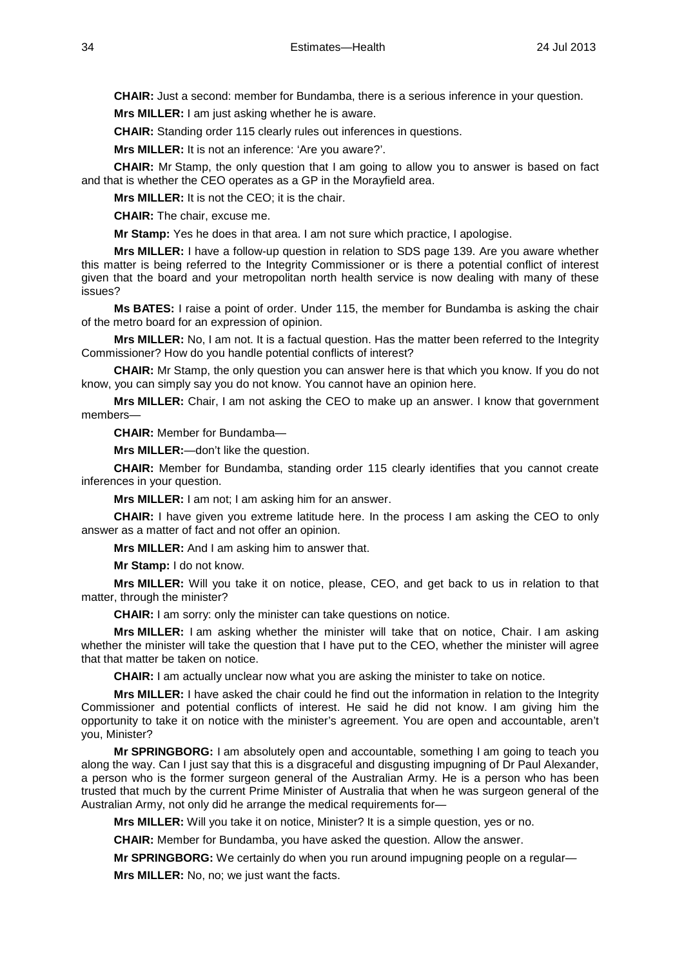**CHAIR:** Just a second: member for Bundamba, there is a serious inference in your question.

**Mrs MILLER:** I am just asking whether he is aware.

**CHAIR:** Standing order 115 clearly rules out inferences in questions.

**Mrs MILLER:** It is not an inference: 'Are you aware?'.

**CHAIR:** Mr Stamp, the only question that I am going to allow you to answer is based on fact and that is whether the CEO operates as a GP in the Morayfield area.

**Mrs MILLER:** It is not the CEO; it is the chair.

**CHAIR:** The chair, excuse me.

**Mr Stamp:** Yes he does in that area. I am not sure which practice, I apologise.

**Mrs MILLER:** I have a follow-up question in relation to SDS page 139. Are you aware whether this matter is being referred to the Integrity Commissioner or is there a potential conflict of interest given that the board and your metropolitan north health service is now dealing with many of these issues?

**Ms BATES:** I raise a point of order. Under 115, the member for Bundamba is asking the chair of the metro board for an expression of opinion.

**Mrs MILLER:** No, I am not. It is a factual question. Has the matter been referred to the Integrity Commissioner? How do you handle potential conflicts of interest?

**CHAIR:** Mr Stamp, the only question you can answer here is that which you know. If you do not know, you can simply say you do not know. You cannot have an opinion here.

**Mrs MILLER:** Chair, I am not asking the CEO to make up an answer. I know that government members—

**CHAIR:** Member for Bundamba—

**Mrs MILLER:**—don't like the question.

**CHAIR:** Member for Bundamba, standing order 115 clearly identifies that you cannot create inferences in your question.

**Mrs MILLER:** I am not; I am asking him for an answer.

**CHAIR:** I have given you extreme latitude here. In the process I am asking the CEO to only answer as a matter of fact and not offer an opinion.

**Mrs MILLER:** And I am asking him to answer that.

**Mr Stamp:** I do not know.

**Mrs MILLER:** Will you take it on notice, please, CEO, and get back to us in relation to that matter, through the minister?

**CHAIR:** I am sorry: only the minister can take questions on notice.

**Mrs MILLER:** I am asking whether the minister will take that on notice, Chair. I am asking whether the minister will take the question that I have put to the CEO, whether the minister will agree that that matter be taken on notice.

**CHAIR:** I am actually unclear now what you are asking the minister to take on notice.

**Mrs MILLER:** I have asked the chair could he find out the information in relation to the Integrity Commissioner and potential conflicts of interest. He said he did not know. I am giving him the opportunity to take it on notice with the minister's agreement. You are open and accountable, aren't you, Minister?

**Mr SPRINGBORG:** I am absolutely open and accountable, something I am going to teach you along the way. Can I just say that this is a disgraceful and disgusting impugning of Dr Paul Alexander, a person who is the former surgeon general of the Australian Army. He is a person who has been trusted that much by the current Prime Minister of Australia that when he was surgeon general of the Australian Army, not only did he arrange the medical requirements for—

**Mrs MILLER:** Will you take it on notice, Minister? It is a simple question, yes or no.

**CHAIR:** Member for Bundamba, you have asked the question. Allow the answer.

**Mr SPRINGBORG:** We certainly do when you run around impugning people on a regular—

**Mrs MILLER:** No, no; we just want the facts.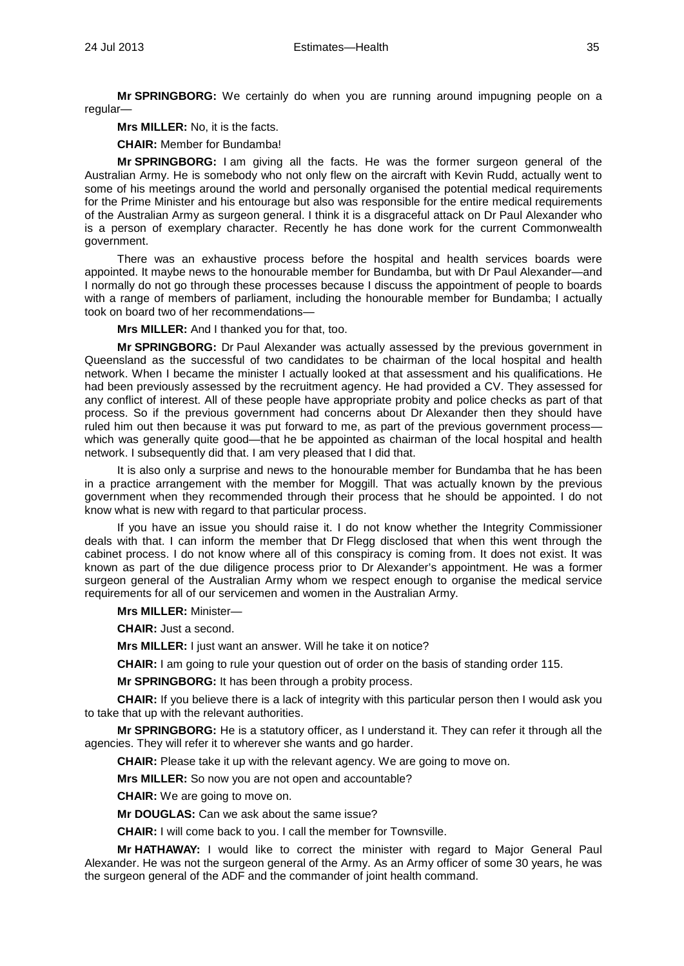**Mr SPRINGBORG:** We certainly do when you are running around impugning people on a regular—

**Mrs MILLER:** No, it is the facts.

**CHAIR:** Member for Bundamba!

**Mr SPRINGBORG:** I am giving all the facts. He was the former surgeon general of the Australian Army. He is somebody who not only flew on the aircraft with Kevin Rudd, actually went to some of his meetings around the world and personally organised the potential medical requirements for the Prime Minister and his entourage but also was responsible for the entire medical requirements of the Australian Army as surgeon general. I think it is a disgraceful attack on Dr Paul Alexander who is a person of exemplary character. Recently he has done work for the current Commonwealth government.

There was an exhaustive process before the hospital and health services boards were appointed. It maybe news to the honourable member for Bundamba, but with Dr Paul Alexander—and I normally do not go through these processes because I discuss the appointment of people to boards with a range of members of parliament, including the honourable member for Bundamba; I actually took on board two of her recommendations—

**Mrs MILLER:** And I thanked you for that, too.

**Mr SPRINGBORG:** Dr Paul Alexander was actually assessed by the previous government in Queensland as the successful of two candidates to be chairman of the local hospital and health network. When I became the minister I actually looked at that assessment and his qualifications. He had been previously assessed by the recruitment agency. He had provided a CV. They assessed for any conflict of interest. All of these people have appropriate probity and police checks as part of that process. So if the previous government had concerns about Dr Alexander then they should have ruled him out then because it was put forward to me, as part of the previous government process which was generally quite good—that he be appointed as chairman of the local hospital and health network. I subsequently did that. I am very pleased that I did that.

It is also only a surprise and news to the honourable member for Bundamba that he has been in a practice arrangement with the member for Moggill. That was actually known by the previous government when they recommended through their process that he should be appointed. I do not know what is new with regard to that particular process.

If you have an issue you should raise it. I do not know whether the Integrity Commissioner deals with that. I can inform the member that Dr Flegg disclosed that when this went through the cabinet process. I do not know where all of this conspiracy is coming from. It does not exist. It was known as part of the due diligence process prior to Dr Alexander's appointment. He was a former surgeon general of the Australian Army whom we respect enough to organise the medical service requirements for all of our servicemen and women in the Australian Army.

**Mrs MILLER:** Minister—

**CHAIR:** Just a second.

**Mrs MILLER:** I just want an answer. Will he take it on notice?

**CHAIR:** I am going to rule your question out of order on the basis of standing order 115.

**Mr SPRINGBORG:** It has been through a probity process.

**CHAIR:** If you believe there is a lack of integrity with this particular person then I would ask you to take that up with the relevant authorities.

**Mr SPRINGBORG:** He is a statutory officer, as I understand it. They can refer it through all the agencies. They will refer it to wherever she wants and go harder.

**CHAIR:** Please take it up with the relevant agency. We are going to move on.

**Mrs MILLER:** So now you are not open and accountable?

**CHAIR:** We are going to move on.

**Mr DOUGLAS:** Can we ask about the same issue?

**CHAIR:** I will come back to you. I call the member for Townsville.

**Mr HATHAWAY:** I would like to correct the minister with regard to Major General Paul Alexander. He was not the surgeon general of the Army. As an Army officer of some 30 years, he was the surgeon general of the ADF and the commander of joint health command.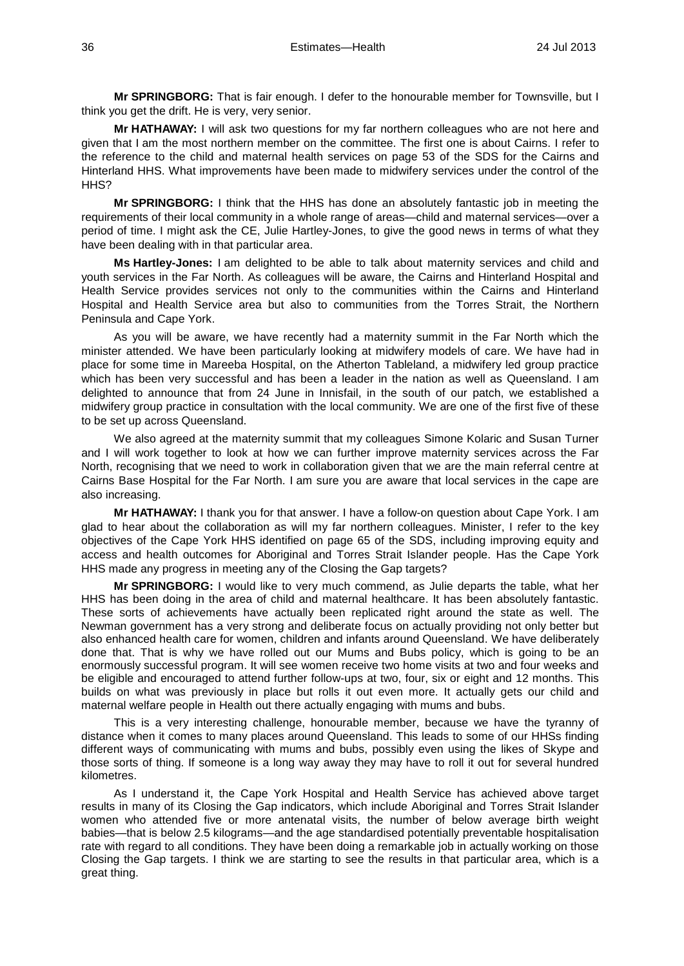**Mr SPRINGBORG:** That is fair enough. I defer to the honourable member for Townsville, but I think you get the drift. He is very, very senior.

**Mr HATHAWAY:** I will ask two questions for my far northern colleagues who are not here and given that I am the most northern member on the committee. The first one is about Cairns. I refer to the reference to the child and maternal health services on page 53 of the SDS for the Cairns and Hinterland HHS. What improvements have been made to midwifery services under the control of the HH<sub>S</sub>?

**Mr SPRINGBORG:** I think that the HHS has done an absolutely fantastic job in meeting the requirements of their local community in a whole range of areas—child and maternal services—over a period of time. I might ask the CE, Julie Hartley-Jones, to give the good news in terms of what they have been dealing with in that particular area.

**Ms Hartley-Jones:** I am delighted to be able to talk about maternity services and child and youth services in the Far North. As colleagues will be aware, the Cairns and Hinterland Hospital and Health Service provides services not only to the communities within the Cairns and Hinterland Hospital and Health Service area but also to communities from the Torres Strait, the Northern Peninsula and Cape York.

As you will be aware, we have recently had a maternity summit in the Far North which the minister attended. We have been particularly looking at midwifery models of care. We have had in place for some time in Mareeba Hospital, on the Atherton Tableland, a midwifery led group practice which has been very successful and has been a leader in the nation as well as Queensland. I am delighted to announce that from 24 June in Innisfail, in the south of our patch, we established a midwifery group practice in consultation with the local community. We are one of the first five of these to be set up across Queensland.

We also agreed at the maternity summit that my colleagues Simone Kolaric and Susan Turner and I will work together to look at how we can further improve maternity services across the Far North, recognising that we need to work in collaboration given that we are the main referral centre at Cairns Base Hospital for the Far North. I am sure you are aware that local services in the cape are also increasing.

**Mr HATHAWAY:** I thank you for that answer. I have a follow-on question about Cape York. I am glad to hear about the collaboration as will my far northern colleagues. Minister, I refer to the key objectives of the Cape York HHS identified on page 65 of the SDS, including improving equity and access and health outcomes for Aboriginal and Torres Strait Islander people. Has the Cape York HHS made any progress in meeting any of the Closing the Gap targets?

**Mr SPRINGBORG:** I would like to very much commend, as Julie departs the table, what her HHS has been doing in the area of child and maternal healthcare. It has been absolutely fantastic. These sorts of achievements have actually been replicated right around the state as well. The Newman government has a very strong and deliberate focus on actually providing not only better but also enhanced health care for women, children and infants around Queensland. We have deliberately done that. That is why we have rolled out our Mums and Bubs policy, which is going to be an enormously successful program. It will see women receive two home visits at two and four weeks and be eligible and encouraged to attend further follow-ups at two, four, six or eight and 12 months. This builds on what was previously in place but rolls it out even more. It actually gets our child and maternal welfare people in Health out there actually engaging with mums and bubs.

This is a very interesting challenge, honourable member, because we have the tyranny of distance when it comes to many places around Queensland. This leads to some of our HHSs finding different ways of communicating with mums and bubs, possibly even using the likes of Skype and those sorts of thing. If someone is a long way away they may have to roll it out for several hundred kilometres.

As I understand it, the Cape York Hospital and Health Service has achieved above target results in many of its Closing the Gap indicators, which include Aboriginal and Torres Strait Islander women who attended five or more antenatal visits, the number of below average birth weight babies—that is below 2.5 kilograms—and the age standardised potentially preventable hospitalisation rate with regard to all conditions. They have been doing a remarkable job in actually working on those Closing the Gap targets. I think we are starting to see the results in that particular area, which is a great thing.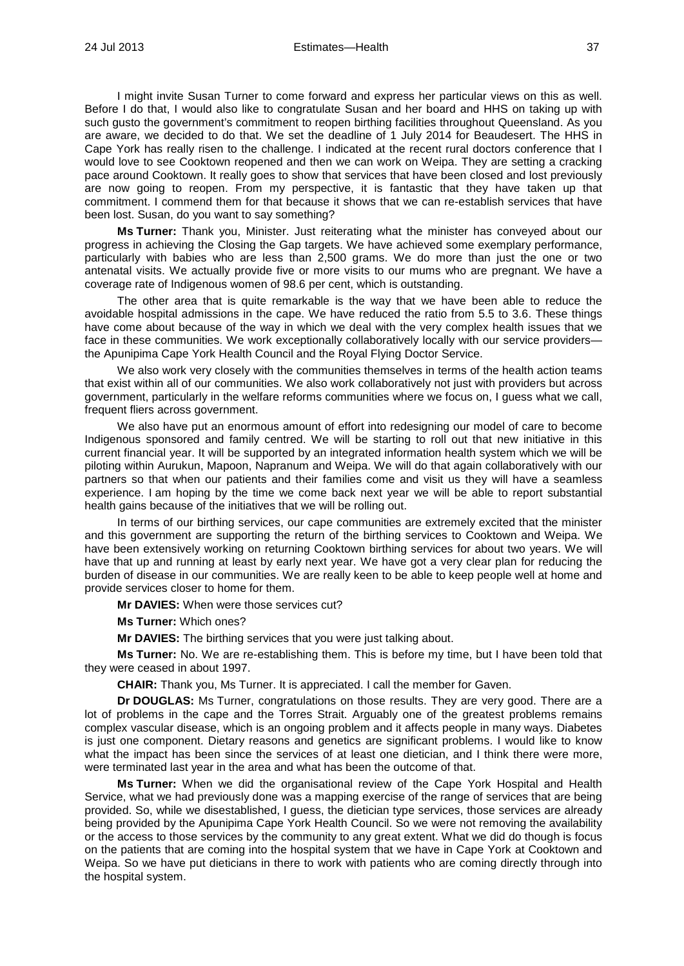I might invite Susan Turner to come forward and express her particular views on this as well. Before I do that, I would also like to congratulate Susan and her board and HHS on taking up with such gusto the government's commitment to reopen birthing facilities throughout Queensland. As you are aware, we decided to do that. We set the deadline of 1 July 2014 for Beaudesert. The HHS in Cape York has really risen to the challenge. I indicated at the recent rural doctors conference that I would love to see Cooktown reopened and then we can work on Weipa. They are setting a cracking pace around Cooktown. It really goes to show that services that have been closed and lost previously are now going to reopen. From my perspective, it is fantastic that they have taken up that commitment. I commend them for that because it shows that we can re-establish services that have been lost. Susan, do you want to say something?

**Ms Turner:** Thank you, Minister. Just reiterating what the minister has conveyed about our progress in achieving the Closing the Gap targets. We have achieved some exemplary performance, particularly with babies who are less than 2,500 grams. We do more than just the one or two antenatal visits. We actually provide five or more visits to our mums who are pregnant. We have a coverage rate of Indigenous women of 98.6 per cent, which is outstanding.

The other area that is quite remarkable is the way that we have been able to reduce the avoidable hospital admissions in the cape. We have reduced the ratio from 5.5 to 3.6. These things have come about because of the way in which we deal with the very complex health issues that we face in these communities. We work exceptionally collaboratively locally with our service providers the Apunipima Cape York Health Council and the Royal Flying Doctor Service.

We also work very closely with the communities themselves in terms of the health action teams that exist within all of our communities. We also work collaboratively not just with providers but across government, particularly in the welfare reforms communities where we focus on, I guess what we call, frequent fliers across government.

We also have put an enormous amount of effort into redesigning our model of care to become Indigenous sponsored and family centred. We will be starting to roll out that new initiative in this current financial year. It will be supported by an integrated information health system which we will be piloting within Aurukun, Mapoon, Napranum and Weipa. We will do that again collaboratively with our partners so that when our patients and their families come and visit us they will have a seamless experience. I am hoping by the time we come back next year we will be able to report substantial health gains because of the initiatives that we will be rolling out.

In terms of our birthing services, our cape communities are extremely excited that the minister and this government are supporting the return of the birthing services to Cooktown and Weipa. We have been extensively working on returning Cooktown birthing services for about two years. We will have that up and running at least by early next year. We have got a very clear plan for reducing the burden of disease in our communities. We are really keen to be able to keep people well at home and provide services closer to home for them.

**Mr DAVIES:** When were those services cut?

**Ms Turner:** Which ones?

**Mr DAVIES:** The birthing services that you were just talking about.

**Ms Turner:** No. We are re-establishing them. This is before my time, but I have been told that they were ceased in about 1997.

**CHAIR:** Thank you, Ms Turner. It is appreciated. I call the member for Gaven.

**Dr DOUGLAS:** Ms Turner, congratulations on those results. They are very good. There are a lot of problems in the cape and the Torres Strait. Arguably one of the greatest problems remains complex vascular disease, which is an ongoing problem and it affects people in many ways. Diabetes is just one component. Dietary reasons and genetics are significant problems. I would like to know what the impact has been since the services of at least one dietician, and I think there were more, were terminated last year in the area and what has been the outcome of that.

**Ms Turner:** When we did the organisational review of the Cape York Hospital and Health Service, what we had previously done was a mapping exercise of the range of services that are being provided. So, while we disestablished, I guess, the dietician type services, those services are already being provided by the Apunipima Cape York Health Council. So we were not removing the availability or the access to those services by the community to any great extent. What we did do though is focus on the patients that are coming into the hospital system that we have in Cape York at Cooktown and Weipa. So we have put dieticians in there to work with patients who are coming directly through into the hospital system.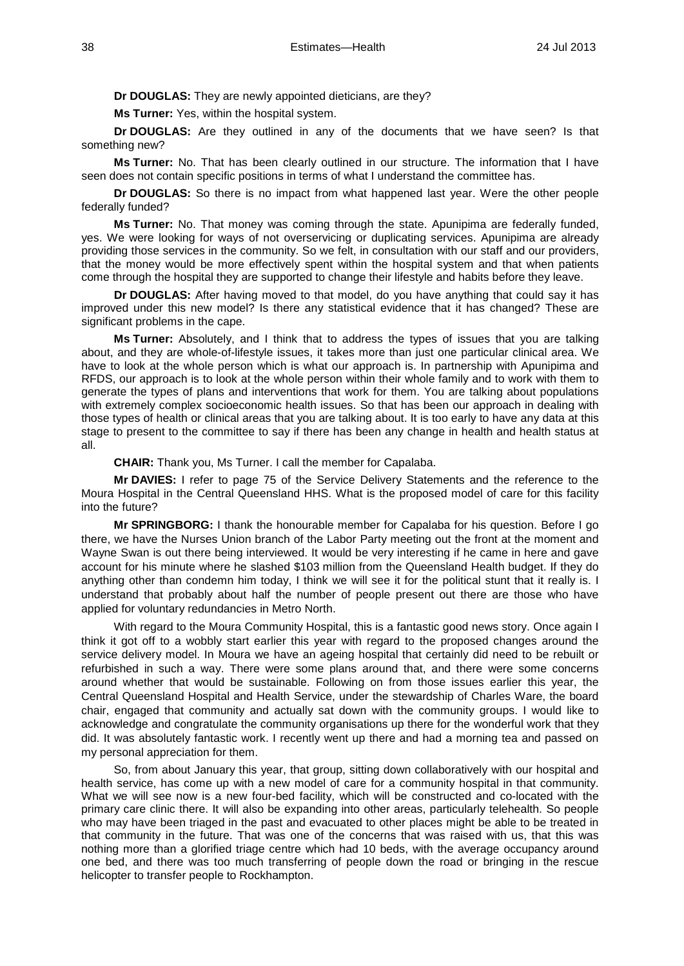**Dr DOUGLAS:** They are newly appointed dieticians, are they?

**Ms Turner:** Yes, within the hospital system.

**Dr DOUGLAS:** Are they outlined in any of the documents that we have seen? Is that something new?

**Ms Turner:** No. That has been clearly outlined in our structure. The information that I have seen does not contain specific positions in terms of what I understand the committee has.

**Dr DOUGLAS:** So there is no impact from what happened last year. Were the other people federally funded?

**Ms Turner:** No. That money was coming through the state. Apunipima are federally funded, yes. We were looking for ways of not overservicing or duplicating services. Apunipima are already providing those services in the community. So we felt, in consultation with our staff and our providers, that the money would be more effectively spent within the hospital system and that when patients come through the hospital they are supported to change their lifestyle and habits before they leave.

**Dr DOUGLAS:** After having moved to that model, do you have anything that could say it has improved under this new model? Is there any statistical evidence that it has changed? These are significant problems in the cape.

**Ms Turner:** Absolutely, and I think that to address the types of issues that you are talking about, and they are whole-of-lifestyle issues, it takes more than just one particular clinical area. We have to look at the whole person which is what our approach is. In partnership with Apunipima and RFDS, our approach is to look at the whole person within their whole family and to work with them to generate the types of plans and interventions that work for them. You are talking about populations with extremely complex socioeconomic health issues. So that has been our approach in dealing with those types of health or clinical areas that you are talking about. It is too early to have any data at this stage to present to the committee to say if there has been any change in health and health status at all.

**CHAIR:** Thank you, Ms Turner. I call the member for Capalaba.

**Mr DAVIES:** I refer to page 75 of the Service Delivery Statements and the reference to the Moura Hospital in the Central Queensland HHS. What is the proposed model of care for this facility into the future?

**Mr SPRINGBORG:** I thank the honourable member for Capalaba for his question. Before I go there, we have the Nurses Union branch of the Labor Party meeting out the front at the moment and Wayne Swan is out there being interviewed. It would be very interesting if he came in here and gave account for his minute where he slashed \$103 million from the Queensland Health budget. If they do anything other than condemn him today, I think we will see it for the political stunt that it really is. I understand that probably about half the number of people present out there are those who have applied for voluntary redundancies in Metro North.

With regard to the Moura Community Hospital, this is a fantastic good news story. Once again I think it got off to a wobbly start earlier this year with regard to the proposed changes around the service delivery model. In Moura we have an ageing hospital that certainly did need to be rebuilt or refurbished in such a way. There were some plans around that, and there were some concerns around whether that would be sustainable. Following on from those issues earlier this year, the Central Queensland Hospital and Health Service, under the stewardship of Charles Ware, the board chair, engaged that community and actually sat down with the community groups. I would like to acknowledge and congratulate the community organisations up there for the wonderful work that they did. It was absolutely fantastic work. I recently went up there and had a morning tea and passed on my personal appreciation for them.

So, from about January this year, that group, sitting down collaboratively with our hospital and health service, has come up with a new model of care for a community hospital in that community. What we will see now is a new four-bed facility, which will be constructed and co-located with the primary care clinic there. It will also be expanding into other areas, particularly telehealth. So people who may have been triaged in the past and evacuated to other places might be able to be treated in that community in the future. That was one of the concerns that was raised with us, that this was nothing more than a glorified triage centre which had 10 beds, with the average occupancy around one bed, and there was too much transferring of people down the road or bringing in the rescue helicopter to transfer people to Rockhampton.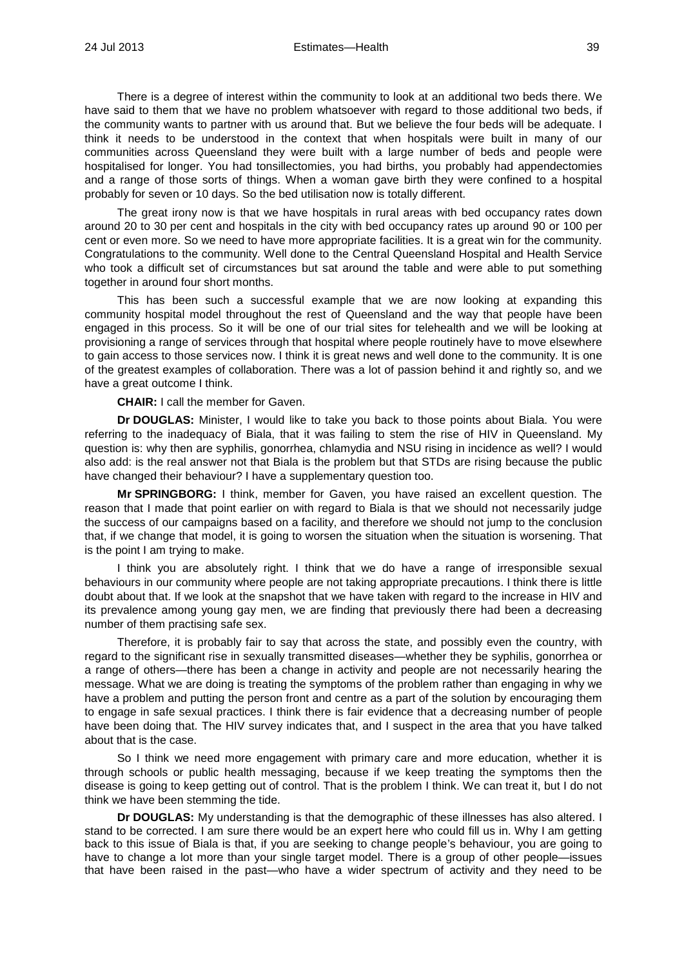There is a degree of interest within the community to look at an additional two beds there. We have said to them that we have no problem whatsoever with regard to those additional two beds, if the community wants to partner with us around that. But we believe the four beds will be adequate. I think it needs to be understood in the context that when hospitals were built in many of our communities across Queensland they were built with a large number of beds and people were hospitalised for longer. You had tonsillectomies, you had births, you probably had appendectomies and a range of those sorts of things. When a woman gave birth they were confined to a hospital probably for seven or 10 days. So the bed utilisation now is totally different.

The great irony now is that we have hospitals in rural areas with bed occupancy rates down around 20 to 30 per cent and hospitals in the city with bed occupancy rates up around 90 or 100 per cent or even more. So we need to have more appropriate facilities. It is a great win for the community. Congratulations to the community. Well done to the Central Queensland Hospital and Health Service who took a difficult set of circumstances but sat around the table and were able to put something together in around four short months.

This has been such a successful example that we are now looking at expanding this community hospital model throughout the rest of Queensland and the way that people have been engaged in this process. So it will be one of our trial sites for telehealth and we will be looking at provisioning a range of services through that hospital where people routinely have to move elsewhere to gain access to those services now. I think it is great news and well done to the community. It is one of the greatest examples of collaboration. There was a lot of passion behind it and rightly so, and we have a great outcome I think.

**CHAIR:** I call the member for Gaven.

**Dr DOUGLAS:** Minister, I would like to take you back to those points about Biala. You were referring to the inadequacy of Biala, that it was failing to stem the rise of HIV in Queensland. My question is: why then are syphilis, gonorrhea, chlamydia and NSU rising in incidence as well? I would also add: is the real answer not that Biala is the problem but that STDs are rising because the public have changed their behaviour? I have a supplementary question too.

**Mr SPRINGBORG:** I think, member for Gaven, you have raised an excellent question. The reason that I made that point earlier on with regard to Biala is that we should not necessarily judge the success of our campaigns based on a facility, and therefore we should not jump to the conclusion that, if we change that model, it is going to worsen the situation when the situation is worsening. That is the point I am trying to make.

I think you are absolutely right. I think that we do have a range of irresponsible sexual behaviours in our community where people are not taking appropriate precautions. I think there is little doubt about that. If we look at the snapshot that we have taken with regard to the increase in HIV and its prevalence among young gay men, we are finding that previously there had been a decreasing number of them practising safe sex.

Therefore, it is probably fair to say that across the state, and possibly even the country, with regard to the significant rise in sexually transmitted diseases—whether they be syphilis, gonorrhea or a range of others—there has been a change in activity and people are not necessarily hearing the message. What we are doing is treating the symptoms of the problem rather than engaging in why we have a problem and putting the person front and centre as a part of the solution by encouraging them to engage in safe sexual practices. I think there is fair evidence that a decreasing number of people have been doing that. The HIV survey indicates that, and I suspect in the area that you have talked about that is the case.

So I think we need more engagement with primary care and more education, whether it is through schools or public health messaging, because if we keep treating the symptoms then the disease is going to keep getting out of control. That is the problem I think. We can treat it, but I do not think we have been stemming the tide.

**Dr DOUGLAS:** My understanding is that the demographic of these illnesses has also altered. I stand to be corrected. I am sure there would be an expert here who could fill us in. Why I am getting back to this issue of Biala is that, if you are seeking to change people's behaviour, you are going to have to change a lot more than your single target model. There is a group of other people—issues that have been raised in the past—who have a wider spectrum of activity and they need to be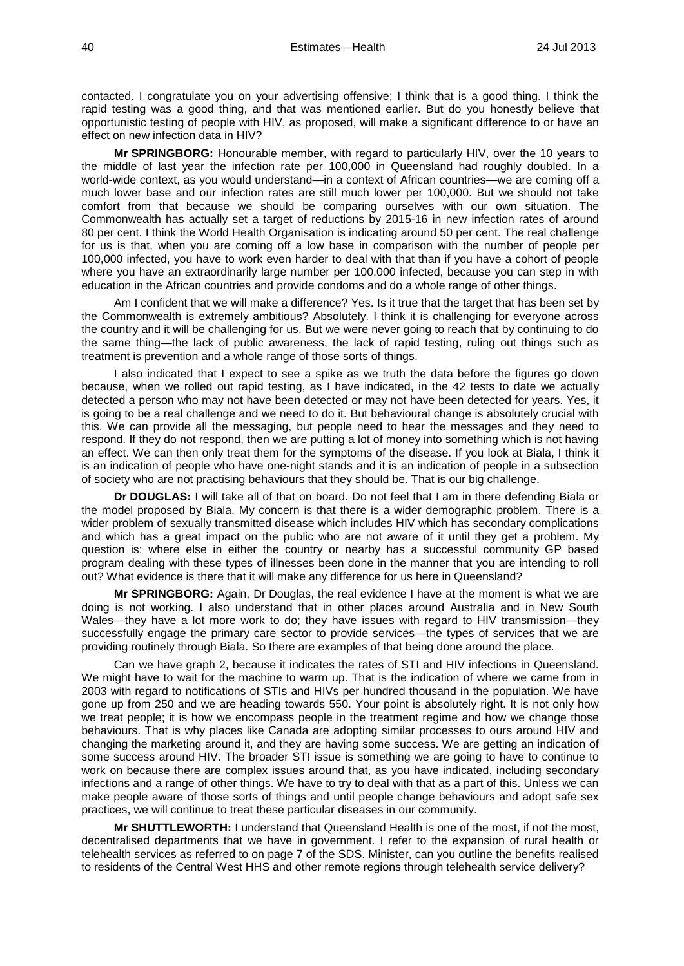contacted. I congratulate you on your advertising offensive; I think that is a good thing. I think the rapid testing was a good thing, and that was mentioned earlier. But do you honestly believe that opportunistic testing of people with HIV, as proposed, will make a significant difference to or have an effect on new infection data in HIV?

**Mr SPRINGBORG:** Honourable member, with regard to particularly HIV, over the 10 years to the middle of last year the infection rate per 100,000 in Queensland had roughly doubled. In a world-wide context, as you would understand—in a context of African countries—we are coming off a much lower base and our infection rates are still much lower per 100,000. But we should not take comfort from that because we should be comparing ourselves with our own situation. The Commonwealth has actually set a target of reductions by 2015-16 in new infection rates of around 80 per cent. I think the World Health Organisation is indicating around 50 per cent. The real challenge for us is that, when you are coming off a low base in comparison with the number of people per 100,000 infected, you have to work even harder to deal with that than if you have a cohort of people where you have an extraordinarily large number per 100,000 infected, because you can step in with education in the African countries and provide condoms and do a whole range of other things.

Am I confident that we will make a difference? Yes. Is it true that the target that has been set by the Commonwealth is extremely ambitious? Absolutely. I think it is challenging for everyone across the country and it will be challenging for us. But we were never going to reach that by continuing to do the same thing—the lack of public awareness, the lack of rapid testing, ruling out things such as treatment is prevention and a whole range of those sorts of things.

I also indicated that I expect to see a spike as we truth the data before the figures go down because, when we rolled out rapid testing, as I have indicated, in the 42 tests to date we actually detected a person who may not have been detected or may not have been detected for years. Yes, it is going to be a real challenge and we need to do it. But behavioural change is absolutely crucial with this. We can provide all the messaging, but people need to hear the messages and they need to respond. If they do not respond, then we are putting a lot of money into something which is not having an effect. We can then only treat them for the symptoms of the disease. If you look at Biala, I think it is an indication of people who have one-night stands and it is an indication of people in a subsection of society who are not practising behaviours that they should be. That is our big challenge.

**Dr DOUGLAS:** I will take all of that on board. Do not feel that I am in there defending Biala or the model proposed by Biala. My concern is that there is a wider demographic problem. There is a wider problem of sexually transmitted disease which includes HIV which has secondary complications and which has a great impact on the public who are not aware of it until they get a problem. My question is: where else in either the country or nearby has a successful community GP based program dealing with these types of illnesses been done in the manner that you are intending to roll out? What evidence is there that it will make any difference for us here in Queensland?

**Mr SPRINGBORG:** Again, Dr Douglas, the real evidence I have at the moment is what we are doing is not working. I also understand that in other places around Australia and in New South Wales—they have a lot more work to do; they have issues with regard to HIV transmission—they successfully engage the primary care sector to provide services—the types of services that we are providing routinely through Biala. So there are examples of that being done around the place.

Can we have graph 2, because it indicates the rates of STI and HIV infections in Queensland. We might have to wait for the machine to warm up. That is the indication of where we came from in 2003 with regard to notifications of STIs and HIVs per hundred thousand in the population. We have gone up from 250 and we are heading towards 550. Your point is absolutely right. It is not only how we treat people; it is how we encompass people in the treatment regime and how we change those behaviours. That is why places like Canada are adopting similar processes to ours around HIV and changing the marketing around it, and they are having some success. We are getting an indication of some success around HIV. The broader STI issue is something we are going to have to continue to work on because there are complex issues around that, as you have indicated, including secondary infections and a range of other things. We have to try to deal with that as a part of this. Unless we can make people aware of those sorts of things and until people change behaviours and adopt safe sex practices, we will continue to treat these particular diseases in our community.

**Mr SHUTTLEWORTH:** I understand that Queensland Health is one of the most, if not the most, decentralised departments that we have in government. I refer to the expansion of rural health or telehealth services as referred to on page 7 of the SDS. Minister, can you outline the benefits realised to residents of the Central West HHS and other remote regions through telehealth service delivery?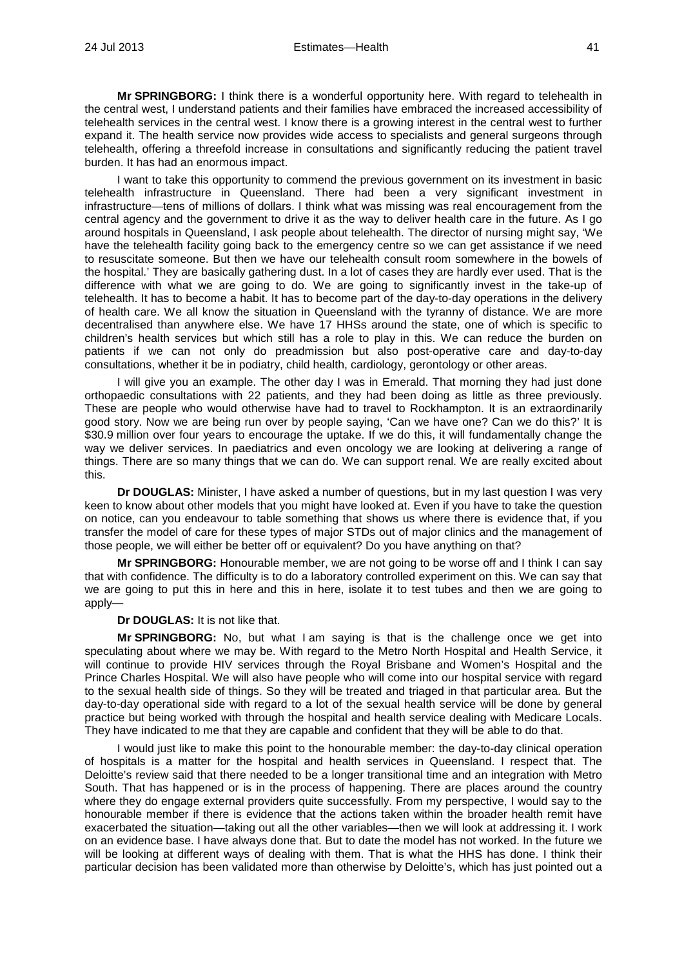**Mr SPRINGBORG:** I think there is a wonderful opportunity here. With regard to telehealth in the central west, I understand patients and their families have embraced the increased accessibility of telehealth services in the central west. I know there is a growing interest in the central west to further expand it. The health service now provides wide access to specialists and general surgeons through telehealth, offering a threefold increase in consultations and significantly reducing the patient travel burden. It has had an enormous impact.

I want to take this opportunity to commend the previous government on its investment in basic telehealth infrastructure in Queensland. There had been a very significant investment in infrastructure—tens of millions of dollars. I think what was missing was real encouragement from the central agency and the government to drive it as the way to deliver health care in the future. As I go around hospitals in Queensland, I ask people about telehealth. The director of nursing might say, 'We have the telehealth facility going back to the emergency centre so we can get assistance if we need to resuscitate someone. But then we have our telehealth consult room somewhere in the bowels of the hospital.' They are basically gathering dust. In a lot of cases they are hardly ever used. That is the difference with what we are going to do. We are going to significantly invest in the take-up of telehealth. It has to become a habit. It has to become part of the day-to-day operations in the delivery of health care. We all know the situation in Queensland with the tyranny of distance. We are more decentralised than anywhere else. We have 17 HHSs around the state, one of which is specific to children's health services but which still has a role to play in this. We can reduce the burden on patients if we can not only do preadmission but also post-operative care and day-to-day consultations, whether it be in podiatry, child health, cardiology, gerontology or other areas.

I will give you an example. The other day I was in Emerald. That morning they had just done orthopaedic consultations with 22 patients, and they had been doing as little as three previously. These are people who would otherwise have had to travel to Rockhampton. It is an extraordinarily good story. Now we are being run over by people saying, 'Can we have one? Can we do this?' It is \$30.9 million over four years to encourage the uptake. If we do this, it will fundamentally change the way we deliver services. In paediatrics and even oncology we are looking at delivering a range of things. There are so many things that we can do. We can support renal. We are really excited about this.

**Dr DOUGLAS:** Minister, I have asked a number of questions, but in my last question I was very keen to know about other models that you might have looked at. Even if you have to take the question on notice, can you endeavour to table something that shows us where there is evidence that, if you transfer the model of care for these types of major STDs out of major clinics and the management of those people, we will either be better off or equivalent? Do you have anything on that?

**Mr SPRINGBORG:** Honourable member, we are not going to be worse off and I think I can say that with confidence. The difficulty is to do a laboratory controlled experiment on this. We can say that we are going to put this in here and this in here, isolate it to test tubes and then we are going to apply—

**Dr DOUGLAS:** It is not like that.

**Mr SPRINGBORG:** No, but what I am saying is that is the challenge once we get into speculating about where we may be. With regard to the Metro North Hospital and Health Service, it will continue to provide HIV services through the Royal Brisbane and Women's Hospital and the Prince Charles Hospital. We will also have people who will come into our hospital service with regard to the sexual health side of things. So they will be treated and triaged in that particular area. But the day-to-day operational side with regard to a lot of the sexual health service will be done by general practice but being worked with through the hospital and health service dealing with Medicare Locals. They have indicated to me that they are capable and confident that they will be able to do that.

I would just like to make this point to the honourable member: the day-to-day clinical operation of hospitals is a matter for the hospital and health services in Queensland. I respect that. The Deloitte's review said that there needed to be a longer transitional time and an integration with Metro South. That has happened or is in the process of happening. There are places around the country where they do engage external providers quite successfully. From my perspective, I would say to the honourable member if there is evidence that the actions taken within the broader health remit have exacerbated the situation—taking out all the other variables—then we will look at addressing it. I work on an evidence base. I have always done that. But to date the model has not worked. In the future we will be looking at different ways of dealing with them. That is what the HHS has done. I think their particular decision has been validated more than otherwise by Deloitte's, which has just pointed out a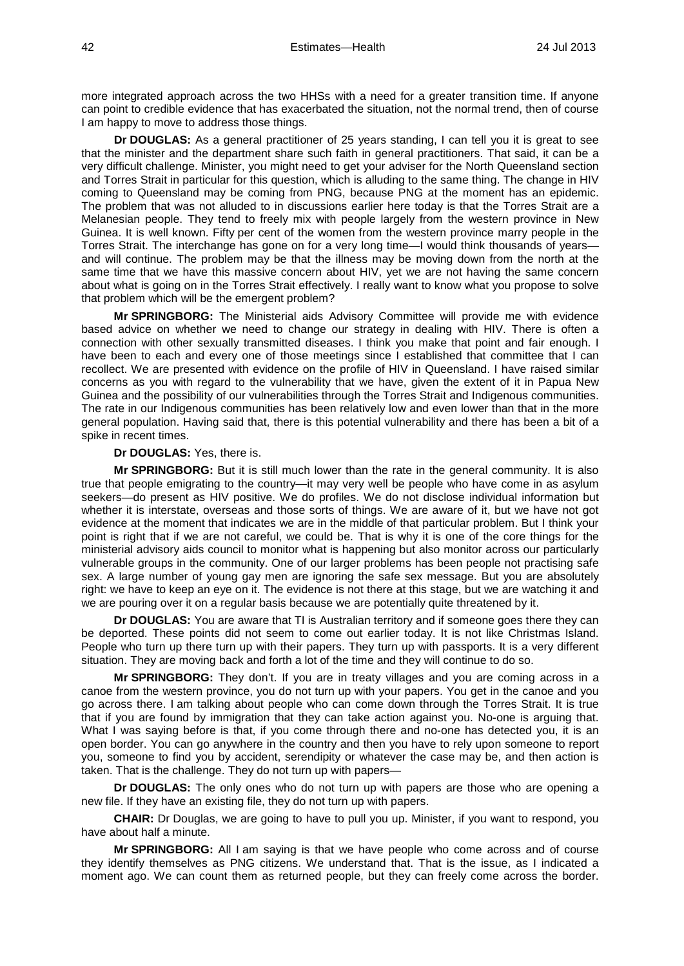more integrated approach across the two HHSs with a need for a greater transition time. If anyone can point to credible evidence that has exacerbated the situation, not the normal trend, then of course I am happy to move to address those things.

**Dr DOUGLAS:** As a general practitioner of 25 years standing, I can tell you it is great to see that the minister and the department share such faith in general practitioners. That said, it can be a very difficult challenge. Minister, you might need to get your adviser for the North Queensland section and Torres Strait in particular for this question, which is alluding to the same thing. The change in HIV coming to Queensland may be coming from PNG, because PNG at the moment has an epidemic. The problem that was not alluded to in discussions earlier here today is that the Torres Strait are a Melanesian people. They tend to freely mix with people largely from the western province in New Guinea. It is well known. Fifty per cent of the women from the western province marry people in the Torres Strait. The interchange has gone on for a very long time—I would think thousands of years and will continue. The problem may be that the illness may be moving down from the north at the same time that we have this massive concern about HIV, yet we are not having the same concern about what is going on in the Torres Strait effectively. I really want to know what you propose to solve that problem which will be the emergent problem?

**Mr SPRINGBORG:** The Ministerial aids Advisory Committee will provide me with evidence based advice on whether we need to change our strategy in dealing with HIV. There is often a connection with other sexually transmitted diseases. I think you make that point and fair enough. I have been to each and every one of those meetings since I established that committee that I can recollect. We are presented with evidence on the profile of HIV in Queensland. I have raised similar concerns as you with regard to the vulnerability that we have, given the extent of it in Papua New Guinea and the possibility of our vulnerabilities through the Torres Strait and Indigenous communities. The rate in our Indigenous communities has been relatively low and even lower than that in the more general population. Having said that, there is this potential vulnerability and there has been a bit of a spike in recent times.

#### **Dr DOUGLAS:** Yes, there is.

**Mr SPRINGBORG:** But it is still much lower than the rate in the general community. It is also true that people emigrating to the country—it may very well be people who have come in as asylum seekers—do present as HIV positive. We do profiles. We do not disclose individual information but whether it is interstate, overseas and those sorts of things. We are aware of it, but we have not got evidence at the moment that indicates we are in the middle of that particular problem. But I think your point is right that if we are not careful, we could be. That is why it is one of the core things for the ministerial advisory aids council to monitor what is happening but also monitor across our particularly vulnerable groups in the community. One of our larger problems has been people not practising safe sex. A large number of young gay men are ignoring the safe sex message. But you are absolutely right: we have to keep an eye on it. The evidence is not there at this stage, but we are watching it and we are pouring over it on a regular basis because we are potentially quite threatened by it.

**Dr DOUGLAS:** You are aware that TI is Australian territory and if someone goes there they can be deported. These points did not seem to come out earlier today. It is not like Christmas Island. People who turn up there turn up with their papers. They turn up with passports. It is a very different situation. They are moving back and forth a lot of the time and they will continue to do so.

**Mr SPRINGBORG:** They don't. If you are in treaty villages and you are coming across in a canoe from the western province, you do not turn up with your papers. You get in the canoe and you go across there. I am talking about people who can come down through the Torres Strait. It is true that if you are found by immigration that they can take action against you. No-one is arguing that. What I was saying before is that, if you come through there and no-one has detected you, it is an open border. You can go anywhere in the country and then you have to rely upon someone to report you, someone to find you by accident, serendipity or whatever the case may be, and then action is taken. That is the challenge. They do not turn up with papers—

**Dr DOUGLAS:** The only ones who do not turn up with papers are those who are opening a new file. If they have an existing file, they do not turn up with papers.

**CHAIR:** Dr Douglas, we are going to have to pull you up. Minister, if you want to respond, you have about half a minute.

**Mr SPRINGBORG:** All I am saying is that we have people who come across and of course they identify themselves as PNG citizens. We understand that. That is the issue, as I indicated a moment ago. We can count them as returned people, but they can freely come across the border.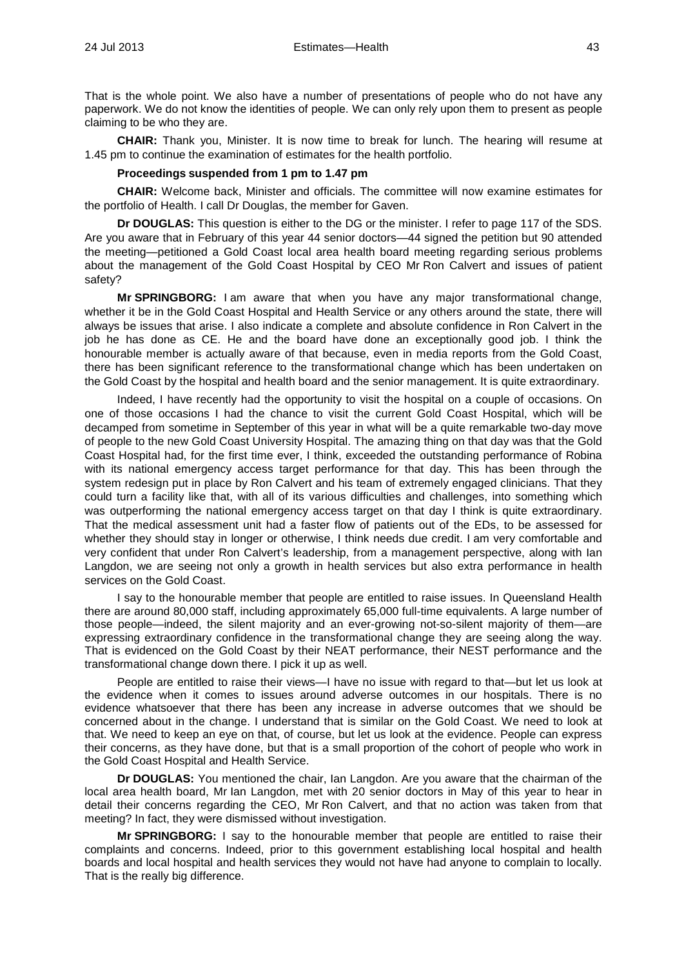That is the whole point. We also have a number of presentations of people who do not have any paperwork. We do not know the identities of people. We can only rely upon them to present as people claiming to be who they are.

**CHAIR:** Thank you, Minister. It is now time to break for lunch. The hearing will resume at 1.45 pm to continue the examination of estimates for the health portfolio.

### **Proceedings suspended from 1 pm to 1.47 pm**

**CHAIR:** Welcome back, Minister and officials. The committee will now examine estimates for the portfolio of Health. I call Dr Douglas, the member for Gaven.

**Dr DOUGLAS:** This question is either to the DG or the minister. I refer to page 117 of the SDS. Are you aware that in February of this year 44 senior doctors—44 signed the petition but 90 attended the meeting—petitioned a Gold Coast local area health board meeting regarding serious problems about the management of the Gold Coast Hospital by CEO Mr Ron Calvert and issues of patient safety?

**Mr SPRINGBORG:** I am aware that when you have any major transformational change, whether it be in the Gold Coast Hospital and Health Service or any others around the state, there will always be issues that arise. I also indicate a complete and absolute confidence in Ron Calvert in the job he has done as CE. He and the board have done an exceptionally good job. I think the honourable member is actually aware of that because, even in media reports from the Gold Coast, there has been significant reference to the transformational change which has been undertaken on the Gold Coast by the hospital and health board and the senior management. It is quite extraordinary.

Indeed, I have recently had the opportunity to visit the hospital on a couple of occasions. On one of those occasions I had the chance to visit the current Gold Coast Hospital, which will be decamped from sometime in September of this year in what will be a quite remarkable two-day move of people to the new Gold Coast University Hospital. The amazing thing on that day was that the Gold Coast Hospital had, for the first time ever, I think, exceeded the outstanding performance of Robina with its national emergency access target performance for that day. This has been through the system redesign put in place by Ron Calvert and his team of extremely engaged clinicians. That they could turn a facility like that, with all of its various difficulties and challenges, into something which was outperforming the national emergency access target on that day I think is quite extraordinary. That the medical assessment unit had a faster flow of patients out of the EDs, to be assessed for whether they should stay in longer or otherwise, I think needs due credit. I am very comfortable and very confident that under Ron Calvert's leadership, from a management perspective, along with Ian Langdon, we are seeing not only a growth in health services but also extra performance in health services on the Gold Coast.

I say to the honourable member that people are entitled to raise issues. In Queensland Health there are around 80,000 staff, including approximately 65,000 full-time equivalents. A large number of those people—indeed, the silent majority and an ever-growing not-so-silent majority of them—are expressing extraordinary confidence in the transformational change they are seeing along the way. That is evidenced on the Gold Coast by their NEAT performance, their NEST performance and the transformational change down there. I pick it up as well.

People are entitled to raise their views—I have no issue with regard to that—but let us look at the evidence when it comes to issues around adverse outcomes in our hospitals. There is no evidence whatsoever that there has been any increase in adverse outcomes that we should be concerned about in the change. I understand that is similar on the Gold Coast. We need to look at that. We need to keep an eye on that, of course, but let us look at the evidence. People can express their concerns, as they have done, but that is a small proportion of the cohort of people who work in the Gold Coast Hospital and Health Service.

**Dr DOUGLAS:** You mentioned the chair, Ian Langdon. Are you aware that the chairman of the local area health board, Mr Ian Langdon, met with 20 senior doctors in May of this year to hear in detail their concerns regarding the CEO, Mr Ron Calvert, and that no action was taken from that meeting? In fact, they were dismissed without investigation.

**Mr SPRINGBORG:** I say to the honourable member that people are entitled to raise their complaints and concerns. Indeed, prior to this government establishing local hospital and health boards and local hospital and health services they would not have had anyone to complain to locally. That is the really big difference.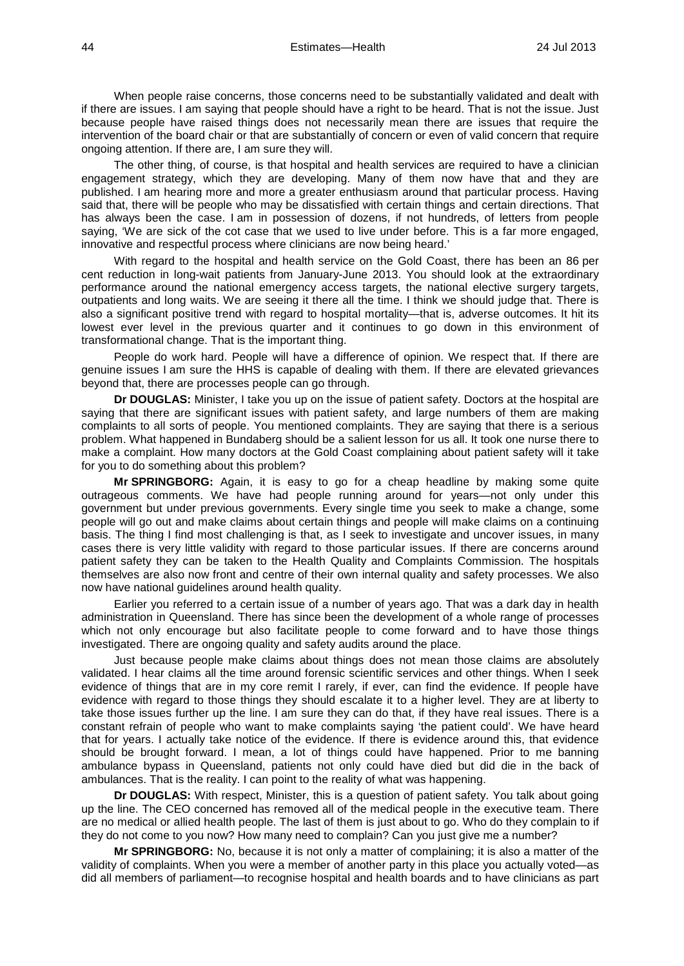When people raise concerns, those concerns need to be substantially validated and dealt with if there are issues. I am saying that people should have a right to be heard. That is not the issue. Just because people have raised things does not necessarily mean there are issues that require the intervention of the board chair or that are substantially of concern or even of valid concern that require ongoing attention. If there are, I am sure they will.

The other thing, of course, is that hospital and health services are required to have a clinician engagement strategy, which they are developing. Many of them now have that and they are published. I am hearing more and more a greater enthusiasm around that particular process. Having said that, there will be people who may be dissatisfied with certain things and certain directions. That has always been the case. I am in possession of dozens, if not hundreds, of letters from people saying, 'We are sick of the cot case that we used to live under before. This is a far more engaged, innovative and respectful process where clinicians are now being heard.'

With regard to the hospital and health service on the Gold Coast, there has been an 86 per cent reduction in long-wait patients from January-June 2013. You should look at the extraordinary performance around the national emergency access targets, the national elective surgery targets, outpatients and long waits. We are seeing it there all the time. I think we should judge that. There is also a significant positive trend with regard to hospital mortality—that is, adverse outcomes. It hit its lowest ever level in the previous quarter and it continues to go down in this environment of transformational change. That is the important thing.

People do work hard. People will have a difference of opinion. We respect that. If there are genuine issues I am sure the HHS is capable of dealing with them. If there are elevated grievances beyond that, there are processes people can go through.

**Dr DOUGLAS:** Minister, I take you up on the issue of patient safety. Doctors at the hospital are saying that there are significant issues with patient safety, and large numbers of them are making complaints to all sorts of people. You mentioned complaints. They are saying that there is a serious problem. What happened in Bundaberg should be a salient lesson for us all. It took one nurse there to make a complaint. How many doctors at the Gold Coast complaining about patient safety will it take for you to do something about this problem?

**Mr SPRINGBORG:** Again, it is easy to go for a cheap headline by making some quite outrageous comments. We have had people running around for years—not only under this government but under previous governments. Every single time you seek to make a change, some people will go out and make claims about certain things and people will make claims on a continuing basis. The thing I find most challenging is that, as I seek to investigate and uncover issues, in many cases there is very little validity with regard to those particular issues. If there are concerns around patient safety they can be taken to the Health Quality and Complaints Commission. The hospitals themselves are also now front and centre of their own internal quality and safety processes. We also now have national guidelines around health quality.

Earlier you referred to a certain issue of a number of years ago. That was a dark day in health administration in Queensland. There has since been the development of a whole range of processes which not only encourage but also facilitate people to come forward and to have those things investigated. There are ongoing quality and safety audits around the place.

Just because people make claims about things does not mean those claims are absolutely validated. I hear claims all the time around forensic scientific services and other things. When I seek evidence of things that are in my core remit I rarely, if ever, can find the evidence. If people have evidence with regard to those things they should escalate it to a higher level. They are at liberty to take those issues further up the line. I am sure they can do that, if they have real issues. There is a constant refrain of people who want to make complaints saying 'the patient could'. We have heard that for years. I actually take notice of the evidence. If there is evidence around this, that evidence should be brought forward. I mean, a lot of things could have happened. Prior to me banning ambulance bypass in Queensland, patients not only could have died but did die in the back of ambulances. That is the reality. I can point to the reality of what was happening.

**Dr DOUGLAS:** With respect, Minister, this is a question of patient safety. You talk about going up the line. The CEO concerned has removed all of the medical people in the executive team. There are no medical or allied health people. The last of them is just about to go. Who do they complain to if they do not come to you now? How many need to complain? Can you just give me a number?

**Mr SPRINGBORG:** No, because it is not only a matter of complaining; it is also a matter of the validity of complaints. When you were a member of another party in this place you actually voted—as did all members of parliament—to recognise hospital and health boards and to have clinicians as part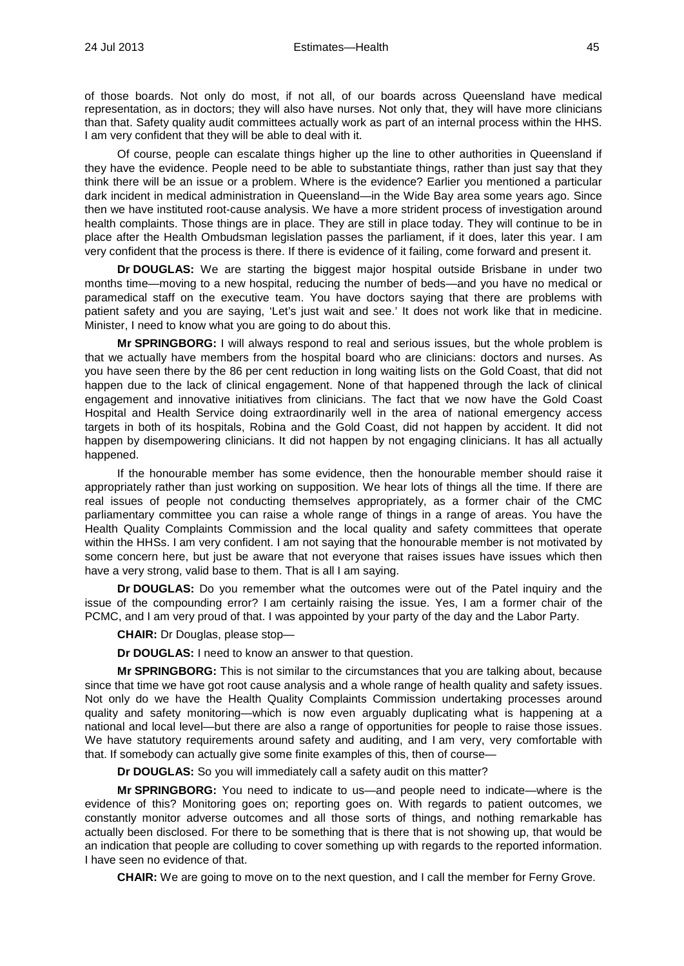of those boards. Not only do most, if not all, of our boards across Queensland have medical representation, as in doctors; they will also have nurses. Not only that, they will have more clinicians than that. Safety quality audit committees actually work as part of an internal process within the HHS. I am very confident that they will be able to deal with it.

Of course, people can escalate things higher up the line to other authorities in Queensland if they have the evidence. People need to be able to substantiate things, rather than just say that they think there will be an issue or a problem. Where is the evidence? Earlier you mentioned a particular dark incident in medical administration in Queensland—in the Wide Bay area some years ago. Since then we have instituted root-cause analysis. We have a more strident process of investigation around health complaints. Those things are in place. They are still in place today. They will continue to be in place after the Health Ombudsman legislation passes the parliament, if it does, later this year. I am very confident that the process is there. If there is evidence of it failing, come forward and present it.

**Dr DOUGLAS:** We are starting the biggest major hospital outside Brisbane in under two months time—moving to a new hospital, reducing the number of beds—and you have no medical or paramedical staff on the executive team. You have doctors saying that there are problems with patient safety and you are saying, 'Let's just wait and see.' It does not work like that in medicine. Minister, I need to know what you are going to do about this.

**Mr SPRINGBORG:** I will always respond to real and serious issues, but the whole problem is that we actually have members from the hospital board who are clinicians: doctors and nurses. As you have seen there by the 86 per cent reduction in long waiting lists on the Gold Coast, that did not happen due to the lack of clinical engagement. None of that happened through the lack of clinical engagement and innovative initiatives from clinicians. The fact that we now have the Gold Coast Hospital and Health Service doing extraordinarily well in the area of national emergency access targets in both of its hospitals, Robina and the Gold Coast, did not happen by accident. It did not happen by disempowering clinicians. It did not happen by not engaging clinicians. It has all actually happened.

If the honourable member has some evidence, then the honourable member should raise it appropriately rather than just working on supposition. We hear lots of things all the time. If there are real issues of people not conducting themselves appropriately, as a former chair of the CMC parliamentary committee you can raise a whole range of things in a range of areas. You have the Health Quality Complaints Commission and the local quality and safety committees that operate within the HHSs. I am very confident. I am not saying that the honourable member is not motivated by some concern here, but just be aware that not everyone that raises issues have issues which then have a very strong, valid base to them. That is all I am saying.

**Dr DOUGLAS:** Do you remember what the outcomes were out of the Patel inquiry and the issue of the compounding error? I am certainly raising the issue. Yes, I am a former chair of the PCMC, and I am very proud of that. I was appointed by your party of the day and the Labor Party.

**CHAIR:** Dr Douglas, please stop—

**Dr DOUGLAS:** I need to know an answer to that question.

**Mr SPRINGBORG:** This is not similar to the circumstances that you are talking about, because since that time we have got root cause analysis and a whole range of health quality and safety issues. Not only do we have the Health Quality Complaints Commission undertaking processes around quality and safety monitoring—which is now even arguably duplicating what is happening at a national and local level—but there are also a range of opportunities for people to raise those issues. We have statutory requirements around safety and auditing, and I am very, very comfortable with that. If somebody can actually give some finite examples of this, then of course—

**Dr DOUGLAS:** So you will immediately call a safety audit on this matter?

**Mr SPRINGBORG:** You need to indicate to us—and people need to indicate—where is the evidence of this? Monitoring goes on; reporting goes on. With regards to patient outcomes, we constantly monitor adverse outcomes and all those sorts of things, and nothing remarkable has actually been disclosed. For there to be something that is there that is not showing up, that would be an indication that people are colluding to cover something up with regards to the reported information. I have seen no evidence of that.

**CHAIR:** We are going to move on to the next question, and I call the member for Ferny Grove.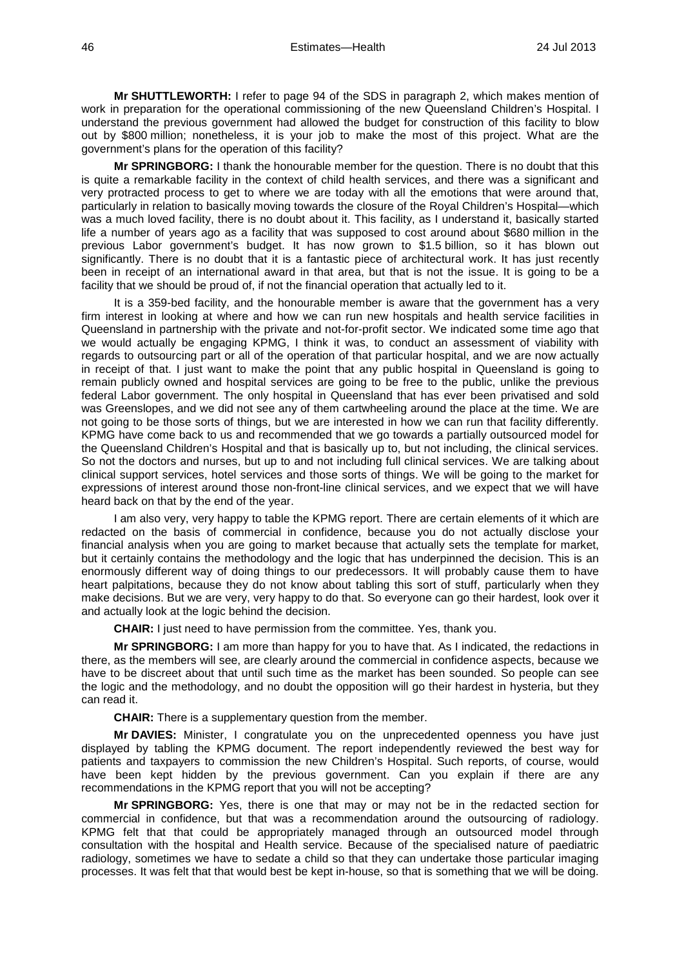**Mr SHUTTLEWORTH:** I refer to page 94 of the SDS in paragraph 2, which makes mention of work in preparation for the operational commissioning of the new Queensland Children's Hospital. I understand the previous government had allowed the budget for construction of this facility to blow out by \$800 million; nonetheless, it is your job to make the most of this project. What are the government's plans for the operation of this facility?

**Mr SPRINGBORG:** I thank the honourable member for the question. There is no doubt that this is quite a remarkable facility in the context of child health services, and there was a significant and very protracted process to get to where we are today with all the emotions that were around that, particularly in relation to basically moving towards the closure of the Royal Children's Hospital—which was a much loved facility, there is no doubt about it. This facility, as I understand it, basically started life a number of years ago as a facility that was supposed to cost around about \$680 million in the previous Labor government's budget. It has now grown to \$1.5 billion, so it has blown out significantly. There is no doubt that it is a fantastic piece of architectural work. It has just recently been in receipt of an international award in that area, but that is not the issue. It is going to be a facility that we should be proud of, if not the financial operation that actually led to it.

It is a 359-bed facility, and the honourable member is aware that the government has a very firm interest in looking at where and how we can run new hospitals and health service facilities in Queensland in partnership with the private and not-for-profit sector. We indicated some time ago that we would actually be engaging KPMG, I think it was, to conduct an assessment of viability with regards to outsourcing part or all of the operation of that particular hospital, and we are now actually in receipt of that. I just want to make the point that any public hospital in Queensland is going to remain publicly owned and hospital services are going to be free to the public, unlike the previous federal Labor government. The only hospital in Queensland that has ever been privatised and sold was Greenslopes, and we did not see any of them cartwheeling around the place at the time. We are not going to be those sorts of things, but we are interested in how we can run that facility differently. KPMG have come back to us and recommended that we go towards a partially outsourced model for the Queensland Children's Hospital and that is basically up to, but not including, the clinical services. So not the doctors and nurses, but up to and not including full clinical services. We are talking about clinical support services, hotel services and those sorts of things. We will be going to the market for expressions of interest around those non-front-line clinical services, and we expect that we will have heard back on that by the end of the year.

I am also very, very happy to table the KPMG report. There are certain elements of it which are redacted on the basis of commercial in confidence, because you do not actually disclose your financial analysis when you are going to market because that actually sets the template for market, but it certainly contains the methodology and the logic that has underpinned the decision. This is an enormously different way of doing things to our predecessors. It will probably cause them to have heart palpitations, because they do not know about tabling this sort of stuff, particularly when they make decisions. But we are very, very happy to do that. So everyone can go their hardest, look over it and actually look at the logic behind the decision.

**CHAIR:** I just need to have permission from the committee. Yes, thank you.

**Mr SPRINGBORG:** I am more than happy for you to have that. As I indicated, the redactions in there, as the members will see, are clearly around the commercial in confidence aspects, because we have to be discreet about that until such time as the market has been sounded. So people can see the logic and the methodology, and no doubt the opposition will go their hardest in hysteria, but they can read it.

**CHAIR:** There is a supplementary question from the member.

**Mr DAVIES:** Minister, I congratulate you on the unprecedented openness you have just displayed by tabling the KPMG document. The report independently reviewed the best way for patients and taxpayers to commission the new Children's Hospital. Such reports, of course, would have been kept hidden by the previous government. Can you explain if there are any recommendations in the KPMG report that you will not be accepting?

**Mr SPRINGBORG:** Yes, there is one that may or may not be in the redacted section for commercial in confidence, but that was a recommendation around the outsourcing of radiology. KPMG felt that that could be appropriately managed through an outsourced model through consultation with the hospital and Health service. Because of the specialised nature of paediatric radiology, sometimes we have to sedate a child so that they can undertake those particular imaging processes. It was felt that that would best be kept in-house, so that is something that we will be doing.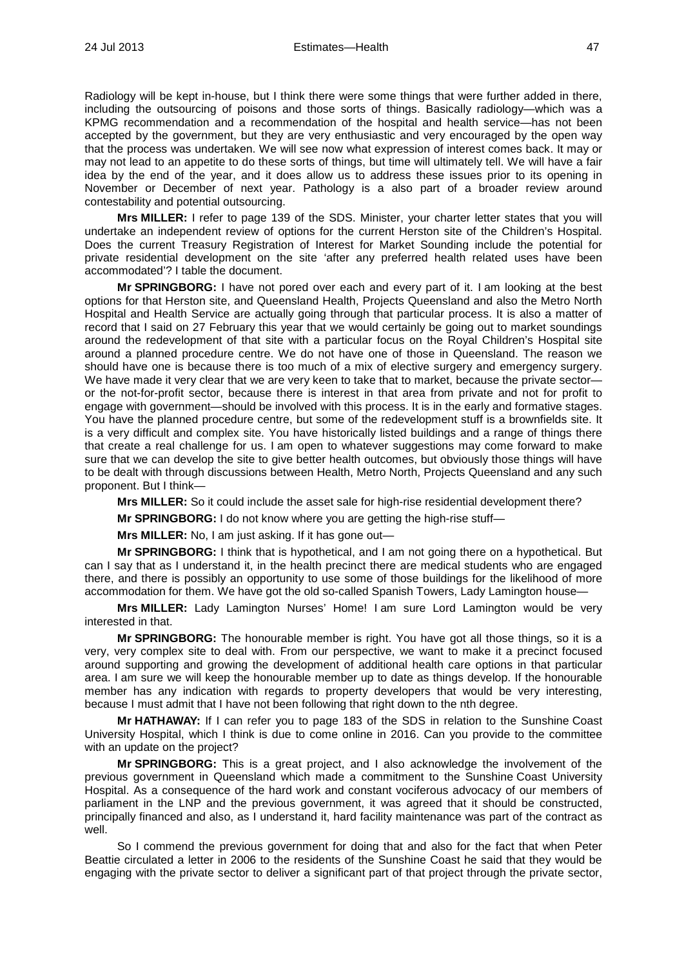Radiology will be kept in-house, but I think there were some things that were further added in there, including the outsourcing of poisons and those sorts of things. Basically radiology—which was a KPMG recommendation and a recommendation of the hospital and health service—has not been accepted by the government, but they are very enthusiastic and very encouraged by the open way that the process was undertaken. We will see now what expression of interest comes back. It may or may not lead to an appetite to do these sorts of things, but time will ultimately tell. We will have a fair idea by the end of the year, and it does allow us to address these issues prior to its opening in November or December of next year. Pathology is a also part of a broader review around contestability and potential outsourcing.

**Mrs MILLER:** I refer to page 139 of the SDS. Minister, your charter letter states that you will undertake an independent review of options for the current Herston site of the Children's Hospital. Does the current Treasury Registration of Interest for Market Sounding include the potential for private residential development on the site 'after any preferred health related uses have been accommodated'? I table the document.

**Mr SPRINGBORG:** I have not pored over each and every part of it. I am looking at the best options for that Herston site, and Queensland Health, Projects Queensland and also the Metro North Hospital and Health Service are actually going through that particular process. It is also a matter of record that I said on 27 February this year that we would certainly be going out to market soundings around the redevelopment of that site with a particular focus on the Royal Children's Hospital site around a planned procedure centre. We do not have one of those in Queensland. The reason we should have one is because there is too much of a mix of elective surgery and emergency surgery. We have made it very clear that we are very keen to take that to market, because the private sector or the not-for-profit sector, because there is interest in that area from private and not for profit to engage with government—should be involved with this process. It is in the early and formative stages. You have the planned procedure centre, but some of the redevelopment stuff is a brownfields site. It is a very difficult and complex site. You have historically listed buildings and a range of things there that create a real challenge for us. I am open to whatever suggestions may come forward to make sure that we can develop the site to give better health outcomes, but obviously those things will have to be dealt with through discussions between Health, Metro North, Projects Queensland and any such proponent. But I think—

**Mrs MILLER:** So it could include the asset sale for high-rise residential development there?

**Mr SPRINGBORG:** I do not know where you are getting the high-rise stuff—

**Mrs MILLER:** No, I am just asking. If it has gone out—

**Mr SPRINGBORG:** I think that is hypothetical, and I am not going there on a hypothetical. But can I say that as I understand it, in the health precinct there are medical students who are engaged there, and there is possibly an opportunity to use some of those buildings for the likelihood of more accommodation for them. We have got the old so-called Spanish Towers, Lady Lamington house—

**Mrs MILLER:** Lady Lamington Nurses' Home! I am sure Lord Lamington would be very interested in that.

**Mr SPRINGBORG:** The honourable member is right. You have got all those things, so it is a very, very complex site to deal with. From our perspective, we want to make it a precinct focused around supporting and growing the development of additional health care options in that particular area. I am sure we will keep the honourable member up to date as things develop. If the honourable member has any indication with regards to property developers that would be very interesting, because I must admit that I have not been following that right down to the nth degree.

**Mr HATHAWAY:** If I can refer you to page 183 of the SDS in relation to the Sunshine Coast University Hospital, which I think is due to come online in 2016. Can you provide to the committee with an update on the project?

**Mr SPRINGBORG:** This is a great project, and I also acknowledge the involvement of the previous government in Queensland which made a commitment to the Sunshine Coast University Hospital. As a consequence of the hard work and constant vociferous advocacy of our members of parliament in the LNP and the previous government, it was agreed that it should be constructed, principally financed and also, as I understand it, hard facility maintenance was part of the contract as well.

So I commend the previous government for doing that and also for the fact that when Peter Beattie circulated a letter in 2006 to the residents of the Sunshine Coast he said that they would be engaging with the private sector to deliver a significant part of that project through the private sector,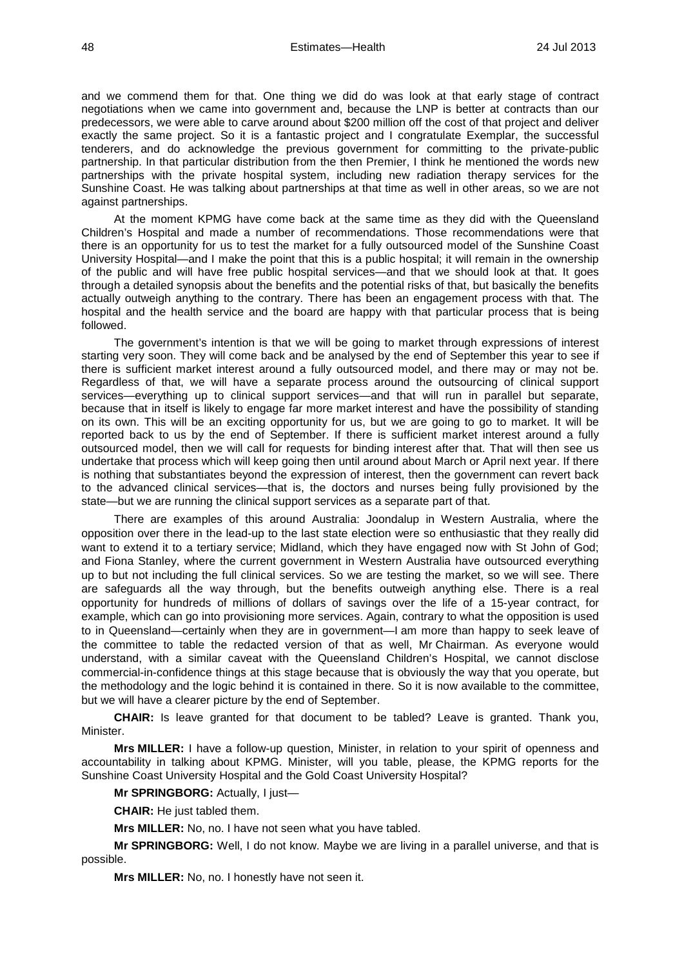and we commend them for that. One thing we did do was look at that early stage of contract negotiations when we came into government and, because the LNP is better at contracts than our predecessors, we were able to carve around about \$200 million off the cost of that project and deliver exactly the same project. So it is a fantastic project and I congratulate Exemplar, the successful tenderers, and do acknowledge the previous government for committing to the private-public partnership. In that particular distribution from the then Premier, I think he mentioned the words new partnerships with the private hospital system, including new radiation therapy services for the Sunshine Coast. He was talking about partnerships at that time as well in other areas, so we are not against partnerships.

At the moment KPMG have come back at the same time as they did with the Queensland Children's Hospital and made a number of recommendations. Those recommendations were that there is an opportunity for us to test the market for a fully outsourced model of the Sunshine Coast University Hospital—and I make the point that this is a public hospital; it will remain in the ownership of the public and will have free public hospital services—and that we should look at that. It goes through a detailed synopsis about the benefits and the potential risks of that, but basically the benefits actually outweigh anything to the contrary. There has been an engagement process with that. The hospital and the health service and the board are happy with that particular process that is being followed.

The government's intention is that we will be going to market through expressions of interest starting very soon. They will come back and be analysed by the end of September this year to see if there is sufficient market interest around a fully outsourced model, and there may or may not be. Regardless of that, we will have a separate process around the outsourcing of clinical support services—everything up to clinical support services—and that will run in parallel but separate, because that in itself is likely to engage far more market interest and have the possibility of standing on its own. This will be an exciting opportunity for us, but we are going to go to market. It will be reported back to us by the end of September. If there is sufficient market interest around a fully outsourced model, then we will call for requests for binding interest after that. That will then see us undertake that process which will keep going then until around about March or April next year. If there is nothing that substantiates beyond the expression of interest, then the government can revert back to the advanced clinical services—that is, the doctors and nurses being fully provisioned by the state—but we are running the clinical support services as a separate part of that.

There are examples of this around Australia: Joondalup in Western Australia, where the opposition over there in the lead-up to the last state election were so enthusiastic that they really did want to extend it to a tertiary service; Midland, which they have engaged now with St John of God; and Fiona Stanley, where the current government in Western Australia have outsourced everything up to but not including the full clinical services. So we are testing the market, so we will see. There are safeguards all the way through, but the benefits outweigh anything else. There is a real opportunity for hundreds of millions of dollars of savings over the life of a 15-year contract, for example, which can go into provisioning more services. Again, contrary to what the opposition is used to in Queensland—certainly when they are in government—I am more than happy to seek leave of the committee to table the redacted version of that as well, Mr Chairman. As everyone would understand, with a similar caveat with the Queensland Children's Hospital, we cannot disclose commercial-in-confidence things at this stage because that is obviously the way that you operate, but the methodology and the logic behind it is contained in there. So it is now available to the committee, but we will have a clearer picture by the end of September.

**CHAIR:** Is leave granted for that document to be tabled? Leave is granted. Thank you, Minister.

**Mrs MILLER:** I have a follow-up question, Minister, in relation to your spirit of openness and accountability in talking about KPMG. Minister, will you table, please, the KPMG reports for the Sunshine Coast University Hospital and the Gold Coast University Hospital?

**Mr SPRINGBORG:** Actually, I just—

**CHAIR:** He just tabled them.

**Mrs MILLER:** No, no. I have not seen what you have tabled.

**Mr SPRINGBORG:** Well, I do not know. Maybe we are living in a parallel universe, and that is possible.

**Mrs MILLER:** No, no. I honestly have not seen it.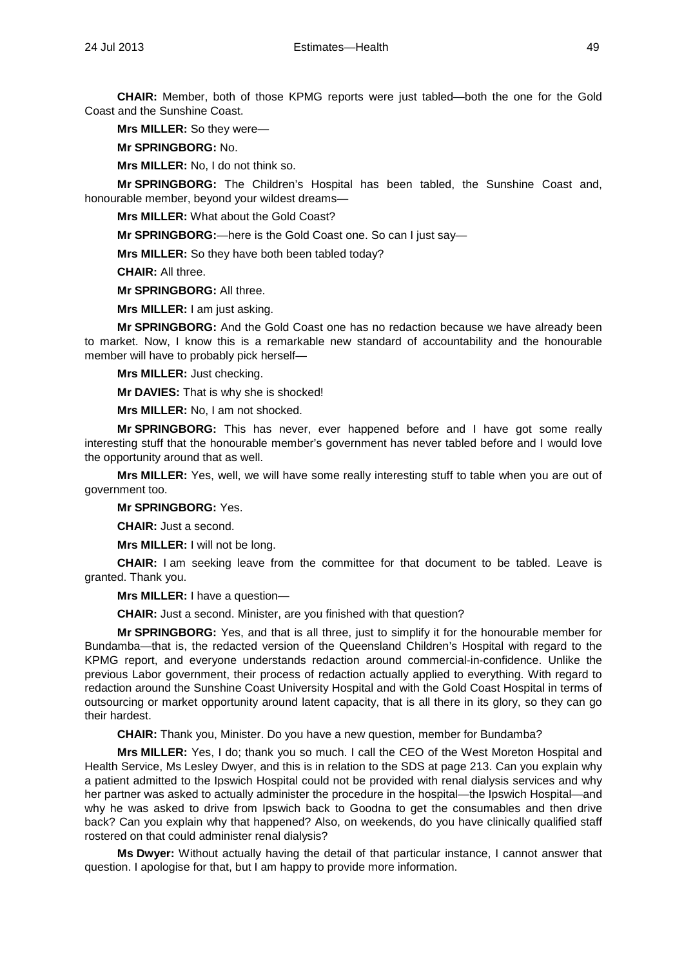**CHAIR:** Member, both of those KPMG reports were just tabled—both the one for the Gold Coast and the Sunshine Coast.

**Mrs MILLER:** So they were—

**Mr SPRINGBORG:** No.

**Mrs MILLER:** No, I do not think so.

**Mr SPRINGBORG:** The Children's Hospital has been tabled, the Sunshine Coast and, honourable member, beyond your wildest dreams—

**Mrs MILLER:** What about the Gold Coast?

**Mr SPRINGBORG:**—here is the Gold Coast one. So can I just say—

**Mrs MILLER:** So they have both been tabled today?

**CHAIR:** All three.

**Mr SPRINGBORG:** All three.

**Mrs MILLER:** I am just asking.

**Mr SPRINGBORG:** And the Gold Coast one has no redaction because we have already been to market. Now, I know this is a remarkable new standard of accountability and the honourable member will have to probably pick herself—

**Mrs MILLER:** Just checking.

**Mr DAVIES:** That is why she is shocked!

**Mrs MILLER:** No, I am not shocked.

**Mr SPRINGBORG:** This has never, ever happened before and I have got some really interesting stuff that the honourable member's government has never tabled before and I would love the opportunity around that as well.

**Mrs MILLER:** Yes, well, we will have some really interesting stuff to table when you are out of government too.

**Mr SPRINGBORG:** Yes.

**CHAIR:** Just a second.

**Mrs MILLER:** I will not be long.

**CHAIR:** I am seeking leave from the committee for that document to be tabled. Leave is granted. Thank you.

**Mrs MILLER:** I have a question—

**CHAIR:** Just a second. Minister, are you finished with that question?

**Mr SPRINGBORG:** Yes, and that is all three, just to simplify it for the honourable member for Bundamba—that is, the redacted version of the Queensland Children's Hospital with regard to the KPMG report, and everyone understands redaction around commercial-in-confidence. Unlike the previous Labor government, their process of redaction actually applied to everything. With regard to redaction around the Sunshine Coast University Hospital and with the Gold Coast Hospital in terms of outsourcing or market opportunity around latent capacity, that is all there in its glory, so they can go their hardest.

**CHAIR:** Thank you, Minister. Do you have a new question, member for Bundamba?

**Mrs MILLER:** Yes, I do; thank you so much. I call the CEO of the West Moreton Hospital and Health Service, Ms Lesley Dwyer, and this is in relation to the SDS at page 213. Can you explain why a patient admitted to the Ipswich Hospital could not be provided with renal dialysis services and why her partner was asked to actually administer the procedure in the hospital—the Ipswich Hospital—and why he was asked to drive from Ipswich back to Goodna to get the consumables and then drive back? Can you explain why that happened? Also, on weekends, do you have clinically qualified staff rostered on that could administer renal dialysis?

**Ms Dwyer:** Without actually having the detail of that particular instance, I cannot answer that question. I apologise for that, but I am happy to provide more information.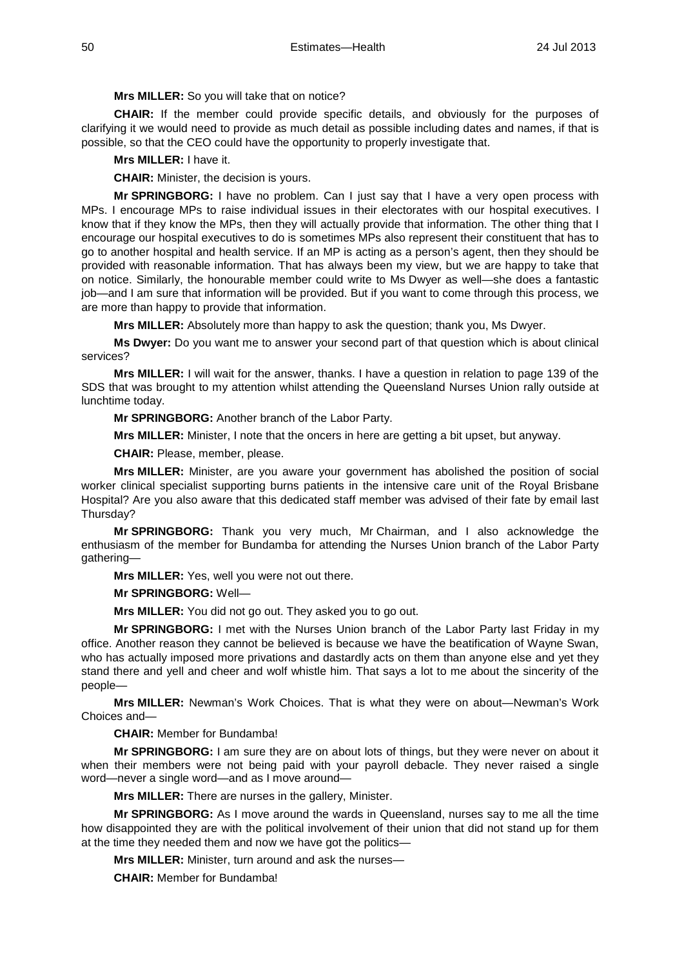### **Mrs MILLER:** So you will take that on notice?

**CHAIR:** If the member could provide specific details, and obviously for the purposes of clarifying it we would need to provide as much detail as possible including dates and names, if that is possible, so that the CEO could have the opportunity to properly investigate that.

## **Mrs MILLER:** I have it.

**CHAIR:** Minister, the decision is yours.

**Mr SPRINGBORG:** I have no problem. Can I just say that I have a very open process with MPs. I encourage MPs to raise individual issues in their electorates with our hospital executives. I know that if they know the MPs, then they will actually provide that information. The other thing that I encourage our hospital executives to do is sometimes MPs also represent their constituent that has to go to another hospital and health service. If an MP is acting as a person's agent, then they should be provided with reasonable information. That has always been my view, but we are happy to take that on notice. Similarly, the honourable member could write to Ms Dwyer as well—she does a fantastic job—and I am sure that information will be provided. But if you want to come through this process, we are more than happy to provide that information.

**Mrs MILLER:** Absolutely more than happy to ask the question; thank you, Ms Dwyer.

**Ms Dwyer:** Do you want me to answer your second part of that question which is about clinical services?

**Mrs MILLER:** I will wait for the answer, thanks. I have a question in relation to page 139 of the SDS that was brought to my attention whilst attending the Queensland Nurses Union rally outside at lunchtime today.

**Mr SPRINGBORG:** Another branch of the Labor Party.

**Mrs MILLER:** Minister, I note that the oncers in here are getting a bit upset, but anyway.

**CHAIR:** Please, member, please.

**Mrs MILLER:** Minister, are you aware your government has abolished the position of social worker clinical specialist supporting burns patients in the intensive care unit of the Royal Brisbane Hospital? Are you also aware that this dedicated staff member was advised of their fate by email last Thursday?

**Mr SPRINGBORG:** Thank you very much, Mr Chairman, and I also acknowledge the enthusiasm of the member for Bundamba for attending the Nurses Union branch of the Labor Party gathering—

**Mrs MILLER:** Yes, well you were not out there.

**Mr SPRINGBORG:** Well—

**Mrs MILLER:** You did not go out. They asked you to go out.

**Mr SPRINGBORG:** I met with the Nurses Union branch of the Labor Party last Friday in my office. Another reason they cannot be believed is because we have the beatification of Wayne Swan, who has actually imposed more privations and dastardly acts on them than anyone else and yet they stand there and yell and cheer and wolf whistle him. That says a lot to me about the sincerity of the people—

**Mrs MILLER:** Newman's Work Choices. That is what they were on about—Newman's Work Choices and—

**CHAIR:** Member for Bundamba!

**Mr SPRINGBORG:** I am sure they are on about lots of things, but they were never on about it when their members were not being paid with your payroll debacle. They never raised a single word—never a single word—and as I move around—

**Mrs MILLER:** There are nurses in the gallery, Minister.

**Mr SPRINGBORG:** As I move around the wards in Queensland, nurses say to me all the time how disappointed they are with the political involvement of their union that did not stand up for them at the time they needed them and now we have got the politics—

**Mrs MILLER:** Minister, turn around and ask the nurses—

**CHAIR:** Member for Bundamba!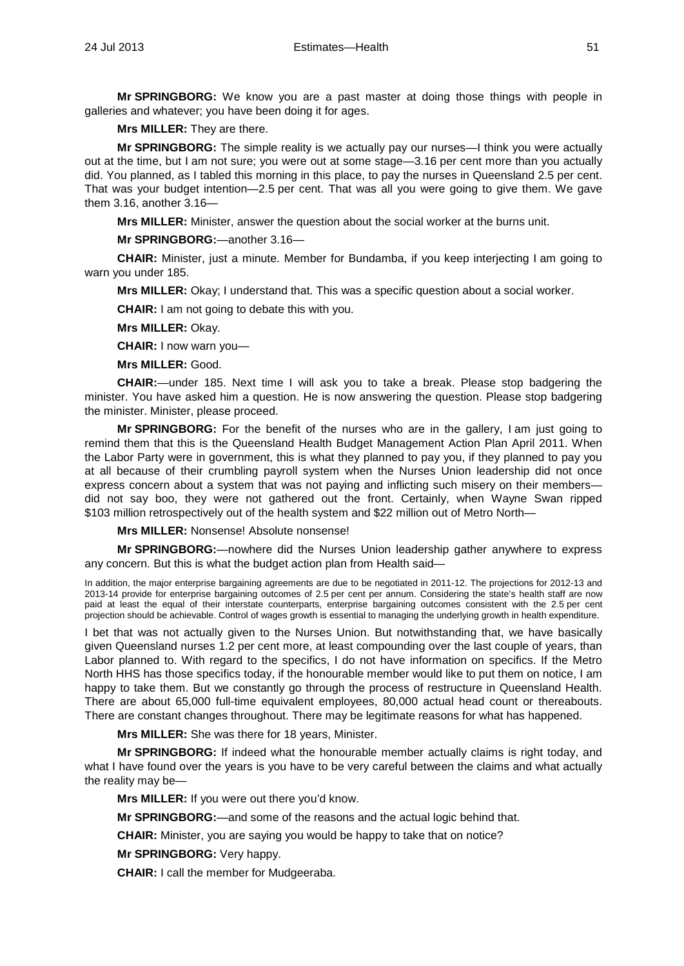**Mr SPRINGBORG:** We know you are a past master at doing those things with people in galleries and whatever; you have been doing it for ages.

**Mrs MILLER:** They are there.

**Mr SPRINGBORG:** The simple reality is we actually pay our nurses—I think you were actually out at the time, but I am not sure; you were out at some stage—3.16 per cent more than you actually did. You planned, as I tabled this morning in this place, to pay the nurses in Queensland 2.5 per cent. That was your budget intention—2.5 per cent. That was all you were going to give them. We gave them 3.16, another 3.16—

**Mrs MILLER:** Minister, answer the question about the social worker at the burns unit.

**Mr SPRINGBORG:**—another 3.16—

**CHAIR:** Minister, just a minute. Member for Bundamba, if you keep interjecting I am going to warn you under 185.

**Mrs MILLER:** Okay; I understand that. This was a specific question about a social worker.

**CHAIR:** I am not going to debate this with you.

**Mrs MILLER:** Okay.

**CHAIR:** I now warn you—

**Mrs MILLER:** Good.

**CHAIR:**—under 185. Next time I will ask you to take a break. Please stop badgering the minister. You have asked him a question. He is now answering the question. Please stop badgering the minister. Minister, please proceed.

**Mr SPRINGBORG:** For the benefit of the nurses who are in the gallery, I am just going to remind them that this is the Queensland Health Budget Management Action Plan April 2011. When the Labor Party were in government, this is what they planned to pay you, if they planned to pay you at all because of their crumbling payroll system when the Nurses Union leadership did not once express concern about a system that was not paying and inflicting such misery on their members did not say boo, they were not gathered out the front. Certainly, when Wayne Swan ripped \$103 million retrospectively out of the health system and \$22 million out of Metro North—

**Mrs MILLER:** Nonsense! Absolute nonsense!

**Mr SPRINGBORG:**—nowhere did the Nurses Union leadership gather anywhere to express any concern. But this is what the budget action plan from Health said—

In addition, the major enterprise bargaining agreements are due to be negotiated in 2011-12. The projections for 2012-13 and 2013-14 provide for enterprise bargaining outcomes of 2.5 per cent per annum. Considering the state's health staff are now paid at least the equal of their interstate counterparts, enterprise bargaining outcomes consistent with the 2.5 per cent projection should be achievable. Control of wages growth is essential to managing the underlying growth in health expenditure.

I bet that was not actually given to the Nurses Union. But notwithstanding that, we have basically given Queensland nurses 1.2 per cent more, at least compounding over the last couple of years, than Labor planned to. With regard to the specifics, I do not have information on specifics. If the Metro North HHS has those specifics today, if the honourable member would like to put them on notice, I am happy to take them. But we constantly go through the process of restructure in Queensland Health. There are about 65,000 full-time equivalent employees, 80,000 actual head count or thereabouts. There are constant changes throughout. There may be legitimate reasons for what has happened.

**Mrs MILLER:** She was there for 18 years, Minister.

**Mr SPRINGBORG:** If indeed what the honourable member actually claims is right today, and what I have found over the years is you have to be very careful between the claims and what actually the reality may be—

**Mrs MILLER:** If you were out there you'd know.

**Mr SPRINGBORG:**—and some of the reasons and the actual logic behind that.

**CHAIR:** Minister, you are saying you would be happy to take that on notice?

**Mr SPRINGBORG:** Very happy.

**CHAIR:** I call the member for Mudgeeraba.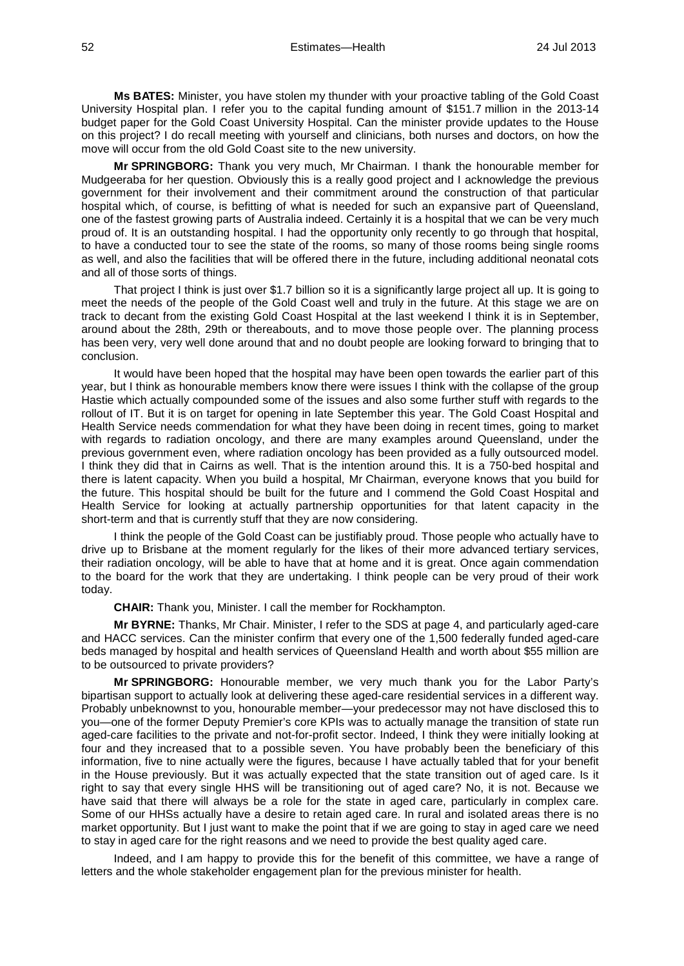**Ms BATES:** Minister, you have stolen my thunder with your proactive tabling of the Gold Coast University Hospital plan. I refer you to the capital funding amount of \$151.7 million in the 2013-14 budget paper for the Gold Coast University Hospital. Can the minister provide updates to the House on this project? I do recall meeting with yourself and clinicians, both nurses and doctors, on how the move will occur from the old Gold Coast site to the new university.

**Mr SPRINGBORG:** Thank you very much, Mr Chairman. I thank the honourable member for Mudgeeraba for her question. Obviously this is a really good project and I acknowledge the previous government for their involvement and their commitment around the construction of that particular hospital which, of course, is befitting of what is needed for such an expansive part of Queensland, one of the fastest growing parts of Australia indeed. Certainly it is a hospital that we can be very much proud of. It is an outstanding hospital. I had the opportunity only recently to go through that hospital, to have a conducted tour to see the state of the rooms, so many of those rooms being single rooms as well, and also the facilities that will be offered there in the future, including additional neonatal cots and all of those sorts of things.

That project I think is just over \$1.7 billion so it is a significantly large project all up. It is going to meet the needs of the people of the Gold Coast well and truly in the future. At this stage we are on track to decant from the existing Gold Coast Hospital at the last weekend I think it is in September, around about the 28th, 29th or thereabouts, and to move those people over. The planning process has been very, very well done around that and no doubt people are looking forward to bringing that to conclusion.

It would have been hoped that the hospital may have been open towards the earlier part of this year, but I think as honourable members know there were issues I think with the collapse of the group Hastie which actually compounded some of the issues and also some further stuff with regards to the rollout of IT. But it is on target for opening in late September this year. The Gold Coast Hospital and Health Service needs commendation for what they have been doing in recent times, going to market with regards to radiation oncology, and there are many examples around Queensland, under the previous government even, where radiation oncology has been provided as a fully outsourced model. I think they did that in Cairns as well. That is the intention around this. It is a 750-bed hospital and there is latent capacity. When you build a hospital, Mr Chairman, everyone knows that you build for the future. This hospital should be built for the future and I commend the Gold Coast Hospital and Health Service for looking at actually partnership opportunities for that latent capacity in the short-term and that is currently stuff that they are now considering.

I think the people of the Gold Coast can be justifiably proud. Those people who actually have to drive up to Brisbane at the moment regularly for the likes of their more advanced tertiary services, their radiation oncology, will be able to have that at home and it is great. Once again commendation to the board for the work that they are undertaking. I think people can be very proud of their work today.

**CHAIR:** Thank you, Minister. I call the member for Rockhampton.

**Mr BYRNE:** Thanks, Mr Chair. Minister, I refer to the SDS at page 4, and particularly aged-care and HACC services. Can the minister confirm that every one of the 1,500 federally funded aged-care beds managed by hospital and health services of Queensland Health and worth about \$55 million are to be outsourced to private providers?

**Mr SPRINGBORG:** Honourable member, we very much thank you for the Labor Party's bipartisan support to actually look at delivering these aged-care residential services in a different way. Probably unbeknownst to you, honourable member—your predecessor may not have disclosed this to you—one of the former Deputy Premier's core KPIs was to actually manage the transition of state run aged-care facilities to the private and not-for-profit sector. Indeed, I think they were initially looking at four and they increased that to a possible seven. You have probably been the beneficiary of this information, five to nine actually were the figures, because I have actually tabled that for your benefit in the House previously. But it was actually expected that the state transition out of aged care. Is it right to say that every single HHS will be transitioning out of aged care? No, it is not. Because we have said that there will always be a role for the state in aged care, particularly in complex care. Some of our HHSs actually have a desire to retain aged care. In rural and isolated areas there is no market opportunity. But I just want to make the point that if we are going to stay in aged care we need to stay in aged care for the right reasons and we need to provide the best quality aged care.

Indeed, and I am happy to provide this for the benefit of this committee, we have a range of letters and the whole stakeholder engagement plan for the previous minister for health.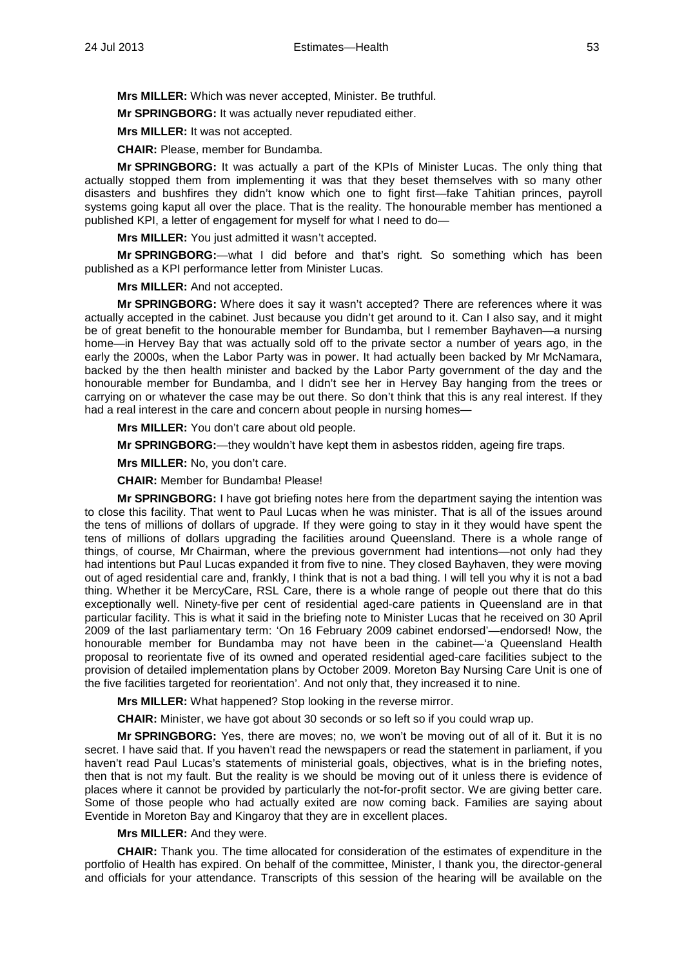**Mrs MILLER:** Which was never accepted, Minister. Be truthful.

**Mr SPRINGBORG:** It was actually never repudiated either.

**Mrs MILLER:** It was not accepted.

**CHAIR:** Please, member for Bundamba.

**Mr SPRINGBORG:** It was actually a part of the KPIs of Minister Lucas. The only thing that actually stopped them from implementing it was that they beset themselves with so many other disasters and bushfires they didn't know which one to fight first—fake Tahitian princes, payroll systems going kaput all over the place. That is the reality. The honourable member has mentioned a published KPI, a letter of engagement for myself for what I need to do—

**Mrs MILLER:** You just admitted it wasn't accepted.

**Mr SPRINGBORG:**—what I did before and that's right. So something which has been published as a KPI performance letter from Minister Lucas.

**Mrs MILLER:** And not accepted.

**Mr SPRINGBORG:** Where does it say it wasn't accepted? There are references where it was actually accepted in the cabinet. Just because you didn't get around to it. Can I also say, and it might be of great benefit to the honourable member for Bundamba, but I remember Bayhaven—a nursing home—in Hervey Bay that was actually sold off to the private sector a number of years ago, in the early the 2000s, when the Labor Party was in power. It had actually been backed by Mr McNamara, backed by the then health minister and backed by the Labor Party government of the day and the honourable member for Bundamba, and I didn't see her in Hervey Bay hanging from the trees or carrying on or whatever the case may be out there. So don't think that this is any real interest. If they had a real interest in the care and concern about people in nursing homes-

**Mrs MILLER:** You don't care about old people.

**Mr SPRINGBORG:**—they wouldn't have kept them in asbestos ridden, ageing fire traps.

**Mrs MILLER:** No, you don't care.

**CHAIR:** Member for Bundamba! Please!

**Mr SPRINGBORG:** I have got briefing notes here from the department saying the intention was to close this facility. That went to Paul Lucas when he was minister. That is all of the issues around the tens of millions of dollars of upgrade. If they were going to stay in it they would have spent the tens of millions of dollars upgrading the facilities around Queensland. There is a whole range of things, of course, Mr Chairman, where the previous government had intentions—not only had they had intentions but Paul Lucas expanded it from five to nine. They closed Bayhaven, they were moving out of aged residential care and, frankly, I think that is not a bad thing. I will tell you why it is not a bad thing. Whether it be MercyCare, RSL Care, there is a whole range of people out there that do this exceptionally well. Ninety-five per cent of residential aged-care patients in Queensland are in that particular facility. This is what it said in the briefing note to Minister Lucas that he received on 30 April 2009 of the last parliamentary term: 'On 16 February 2009 cabinet endorsed'—endorsed! Now, the honourable member for Bundamba may not have been in the cabinet—'a Queensland Health proposal to reorientate five of its owned and operated residential aged-care facilities subject to the provision of detailed implementation plans by October 2009. Moreton Bay Nursing Care Unit is one of the five facilities targeted for reorientation'. And not only that, they increased it to nine.

**Mrs MILLER:** What happened? Stop looking in the reverse mirror.

**CHAIR:** Minister, we have got about 30 seconds or so left so if you could wrap up.

**Mr SPRINGBORG:** Yes, there are moves; no, we won't be moving out of all of it. But it is no secret. I have said that. If you haven't read the newspapers or read the statement in parliament, if you haven't read Paul Lucas's statements of ministerial goals, objectives, what is in the briefing notes, then that is not my fault. But the reality is we should be moving out of it unless there is evidence of places where it cannot be provided by particularly the not-for-profit sector. We are giving better care. Some of those people who had actually exited are now coming back. Families are saying about Eventide in Moreton Bay and Kingaroy that they are in excellent places.

**Mrs MILLER:** And they were.

**CHAIR:** Thank you. The time allocated for consideration of the estimates of expenditure in the portfolio of Health has expired. On behalf of the committee, Minister, I thank you, the director-general and officials for your attendance. Transcripts of this session of the hearing will be available on the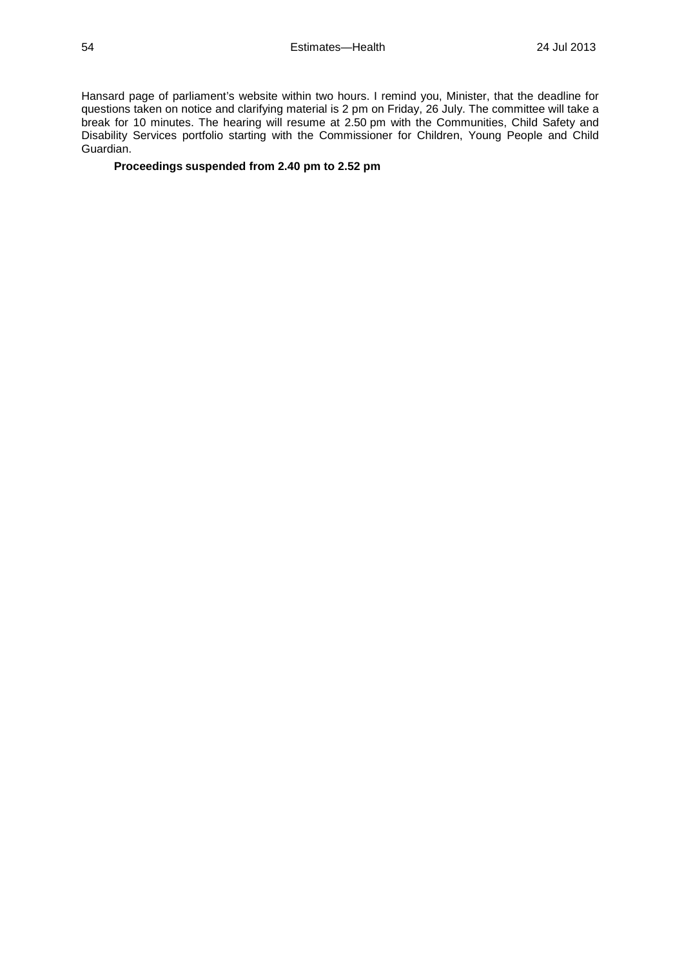Hansard page of parliament's website within two hours. I remind you, Minister, that the deadline for questions taken on notice and clarifying material is 2 pm on Friday, 26 July. The committee will take a break for 10 minutes. The hearing will resume at 2.50 pm with the Communities, Child Safety and Disability Services portfolio starting with the Commissioner for Children, Young People and Child Guardian.

# **Proceedings suspended from 2.40 pm to 2.52 pm**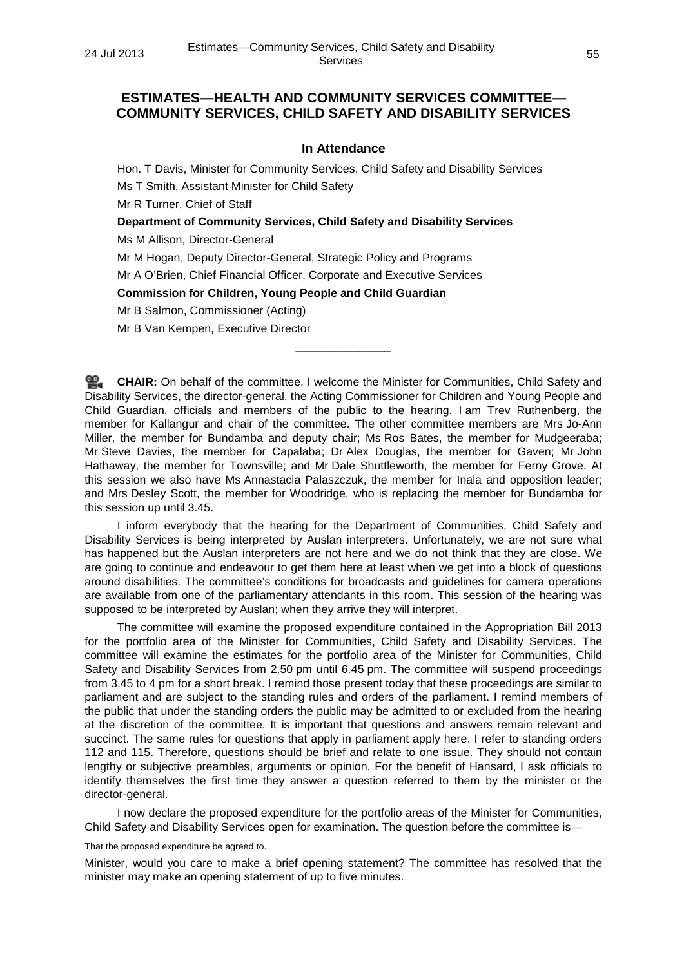# **ESTIMATES—HEALTH AND COMMUNITY SERVICES COMMITTEE— COMMUNITY SERVICES, CHILD SAFETY AND DISABILITY SERVICES**

### **In Attendance**

Hon. T Davis, Minister for Community Services, Child Safety and Disability Services Ms T Smith, Assistant Minister for Child Safety Mr R Turner, Chief of Staff **Department of Community Services, Child Safety and Disability Services** Ms M Allison, Director-General Mr M Hogan, Deputy Director-General, Strategic Policy and Programs Mr A O'Brien, Chief Financial Officer, Corporate and Executive Services

**Commission for Children, Young People and Child Guardian**

Mr B Salmon, Commissioner (Acting)

Mr B Van Kempen, Executive Director

≌. **[CHAIR:](http://www.parliament.qld.gov.au/docs/find.aspx?id=0Mba20130724_145305)** On behalf of the committee, I welcome the Minister for Communities, Child Safety and Disability Services, the director-general, the Acting Commissioner for Children and Young People and Child Guardian, officials and members of the public to the hearing. I am Trev Ruthenberg, the member for Kallangur and chair of the committee. The other committee members are Mrs Jo-Ann Miller, the member for Bundamba and deputy chair; Ms Ros Bates, the member for Mudgeeraba; Mr Steve Davies, the member for Capalaba; Dr Alex Douglas, the member for Gaven; Mr John Hathaway, the member for Townsville; and Mr Dale Shuttleworth, the member for Ferny Grove. At this session we also have Ms Annastacia Palaszczuk, the member for Inala and opposition leader; and Mrs Desley Scott, the member for Woodridge, who is replacing the member for Bundamba for this session up until 3.45.

\_\_\_\_\_\_\_\_\_\_\_\_\_\_\_

I inform everybody that the hearing for the Department of Communities, Child Safety and Disability Services is being interpreted by Auslan interpreters. Unfortunately, we are not sure what has happened but the Auslan interpreters are not here and we do not think that they are close. We are going to continue and endeavour to get them here at least when we get into a block of questions around disabilities. The committee's conditions for broadcasts and guidelines for camera operations are available from one of the parliamentary attendants in this room. This session of the hearing was supposed to be interpreted by Auslan; when they arrive they will interpret.

The committee will examine the proposed expenditure contained in the Appropriation Bill 2013 for the portfolio area of the Minister for Communities, Child Safety and Disability Services. The committee will examine the estimates for the portfolio area of the Minister for Communities, Child Safety and Disability Services from 2.50 pm until 6.45 pm. The committee will suspend proceedings from 3.45 to 4 pm for a short break. I remind those present today that these proceedings are similar to parliament and are subject to the standing rules and orders of the parliament. I remind members of the public that under the standing orders the public may be admitted to or excluded from the hearing at the discretion of the committee. It is important that questions and answers remain relevant and succinct. The same rules for questions that apply in parliament apply here. I refer to standing orders 112 and 115. Therefore, questions should be brief and relate to one issue. They should not contain lengthy or subjective preambles, arguments or opinion. For the benefit of Hansard, I ask officials to identify themselves the first time they answer a question referred to them by the minister or the director-general.

I now declare the proposed expenditure for the portfolio areas of the Minister for Communities, Child Safety and Disability Services open for examination. The question before the committee is—

That the proposed expenditure be agreed to.

Minister, would you care to make a brief opening statement? The committee has resolved that the minister may make an opening statement of up to five minutes.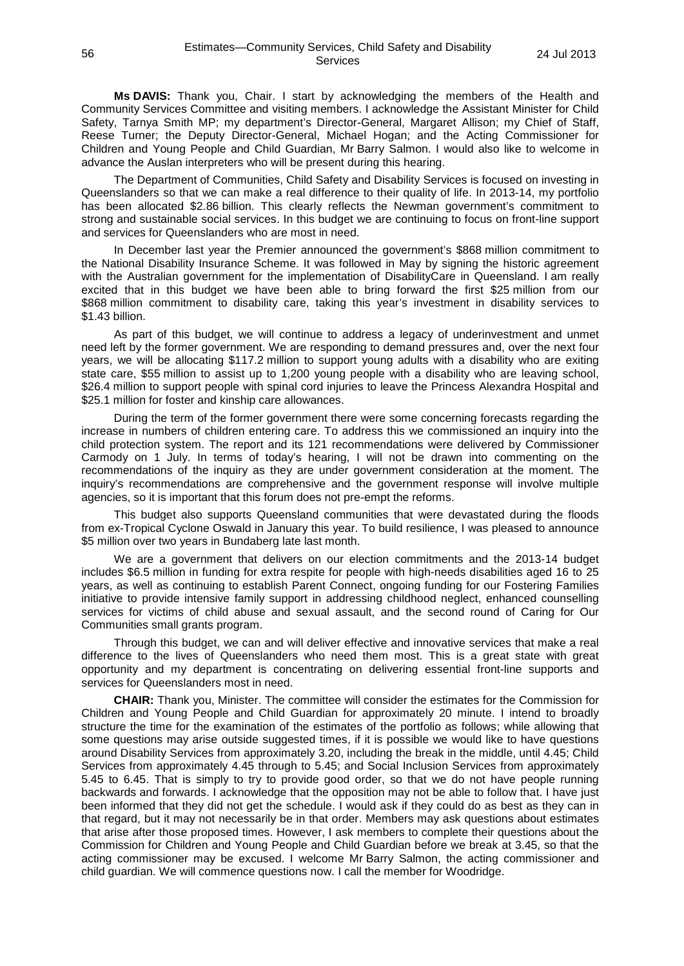**Ms DAVIS:** Thank you, Chair. I start by acknowledging the members of the Health and Community Services Committee and visiting members. I acknowledge the Assistant Minister for Child Safety, Tarnya Smith MP; my department's Director-General, Margaret Allison; my Chief of Staff, Reese Turner; the Deputy Director-General, Michael Hogan; and the Acting Commissioner for Children and Young People and Child Guardian, Mr Barry Salmon. I would also like to welcome in advance the Auslan interpreters who will be present during this hearing.

The Department of Communities, Child Safety and Disability Services is focused on investing in Queenslanders so that we can make a real difference to their quality of life. In 2013-14, my portfolio has been allocated \$2.86 billion. This clearly reflects the Newman government's commitment to strong and sustainable social services. In this budget we are continuing to focus on front-line support and services for Queenslanders who are most in need.

In December last year the Premier announced the government's \$868 million commitment to the National Disability Insurance Scheme. It was followed in May by signing the historic agreement with the Australian government for the implementation of DisabilityCare in Queensland. I am really excited that in this budget we have been able to bring forward the first \$25 million from our \$868 million commitment to disability care, taking this year's investment in disability services to \$1.43 billion.

As part of this budget, we will continue to address a legacy of underinvestment and unmet need left by the former government. We are responding to demand pressures and, over the next four years, we will be allocating \$117.2 million to support young adults with a disability who are exiting state care, \$55 million to assist up to 1,200 young people with a disability who are leaving school, \$26.4 million to support people with spinal cord injuries to leave the Princess Alexandra Hospital and \$25.1 million for foster and kinship care allowances.

During the term of the former government there were some concerning forecasts regarding the increase in numbers of children entering care. To address this we commissioned an inquiry into the child protection system. The report and its 121 recommendations were delivered by Commissioner Carmody on 1 July. In terms of today's hearing, I will not be drawn into commenting on the recommendations of the inquiry as they are under government consideration at the moment. The inquiry's recommendations are comprehensive and the government response will involve multiple agencies, so it is important that this forum does not pre-empt the reforms.

This budget also supports Queensland communities that were devastated during the floods from ex-Tropical Cyclone Oswald in January this year. To build resilience, I was pleased to announce \$5 million over two years in Bundaberg late last month.

We are a government that delivers on our election commitments and the 2013-14 budget includes \$6.5 million in funding for extra respite for people with high-needs disabilities aged 16 to 25 years, as well as continuing to establish Parent Connect, ongoing funding for our Fostering Families initiative to provide intensive family support in addressing childhood neglect, enhanced counselling services for victims of child abuse and sexual assault, and the second round of Caring for Our Communities small grants program.

Through this budget, we can and will deliver effective and innovative services that make a real difference to the lives of Queenslanders who need them most. This is a great state with great opportunity and my department is concentrating on delivering essential front-line supports and services for Queenslanders most in need.

**CHAIR:** Thank you, Minister. The committee will consider the estimates for the Commission for Children and Young People and Child Guardian for approximately 20 minute. I intend to broadly structure the time for the examination of the estimates of the portfolio as follows; while allowing that some questions may arise outside suggested times, if it is possible we would like to have questions around Disability Services from approximately 3.20, including the break in the middle, until 4.45; Child Services from approximately 4.45 through to 5.45; and Social Inclusion Services from approximately 5.45 to 6.45. That is simply to try to provide good order, so that we do not have people running backwards and forwards. I acknowledge that the opposition may not be able to follow that. I have just been informed that they did not get the schedule. I would ask if they could do as best as they can in that regard, but it may not necessarily be in that order. Members may ask questions about estimates that arise after those proposed times. However, I ask members to complete their questions about the Commission for Children and Young People and Child Guardian before we break at 3.45, so that the acting commissioner may be excused. I welcome Mr Barry Salmon, the acting commissioner and child guardian. We will commence questions now. I call the member for Woodridge.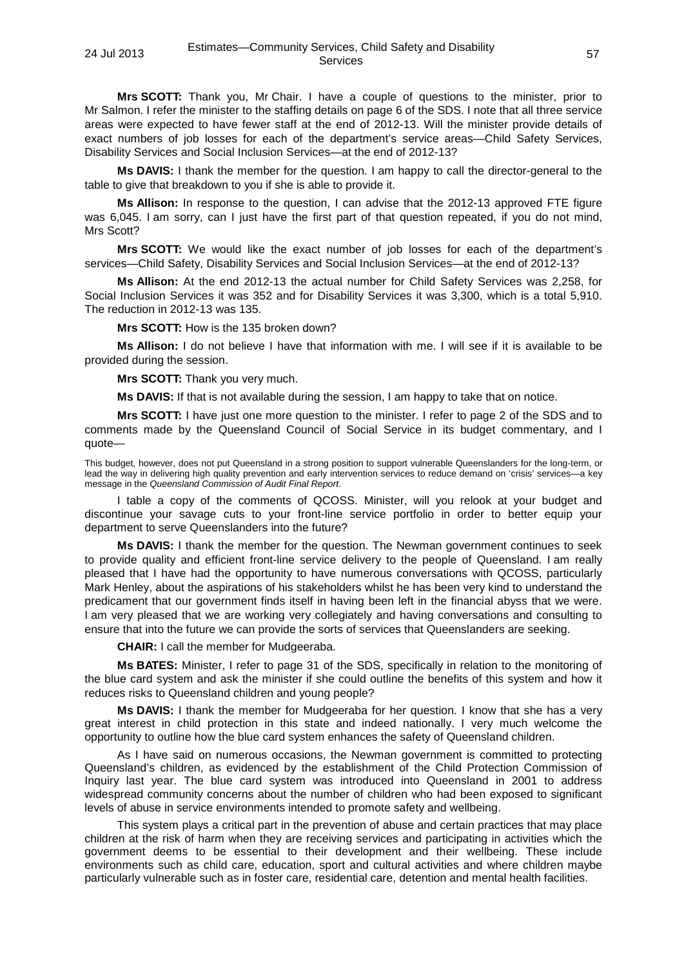**Mrs SCOTT:** Thank you, Mr Chair. I have a couple of questions to the minister, prior to Mr Salmon. I refer the minister to the staffing details on page 6 of the SDS. I note that all three service areas were expected to have fewer staff at the end of 2012-13. Will the minister provide details of exact numbers of job losses for each of the department's service areas—Child Safety Services, Disability Services and Social Inclusion Services—at the end of 2012-13?

**Ms DAVIS:** I thank the member for the question. I am happy to call the director-general to the table to give that breakdown to you if she is able to provide it.

**Ms Allison:** In response to the question, I can advise that the 2012-13 approved FTE figure was 6,045. I am sorry, can I just have the first part of that question repeated, if you do not mind, Mrs Scott?

**Mrs SCOTT:** We would like the exact number of job losses for each of the department's services—Child Safety, Disability Services and Social Inclusion Services—at the end of 2012-13?

**Ms Allison:** At the end 2012-13 the actual number for Child Safety Services was 2,258, for Social Inclusion Services it was 352 and for Disability Services it was 3,300, which is a total 5,910. The reduction in 2012-13 was 135.

**Mrs SCOTT:** How is the 135 broken down?

**Ms Allison:** I do not believe I have that information with me. I will see if it is available to be provided during the session.

**Mrs SCOTT:** Thank you very much.

**Ms DAVIS:** If that is not available during the session, I am happy to take that on notice.

**Mrs SCOTT:** I have just one more question to the minister. I refer to page 2 of the SDS and to comments made by the Queensland Council of Social Service in its budget commentary, and I quote—

This budget, however, does not put Queensland in a strong position to support vulnerable Queenslanders for the long-term, or lead the way in delivering high quality prevention and early intervention services to reduce demand on 'crisis' services—a key message in the *Queensland Commission of Audit Final Report*.

I table a copy of the comments of QCOSS. Minister, will you relook at your budget and discontinue your savage cuts to your front-line service portfolio in order to better equip your department to serve Queenslanders into the future?

**Ms DAVIS:** I thank the member for the question. The Newman government continues to seek to provide quality and efficient front-line service delivery to the people of Queensland. I am really pleased that I have had the opportunity to have numerous conversations with QCOSS, particularly Mark Henley, about the aspirations of his stakeholders whilst he has been very kind to understand the predicament that our government finds itself in having been left in the financial abyss that we were. I am very pleased that we are working very collegiately and having conversations and consulting to ensure that into the future we can provide the sorts of services that Queenslanders are seeking.

**CHAIR:** I call the member for Mudgeeraba.

**Ms BATES:** Minister, I refer to page 31 of the SDS, specifically in relation to the monitoring of the blue card system and ask the minister if she could outline the benefits of this system and how it reduces risks to Queensland children and young people?

**Ms DAVIS:** I thank the member for Mudgeeraba for her question. I know that she has a very great interest in child protection in this state and indeed nationally. I very much welcome the opportunity to outline how the blue card system enhances the safety of Queensland children.

As I have said on numerous occasions, the Newman government is committed to protecting Queensland's children, as evidenced by the establishment of the Child Protection Commission of Inquiry last year. The blue card system was introduced into Queensland in 2001 to address widespread community concerns about the number of children who had been exposed to significant levels of abuse in service environments intended to promote safety and wellbeing.

This system plays a critical part in the prevention of abuse and certain practices that may place children at the risk of harm when they are receiving services and participating in activities which the government deems to be essential to their development and their wellbeing. These include environments such as child care, education, sport and cultural activities and where children maybe particularly vulnerable such as in foster care, residential care, detention and mental health facilities.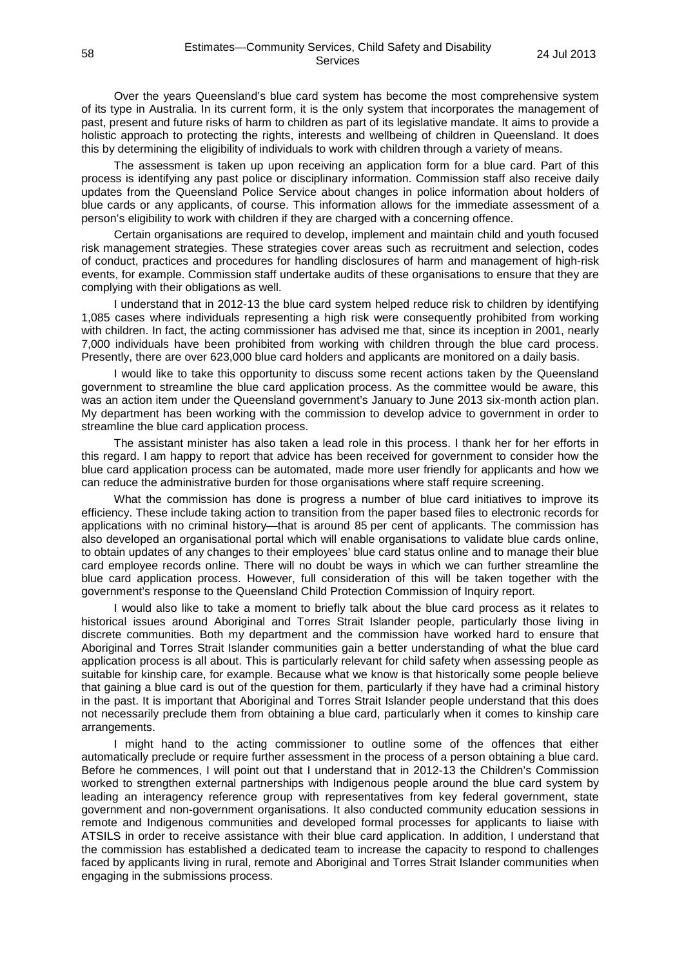Over the years Queensland's blue card system has become the most comprehensive system of its type in Australia. In its current form, it is the only system that incorporates the management of past, present and future risks of harm to children as part of its legislative mandate. It aims to provide a holistic approach to protecting the rights, interests and wellbeing of children in Queensland. It does this by determining the eligibility of individuals to work with children through a variety of means.

The assessment is taken up upon receiving an application form for a blue card. Part of this process is identifying any past police or disciplinary information. Commission staff also receive daily updates from the Queensland Police Service about changes in police information about holders of blue cards or any applicants, of course. This information allows for the immediate assessment of a person's eligibility to work with children if they are charged with a concerning offence.

Certain organisations are required to develop, implement and maintain child and youth focused risk management strategies. These strategies cover areas such as recruitment and selection, codes of conduct, practices and procedures for handling disclosures of harm and management of high-risk events, for example. Commission staff undertake audits of these organisations to ensure that they are complying with their obligations as well.

I understand that in 2012-13 the blue card system helped reduce risk to children by identifying 1,085 cases where individuals representing a high risk were consequently prohibited from working with children. In fact, the acting commissioner has advised me that, since its inception in 2001, nearly 7,000 individuals have been prohibited from working with children through the blue card process. Presently, there are over 623,000 blue card holders and applicants are monitored on a daily basis.

I would like to take this opportunity to discuss some recent actions taken by the Queensland government to streamline the blue card application process. As the committee would be aware, this was an action item under the Queensland government's January to June 2013 six-month action plan. My department has been working with the commission to develop advice to government in order to streamline the blue card application process.

The assistant minister has also taken a lead role in this process. I thank her for her efforts in this regard. I am happy to report that advice has been received for government to consider how the blue card application process can be automated, made more user friendly for applicants and how we can reduce the administrative burden for those organisations where staff require screening.

What the commission has done is progress a number of blue card initiatives to improve its efficiency. These include taking action to transition from the paper based files to electronic records for applications with no criminal history—that is around 85 per cent of applicants. The commission has also developed an organisational portal which will enable organisations to validate blue cards online, to obtain updates of any changes to their employees' blue card status online and to manage their blue card employee records online. There will no doubt be ways in which we can further streamline the blue card application process. However, full consideration of this will be taken together with the government's response to the Queensland Child Protection Commission of Inquiry report.

I would also like to take a moment to briefly talk about the blue card process as it relates to historical issues around Aboriginal and Torres Strait Islander people, particularly those living in discrete communities. Both my department and the commission have worked hard to ensure that Aboriginal and Torres Strait Islander communities gain a better understanding of what the blue card application process is all about. This is particularly relevant for child safety when assessing people as suitable for kinship care, for example. Because what we know is that historically some people believe that gaining a blue card is out of the question for them, particularly if they have had a criminal history in the past. It is important that Aboriginal and Torres Strait Islander people understand that this does not necessarily preclude them from obtaining a blue card, particularly when it comes to kinship care arrangements.

I might hand to the acting commissioner to outline some of the offences that either automatically preclude or require further assessment in the process of a person obtaining a blue card. Before he commences, I will point out that I understand that in 2012-13 the Children's Commission worked to strengthen external partnerships with Indigenous people around the blue card system by leading an interagency reference group with representatives from key federal government, state government and non-government organisations. It also conducted community education sessions in remote and Indigenous communities and developed formal processes for applicants to liaise with ATSILS in order to receive assistance with their blue card application. In addition, I understand that the commission has established a dedicated team to increase the capacity to respond to challenges faced by applicants living in rural, remote and Aboriginal and Torres Strait Islander communities when engaging in the submissions process.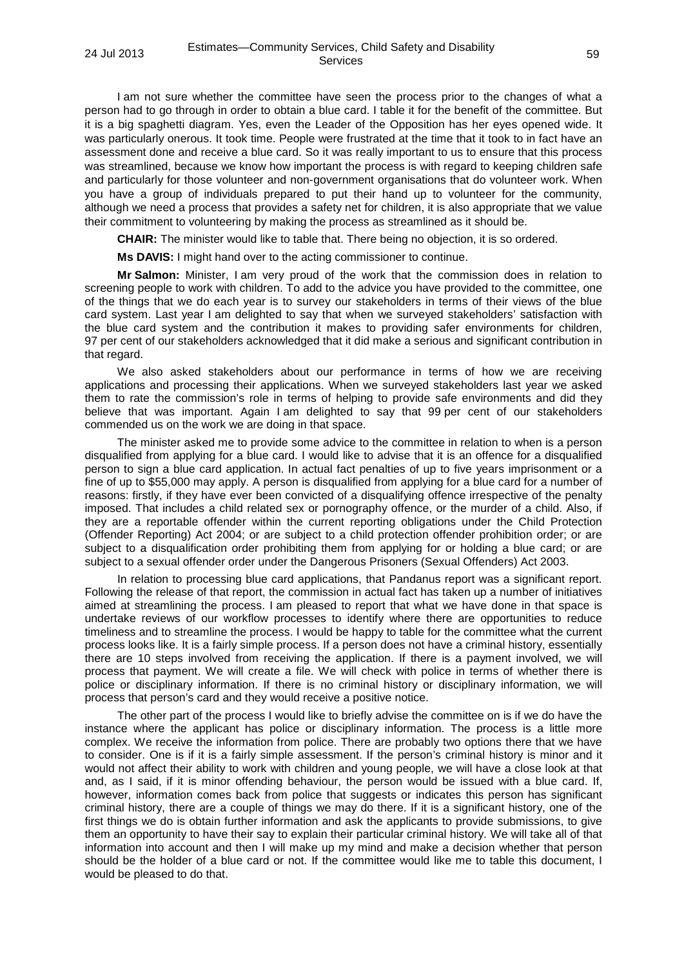I am not sure whether the committee have seen the process prior to the changes of what a person had to go through in order to obtain a blue card. I table it for the benefit of the committee. But it is a big spaghetti diagram. Yes, even the Leader of the Opposition has her eyes opened wide. It was particularly onerous. It took time. People were frustrated at the time that it took to in fact have an assessment done and receive a blue card. So it was really important to us to ensure that this process was streamlined, because we know how important the process is with regard to keeping children safe and particularly for those volunteer and non-government organisations that do volunteer work. When you have a group of individuals prepared to put their hand up to volunteer for the community, although we need a process that provides a safety net for children, it is also appropriate that we value their commitment to volunteering by making the process as streamlined as it should be.

**CHAIR:** The minister would like to table that. There being no objection, it is so ordered.

**Ms DAVIS:** I might hand over to the acting commissioner to continue.

**Mr Salmon:** Minister, I am very proud of the work that the commission does in relation to screening people to work with children. To add to the advice you have provided to the committee, one of the things that we do each year is to survey our stakeholders in terms of their views of the blue card system. Last year I am delighted to say that when we surveyed stakeholders' satisfaction with the blue card system and the contribution it makes to providing safer environments for children, 97 per cent of our stakeholders acknowledged that it did make a serious and significant contribution in that regard.

We also asked stakeholders about our performance in terms of how we are receiving applications and processing their applications. When we surveyed stakeholders last year we asked them to rate the commission's role in terms of helping to provide safe environments and did they believe that was important. Again I am delighted to say that 99 per cent of our stakeholders commended us on the work we are doing in that space.

The minister asked me to provide some advice to the committee in relation to when is a person disqualified from applying for a blue card. I would like to advise that it is an offence for a disqualified person to sign a blue card application. In actual fact penalties of up to five years imprisonment or a fine of up to \$55,000 may apply. A person is disqualified from applying for a blue card for a number of reasons: firstly, if they have ever been convicted of a disqualifying offence irrespective of the penalty imposed. That includes a child related sex or pornography offence, or the murder of a child. Also, if they are a reportable offender within the current reporting obligations under the Child Protection (Offender Reporting) Act 2004; or are subject to a child protection offender prohibition order; or are subject to a disqualification order prohibiting them from applying for or holding a blue card; or are subject to a sexual offender order under the Dangerous Prisoners (Sexual Offenders) Act 2003.

In relation to processing blue card applications, that Pandanus report was a significant report. Following the release of that report, the commission in actual fact has taken up a number of initiatives aimed at streamlining the process. I am pleased to report that what we have done in that space is undertake reviews of our workflow processes to identify where there are opportunities to reduce timeliness and to streamline the process. I would be happy to table for the committee what the current process looks like. It is a fairly simple process. If a person does not have a criminal history, essentially there are 10 steps involved from receiving the application. If there is a payment involved, we will process that payment. We will create a file. We will check with police in terms of whether there is police or disciplinary information. If there is no criminal history or disciplinary information, we will process that person's card and they would receive a positive notice.

The other part of the process I would like to briefly advise the committee on is if we do have the instance where the applicant has police or disciplinary information. The process is a little more complex. We receive the information from police. There are probably two options there that we have to consider. One is if it is a fairly simple assessment. If the person's criminal history is minor and it would not affect their ability to work with children and young people, we will have a close look at that and, as I said, if it is minor offending behaviour, the person would be issued with a blue card. If, however, information comes back from police that suggests or indicates this person has significant criminal history, there are a couple of things we may do there. If it is a significant history, one of the first things we do is obtain further information and ask the applicants to provide submissions, to give them an opportunity to have their say to explain their particular criminal history. We will take all of that information into account and then I will make up my mind and make a decision whether that person should be the holder of a blue card or not. If the committee would like me to table this document, I would be pleased to do that.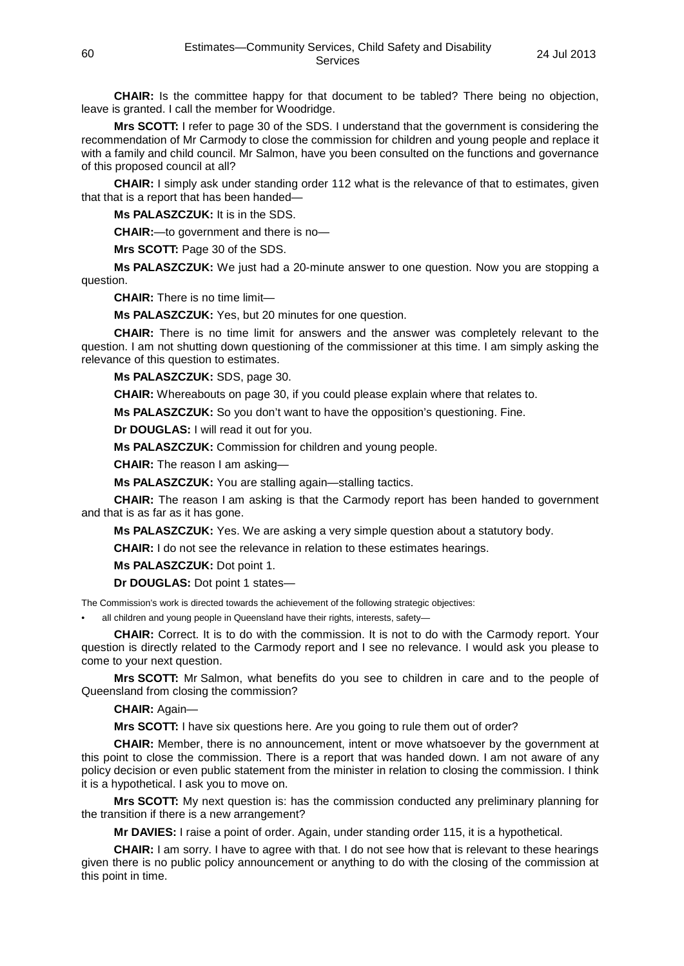**CHAIR:** Is the committee happy for that document to be tabled? There being no objection, leave is granted. I call the member for Woodridge.

**Mrs SCOTT:** I refer to page 30 of the SDS. I understand that the government is considering the recommendation of Mr Carmody to close the commission for children and young people and replace it with a family and child council. Mr Salmon, have you been consulted on the functions and governance of this proposed council at all?

**CHAIR:** I simply ask under standing order 112 what is the relevance of that to estimates, given that that is a report that has been handed—

**Ms PALASZCZUK:** It is in the SDS.

**CHAIR:**—to government and there is no—

**Mrs SCOTT:** Page 30 of the SDS.

**Ms PALASZCZUK:** We just had a 20-minute answer to one question. Now you are stopping a question.

**CHAIR:** There is no time limit—

**Ms PALASZCZUK:** Yes, but 20 minutes for one question.

**CHAIR:** There is no time limit for answers and the answer was completely relevant to the question. I am not shutting down questioning of the commissioner at this time. I am simply asking the relevance of this question to estimates.

**Ms PALASZCZUK:** SDS, page 30.

**CHAIR:** Whereabouts on page 30, if you could please explain where that relates to.

**Ms PALASZCZUK:** So you don't want to have the opposition's questioning. Fine.

**Dr DOUGLAS:** I will read it out for you.

**Ms PALASZCZUK:** Commission for children and young people.

**CHAIR:** The reason I am asking—

**Ms PALASZCZUK:** You are stalling again—stalling tactics.

**CHAIR:** The reason I am asking is that the Carmody report has been handed to government and that is as far as it has gone.

**Ms PALASZCZUK:** Yes. We are asking a very simple question about a statutory body.

**CHAIR:** I do not see the relevance in relation to these estimates hearings.

**Ms PALASZCZUK:** Dot point 1.

**Dr DOUGLAS:** Dot point 1 states—

The Commission's work is directed towards the achievement of the following strategic objectives:

all children and young people in Queensland have their rights, interests, safety-

**CHAIR:** Correct. It is to do with the commission. It is not to do with the Carmody report. Your question is directly related to the Carmody report and I see no relevance. I would ask you please to come to your next question.

**Mrs SCOTT:** Mr Salmon, what benefits do you see to children in care and to the people of Queensland from closing the commission?

**CHAIR:** Again—

**Mrs SCOTT:** I have six questions here. Are you going to rule them out of order?

**CHAIR:** Member, there is no announcement, intent or move whatsoever by the government at this point to close the commission. There is a report that was handed down. I am not aware of any policy decision or even public statement from the minister in relation to closing the commission. I think it is a hypothetical. I ask you to move on.

**Mrs SCOTT:** My next question is: has the commission conducted any preliminary planning for the transition if there is a new arrangement?

**Mr DAVIES:** I raise a point of order. Again, under standing order 115, it is a hypothetical.

**CHAIR:** I am sorry. I have to agree with that. I do not see how that is relevant to these hearings given there is no public policy announcement or anything to do with the closing of the commission at this point in time.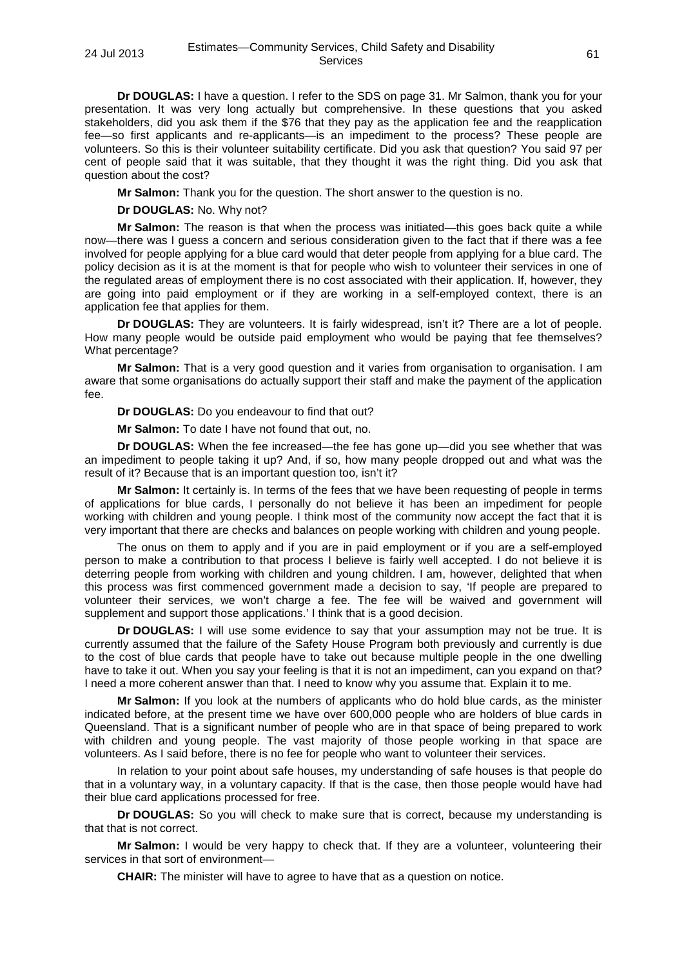**Dr DOUGLAS:** I have a question. I refer to the SDS on page 31. Mr Salmon, thank you for your presentation. It was very long actually but comprehensive. In these questions that you asked stakeholders, did you ask them if the \$76 that they pay as the application fee and the reapplication fee—so first applicants and re-applicants—is an impediment to the process? These people are volunteers. So this is their volunteer suitability certificate. Did you ask that question? You said 97 per cent of people said that it was suitable, that they thought it was the right thing. Did you ask that question about the cost?

**Mr Salmon:** Thank you for the question. The short answer to the question is no.

**Dr DOUGLAS:** No. Why not?

**Mr Salmon:** The reason is that when the process was initiated—this goes back quite a while now—there was I guess a concern and serious consideration given to the fact that if there was a fee involved for people applying for a blue card would that deter people from applying for a blue card. The policy decision as it is at the moment is that for people who wish to volunteer their services in one of the regulated areas of employment there is no cost associated with their application. If, however, they are going into paid employment or if they are working in a self-employed context, there is an application fee that applies for them.

**Dr DOUGLAS:** They are volunteers. It is fairly widespread, isn't it? There are a lot of people. How many people would be outside paid employment who would be paying that fee themselves? What percentage?

**Mr Salmon:** That is a very good question and it varies from organisation to organisation. I am aware that some organisations do actually support their staff and make the payment of the application fee.

**Dr DOUGLAS:** Do you endeavour to find that out?

**Mr Salmon:** To date I have not found that out, no.

**Dr DOUGLAS:** When the fee increased—the fee has gone up—did you see whether that was an impediment to people taking it up? And, if so, how many people dropped out and what was the result of it? Because that is an important question too, isn't it?

**Mr Salmon:** It certainly is. In terms of the fees that we have been requesting of people in terms of applications for blue cards, I personally do not believe it has been an impediment for people working with children and young people. I think most of the community now accept the fact that it is very important that there are checks and balances on people working with children and young people.

The onus on them to apply and if you are in paid employment or if you are a self-employed person to make a contribution to that process I believe is fairly well accepted. I do not believe it is deterring people from working with children and young children. I am, however, delighted that when this process was first commenced government made a decision to say, 'If people are prepared to volunteer their services, we won't charge a fee. The fee will be waived and government will supplement and support those applications.' I think that is a good decision.

**Dr DOUGLAS:** I will use some evidence to say that your assumption may not be true. It is currently assumed that the failure of the Safety House Program both previously and currently is due to the cost of blue cards that people have to take out because multiple people in the one dwelling have to take it out. When you say your feeling is that it is not an impediment, can you expand on that? I need a more coherent answer than that. I need to know why you assume that. Explain it to me.

**Mr Salmon:** If you look at the numbers of applicants who do hold blue cards, as the minister indicated before, at the present time we have over 600,000 people who are holders of blue cards in Queensland. That is a significant number of people who are in that space of being prepared to work with children and young people. The vast majority of those people working in that space are volunteers. As I said before, there is no fee for people who want to volunteer their services.

In relation to your point about safe houses, my understanding of safe houses is that people do that in a voluntary way, in a voluntary capacity. If that is the case, then those people would have had their blue card applications processed for free.

**Dr DOUGLAS:** So you will check to make sure that is correct, because my understanding is that that is not correct.

**Mr Salmon:** I would be very happy to check that. If they are a volunteer, volunteering their services in that sort of environment—

**CHAIR:** The minister will have to agree to have that as a question on notice.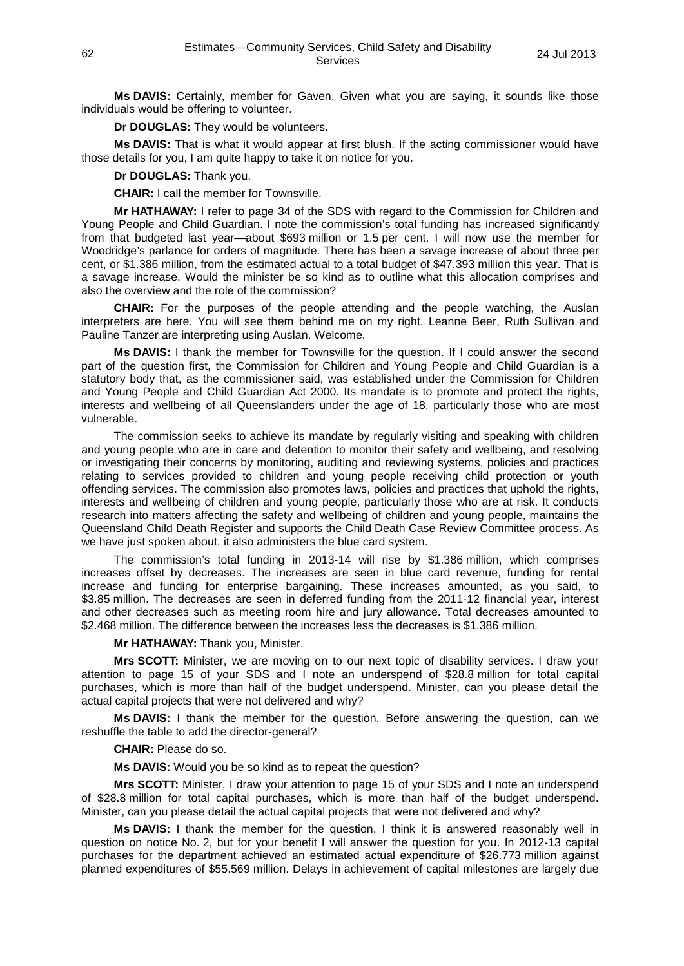**Ms DAVIS:** Certainly, member for Gaven. Given what you are saying, it sounds like those individuals would be offering to volunteer.

**Dr DOUGLAS:** They would be volunteers.

**Ms DAVIS:** That is what it would appear at first blush. If the acting commissioner would have those details for you, I am quite happy to take it on notice for you.

**Dr DOUGLAS:** Thank you.

**CHAIR:** I call the member for Townsville.

**Mr HATHAWAY:** I refer to page 34 of the SDS with regard to the Commission for Children and Young People and Child Guardian. I note the commission's total funding has increased significantly from that budgeted last year—about \$693 million or 1.5 per cent. I will now use the member for Woodridge's parlance for orders of magnitude. There has been a savage increase of about three per cent, or \$1.386 million, from the estimated actual to a total budget of \$47.393 million this year. That is a savage increase. Would the minister be so kind as to outline what this allocation comprises and also the overview and the role of the commission?

**CHAIR:** For the purposes of the people attending and the people watching, the Auslan interpreters are here. You will see them behind me on my right. Leanne Beer, Ruth Sullivan and Pauline Tanzer are interpreting using Auslan. Welcome.

**Ms DAVIS:** I thank the member for Townsville for the question. If I could answer the second part of the question first, the Commission for Children and Young People and Child Guardian is a statutory body that, as the commissioner said, was established under the Commission for Children and Young People and Child Guardian Act 2000. Its mandate is to promote and protect the rights, interests and wellbeing of all Queenslanders under the age of 18, particularly those who are most vulnerable.

The commission seeks to achieve its mandate by regularly visiting and speaking with children and young people who are in care and detention to monitor their safety and wellbeing, and resolving or investigating their concerns by monitoring, auditing and reviewing systems, policies and practices relating to services provided to children and young people receiving child protection or youth offending services. The commission also promotes laws, policies and practices that uphold the rights, interests and wellbeing of children and young people, particularly those who are at risk. It conducts research into matters affecting the safety and wellbeing of children and young people, maintains the Queensland Child Death Register and supports the Child Death Case Review Committee process. As we have just spoken about, it also administers the blue card system.

The commission's total funding in 2013-14 will rise by \$1.386 million, which comprises increases offset by decreases. The increases are seen in blue card revenue, funding for rental increase and funding for enterprise bargaining. These increases amounted, as you said, to \$3.85 million. The decreases are seen in deferred funding from the 2011-12 financial year, interest and other decreases such as meeting room hire and jury allowance. Total decreases amounted to \$2.468 million. The difference between the increases less the decreases is \$1.386 million.

**Mr HATHAWAY:** Thank you, Minister.

**Mrs SCOTT:** Minister, we are moving on to our next topic of disability services. I draw your attention to page 15 of your SDS and I note an underspend of \$28.8 million for total capital purchases, which is more than half of the budget underspend. Minister, can you please detail the actual capital projects that were not delivered and why?

**Ms DAVIS:** I thank the member for the question. Before answering the question, can we reshuffle the table to add the director-general?

**CHAIR:** Please do so.

**Ms DAVIS:** Would you be so kind as to repeat the question?

**Mrs SCOTT:** Minister, I draw your attention to page 15 of your SDS and I note an underspend of \$28.8 million for total capital purchases, which is more than half of the budget underspend. Minister, can you please detail the actual capital projects that were not delivered and why?

**Ms DAVIS:** I thank the member for the question. I think it is answered reasonably well in question on notice No. 2, but for your benefit I will answer the question for you. In 2012-13 capital purchases for the department achieved an estimated actual expenditure of \$26.773 million against planned expenditures of \$55.569 million. Delays in achievement of capital milestones are largely due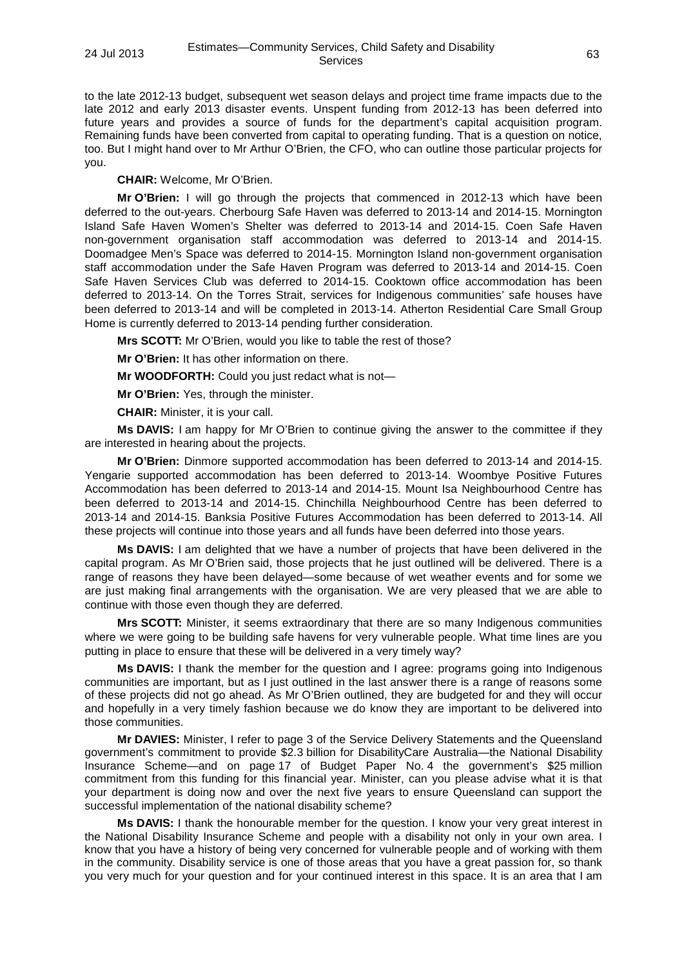to the late 2012-13 budget, subsequent wet season delays and project time frame impacts due to the late 2012 and early 2013 disaster events. Unspent funding from 2012-13 has been deferred into future years and provides a source of funds for the department's capital acquisition program. Remaining funds have been converted from capital to operating funding. That is a question on notice, too. But I might hand over to Mr Arthur O'Brien, the CFO, who can outline those particular projects for you.

**CHAIR:** Welcome, Mr O'Brien.

**Mr O'Brien:** I will go through the projects that commenced in 2012-13 which have been deferred to the out-years. Cherbourg Safe Haven was deferred to 2013-14 and 2014-15. Mornington Island Safe Haven Women's Shelter was deferred to 2013-14 and 2014-15. Coen Safe Haven non-government organisation staff accommodation was deferred to 2013-14 and 2014-15. Doomadgee Men's Space was deferred to 2014-15. Mornington Island non-government organisation staff accommodation under the Safe Haven Program was deferred to 2013-14 and 2014-15. Coen Safe Haven Services Club was deferred to 2014-15. Cooktown office accommodation has been deferred to 2013-14. On the Torres Strait, services for Indigenous communities' safe houses have been deferred to 2013-14 and will be completed in 2013-14. Atherton Residential Care Small Group Home is currently deferred to 2013-14 pending further consideration.

**Mrs SCOTT:** Mr O'Brien, would you like to table the rest of those?

**Mr O'Brien:** It has other information on there.

**Mr WOODFORTH:** Could you just redact what is not—

**Mr O'Brien:** Yes, through the minister.

**CHAIR:** Minister, it is your call.

**Ms DAVIS:** I am happy for Mr O'Brien to continue giving the answer to the committee if they are interested in hearing about the projects.

**Mr O'Brien:** Dinmore supported accommodation has been deferred to 2013-14 and 2014-15. Yengarie supported accommodation has been deferred to 2013-14. Woombye Positive Futures Accommodation has been deferred to 2013-14 and 2014-15. Mount Isa Neighbourhood Centre has been deferred to 2013-14 and 2014-15. Chinchilla Neighbourhood Centre has been deferred to 2013-14 and 2014-15. Banksia Positive Futures Accommodation has been deferred to 2013-14. All these projects will continue into those years and all funds have been deferred into those years.

**Ms DAVIS:** I am delighted that we have a number of projects that have been delivered in the capital program. As Mr O'Brien said, those projects that he just outlined will be delivered. There is a range of reasons they have been delayed—some because of wet weather events and for some we are just making final arrangements with the organisation. We are very pleased that we are able to continue with those even though they are deferred.

**Mrs SCOTT:** Minister, it seems extraordinary that there are so many Indigenous communities where we were going to be building safe havens for very vulnerable people. What time lines are you putting in place to ensure that these will be delivered in a very timely way?

**Ms DAVIS:** I thank the member for the question and I agree: programs going into Indigenous communities are important, but as I just outlined in the last answer there is a range of reasons some of these projects did not go ahead. As Mr O'Brien outlined, they are budgeted for and they will occur and hopefully in a very timely fashion because we do know they are important to be delivered into those communities.

**Mr DAVIES:** Minister, I refer to page 3 of the Service Delivery Statements and the Queensland government's commitment to provide \$2.3 billion for DisabilityCare Australia—the National Disability Insurance Scheme—and on page 17 of Budget Paper No. 4 the government's \$25 million commitment from this funding for this financial year. Minister, can you please advise what it is that your department is doing now and over the next five years to ensure Queensland can support the successful implementation of the national disability scheme?

**Ms DAVIS:** I thank the honourable member for the question. I know your very great interest in the National Disability Insurance Scheme and people with a disability not only in your own area. I know that you have a history of being very concerned for vulnerable people and of working with them in the community. Disability service is one of those areas that you have a great passion for, so thank you very much for your question and for your continued interest in this space. It is an area that I am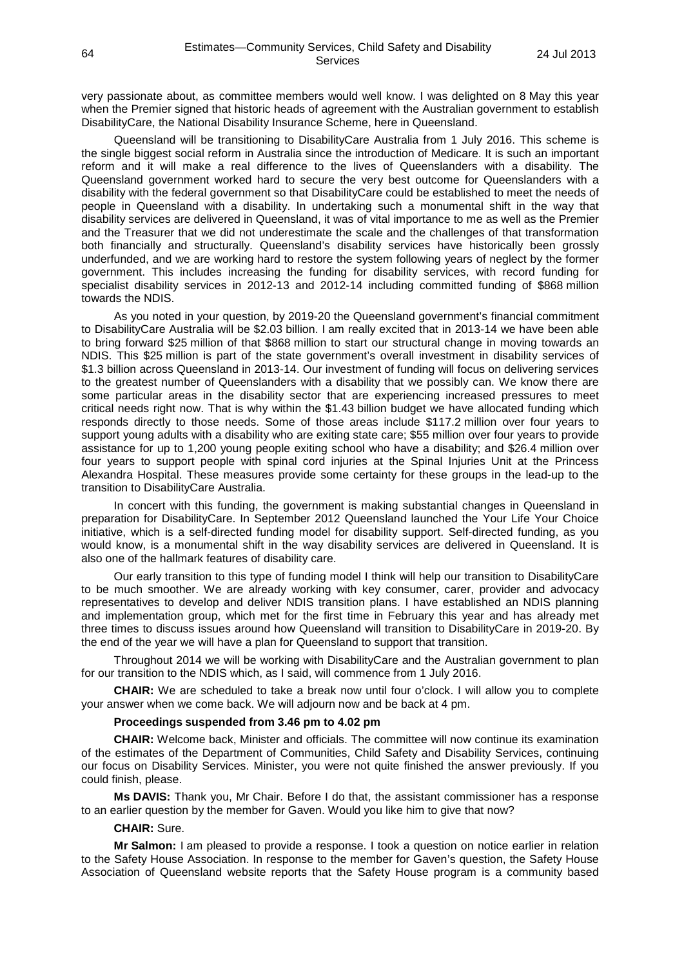very passionate about, as committee members would well know. I was delighted on 8 May this year when the Premier signed that historic heads of agreement with the Australian government to establish DisabilityCare, the National Disability Insurance Scheme, here in Queensland.

Queensland will be transitioning to DisabilityCare Australia from 1 July 2016. This scheme is the single biggest social reform in Australia since the introduction of Medicare. It is such an important reform and it will make a real difference to the lives of Queenslanders with a disability. The Queensland government worked hard to secure the very best outcome for Queenslanders with a disability with the federal government so that DisabilityCare could be established to meet the needs of people in Queensland with a disability. In undertaking such a monumental shift in the way that disability services are delivered in Queensland, it was of vital importance to me as well as the Premier and the Treasurer that we did not underestimate the scale and the challenges of that transformation both financially and structurally. Queensland's disability services have historically been grossly underfunded, and we are working hard to restore the system following years of neglect by the former government. This includes increasing the funding for disability services, with record funding for specialist disability services in 2012-13 and 2012-14 including committed funding of \$868 million towards the NDIS.

As you noted in your question, by 2019-20 the Queensland government's financial commitment to DisabilityCare Australia will be \$2.03 billion. I am really excited that in 2013-14 we have been able to bring forward \$25 million of that \$868 million to start our structural change in moving towards an NDIS. This \$25 million is part of the state government's overall investment in disability services of \$1.3 billion across Queensland in 2013-14. Our investment of funding will focus on delivering services to the greatest number of Queenslanders with a disability that we possibly can. We know there are some particular areas in the disability sector that are experiencing increased pressures to meet critical needs right now. That is why within the \$1.43 billion budget we have allocated funding which responds directly to those needs. Some of those areas include \$117.2 million over four years to support young adults with a disability who are exiting state care; \$55 million over four years to provide assistance for up to 1,200 young people exiting school who have a disability; and \$26.4 million over four years to support people with spinal cord injuries at the Spinal Injuries Unit at the Princess Alexandra Hospital. These measures provide some certainty for these groups in the lead-up to the transition to DisabilityCare Australia.

In concert with this funding, the government is making substantial changes in Queensland in preparation for DisabilityCare. In September 2012 Queensland launched the Your Life Your Choice initiative, which is a self-directed funding model for disability support. Self-directed funding, as you would know, is a monumental shift in the way disability services are delivered in Queensland. It is also one of the hallmark features of disability care.

Our early transition to this type of funding model I think will help our transition to DisabilityCare to be much smoother. We are already working with key consumer, carer, provider and advocacy representatives to develop and deliver NDIS transition plans. I have established an NDIS planning and implementation group, which met for the first time in February this year and has already met three times to discuss issues around how Queensland will transition to DisabilityCare in 2019-20. By the end of the year we will have a plan for Queensland to support that transition.

Throughout 2014 we will be working with DisabilityCare and the Australian government to plan for our transition to the NDIS which, as I said, will commence from 1 July 2016.

**CHAIR:** We are scheduled to take a break now until four o'clock. I will allow you to complete your answer when we come back. We will adjourn now and be back at 4 pm.

### **Proceedings suspended from 3.46 pm to 4.02 pm**

**CHAIR:** Welcome back, Minister and officials. The committee will now continue its examination of the estimates of the Department of Communities, Child Safety and Disability Services, continuing our focus on Disability Services. Minister, you were not quite finished the answer previously. If you could finish, please.

**Ms DAVIS:** Thank you, Mr Chair. Before I do that, the assistant commissioner has a response to an earlier question by the member for Gaven. Would you like him to give that now?

#### **CHAIR:** Sure.

**Mr Salmon:** I am pleased to provide a response. I took a question on notice earlier in relation to the Safety House Association. In response to the member for Gaven's question, the Safety House Association of Queensland website reports that the Safety House program is a community based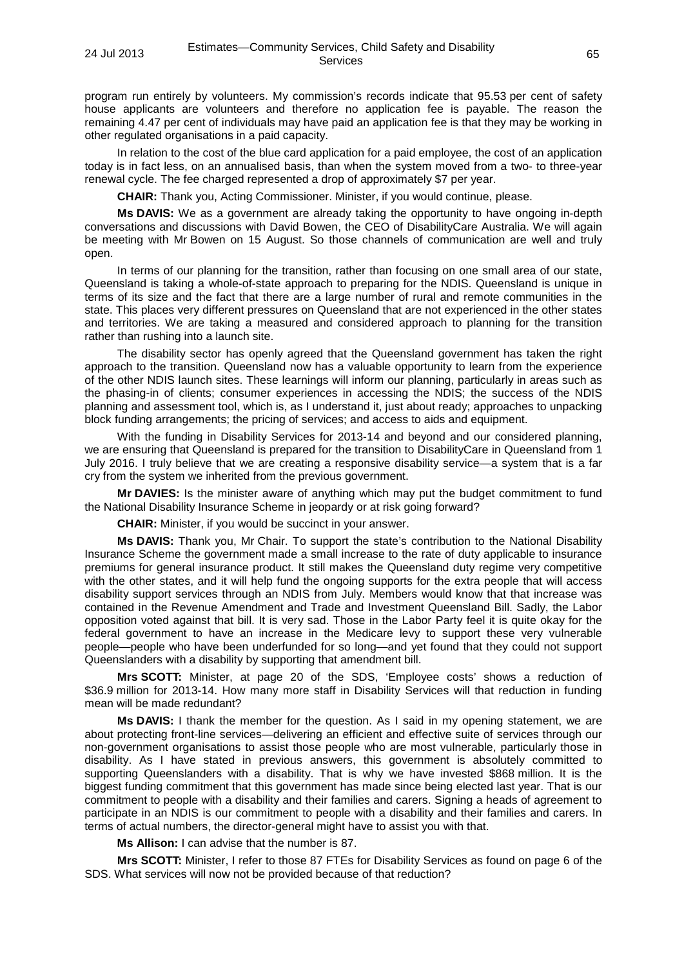program run entirely by volunteers. My commission's records indicate that 95.53 per cent of safety house applicants are volunteers and therefore no application fee is payable. The reason the remaining 4.47 per cent of individuals may have paid an application fee is that they may be working in other regulated organisations in a paid capacity.

In relation to the cost of the blue card application for a paid employee, the cost of an application today is in fact less, on an annualised basis, than when the system moved from a two- to three-year renewal cycle. The fee charged represented a drop of approximately \$7 per year.

**CHAIR:** Thank you, Acting Commissioner. Minister, if you would continue, please.

**Ms DAVIS:** We as a government are already taking the opportunity to have ongoing in-depth conversations and discussions with David Bowen, the CEO of DisabilityCare Australia. We will again be meeting with Mr Bowen on 15 August. So those channels of communication are well and truly open.

In terms of our planning for the transition, rather than focusing on one small area of our state, Queensland is taking a whole-of-state approach to preparing for the NDIS. Queensland is unique in terms of its size and the fact that there are a large number of rural and remote communities in the state. This places very different pressures on Queensland that are not experienced in the other states and territories. We are taking a measured and considered approach to planning for the transition rather than rushing into a launch site.

The disability sector has openly agreed that the Queensland government has taken the right approach to the transition. Queensland now has a valuable opportunity to learn from the experience of the other NDIS launch sites. These learnings will inform our planning, particularly in areas such as the phasing-in of clients; consumer experiences in accessing the NDIS; the success of the NDIS planning and assessment tool, which is, as I understand it, just about ready; approaches to unpacking block funding arrangements; the pricing of services; and access to aids and equipment.

With the funding in Disability Services for 2013-14 and beyond and our considered planning, we are ensuring that Queensland is prepared for the transition to DisabilityCare in Queensland from 1 July 2016. I truly believe that we are creating a responsive disability service—a system that is a far cry from the system we inherited from the previous government.

**Mr DAVIES:** Is the minister aware of anything which may put the budget commitment to fund the National Disability Insurance Scheme in jeopardy or at risk going forward?

**CHAIR:** Minister, if you would be succinct in your answer.

**Ms DAVIS:** Thank you, Mr Chair. To support the state's contribution to the National Disability Insurance Scheme the government made a small increase to the rate of duty applicable to insurance premiums for general insurance product. It still makes the Queensland duty regime very competitive with the other states, and it will help fund the ongoing supports for the extra people that will access disability support services through an NDIS from July. Members would know that that increase was contained in the Revenue Amendment and Trade and Investment Queensland Bill. Sadly, the Labor opposition voted against that bill. It is very sad. Those in the Labor Party feel it is quite okay for the federal government to have an increase in the Medicare levy to support these very vulnerable people—people who have been underfunded for so long—and yet found that they could not support Queenslanders with a disability by supporting that amendment bill.

**Mrs SCOTT:** Minister, at page 20 of the SDS, 'Employee costs' shows a reduction of \$36.9 million for 2013-14. How many more staff in Disability Services will that reduction in funding mean will be made redundant?

**Ms DAVIS:** I thank the member for the question. As I said in my opening statement, we are about protecting front-line services—delivering an efficient and effective suite of services through our non-government organisations to assist those people who are most vulnerable, particularly those in disability. As I have stated in previous answers, this government is absolutely committed to supporting Queenslanders with a disability. That is why we have invested \$868 million. It is the biggest funding commitment that this government has made since being elected last year. That is our commitment to people with a disability and their families and carers. Signing a heads of agreement to participate in an NDIS is our commitment to people with a disability and their families and carers. In terms of actual numbers, the director-general might have to assist you with that.

**Ms Allison:** I can advise that the number is 87.

**Mrs SCOTT:** Minister, I refer to those 87 FTEs for Disability Services as found on page 6 of the SDS. What services will now not be provided because of that reduction?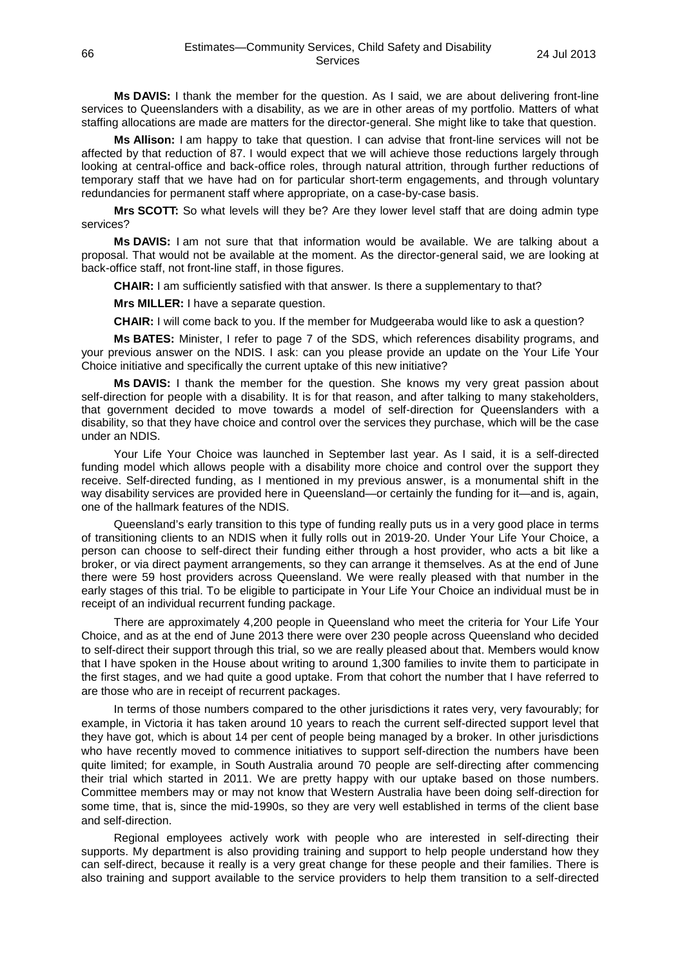**Ms DAVIS:** I thank the member for the question. As I said, we are about delivering front-line services to Queenslanders with a disability, as we are in other areas of my portfolio. Matters of what staffing allocations are made are matters for the director-general. She might like to take that question.

**Ms Allison:** I am happy to take that question. I can advise that front-line services will not be affected by that reduction of 87. I would expect that we will achieve those reductions largely through looking at central-office and back-office roles, through natural attrition, through further reductions of temporary staff that we have had on for particular short-term engagements, and through voluntary redundancies for permanent staff where appropriate, on a case-by-case basis.

**Mrs SCOTT:** So what levels will they be? Are they lower level staff that are doing admin type services?

**Ms DAVIS:** I am not sure that that information would be available. We are talking about a proposal. That would not be available at the moment. As the director-general said, we are looking at back-office staff, not front-line staff, in those figures.

**CHAIR:** I am sufficiently satisfied with that answer. Is there a supplementary to that?

**Mrs MILLER:** I have a separate question.

**CHAIR:** I will come back to you. If the member for Mudgeeraba would like to ask a question?

**Ms BATES:** Minister, I refer to page 7 of the SDS, which references disability programs, and your previous answer on the NDIS. I ask: can you please provide an update on the Your Life Your Choice initiative and specifically the current uptake of this new initiative?

**Ms DAVIS:** I thank the member for the question. She knows my very great passion about self-direction for people with a disability. It is for that reason, and after talking to many stakeholders, that government decided to move towards a model of self-direction for Queenslanders with a disability, so that they have choice and control over the services they purchase, which will be the case under an NDIS.

Your Life Your Choice was launched in September last year. As I said, it is a self-directed funding model which allows people with a disability more choice and control over the support they receive. Self-directed funding, as I mentioned in my previous answer, is a monumental shift in the way disability services are provided here in Queensland—or certainly the funding for it—and is, again, one of the hallmark features of the NDIS.

Queensland's early transition to this type of funding really puts us in a very good place in terms of transitioning clients to an NDIS when it fully rolls out in 2019-20. Under Your Life Your Choice, a person can choose to self-direct their funding either through a host provider, who acts a bit like a broker, or via direct payment arrangements, so they can arrange it themselves. As at the end of June there were 59 host providers across Queensland. We were really pleased with that number in the early stages of this trial. To be eligible to participate in Your Life Your Choice an individual must be in receipt of an individual recurrent funding package.

There are approximately 4,200 people in Queensland who meet the criteria for Your Life Your Choice, and as at the end of June 2013 there were over 230 people across Queensland who decided to self-direct their support through this trial, so we are really pleased about that. Members would know that I have spoken in the House about writing to around 1,300 families to invite them to participate in the first stages, and we had quite a good uptake. From that cohort the number that I have referred to are those who are in receipt of recurrent packages.

In terms of those numbers compared to the other jurisdictions it rates very, very favourably; for example, in Victoria it has taken around 10 years to reach the current self-directed support level that they have got, which is about 14 per cent of people being managed by a broker. In other jurisdictions who have recently moved to commence initiatives to support self-direction the numbers have been quite limited; for example, in South Australia around 70 people are self-directing after commencing their trial which started in 2011. We are pretty happy with our uptake based on those numbers. Committee members may or may not know that Western Australia have been doing self-direction for some time, that is, since the mid-1990s, so they are very well established in terms of the client base and self-direction.

Regional employees actively work with people who are interested in self-directing their supports. My department is also providing training and support to help people understand how they can self-direct, because it really is a very great change for these people and their families. There is also training and support available to the service providers to help them transition to a self-directed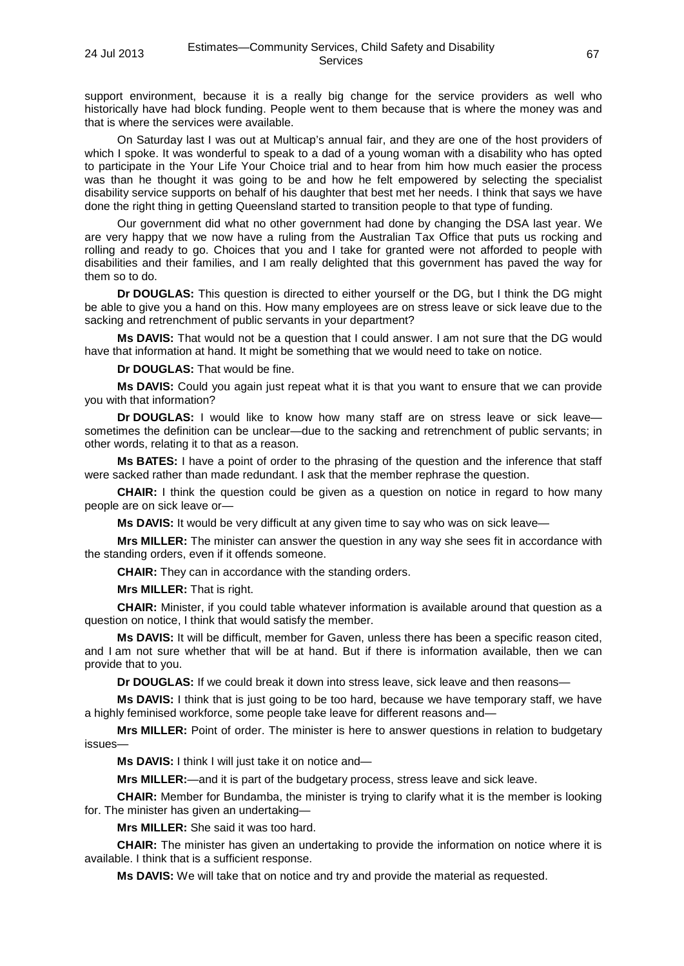support environment, because it is a really big change for the service providers as well who historically have had block funding. People went to them because that is where the money was and that is where the services were available.

On Saturday last I was out at Multicap's annual fair, and they are one of the host providers of which I spoke. It was wonderful to speak to a dad of a young woman with a disability who has opted to participate in the Your Life Your Choice trial and to hear from him how much easier the process was than he thought it was going to be and how he felt empowered by selecting the specialist disability service supports on behalf of his daughter that best met her needs. I think that says we have done the right thing in getting Queensland started to transition people to that type of funding.

Our government did what no other government had done by changing the DSA last year. We are very happy that we now have a ruling from the Australian Tax Office that puts us rocking and rolling and ready to go. Choices that you and I take for granted were not afforded to people with disabilities and their families, and I am really delighted that this government has paved the way for them so to do.

**Dr DOUGLAS:** This question is directed to either yourself or the DG, but I think the DG might be able to give you a hand on this. How many employees are on stress leave or sick leave due to the sacking and retrenchment of public servants in your department?

**Ms DAVIS:** That would not be a question that I could answer. I am not sure that the DG would have that information at hand. It might be something that we would need to take on notice.

**Dr DOUGLAS:** That would be fine.

**Ms DAVIS:** Could you again just repeat what it is that you want to ensure that we can provide you with that information?

**Dr DOUGLAS:** I would like to know how many staff are on stress leave or sick leavesometimes the definition can be unclear—due to the sacking and retrenchment of public servants; in other words, relating it to that as a reason.

**Ms BATES:** I have a point of order to the phrasing of the question and the inference that staff were sacked rather than made redundant. I ask that the member rephrase the question.

**CHAIR:** I think the question could be given as a question on notice in regard to how many people are on sick leave or—

**Ms DAVIS:** It would be very difficult at any given time to say who was on sick leave—

**Mrs MILLER:** The minister can answer the question in any way she sees fit in accordance with the standing orders, even if it offends someone.

**CHAIR:** They can in accordance with the standing orders.

**Mrs MILLER:** That is right.

**CHAIR:** Minister, if you could table whatever information is available around that question as a question on notice, I think that would satisfy the member.

**Ms DAVIS:** It will be difficult, member for Gaven, unless there has been a specific reason cited, and I am not sure whether that will be at hand. But if there is information available, then we can provide that to you.

**Dr DOUGLAS:** If we could break it down into stress leave, sick leave and then reasons—

**Ms DAVIS:** I think that is just going to be too hard, because we have temporary staff, we have a highly feminised workforce, some people take leave for different reasons and—

**Mrs MILLER:** Point of order. The minister is here to answer questions in relation to budgetary issues—

**Ms DAVIS:** I think I will just take it on notice and—

**Mrs MILLER:**—and it is part of the budgetary process, stress leave and sick leave.

**CHAIR:** Member for Bundamba, the minister is trying to clarify what it is the member is looking for. The minister has given an undertaking—

**Mrs MILLER:** She said it was too hard.

**CHAIR:** The minister has given an undertaking to provide the information on notice where it is available. I think that is a sufficient response.

**Ms DAVIS:** We will take that on notice and try and provide the material as requested.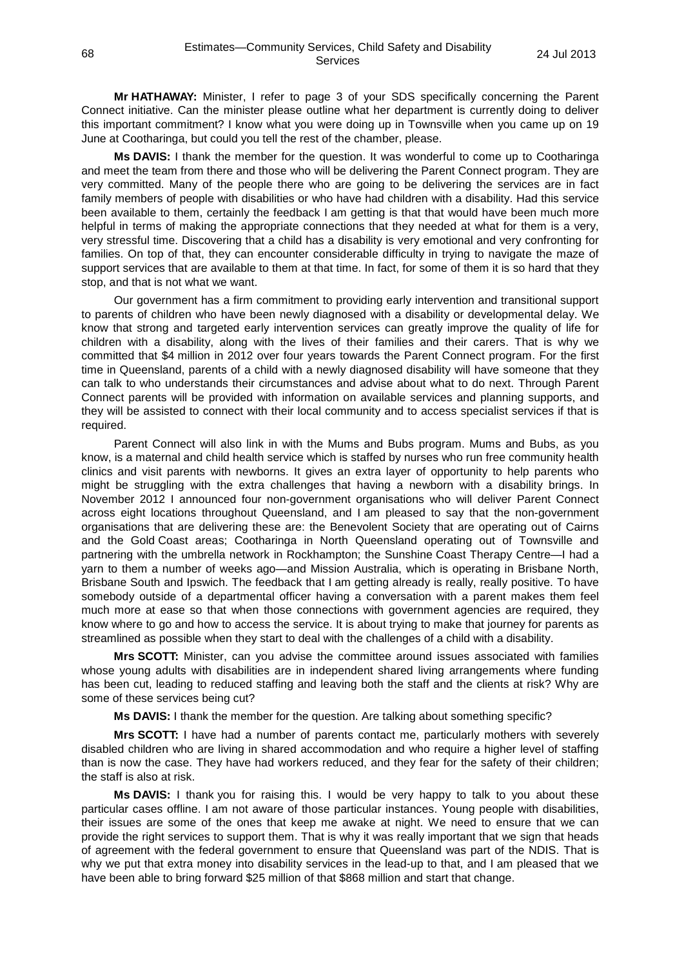**Mr HATHAWAY:** Minister, I refer to page 3 of your SDS specifically concerning the Parent Connect initiative. Can the minister please outline what her department is currently doing to deliver this important commitment? I know what you were doing up in Townsville when you came up on 19 June at Cootharinga, but could you tell the rest of the chamber, please.

**Ms DAVIS:** I thank the member for the question. It was wonderful to come up to Cootharinga and meet the team from there and those who will be delivering the Parent Connect program. They are very committed. Many of the people there who are going to be delivering the services are in fact family members of people with disabilities or who have had children with a disability. Had this service been available to them, certainly the feedback I am getting is that that would have been much more helpful in terms of making the appropriate connections that they needed at what for them is a very, very stressful time. Discovering that a child has a disability is very emotional and very confronting for families. On top of that, they can encounter considerable difficulty in trying to navigate the maze of support services that are available to them at that time. In fact, for some of them it is so hard that they stop, and that is not what we want.

Our government has a firm commitment to providing early intervention and transitional support to parents of children who have been newly diagnosed with a disability or developmental delay. We know that strong and targeted early intervention services can greatly improve the quality of life for children with a disability, along with the lives of their families and their carers. That is why we committed that \$4 million in 2012 over four years towards the Parent Connect program. For the first time in Queensland, parents of a child with a newly diagnosed disability will have someone that they can talk to who understands their circumstances and advise about what to do next. Through Parent Connect parents will be provided with information on available services and planning supports, and they will be assisted to connect with their local community and to access specialist services if that is required.

Parent Connect will also link in with the Mums and Bubs program. Mums and Bubs, as you know, is a maternal and child health service which is staffed by nurses who run free community health clinics and visit parents with newborns. It gives an extra layer of opportunity to help parents who might be struggling with the extra challenges that having a newborn with a disability brings. In November 2012 I announced four non-government organisations who will deliver Parent Connect across eight locations throughout Queensland, and I am pleased to say that the non-government organisations that are delivering these are: the Benevolent Society that are operating out of Cairns and the Gold Coast areas; Cootharinga in North Queensland operating out of Townsville and partnering with the umbrella network in Rockhampton; the Sunshine Coast Therapy Centre—I had a yarn to them a number of weeks ago—and Mission Australia, which is operating in Brisbane North, Brisbane South and Ipswich. The feedback that I am getting already is really, really positive. To have somebody outside of a departmental officer having a conversation with a parent makes them feel much more at ease so that when those connections with government agencies are required, they know where to go and how to access the service. It is about trying to make that journey for parents as streamlined as possible when they start to deal with the challenges of a child with a disability.

**Mrs SCOTT:** Minister, can you advise the committee around issues associated with families whose young adults with disabilities are in independent shared living arrangements where funding has been cut, leading to reduced staffing and leaving both the staff and the clients at risk? Why are some of these services being cut?

**Ms DAVIS:** I thank the member for the question. Are talking about something specific?

**Mrs SCOTT:** I have had a number of parents contact me, particularly mothers with severely disabled children who are living in shared accommodation and who require a higher level of staffing than is now the case. They have had workers reduced, and they fear for the safety of their children; the staff is also at risk.

**Ms DAVIS:** I thank you for raising this. I would be very happy to talk to you about these particular cases offline. I am not aware of those particular instances. Young people with disabilities, their issues are some of the ones that keep me awake at night. We need to ensure that we can provide the right services to support them. That is why it was really important that we sign that heads of agreement with the federal government to ensure that Queensland was part of the NDIS. That is why we put that extra money into disability services in the lead-up to that, and I am pleased that we have been able to bring forward \$25 million of that \$868 million and start that change.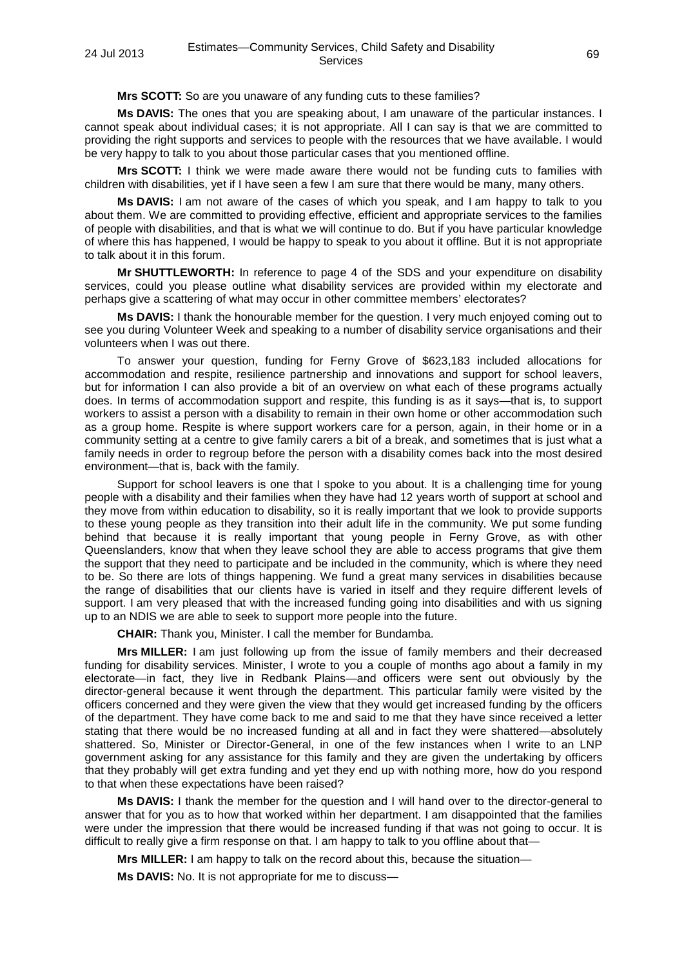**Mrs SCOTT:** So are you unaware of any funding cuts to these families?

**Ms DAVIS:** The ones that you are speaking about, I am unaware of the particular instances. I cannot speak about individual cases; it is not appropriate. All I can say is that we are committed to providing the right supports and services to people with the resources that we have available. I would be very happy to talk to you about those particular cases that you mentioned offline.

**Mrs SCOTT:** I think we were made aware there would not be funding cuts to families with children with disabilities, yet if I have seen a few I am sure that there would be many, many others.

**Ms DAVIS:** I am not aware of the cases of which you speak, and I am happy to talk to you about them. We are committed to providing effective, efficient and appropriate services to the families of people with disabilities, and that is what we will continue to do. But if you have particular knowledge of where this has happened, I would be happy to speak to you about it offline. But it is not appropriate to talk about it in this forum.

**Mr SHUTTLEWORTH:** In reference to page 4 of the SDS and your expenditure on disability services, could you please outline what disability services are provided within my electorate and perhaps give a scattering of what may occur in other committee members' electorates?

**Ms DAVIS:** I thank the honourable member for the question. I very much enjoyed coming out to see you during Volunteer Week and speaking to a number of disability service organisations and their volunteers when I was out there.

To answer your question, funding for Ferny Grove of \$623,183 included allocations for accommodation and respite, resilience partnership and innovations and support for school leavers, but for information I can also provide a bit of an overview on what each of these programs actually does. In terms of accommodation support and respite, this funding is as it says—that is, to support workers to assist a person with a disability to remain in their own home or other accommodation such as a group home. Respite is where support workers care for a person, again, in their home or in a community setting at a centre to give family carers a bit of a break, and sometimes that is just what a family needs in order to regroup before the person with a disability comes back into the most desired environment—that is, back with the family.

Support for school leavers is one that I spoke to you about. It is a challenging time for young people with a disability and their families when they have had 12 years worth of support at school and they move from within education to disability, so it is really important that we look to provide supports to these young people as they transition into their adult life in the community. We put some funding behind that because it is really important that young people in Ferny Grove, as with other Queenslanders, know that when they leave school they are able to access programs that give them the support that they need to participate and be included in the community, which is where they need to be. So there are lots of things happening. We fund a great many services in disabilities because the range of disabilities that our clients have is varied in itself and they require different levels of support. I am very pleased that with the increased funding going into disabilities and with us signing up to an NDIS we are able to seek to support more people into the future.

**CHAIR:** Thank you, Minister. I call the member for Bundamba.

**Mrs MILLER:** I am just following up from the issue of family members and their decreased funding for disability services. Minister, I wrote to you a couple of months ago about a family in my electorate—in fact, they live in Redbank Plains—and officers were sent out obviously by the director-general because it went through the department. This particular family were visited by the officers concerned and they were given the view that they would get increased funding by the officers of the department. They have come back to me and said to me that they have since received a letter stating that there would be no increased funding at all and in fact they were shattered—absolutely shattered. So, Minister or Director-General, in one of the few instances when I write to an LNP government asking for any assistance for this family and they are given the undertaking by officers that they probably will get extra funding and yet they end up with nothing more, how do you respond to that when these expectations have been raised?

**Ms DAVIS:** I thank the member for the question and I will hand over to the director-general to answer that for you as to how that worked within her department. I am disappointed that the families were under the impression that there would be increased funding if that was not going to occur. It is difficult to really give a firm response on that. I am happy to talk to you offline about that—

**Mrs MILLER:** I am happy to talk on the record about this, because the situation—

**Ms DAVIS:** No. It is not appropriate for me to discuss—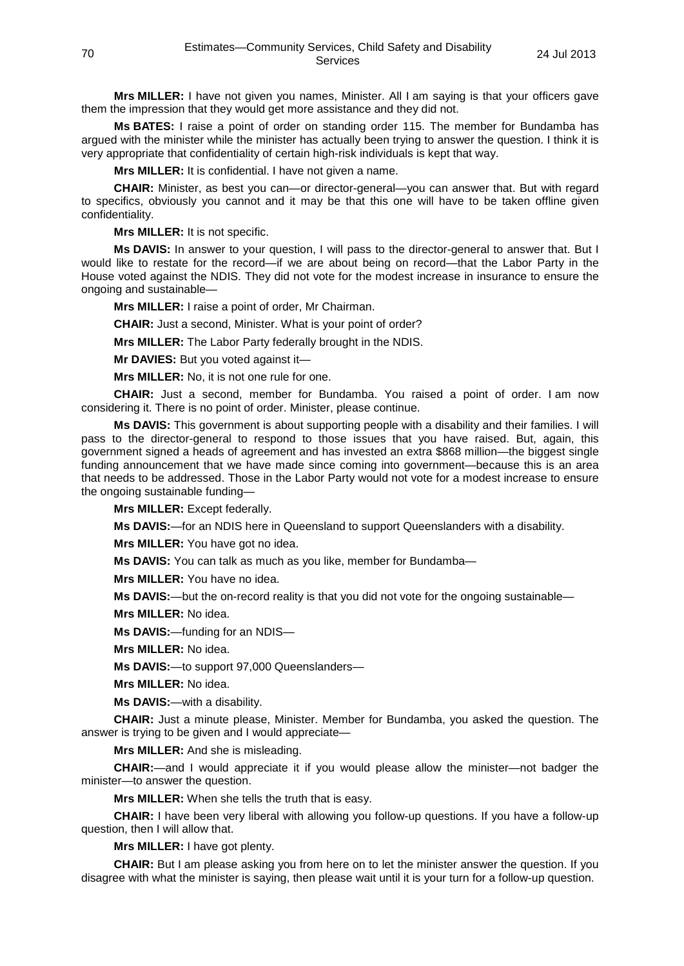**Mrs MILLER:** I have not given you names, Minister. All I am saying is that your officers gave them the impression that they would get more assistance and they did not.

**Ms BATES:** I raise a point of order on standing order 115. The member for Bundamba has argued with the minister while the minister has actually been trying to answer the question. I think it is very appropriate that confidentiality of certain high-risk individuals is kept that way.

**Mrs MILLER:** It is confidential. I have not given a name.

**CHAIR:** Minister, as best you can—or director-general—you can answer that. But with regard to specifics, obviously you cannot and it may be that this one will have to be taken offline given confidentiality.

**Mrs MILLER:** It is not specific.

**Ms DAVIS:** In answer to your question, I will pass to the director-general to answer that. But I would like to restate for the record—if we are about being on record—that the Labor Party in the House voted against the NDIS. They did not vote for the modest increase in insurance to ensure the ongoing and sustainable—

**Mrs MILLER:** I raise a point of order, Mr Chairman.

**CHAIR:** Just a second, Minister. What is your point of order?

**Mrs MILLER:** The Labor Party federally brought in the NDIS.

**Mr DAVIES:** But you voted against it—

**Mrs MILLER:** No, it is not one rule for one.

**CHAIR:** Just a second, member for Bundamba. You raised a point of order. I am now considering it. There is no point of order. Minister, please continue.

**Ms DAVIS:** This government is about supporting people with a disability and their families. I will pass to the director-general to respond to those issues that you have raised. But, again, this government signed a heads of agreement and has invested an extra \$868 million—the biggest single funding announcement that we have made since coming into government—because this is an area that needs to be addressed. Those in the Labor Party would not vote for a modest increase to ensure the ongoing sustainable funding—

**Mrs MILLER:** Except federally.

**Ms DAVIS:**—for an NDIS here in Queensland to support Queenslanders with a disability.

**Mrs MILLER:** You have got no idea.

**Ms DAVIS:** You can talk as much as you like, member for Bundamba—

**Mrs MILLER:** You have no idea.

**Ms DAVIS:**—but the on-record reality is that you did not vote for the ongoing sustainable—

**Mrs MILLER:** No idea.

**Ms DAVIS:**—funding for an NDIS—

**Mrs MILLER:** No idea.

**Ms DAVIS:**—to support 97,000 Queenslanders—

**Mrs MILLER:** No idea.

**Ms DAVIS:**—with a disability.

**CHAIR:** Just a minute please, Minister. Member for Bundamba, you asked the question. The answer is trying to be given and I would appreciate—

**Mrs MILLER:** And she is misleading.

**CHAIR:**—and I would appreciate it if you would please allow the minister—not badger the minister—to answer the question.

**Mrs MILLER:** When she tells the truth that is easy.

**CHAIR:** I have been very liberal with allowing you follow-up questions. If you have a follow-up question, then I will allow that.

**Mrs MILLER:** I have got plenty.

**CHAIR:** But I am please asking you from here on to let the minister answer the question. If you disagree with what the minister is saying, then please wait until it is your turn for a follow-up question.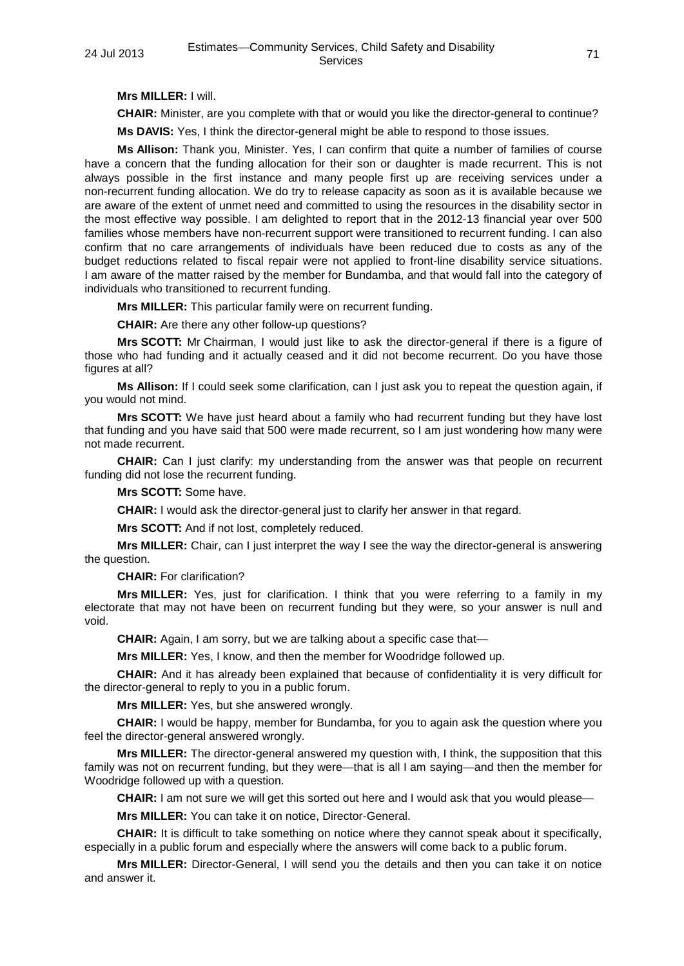**Mrs MILLER:** I will.

**CHAIR:** Minister, are you complete with that or would you like the director-general to continue?

**Ms DAVIS:** Yes, I think the director-general might be able to respond to those issues.

**Ms Allison:** Thank you, Minister. Yes, I can confirm that quite a number of families of course have a concern that the funding allocation for their son or daughter is made recurrent. This is not always possible in the first instance and many people first up are receiving services under a non-recurrent funding allocation. We do try to release capacity as soon as it is available because we are aware of the extent of unmet need and committed to using the resources in the disability sector in the most effective way possible. I am delighted to report that in the 2012-13 financial year over 500 families whose members have non-recurrent support were transitioned to recurrent funding. I can also confirm that no care arrangements of individuals have been reduced due to costs as any of the budget reductions related to fiscal repair were not applied to front-line disability service situations. I am aware of the matter raised by the member for Bundamba, and that would fall into the category of individuals who transitioned to recurrent funding.

**Mrs MILLER:** This particular family were on recurrent funding.

**CHAIR:** Are there any other follow-up questions?

**Mrs SCOTT:** Mr Chairman, I would just like to ask the director-general if there is a figure of those who had funding and it actually ceased and it did not become recurrent. Do you have those figures at all?

**Ms Allison:** If I could seek some clarification, can I just ask you to repeat the question again, if you would not mind.

**Mrs SCOTT:** We have just heard about a family who had recurrent funding but they have lost that funding and you have said that 500 were made recurrent, so I am just wondering how many were not made recurrent.

**CHAIR:** Can I just clarify: my understanding from the answer was that people on recurrent funding did not lose the recurrent funding.

**Mrs SCOTT:** Some have.

**CHAIR:** I would ask the director-general just to clarify her answer in that regard.

**Mrs SCOTT:** And if not lost, completely reduced.

**Mrs MILLER:** Chair, can I just interpret the way I see the way the director-general is answering the question.

**CHAIR:** For clarification?

**Mrs MILLER:** Yes, just for clarification. I think that you were referring to a family in my electorate that may not have been on recurrent funding but they were, so your answer is null and void.

**CHAIR:** Again, I am sorry, but we are talking about a specific case that—

**Mrs MILLER:** Yes, I know, and then the member for Woodridge followed up.

**CHAIR:** And it has already been explained that because of confidentiality it is very difficult for the director-general to reply to you in a public forum.

**Mrs MILLER:** Yes, but she answered wrongly.

**CHAIR:** I would be happy, member for Bundamba, for you to again ask the question where you feel the director-general answered wrongly.

**Mrs MILLER:** The director-general answered my question with, I think, the supposition that this family was not on recurrent funding, but they were—that is all I am saying—and then the member for Woodridge followed up with a question.

**CHAIR:** I am not sure we will get this sorted out here and I would ask that you would please—

**Mrs MILLER:** You can take it on notice, Director-General.

**CHAIR:** It is difficult to take something on notice where they cannot speak about it specifically, especially in a public forum and especially where the answers will come back to a public forum.

**Mrs MILLER:** Director-General, I will send you the details and then you can take it on notice and answer it.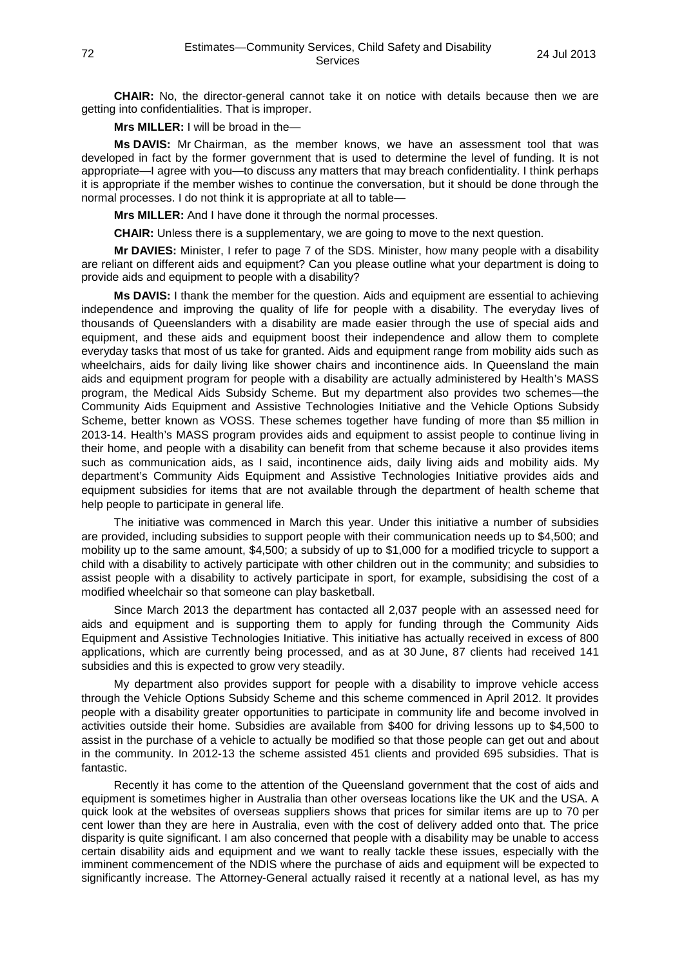**CHAIR:** No, the director-general cannot take it on notice with details because then we are getting into confidentialities. That is improper.

**Mrs MILLER:** I will be broad in the—

**Ms DAVIS:** Mr Chairman, as the member knows, we have an assessment tool that was developed in fact by the former government that is used to determine the level of funding. It is not appropriate—I agree with you—to discuss any matters that may breach confidentiality. I think perhaps it is appropriate if the member wishes to continue the conversation, but it should be done through the normal processes. I do not think it is appropriate at all to table—

**Mrs MILLER:** And I have done it through the normal processes.

**CHAIR:** Unless there is a supplementary, we are going to move to the next question.

**Mr DAVIES:** Minister, I refer to page 7 of the SDS. Minister, how many people with a disability are reliant on different aids and equipment? Can you please outline what your department is doing to provide aids and equipment to people with a disability?

**Ms DAVIS:** I thank the member for the question. Aids and equipment are essential to achieving independence and improving the quality of life for people with a disability. The everyday lives of thousands of Queenslanders with a disability are made easier through the use of special aids and equipment, and these aids and equipment boost their independence and allow them to complete everyday tasks that most of us take for granted. Aids and equipment range from mobility aids such as wheelchairs, aids for daily living like shower chairs and incontinence aids. In Queensland the main aids and equipment program for people with a disability are actually administered by Health's MASS program, the Medical Aids Subsidy Scheme. But my department also provides two schemes—the Community Aids Equipment and Assistive Technologies Initiative and the Vehicle Options Subsidy Scheme, better known as VOSS. These schemes together have funding of more than \$5 million in 2013-14. Health's MASS program provides aids and equipment to assist people to continue living in their home, and people with a disability can benefit from that scheme because it also provides items such as communication aids, as I said, incontinence aids, daily living aids and mobility aids. My department's Community Aids Equipment and Assistive Technologies Initiative provides aids and equipment subsidies for items that are not available through the department of health scheme that help people to participate in general life.

The initiative was commenced in March this year. Under this initiative a number of subsidies are provided, including subsidies to support people with their communication needs up to \$4,500; and mobility up to the same amount, \$4,500; a subsidy of up to \$1,000 for a modified tricycle to support a child with a disability to actively participate with other children out in the community; and subsidies to assist people with a disability to actively participate in sport, for example, subsidising the cost of a modified wheelchair so that someone can play basketball.

Since March 2013 the department has contacted all 2,037 people with an assessed need for aids and equipment and is supporting them to apply for funding through the Community Aids Equipment and Assistive Technologies Initiative. This initiative has actually received in excess of 800 applications, which are currently being processed, and as at 30 June, 87 clients had received 141 subsidies and this is expected to grow very steadily.

My department also provides support for people with a disability to improve vehicle access through the Vehicle Options Subsidy Scheme and this scheme commenced in April 2012. It provides people with a disability greater opportunities to participate in community life and become involved in activities outside their home. Subsidies are available from \$400 for driving lessons up to \$4,500 to assist in the purchase of a vehicle to actually be modified so that those people can get out and about in the community. In 2012-13 the scheme assisted 451 clients and provided 695 subsidies. That is fantastic.

Recently it has come to the attention of the Queensland government that the cost of aids and equipment is sometimes higher in Australia than other overseas locations like the UK and the USA. A quick look at the websites of overseas suppliers shows that prices for similar items are up to 70 per cent lower than they are here in Australia, even with the cost of delivery added onto that. The price disparity is quite significant. I am also concerned that people with a disability may be unable to access certain disability aids and equipment and we want to really tackle these issues, especially with the imminent commencement of the NDIS where the purchase of aids and equipment will be expected to significantly increase. The Attorney-General actually raised it recently at a national level, as has my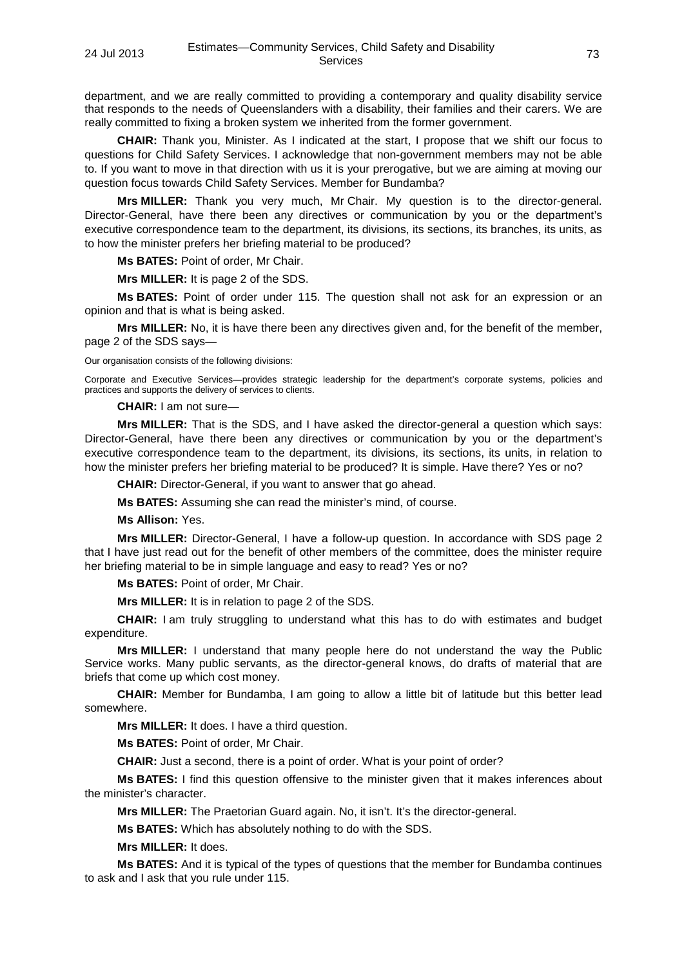department, and we are really committed to providing a contemporary and quality disability service that responds to the needs of Queenslanders with a disability, their families and their carers. We are really committed to fixing a broken system we inherited from the former government.

**CHAIR:** Thank you, Minister. As I indicated at the start, I propose that we shift our focus to questions for Child Safety Services. I acknowledge that non-government members may not be able to. If you want to move in that direction with us it is your prerogative, but we are aiming at moving our question focus towards Child Safety Services. Member for Bundamba?

**Mrs MILLER:** Thank you very much, Mr Chair. My question is to the director-general. Director-General, have there been any directives or communication by you or the department's executive correspondence team to the department, its divisions, its sections, its branches, its units, as to how the minister prefers her briefing material to be produced?

**Ms BATES:** Point of order, Mr Chair.

**Mrs MILLER:** It is page 2 of the SDS.

**Ms BATES:** Point of order under 115. The question shall not ask for an expression or an opinion and that is what is being asked.

**Mrs MILLER:** No, it is have there been any directives given and, for the benefit of the member, page 2 of the SDS says—

Our organisation consists of the following divisions:

Corporate and Executive Services—provides strategic leadership for the department's corporate systems, policies and practices and supports the delivery of services to clients.

**CHAIR:** I am not sure—

**Mrs MILLER:** That is the SDS, and I have asked the director-general a question which says: Director-General, have there been any directives or communication by you or the department's executive correspondence team to the department, its divisions, its sections, its units, in relation to how the minister prefers her briefing material to be produced? It is simple. Have there? Yes or no?

**CHAIR:** Director-General, if you want to answer that go ahead.

**Ms BATES:** Assuming she can read the minister's mind, of course.

**Ms Allison:** Yes.

**Mrs MILLER:** Director-General, I have a follow-up question. In accordance with SDS page 2 that I have just read out for the benefit of other members of the committee, does the minister require her briefing material to be in simple language and easy to read? Yes or no?

**Ms BATES:** Point of order, Mr Chair.

**Mrs MILLER:** It is in relation to page 2 of the SDS.

**CHAIR:** I am truly struggling to understand what this has to do with estimates and budget expenditure.

**Mrs MILLER:** I understand that many people here do not understand the way the Public Service works. Many public servants, as the director-general knows, do drafts of material that are briefs that come up which cost money.

**CHAIR:** Member for Bundamba, I am going to allow a little bit of latitude but this better lead somewhere.

**Mrs MILLER:** It does. I have a third question.

**Ms BATES:** Point of order, Mr Chair.

**CHAIR:** Just a second, there is a point of order. What is your point of order?

**Ms BATES:** I find this question offensive to the minister given that it makes inferences about the minister's character.

**Mrs MILLER:** The Praetorian Guard again. No, it isn't. It's the director-general.

**Ms BATES:** Which has absolutely nothing to do with the SDS.

**Mrs MILLER:** It does.

**Ms BATES:** And it is typical of the types of questions that the member for Bundamba continues to ask and I ask that you rule under 115.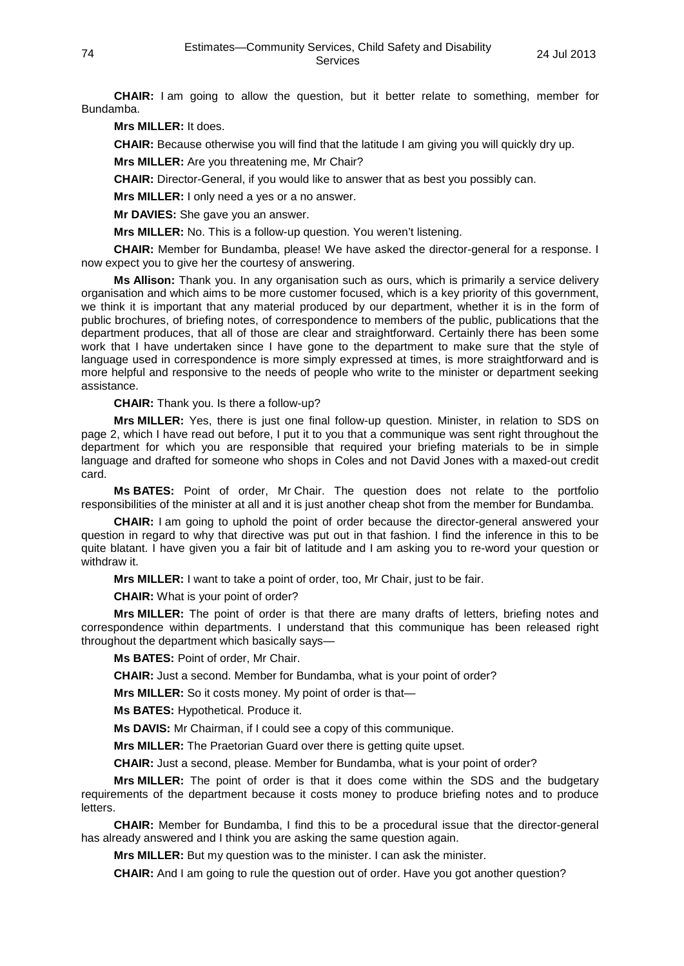**CHAIR:** I am going to allow the question, but it better relate to something, member for Bundamba.

**Mrs MILLER:** It does.

**CHAIR:** Because otherwise you will find that the latitude I am giving you will quickly dry up.

**Mrs MILLER:** Are you threatening me, Mr Chair?

**CHAIR:** Director-General, if you would like to answer that as best you possibly can.

**Mrs MILLER:** I only need a yes or a no answer.

**Mr DAVIES:** She gave you an answer.

**Mrs MILLER:** No. This is a follow-up question. You weren't listening.

**CHAIR:** Member for Bundamba, please! We have asked the director-general for a response. I now expect you to give her the courtesy of answering.

**Ms Allison:** Thank you. In any organisation such as ours, which is primarily a service delivery organisation and which aims to be more customer focused, which is a key priority of this government, we think it is important that any material produced by our department, whether it is in the form of public brochures, of briefing notes, of correspondence to members of the public, publications that the department produces, that all of those are clear and straightforward. Certainly there has been some work that I have undertaken since I have gone to the department to make sure that the style of language used in correspondence is more simply expressed at times, is more straightforward and is more helpful and responsive to the needs of people who write to the minister or department seeking assistance.

**CHAIR:** Thank you. Is there a follow-up?

**Mrs MILLER:** Yes, there is just one final follow-up question. Minister, in relation to SDS on page 2, which I have read out before, I put it to you that a communique was sent right throughout the department for which you are responsible that required your briefing materials to be in simple language and drafted for someone who shops in Coles and not David Jones with a maxed-out credit card.

**Ms BATES:** Point of order, Mr Chair. The question does not relate to the portfolio responsibilities of the minister at all and it is just another cheap shot from the member for Bundamba.

**CHAIR:** I am going to uphold the point of order because the director-general answered your question in regard to why that directive was put out in that fashion. I find the inference in this to be quite blatant. I have given you a fair bit of latitude and I am asking you to re-word your question or withdraw it.

**Mrs MILLER:** I want to take a point of order, too, Mr Chair, just to be fair.

**CHAIR:** What is your point of order?

**Mrs MILLER:** The point of order is that there are many drafts of letters, briefing notes and correspondence within departments. I understand that this communique has been released right throughout the department which basically says—

**Ms BATES:** Point of order, Mr Chair.

**CHAIR:** Just a second. Member for Bundamba, what is your point of order?

**Mrs MILLER:** So it costs money. My point of order is that—

**Ms BATES:** Hypothetical. Produce it.

**Ms DAVIS:** Mr Chairman, if I could see a copy of this communique.

**Mrs MILLER:** The Praetorian Guard over there is getting quite upset.

**CHAIR:** Just a second, please. Member for Bundamba, what is your point of order?

**Mrs MILLER:** The point of order is that it does come within the SDS and the budgetary requirements of the department because it costs money to produce briefing notes and to produce letters.

**CHAIR:** Member for Bundamba, I find this to be a procedural issue that the director-general has already answered and I think you are asking the same question again.

**Mrs MILLER:** But my question was to the minister. I can ask the minister.

**CHAIR:** And I am going to rule the question out of order. Have you got another question?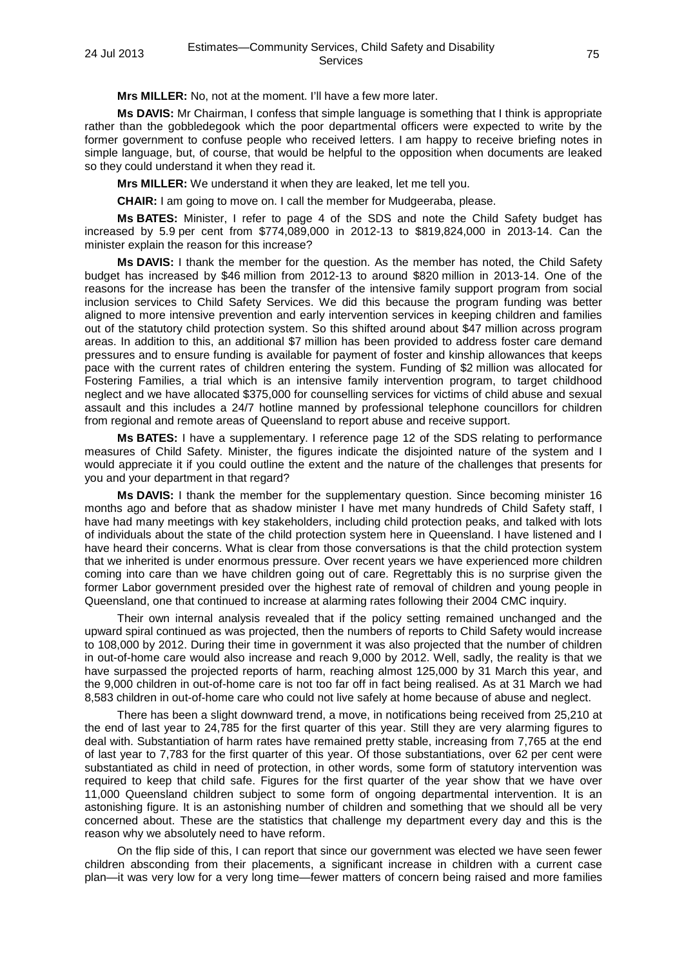**Mrs MILLER:** No, not at the moment. I'll have a few more later.

**Ms DAVIS:** Mr Chairman, I confess that simple language is something that I think is appropriate rather than the gobbledegook which the poor departmental officers were expected to write by the former government to confuse people who received letters. I am happy to receive briefing notes in simple language, but, of course, that would be helpful to the opposition when documents are leaked so they could understand it when they read it.

**Mrs MILLER:** We understand it when they are leaked, let me tell you.

**CHAIR:** I am going to move on. I call the member for Mudgeeraba, please.

**Ms BATES:** Minister, I refer to page 4 of the SDS and note the Child Safety budget has increased by 5.9 per cent from \$774,089,000 in 2012-13 to \$819,824,000 in 2013-14. Can the minister explain the reason for this increase?

**Ms DAVIS:** I thank the member for the question. As the member has noted, the Child Safety budget has increased by \$46 million from 2012-13 to around \$820 million in 2013-14. One of the reasons for the increase has been the transfer of the intensive family support program from social inclusion services to Child Safety Services. We did this because the program funding was better aligned to more intensive prevention and early intervention services in keeping children and families out of the statutory child protection system. So this shifted around about \$47 million across program areas. In addition to this, an additional \$7 million has been provided to address foster care demand pressures and to ensure funding is available for payment of foster and kinship allowances that keeps pace with the current rates of children entering the system. Funding of \$2 million was allocated for Fostering Families, a trial which is an intensive family intervention program, to target childhood neglect and we have allocated \$375,000 for counselling services for victims of child abuse and sexual assault and this includes a 24/7 hotline manned by professional telephone councillors for children from regional and remote areas of Queensland to report abuse and receive support.

**Ms BATES:** I have a supplementary. I reference page 12 of the SDS relating to performance measures of Child Safety. Minister, the figures indicate the disjointed nature of the system and I would appreciate it if you could outline the extent and the nature of the challenges that presents for you and your department in that regard?

**Ms DAVIS:** I thank the member for the supplementary question. Since becoming minister 16 months ago and before that as shadow minister I have met many hundreds of Child Safety staff, I have had many meetings with key stakeholders, including child protection peaks, and talked with lots of individuals about the state of the child protection system here in Queensland. I have listened and I have heard their concerns. What is clear from those conversations is that the child protection system that we inherited is under enormous pressure. Over recent years we have experienced more children coming into care than we have children going out of care. Regrettably this is no surprise given the former Labor government presided over the highest rate of removal of children and young people in Queensland, one that continued to increase at alarming rates following their 2004 CMC inquiry.

Their own internal analysis revealed that if the policy setting remained unchanged and the upward spiral continued as was projected, then the numbers of reports to Child Safety would increase to 108,000 by 2012. During their time in government it was also projected that the number of children in out-of-home care would also increase and reach 9,000 by 2012. Well, sadly, the reality is that we have surpassed the projected reports of harm, reaching almost 125,000 by 31 March this year, and the 9,000 children in out-of-home care is not too far off in fact being realised. As at 31 March we had 8,583 children in out-of-home care who could not live safely at home because of abuse and neglect.

There has been a slight downward trend, a move, in notifications being received from 25,210 at the end of last year to 24,785 for the first quarter of this year. Still they are very alarming figures to deal with. Substantiation of harm rates have remained pretty stable, increasing from 7,765 at the end of last year to 7,783 for the first quarter of this year. Of those substantiations, over 62 per cent were substantiated as child in need of protection, in other words, some form of statutory intervention was required to keep that child safe. Figures for the first quarter of the year show that we have over 11,000 Queensland children subject to some form of ongoing departmental intervention. It is an astonishing figure. It is an astonishing number of children and something that we should all be very concerned about. These are the statistics that challenge my department every day and this is the reason why we absolutely need to have reform.

On the flip side of this, I can report that since our government was elected we have seen fewer children absconding from their placements, a significant increase in children with a current case plan—it was very low for a very long time—fewer matters of concern being raised and more families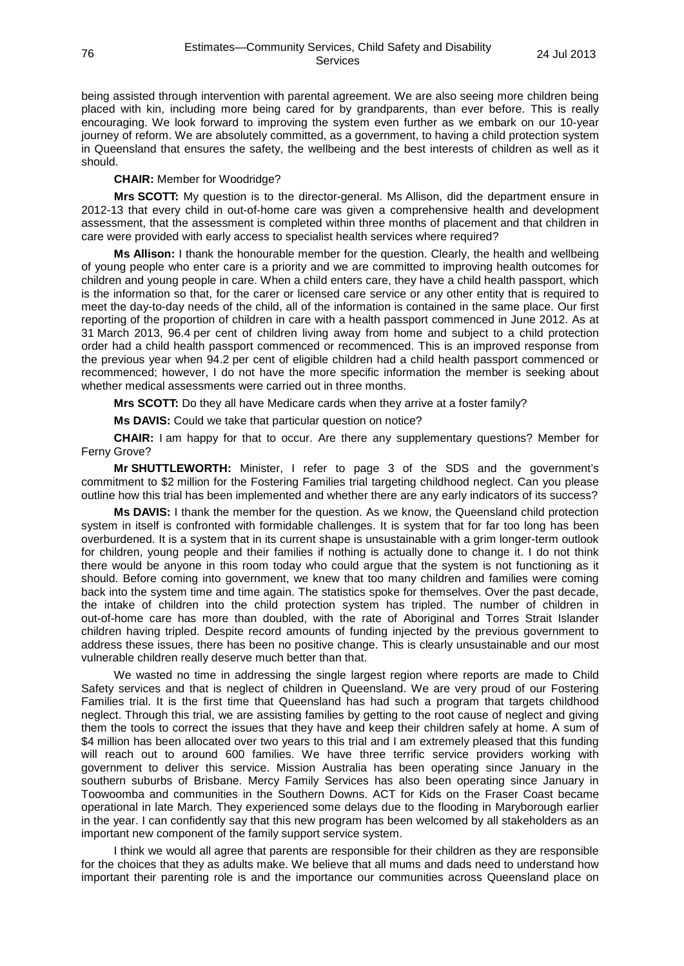being assisted through intervention with parental agreement. We are also seeing more children being placed with kin, including more being cared for by grandparents, than ever before. This is really encouraging. We look forward to improving the system even further as we embark on our 10-year journey of reform. We are absolutely committed, as a government, to having a child protection system in Queensland that ensures the safety, the wellbeing and the best interests of children as well as it should.

**CHAIR:** Member for Woodridge?

**Mrs SCOTT:** My question is to the director-general. Ms Allison, did the department ensure in 2012-13 that every child in out-of-home care was given a comprehensive health and development assessment, that the assessment is completed within three months of placement and that children in care were provided with early access to specialist health services where required?

**Ms Allison:** I thank the honourable member for the question. Clearly, the health and wellbeing of young people who enter care is a priority and we are committed to improving health outcomes for children and young people in care. When a child enters care, they have a child health passport, which is the information so that, for the carer or licensed care service or any other entity that is required to meet the day-to-day needs of the child, all of the information is contained in the same place. Our first reporting of the proportion of children in care with a health passport commenced in June 2012. As at 31 March 2013, 96.4 per cent of children living away from home and subject to a child protection order had a child health passport commenced or recommenced. This is an improved response from the previous year when 94.2 per cent of eligible children had a child health passport commenced or recommenced; however, I do not have the more specific information the member is seeking about whether medical assessments were carried out in three months.

**Mrs SCOTT:** Do they all have Medicare cards when they arrive at a foster family?

**Ms DAVIS:** Could we take that particular question on notice?

**CHAIR:** I am happy for that to occur. Are there any supplementary questions? Member for Ferny Grove?

**Mr SHUTTLEWORTH:** Minister, I refer to page 3 of the SDS and the government's commitment to \$2 million for the Fostering Families trial targeting childhood neglect. Can you please outline how this trial has been implemented and whether there are any early indicators of its success?

**Ms DAVIS:** I thank the member for the question. As we know, the Queensland child protection system in itself is confronted with formidable challenges. It is system that for far too long has been overburdened. It is a system that in its current shape is unsustainable with a grim longer-term outlook for children, young people and their families if nothing is actually done to change it. I do not think there would be anyone in this room today who could argue that the system is not functioning as it should. Before coming into government, we knew that too many children and families were coming back into the system time and time again. The statistics spoke for themselves. Over the past decade, the intake of children into the child protection system has tripled. The number of children in out-of-home care has more than doubled, with the rate of Aboriginal and Torres Strait Islander children having tripled. Despite record amounts of funding injected by the previous government to address these issues, there has been no positive change. This is clearly unsustainable and our most vulnerable children really deserve much better than that.

We wasted no time in addressing the single largest region where reports are made to Child Safety services and that is neglect of children in Queensland. We are very proud of our Fostering Families trial. It is the first time that Queensland has had such a program that targets childhood neglect. Through this trial, we are assisting families by getting to the root cause of neglect and giving them the tools to correct the issues that they have and keep their children safely at home. A sum of \$4 million has been allocated over two years to this trial and I am extremely pleased that this funding will reach out to around 600 families. We have three terrific service providers working with government to deliver this service. Mission Australia has been operating since January in the southern suburbs of Brisbane. Mercy Family Services has also been operating since January in Toowoomba and communities in the Southern Downs. ACT for Kids on the Fraser Coast became operational in late March. They experienced some delays due to the flooding in Maryborough earlier in the year. I can confidently say that this new program has been welcomed by all stakeholders as an important new component of the family support service system.

I think we would all agree that parents are responsible for their children as they are responsible for the choices that they as adults make. We believe that all mums and dads need to understand how important their parenting role is and the importance our communities across Queensland place on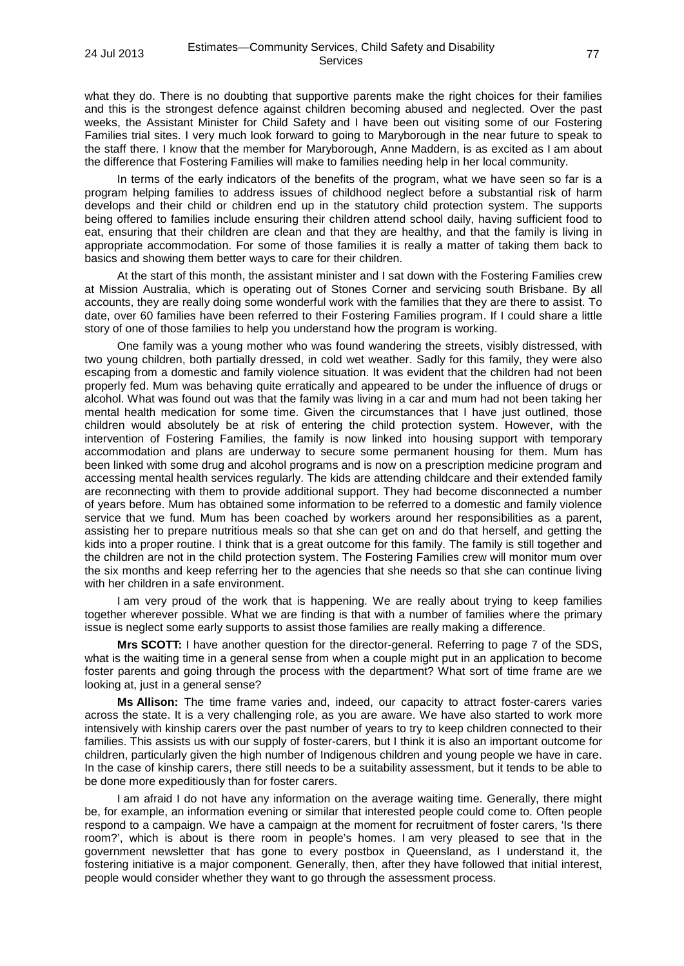what they do. There is no doubting that supportive parents make the right choices for their families and this is the strongest defence against children becoming abused and neglected. Over the past weeks, the Assistant Minister for Child Safety and I have been out visiting some of our Fostering Families trial sites. I very much look forward to going to Maryborough in the near future to speak to the staff there. I know that the member for Maryborough, Anne Maddern, is as excited as I am about the difference that Fostering Families will make to families needing help in her local community.

In terms of the early indicators of the benefits of the program, what we have seen so far is a program helping families to address issues of childhood neglect before a substantial risk of harm develops and their child or children end up in the statutory child protection system. The supports being offered to families include ensuring their children attend school daily, having sufficient food to eat, ensuring that their children are clean and that they are healthy, and that the family is living in appropriate accommodation. For some of those families it is really a matter of taking them back to basics and showing them better ways to care for their children.

At the start of this month, the assistant minister and I sat down with the Fostering Families crew at Mission Australia, which is operating out of Stones Corner and servicing south Brisbane. By all accounts, they are really doing some wonderful work with the families that they are there to assist. To date, over 60 families have been referred to their Fostering Families program. If I could share a little story of one of those families to help you understand how the program is working.

One family was a young mother who was found wandering the streets, visibly distressed, with two young children, both partially dressed, in cold wet weather. Sadly for this family, they were also escaping from a domestic and family violence situation. It was evident that the children had not been properly fed. Mum was behaving quite erratically and appeared to be under the influence of drugs or alcohol. What was found out was that the family was living in a car and mum had not been taking her mental health medication for some time. Given the circumstances that I have just outlined, those children would absolutely be at risk of entering the child protection system. However, with the intervention of Fostering Families, the family is now linked into housing support with temporary accommodation and plans are underway to secure some permanent housing for them. Mum has been linked with some drug and alcohol programs and is now on a prescription medicine program and accessing mental health services regularly. The kids are attending childcare and their extended family are reconnecting with them to provide additional support. They had become disconnected a number of years before. Mum has obtained some information to be referred to a domestic and family violence service that we fund. Mum has been coached by workers around her responsibilities as a parent, assisting her to prepare nutritious meals so that she can get on and do that herself, and getting the kids into a proper routine. I think that is a great outcome for this family. The family is still together and the children are not in the child protection system. The Fostering Families crew will monitor mum over the six months and keep referring her to the agencies that she needs so that she can continue living with her children in a safe environment.

I am very proud of the work that is happening. We are really about trying to keep families together wherever possible. What we are finding is that with a number of families where the primary issue is neglect some early supports to assist those families are really making a difference.

**Mrs SCOTT:** I have another question for the director-general. Referring to page 7 of the SDS, what is the waiting time in a general sense from when a couple might put in an application to become foster parents and going through the process with the department? What sort of time frame are we looking at, just in a general sense?

**Ms Allison:** The time frame varies and, indeed, our capacity to attract foster-carers varies across the state. It is a very challenging role, as you are aware. We have also started to work more intensively with kinship carers over the past number of years to try to keep children connected to their families. This assists us with our supply of foster-carers, but I think it is also an important outcome for children, particularly given the high number of Indigenous children and young people we have in care. In the case of kinship carers, there still needs to be a suitability assessment, but it tends to be able to be done more expeditiously than for foster carers.

I am afraid I do not have any information on the average waiting time. Generally, there might be, for example, an information evening or similar that interested people could come to. Often people respond to a campaign. We have a campaign at the moment for recruitment of foster carers, 'Is there room?', which is about is there room in people's homes. I am very pleased to see that in the government newsletter that has gone to every postbox in Queensland, as I understand it, the fostering initiative is a major component. Generally, then, after they have followed that initial interest, people would consider whether they want to go through the assessment process.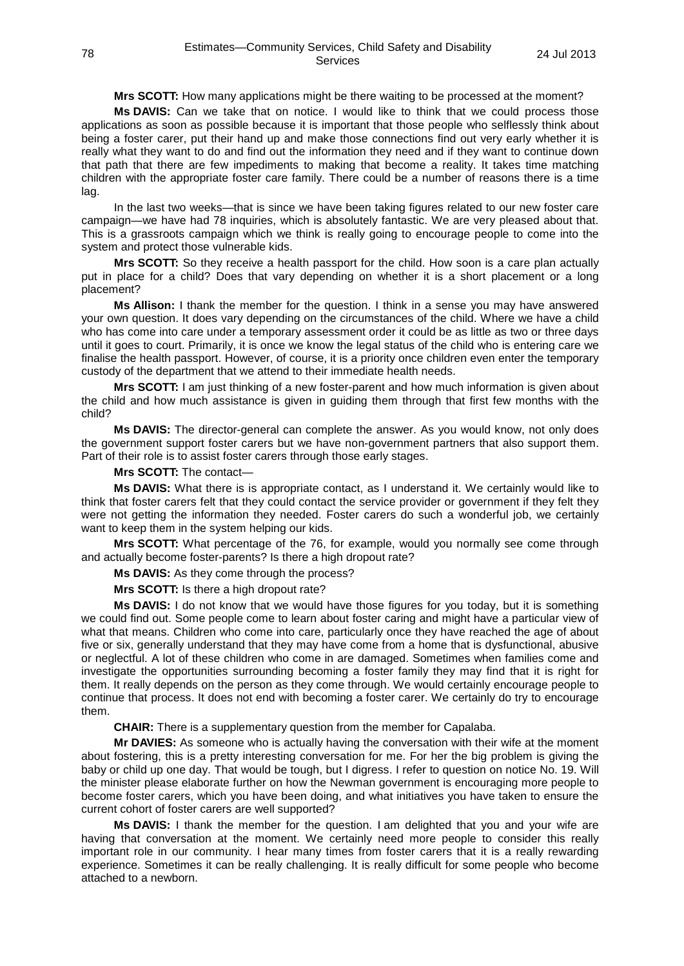**Mrs SCOTT:** How many applications might be there waiting to be processed at the moment?

**Ms DAVIS:** Can we take that on notice. I would like to think that we could process those applications as soon as possible because it is important that those people who selflessly think about being a foster carer, put their hand up and make those connections find out very early whether it is really what they want to do and find out the information they need and if they want to continue down that path that there are few impediments to making that become a reality. It takes time matching children with the appropriate foster care family. There could be a number of reasons there is a time lag.

In the last two weeks—that is since we have been taking figures related to our new foster care campaign—we have had 78 inquiries, which is absolutely fantastic. We are very pleased about that. This is a grassroots campaign which we think is really going to encourage people to come into the system and protect those vulnerable kids.

**Mrs SCOTT:** So they receive a health passport for the child. How soon is a care plan actually put in place for a child? Does that vary depending on whether it is a short placement or a long placement?

**Ms Allison:** I thank the member for the question. I think in a sense you may have answered your own question. It does vary depending on the circumstances of the child. Where we have a child who has come into care under a temporary assessment order it could be as little as two or three days until it goes to court. Primarily, it is once we know the legal status of the child who is entering care we finalise the health passport. However, of course, it is a priority once children even enter the temporary custody of the department that we attend to their immediate health needs.

**Mrs SCOTT:** I am just thinking of a new foster-parent and how much information is given about the child and how much assistance is given in guiding them through that first few months with the child?

**Ms DAVIS:** The director-general can complete the answer. As you would know, not only does the government support foster carers but we have non-government partners that also support them. Part of their role is to assist foster carers through those early stages.

**Mrs SCOTT:** The contact—

**Ms DAVIS:** What there is is appropriate contact, as I understand it. We certainly would like to think that foster carers felt that they could contact the service provider or government if they felt they were not getting the information they needed. Foster carers do such a wonderful job, we certainly want to keep them in the system helping our kids.

**Mrs SCOTT:** What percentage of the 76, for example, would you normally see come through and actually become foster-parents? Is there a high dropout rate?

**Ms DAVIS:** As they come through the process?

**Mrs SCOTT:** Is there a high dropout rate?

**Ms DAVIS:** I do not know that we would have those figures for you today, but it is something we could find out. Some people come to learn about foster caring and might have a particular view of what that means. Children who come into care, particularly once they have reached the age of about five or six, generally understand that they may have come from a home that is dysfunctional, abusive or neglectful. A lot of these children who come in are damaged. Sometimes when families come and investigate the opportunities surrounding becoming a foster family they may find that it is right for them. It really depends on the person as they come through. We would certainly encourage people to continue that process. It does not end with becoming a foster carer. We certainly do try to encourage them.

**CHAIR:** There is a supplementary question from the member for Capalaba.

**Mr DAVIES:** As someone who is actually having the conversation with their wife at the moment about fostering, this is a pretty interesting conversation for me. For her the big problem is giving the baby or child up one day. That would be tough, but I digress. I refer to question on notice No. 19. Will the minister please elaborate further on how the Newman government is encouraging more people to become foster carers, which you have been doing, and what initiatives you have taken to ensure the current cohort of foster carers are well supported?

**Ms DAVIS:** I thank the member for the question. I am delighted that you and your wife are having that conversation at the moment. We certainly need more people to consider this really important role in our community. I hear many times from foster carers that it is a really rewarding experience. Sometimes it can be really challenging. It is really difficult for some people who become attached to a newborn.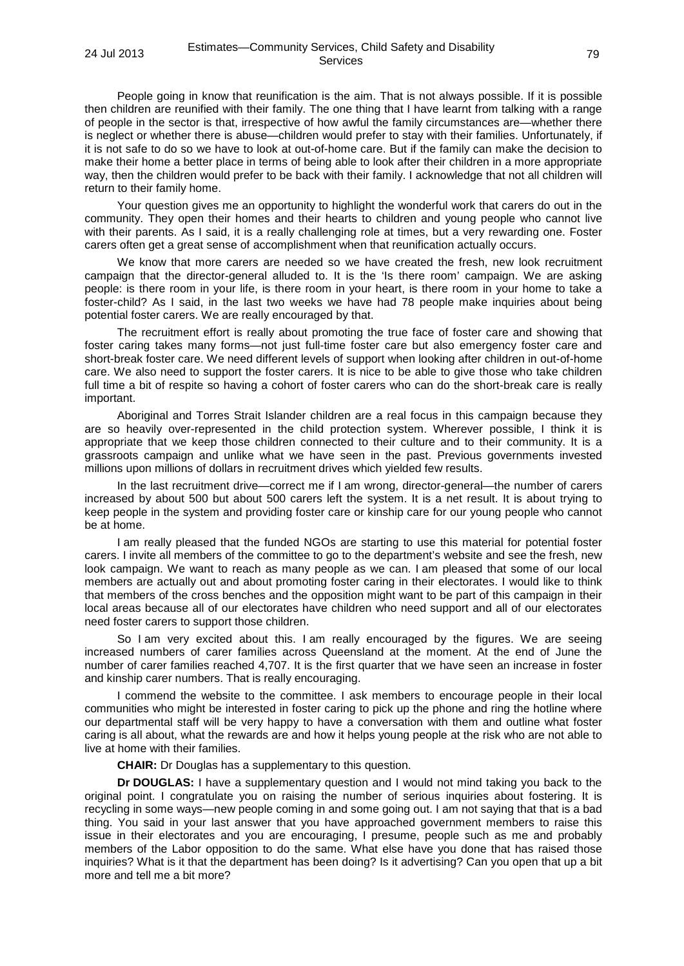People going in know that reunification is the aim. That is not always possible. If it is possible then children are reunified with their family. The one thing that I have learnt from talking with a range of people in the sector is that, irrespective of how awful the family circumstances are—whether there is neglect or whether there is abuse—children would prefer to stay with their families. Unfortunately, if it is not safe to do so we have to look at out-of-home care. But if the family can make the decision to make their home a better place in terms of being able to look after their children in a more appropriate way, then the children would prefer to be back with their family. I acknowledge that not all children will return to their family home.

Your question gives me an opportunity to highlight the wonderful work that carers do out in the community. They open their homes and their hearts to children and young people who cannot live with their parents. As I said, it is a really challenging role at times, but a very rewarding one. Foster carers often get a great sense of accomplishment when that reunification actually occurs.

We know that more carers are needed so we have created the fresh, new look recruitment campaign that the director-general alluded to. It is the 'Is there room' campaign. We are asking people: is there room in your life, is there room in your heart, is there room in your home to take a foster-child? As I said, in the last two weeks we have had 78 people make inquiries about being potential foster carers. We are really encouraged by that.

The recruitment effort is really about promoting the true face of foster care and showing that foster caring takes many forms—not just full-time foster care but also emergency foster care and short-break foster care. We need different levels of support when looking after children in out-of-home care. We also need to support the foster carers. It is nice to be able to give those who take children full time a bit of respite so having a cohort of foster carers who can do the short-break care is really important.

Aboriginal and Torres Strait Islander children are a real focus in this campaign because they are so heavily over-represented in the child protection system. Wherever possible, I think it is appropriate that we keep those children connected to their culture and to their community. It is a grassroots campaign and unlike what we have seen in the past. Previous governments invested millions upon millions of dollars in recruitment drives which yielded few results.

In the last recruitment drive—correct me if I am wrong, director-general—the number of carers increased by about 500 but about 500 carers left the system. It is a net result. It is about trying to keep people in the system and providing foster care or kinship care for our young people who cannot be at home.

I am really pleased that the funded NGOs are starting to use this material for potential foster carers. I invite all members of the committee to go to the department's website and see the fresh, new look campaign. We want to reach as many people as we can. I am pleased that some of our local members are actually out and about promoting foster caring in their electorates. I would like to think that members of the cross benches and the opposition might want to be part of this campaign in their local areas because all of our electorates have children who need support and all of our electorates need foster carers to support those children.

So I am very excited about this. I am really encouraged by the figures. We are seeing increased numbers of carer families across Queensland at the moment. At the end of June the number of carer families reached 4,707. It is the first quarter that we have seen an increase in foster and kinship carer numbers. That is really encouraging.

I commend the website to the committee. I ask members to encourage people in their local communities who might be interested in foster caring to pick up the phone and ring the hotline where our departmental staff will be very happy to have a conversation with them and outline what foster caring is all about, what the rewards are and how it helps young people at the risk who are not able to live at home with their families.

**CHAIR:** Dr Douglas has a supplementary to this question.

**Dr DOUGLAS:** I have a supplementary question and I would not mind taking you back to the original point. I congratulate you on raising the number of serious inquiries about fostering. It is recycling in some ways—new people coming in and some going out. I am not saying that that is a bad thing. You said in your last answer that you have approached government members to raise this issue in their electorates and you are encouraging, I presume, people such as me and probably members of the Labor opposition to do the same. What else have you done that has raised those inquiries? What is it that the department has been doing? Is it advertising? Can you open that up a bit more and tell me a bit more?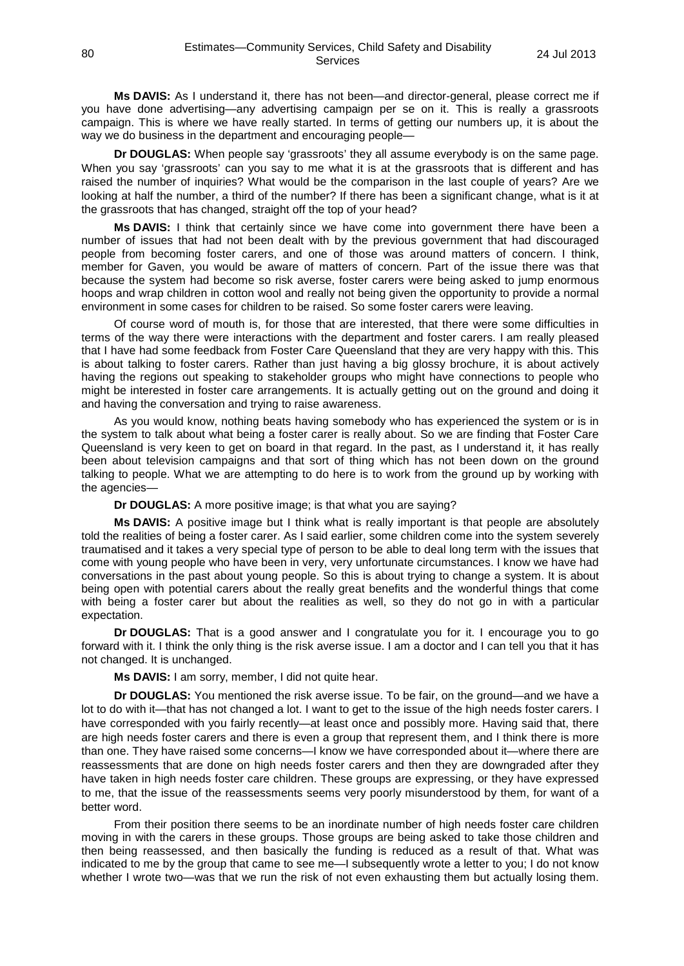**Ms DAVIS:** As I understand it, there has not been—and director-general, please correct me if you have done advertising—any advertising campaign per se on it. This is really a grassroots campaign. This is where we have really started. In terms of getting our numbers up, it is about the way we do business in the department and encouraging people—

**Dr DOUGLAS:** When people say 'grassroots' they all assume everybody is on the same page. When you say 'grassroots' can you say to me what it is at the grassroots that is different and has raised the number of inquiries? What would be the comparison in the last couple of years? Are we looking at half the number, a third of the number? If there has been a significant change, what is it at the grassroots that has changed, straight off the top of your head?

**Ms DAVIS:** I think that certainly since we have come into government there have been a number of issues that had not been dealt with by the previous government that had discouraged people from becoming foster carers, and one of those was around matters of concern. I think, member for Gaven, you would be aware of matters of concern. Part of the issue there was that because the system had become so risk averse, foster carers were being asked to jump enormous hoops and wrap children in cotton wool and really not being given the opportunity to provide a normal environment in some cases for children to be raised. So some foster carers were leaving.

Of course word of mouth is, for those that are interested, that there were some difficulties in terms of the way there were interactions with the department and foster carers. I am really pleased that I have had some feedback from Foster Care Queensland that they are very happy with this. This is about talking to foster carers. Rather than just having a big glossy brochure, it is about actively having the regions out speaking to stakeholder groups who might have connections to people who might be interested in foster care arrangements. It is actually getting out on the ground and doing it and having the conversation and trying to raise awareness.

As you would know, nothing beats having somebody who has experienced the system or is in the system to talk about what being a foster carer is really about. So we are finding that Foster Care Queensland is very keen to get on board in that regard. In the past, as I understand it, it has really been about television campaigns and that sort of thing which has not been down on the ground talking to people. What we are attempting to do here is to work from the ground up by working with the agencies—

**Dr DOUGLAS:** A more positive image; is that what you are saying?

**Ms DAVIS:** A positive image but I think what is really important is that people are absolutely told the realities of being a foster carer. As I said earlier, some children come into the system severely traumatised and it takes a very special type of person to be able to deal long term with the issues that come with young people who have been in very, very unfortunate circumstances. I know we have had conversations in the past about young people. So this is about trying to change a system. It is about being open with potential carers about the really great benefits and the wonderful things that come with being a foster carer but about the realities as well, so they do not go in with a particular expectation.

**Dr DOUGLAS:** That is a good answer and I congratulate you for it. I encourage you to go forward with it. I think the only thing is the risk averse issue. I am a doctor and I can tell you that it has not changed. It is unchanged.

**Ms DAVIS:** I am sorry, member, I did not quite hear.

**Dr DOUGLAS:** You mentioned the risk averse issue. To be fair, on the ground—and we have a lot to do with it—that has not changed a lot. I want to get to the issue of the high needs foster carers. I have corresponded with you fairly recently—at least once and possibly more. Having said that, there are high needs foster carers and there is even a group that represent them, and I think there is more than one. They have raised some concerns—I know we have corresponded about it—where there are reassessments that are done on high needs foster carers and then they are downgraded after they have taken in high needs foster care children. These groups are expressing, or they have expressed to me, that the issue of the reassessments seems very poorly misunderstood by them, for want of a better word.

From their position there seems to be an inordinate number of high needs foster care children moving in with the carers in these groups. Those groups are being asked to take those children and then being reassessed, and then basically the funding is reduced as a result of that. What was indicated to me by the group that came to see me—I subsequently wrote a letter to you; I do not know whether I wrote two—was that we run the risk of not even exhausting them but actually losing them.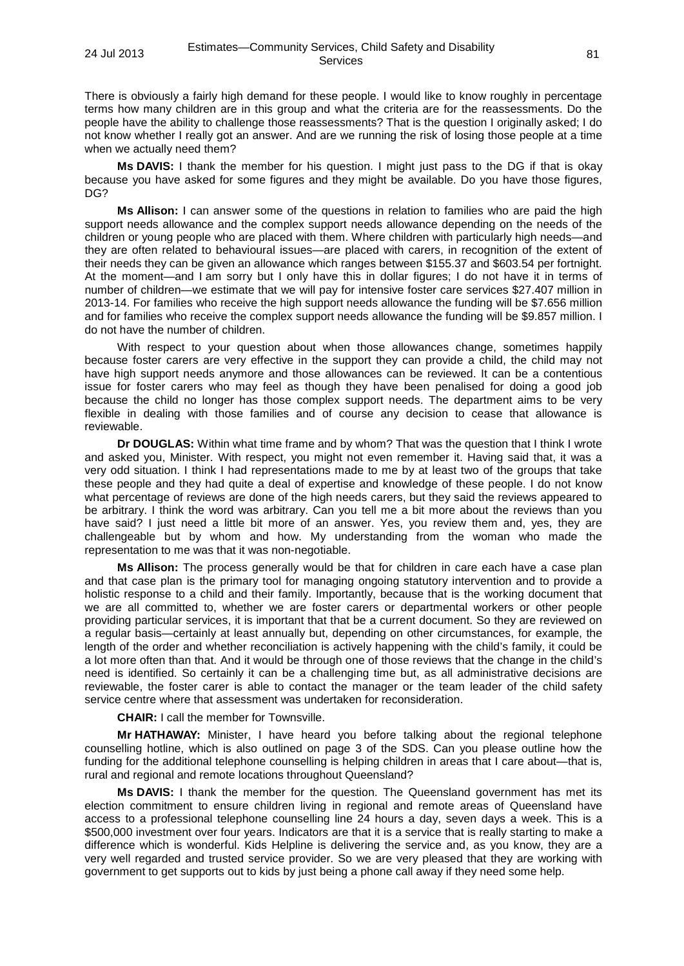There is obviously a fairly high demand for these people. I would like to know roughly in percentage terms how many children are in this group and what the criteria are for the reassessments. Do the people have the ability to challenge those reassessments? That is the question I originally asked; I do not know whether I really got an answer. And are we running the risk of losing those people at a time when we actually need them?

**Ms DAVIS:** I thank the member for his question. I might just pass to the DG if that is okay because you have asked for some figures and they might be available. Do you have those figures, DG?

**Ms Allison:** I can answer some of the questions in relation to families who are paid the high support needs allowance and the complex support needs allowance depending on the needs of the children or young people who are placed with them. Where children with particularly high needs—and they are often related to behavioural issues—are placed with carers, in recognition of the extent of their needs they can be given an allowance which ranges between \$155.37 and \$603.54 per fortnight. At the moment—and I am sorry but I only have this in dollar figures; I do not have it in terms of number of children—we estimate that we will pay for intensive foster care services \$27.407 million in 2013-14. For families who receive the high support needs allowance the funding will be \$7.656 million and for families who receive the complex support needs allowance the funding will be \$9.857 million. I do not have the number of children.

With respect to your question about when those allowances change, sometimes happily because foster carers are very effective in the support they can provide a child, the child may not have high support needs anymore and those allowances can be reviewed. It can be a contentious issue for foster carers who may feel as though they have been penalised for doing a good job because the child no longer has those complex support needs. The department aims to be very flexible in dealing with those families and of course any decision to cease that allowance is reviewable.

**Dr DOUGLAS:** Within what time frame and by whom? That was the question that I think I wrote and asked you, Minister. With respect, you might not even remember it. Having said that, it was a very odd situation. I think I had representations made to me by at least two of the groups that take these people and they had quite a deal of expertise and knowledge of these people. I do not know what percentage of reviews are done of the high needs carers, but they said the reviews appeared to be arbitrary. I think the word was arbitrary. Can you tell me a bit more about the reviews than you have said? I just need a little bit more of an answer. Yes, you review them and, yes, they are challengeable but by whom and how. My understanding from the woman who made the representation to me was that it was non-negotiable.

**Ms Allison:** The process generally would be that for children in care each have a case plan and that case plan is the primary tool for managing ongoing statutory intervention and to provide a holistic response to a child and their family. Importantly, because that is the working document that we are all committed to, whether we are foster carers or departmental workers or other people providing particular services, it is important that that be a current document. So they are reviewed on a regular basis—certainly at least annually but, depending on other circumstances, for example, the length of the order and whether reconciliation is actively happening with the child's family, it could be a lot more often than that. And it would be through one of those reviews that the change in the child's need is identified. So certainly it can be a challenging time but, as all administrative decisions are reviewable, the foster carer is able to contact the manager or the team leader of the child safety service centre where that assessment was undertaken for reconsideration.

**CHAIR:** I call the member for Townsville.

**Mr HATHAWAY:** Minister, I have heard you before talking about the regional telephone counselling hotline, which is also outlined on page 3 of the SDS. Can you please outline how the funding for the additional telephone counselling is helping children in areas that I care about—that is, rural and regional and remote locations throughout Queensland?

**Ms DAVIS:** I thank the member for the question. The Queensland government has met its election commitment to ensure children living in regional and remote areas of Queensland have access to a professional telephone counselling line 24 hours a day, seven days a week. This is a \$500,000 investment over four years. Indicators are that it is a service that is really starting to make a difference which is wonderful. Kids Helpline is delivering the service and, as you know, they are a very well regarded and trusted service provider. So we are very pleased that they are working with government to get supports out to kids by just being a phone call away if they need some help.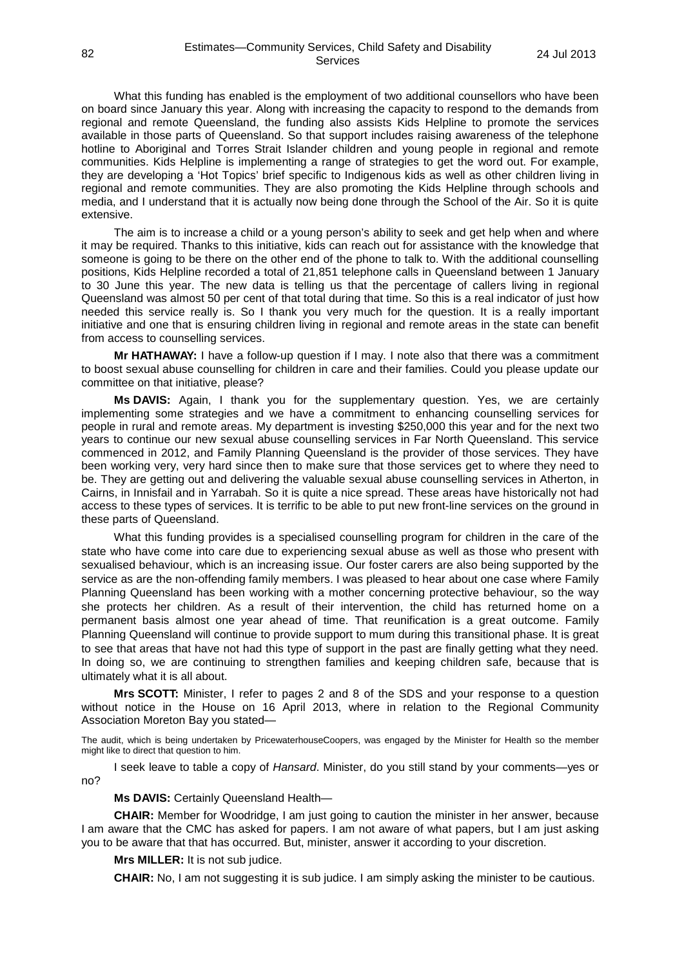What this funding has enabled is the employment of two additional counsellors who have been on board since January this year. Along with increasing the capacity to respond to the demands from regional and remote Queensland, the funding also assists Kids Helpline to promote the services available in those parts of Queensland. So that support includes raising awareness of the telephone hotline to Aboriginal and Torres Strait Islander children and young people in regional and remote communities. Kids Helpline is implementing a range of strategies to get the word out. For example, they are developing a 'Hot Topics' brief specific to Indigenous kids as well as other children living in regional and remote communities. They are also promoting the Kids Helpline through schools and media, and I understand that it is actually now being done through the School of the Air. So it is quite extensive.

The aim is to increase a child or a young person's ability to seek and get help when and where it may be required. Thanks to this initiative, kids can reach out for assistance with the knowledge that someone is going to be there on the other end of the phone to talk to. With the additional counselling positions, Kids Helpline recorded a total of 21,851 telephone calls in Queensland between 1 January to 30 June this year. The new data is telling us that the percentage of callers living in regional Queensland was almost 50 per cent of that total during that time. So this is a real indicator of just how needed this service really is. So I thank you very much for the question. It is a really important initiative and one that is ensuring children living in regional and remote areas in the state can benefit from access to counselling services.

**Mr HATHAWAY:** I have a follow-up question if I may. I note also that there was a commitment to boost sexual abuse counselling for children in care and their families. Could you please update our committee on that initiative, please?

**Ms DAVIS:** Again, I thank you for the supplementary question. Yes, we are certainly implementing some strategies and we have a commitment to enhancing counselling services for people in rural and remote areas. My department is investing \$250,000 this year and for the next two years to continue our new sexual abuse counselling services in Far North Queensland. This service commenced in 2012, and Family Planning Queensland is the provider of those services. They have been working very, very hard since then to make sure that those services get to where they need to be. They are getting out and delivering the valuable sexual abuse counselling services in Atherton, in Cairns, in Innisfail and in Yarrabah. So it is quite a nice spread. These areas have historically not had access to these types of services. It is terrific to be able to put new front-line services on the ground in these parts of Queensland.

What this funding provides is a specialised counselling program for children in the care of the state who have come into care due to experiencing sexual abuse as well as those who present with sexualised behaviour, which is an increasing issue. Our foster carers are also being supported by the service as are the non-offending family members. I was pleased to hear about one case where Family Planning Queensland has been working with a mother concerning protective behaviour, so the way she protects her children. As a result of their intervention, the child has returned home on a permanent basis almost one year ahead of time. That reunification is a great outcome. Family Planning Queensland will continue to provide support to mum during this transitional phase. It is great to see that areas that have not had this type of support in the past are finally getting what they need. In doing so, we are continuing to strengthen families and keeping children safe, because that is ultimately what it is all about.

**Mrs SCOTT:** Minister, I refer to pages 2 and 8 of the SDS and your response to a question without notice in the House on 16 April 2013, where in relation to the Regional Community Association Moreton Bay you stated—

The audit, which is being undertaken by PricewaterhouseCoopers, was engaged by the Minister for Health so the member might like to direct that question to him.

I seek leave to table a copy of *Hansard*. Minister, do you still stand by your comments—yes or no?

**Ms DAVIS:** Certainly Queensland Health—

**CHAIR:** Member for Woodridge, I am just going to caution the minister in her answer, because I am aware that the CMC has asked for papers. I am not aware of what papers, but I am just asking you to be aware that that has occurred. But, minister, answer it according to your discretion.

**Mrs MILLER:** It is not sub judice.

**CHAIR:** No, I am not suggesting it is sub judice. I am simply asking the minister to be cautious.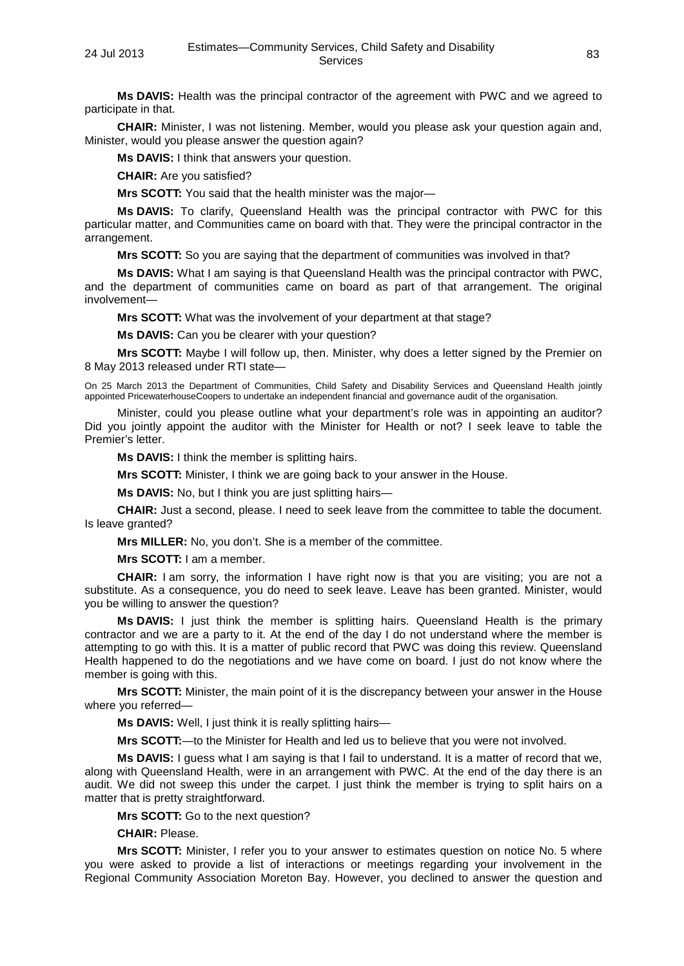**Ms DAVIS:** Health was the principal contractor of the agreement with PWC and we agreed to participate in that.

**CHAIR:** Minister, I was not listening. Member, would you please ask your question again and, Minister, would you please answer the question again?

**Ms DAVIS:** I think that answers your question.

**CHAIR:** Are you satisfied?

**Mrs SCOTT:** You said that the health minister was the major—

**Ms DAVIS:** To clarify, Queensland Health was the principal contractor with PWC for this particular matter, and Communities came on board with that. They were the principal contractor in the arrangement.

**Mrs SCOTT:** So you are saying that the department of communities was involved in that?

**Ms DAVIS:** What I am saying is that Queensland Health was the principal contractor with PWC, and the department of communities came on board as part of that arrangement. The original involvement—

**Mrs SCOTT:** What was the involvement of your department at that stage?

**Ms DAVIS:** Can you be clearer with your question?

**Mrs SCOTT:** Maybe I will follow up, then. Minister, why does a letter signed by the Premier on 8 May 2013 released under RTI state—

On 25 March 2013 the Department of Communities, Child Safety and Disability Services and Queensland Health jointly appointed PricewaterhouseCoopers to undertake an independent financial and governance audit of the organisation.

Minister, could you please outline what your department's role was in appointing an auditor? Did you jointly appoint the auditor with the Minister for Health or not? I seek leave to table the Premier's letter.

**Ms DAVIS:** I think the member is splitting hairs.

**Mrs SCOTT:** Minister, I think we are going back to your answer in the House.

**Ms DAVIS:** No, but I think you are just splitting hairs—

**CHAIR:** Just a second, please. I need to seek leave from the committee to table the document. Is leave granted?

**Mrs MILLER:** No, you don't. She is a member of the committee.

**Mrs SCOTT:** I am a member.

**CHAIR:** I am sorry, the information I have right now is that you are visiting; you are not a substitute. As a consequence, you do need to seek leave. Leave has been granted. Minister, would you be willing to answer the question?

**Ms DAVIS:** I just think the member is splitting hairs. Queensland Health is the primary contractor and we are a party to it. At the end of the day I do not understand where the member is attempting to go with this. It is a matter of public record that PWC was doing this review. Queensland Health happened to do the negotiations and we have come on board. I just do not know where the member is going with this.

**Mrs SCOTT:** Minister, the main point of it is the discrepancy between your answer in the House where you referred—

**Ms DAVIS:** Well, I just think it is really splitting hairs—

**Mrs SCOTT:**—to the Minister for Health and led us to believe that you were not involved.

**Ms DAVIS:** I guess what I am saying is that I fail to understand. It is a matter of record that we, along with Queensland Health, were in an arrangement with PWC. At the end of the day there is an audit. We did not sweep this under the carpet. I just think the member is trying to split hairs on a matter that is pretty straightforward.

**Mrs SCOTT:** Go to the next question?

**CHAIR:** Please.

**Mrs SCOTT:** Minister, I refer you to your answer to estimates question on notice No. 5 where you were asked to provide a list of interactions or meetings regarding your involvement in the Regional Community Association Moreton Bay. However, you declined to answer the question and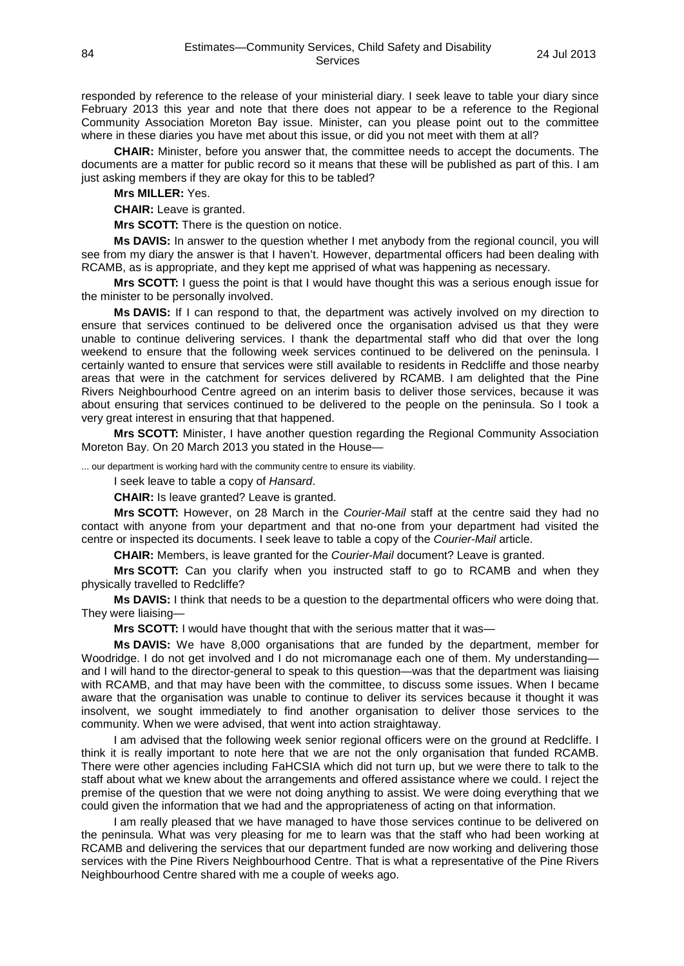responded by reference to the release of your ministerial diary. I seek leave to table your diary since February 2013 this year and note that there does not appear to be a reference to the Regional Community Association Moreton Bay issue. Minister, can you please point out to the committee where in these diaries you have met about this issue, or did you not meet with them at all?

**CHAIR:** Minister, before you answer that, the committee needs to accept the documents. The documents are a matter for public record so it means that these will be published as part of this. I am just asking members if they are okay for this to be tabled?

**Mrs MILLER:** Yes.

**CHAIR:** Leave is granted.

**Mrs SCOTT:** There is the question on notice.

**Ms DAVIS:** In answer to the question whether I met anybody from the regional council, you will see from my diary the answer is that I haven't. However, departmental officers had been dealing with RCAMB, as is appropriate, and they kept me apprised of what was happening as necessary.

**Mrs SCOTT:** I guess the point is that I would have thought this was a serious enough issue for the minister to be personally involved.

**Ms DAVIS:** If I can respond to that, the department was actively involved on my direction to ensure that services continued to be delivered once the organisation advised us that they were unable to continue delivering services. I thank the departmental staff who did that over the long weekend to ensure that the following week services continued to be delivered on the peninsula. I certainly wanted to ensure that services were still available to residents in Redcliffe and those nearby areas that were in the catchment for services delivered by RCAMB. I am delighted that the Pine Rivers Neighbourhood Centre agreed on an interim basis to deliver those services, because it was about ensuring that services continued to be delivered to the people on the peninsula. So I took a very great interest in ensuring that that happened.

**Mrs SCOTT:** Minister, I have another question regarding the Regional Community Association Moreton Bay. On 20 March 2013 you stated in the House—

... our department is working hard with the community centre to ensure its viability.

I seek leave to table a copy of *Hansard*.

**CHAIR:** Is leave granted? Leave is granted.

**Mrs SCOTT:** However, on 28 March in the *Courier-Mail* staff at the centre said they had no contact with anyone from your department and that no-one from your department had visited the centre or inspected its documents. I seek leave to table a copy of the *Courier-Mail* article.

**CHAIR:** Members, is leave granted for the *Courier-Mail* document? Leave is granted.

**Mrs SCOTT:** Can you clarify when you instructed staff to go to RCAMB and when they physically travelled to Redcliffe?

**Ms DAVIS:** I think that needs to be a question to the departmental officers who were doing that. They were liaising—

**Mrs SCOTT:** I would have thought that with the serious matter that it was—

**Ms DAVIS:** We have 8,000 organisations that are funded by the department, member for Woodridge. I do not get involved and I do not micromanage each one of them. My understandingand I will hand to the director-general to speak to this question—was that the department was liaising with RCAMB, and that may have been with the committee, to discuss some issues. When I became aware that the organisation was unable to continue to deliver its services because it thought it was insolvent, we sought immediately to find another organisation to deliver those services to the community. When we were advised, that went into action straightaway.

I am advised that the following week senior regional officers were on the ground at Redcliffe. I think it is really important to note here that we are not the only organisation that funded RCAMB. There were other agencies including FaHCSIA which did not turn up, but we were there to talk to the staff about what we knew about the arrangements and offered assistance where we could. I reject the premise of the question that we were not doing anything to assist. We were doing everything that we could given the information that we had and the appropriateness of acting on that information.

I am really pleased that we have managed to have those services continue to be delivered on the peninsula. What was very pleasing for me to learn was that the staff who had been working at RCAMB and delivering the services that our department funded are now working and delivering those services with the Pine Rivers Neighbourhood Centre. That is what a representative of the Pine Rivers Neighbourhood Centre shared with me a couple of weeks ago.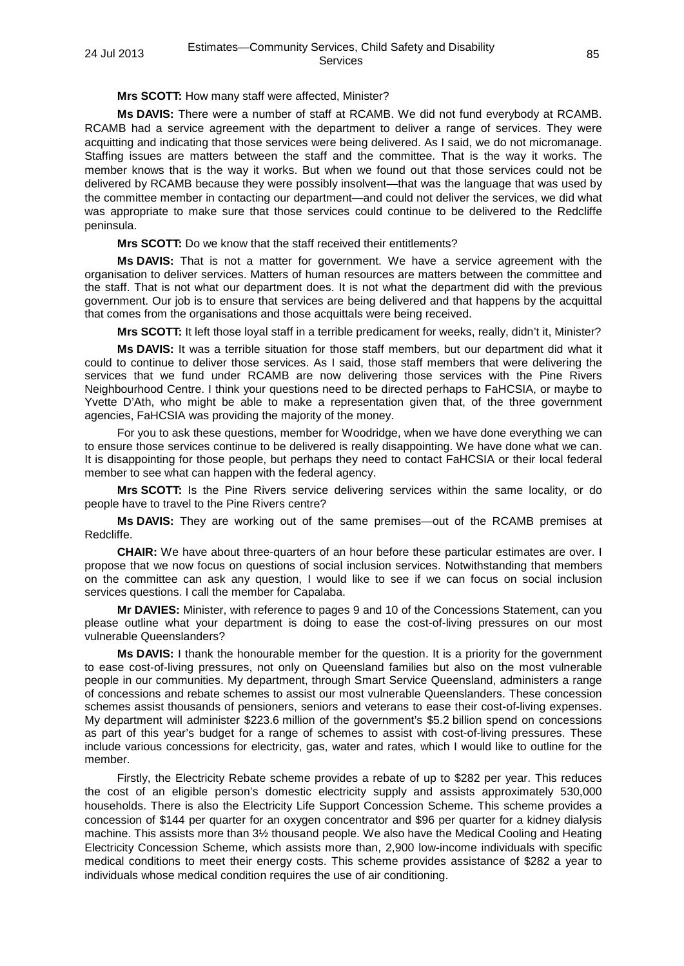### **Mrs SCOTT:** How many staff were affected, Minister?

**Ms DAVIS:** There were a number of staff at RCAMB. We did not fund everybody at RCAMB. RCAMB had a service agreement with the department to deliver a range of services. They were acquitting and indicating that those services were being delivered. As I said, we do not micromanage. Staffing issues are matters between the staff and the committee. That is the way it works. The member knows that is the way it works. But when we found out that those services could not be delivered by RCAMB because they were possibly insolvent—that was the language that was used by the committee member in contacting our department—and could not deliver the services, we did what was appropriate to make sure that those services could continue to be delivered to the Redcliffe peninsula.

**Mrs SCOTT:** Do we know that the staff received their entitlements?

**Ms DAVIS:** That is not a matter for government. We have a service agreement with the organisation to deliver services. Matters of human resources are matters between the committee and the staff. That is not what our department does. It is not what the department did with the previous government. Our job is to ensure that services are being delivered and that happens by the acquittal that comes from the organisations and those acquittals were being received.

**Mrs SCOTT:** It left those loyal staff in a terrible predicament for weeks, really, didn't it, Minister?

**Ms DAVIS:** It was a terrible situation for those staff members, but our department did what it could to continue to deliver those services. As I said, those staff members that were delivering the services that we fund under RCAMB are now delivering those services with the Pine Rivers Neighbourhood Centre. I think your questions need to be directed perhaps to FaHCSIA, or maybe to Yvette D'Ath, who might be able to make a representation given that, of the three government agencies, FaHCSIA was providing the majority of the money.

For you to ask these questions, member for Woodridge, when we have done everything we can to ensure those services continue to be delivered is really disappointing. We have done what we can. It is disappointing for those people, but perhaps they need to contact FaHCSIA or their local federal member to see what can happen with the federal agency.

**Mrs SCOTT:** Is the Pine Rivers service delivering services within the same locality, or do people have to travel to the Pine Rivers centre?

**Ms DAVIS:** They are working out of the same premises—out of the RCAMB premises at Redcliffe.

**CHAIR:** We have about three-quarters of an hour before these particular estimates are over. I propose that we now focus on questions of social inclusion services. Notwithstanding that members on the committee can ask any question, I would like to see if we can focus on social inclusion services questions. I call the member for Capalaba.

**Mr DAVIES:** Minister, with reference to pages 9 and 10 of the Concessions Statement, can you please outline what your department is doing to ease the cost-of-living pressures on our most vulnerable Queenslanders?

**Ms DAVIS:** I thank the honourable member for the question. It is a priority for the government to ease cost-of-living pressures, not only on Queensland families but also on the most vulnerable people in our communities. My department, through Smart Service Queensland, administers a range of concessions and rebate schemes to assist our most vulnerable Queenslanders. These concession schemes assist thousands of pensioners, seniors and veterans to ease their cost-of-living expenses. My department will administer \$223.6 million of the government's \$5.2 billion spend on concessions as part of this year's budget for a range of schemes to assist with cost-of-living pressures. These include various concessions for electricity, gas, water and rates, which I would like to outline for the member.

Firstly, the Electricity Rebate scheme provides a rebate of up to \$282 per year. This reduces the cost of an eligible person's domestic electricity supply and assists approximately 530,000 households. There is also the Electricity Life Support Concession Scheme. This scheme provides a concession of \$144 per quarter for an oxygen concentrator and \$96 per quarter for a kidney dialysis machine. This assists more than 3½ thousand people. We also have the Medical Cooling and Heating Electricity Concession Scheme, which assists more than, 2,900 low-income individuals with specific medical conditions to meet their energy costs. This scheme provides assistance of \$282 a year to individuals whose medical condition requires the use of air conditioning.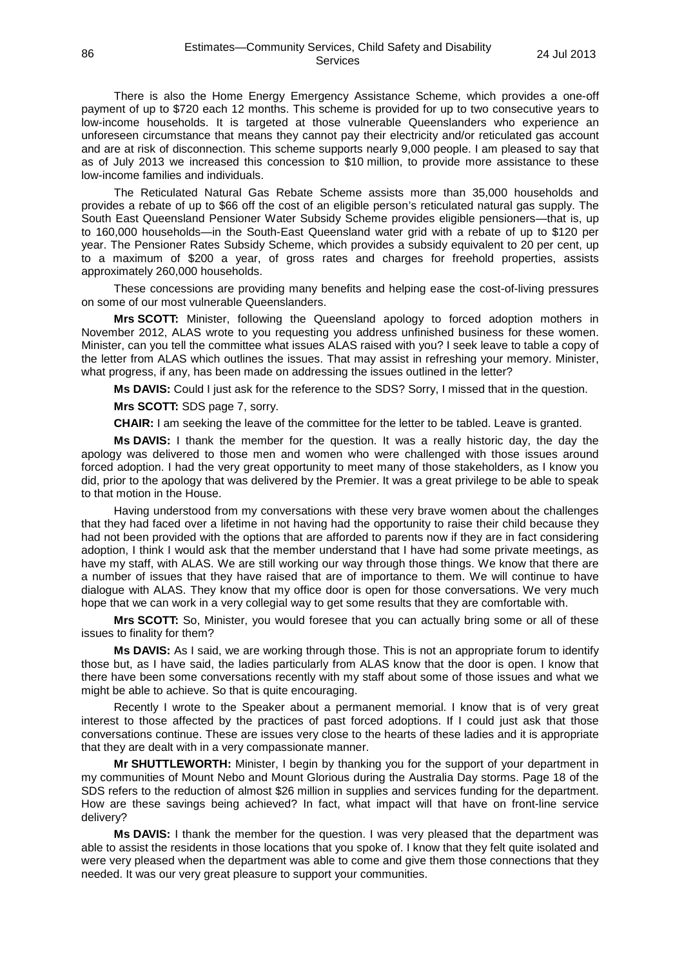There is also the Home Energy Emergency Assistance Scheme, which provides a one-off payment of up to \$720 each 12 months. This scheme is provided for up to two consecutive years to low-income households. It is targeted at those vulnerable Queenslanders who experience an unforeseen circumstance that means they cannot pay their electricity and/or reticulated gas account and are at risk of disconnection. This scheme supports nearly 9,000 people. I am pleased to say that as of July 2013 we increased this concession to \$10 million, to provide more assistance to these low-income families and individuals.

The Reticulated Natural Gas Rebate Scheme assists more than 35,000 households and provides a rebate of up to \$66 off the cost of an eligible person's reticulated natural gas supply. The South East Queensland Pensioner Water Subsidy Scheme provides eligible pensioners—that is, up to 160,000 households—in the South-East Queensland water grid with a rebate of up to \$120 per year. The Pensioner Rates Subsidy Scheme, which provides a subsidy equivalent to 20 per cent, up to a maximum of \$200 a year, of gross rates and charges for freehold properties, assists approximately 260,000 households.

These concessions are providing many benefits and helping ease the cost-of-living pressures on some of our most vulnerable Queenslanders.

**Mrs SCOTT:** Minister, following the Queensland apology to forced adoption mothers in November 2012, ALAS wrote to you requesting you address unfinished business for these women. Minister, can you tell the committee what issues ALAS raised with you? I seek leave to table a copy of the letter from ALAS which outlines the issues. That may assist in refreshing your memory. Minister, what progress, if any, has been made on addressing the issues outlined in the letter?

**Ms DAVIS:** Could I just ask for the reference to the SDS? Sorry, I missed that in the question.

**Mrs SCOTT:** SDS page 7, sorry.

**CHAIR:** I am seeking the leave of the committee for the letter to be tabled. Leave is granted.

**Ms DAVIS:** I thank the member for the question. It was a really historic day, the day the apology was delivered to those men and women who were challenged with those issues around forced adoption. I had the very great opportunity to meet many of those stakeholders, as I know you did, prior to the apology that was delivered by the Premier. It was a great privilege to be able to speak to that motion in the House.

Having understood from my conversations with these very brave women about the challenges that they had faced over a lifetime in not having had the opportunity to raise their child because they had not been provided with the options that are afforded to parents now if they are in fact considering adoption, I think I would ask that the member understand that I have had some private meetings, as have my staff, with ALAS. We are still working our way through those things. We know that there are a number of issues that they have raised that are of importance to them. We will continue to have dialogue with ALAS. They know that my office door is open for those conversations. We very much hope that we can work in a very collegial way to get some results that they are comfortable with.

**Mrs SCOTT:** So, Minister, you would foresee that you can actually bring some or all of these issues to finality for them?

**Ms DAVIS:** As I said, we are working through those. This is not an appropriate forum to identify those but, as I have said, the ladies particularly from ALAS know that the door is open. I know that there have been some conversations recently with my staff about some of those issues and what we might be able to achieve. So that is quite encouraging.

Recently I wrote to the Speaker about a permanent memorial. I know that is of very great interest to those affected by the practices of past forced adoptions. If I could just ask that those conversations continue. These are issues very close to the hearts of these ladies and it is appropriate that they are dealt with in a very compassionate manner.

**Mr SHUTTLEWORTH:** Minister, I begin by thanking you for the support of your department in my communities of Mount Nebo and Mount Glorious during the Australia Day storms. Page 18 of the SDS refers to the reduction of almost \$26 million in supplies and services funding for the department. How are these savings being achieved? In fact, what impact will that have on front-line service delivery?

**Ms DAVIS:** I thank the member for the question. I was very pleased that the department was able to assist the residents in those locations that you spoke of. I know that they felt quite isolated and were very pleased when the department was able to come and give them those connections that they needed. It was our very great pleasure to support your communities.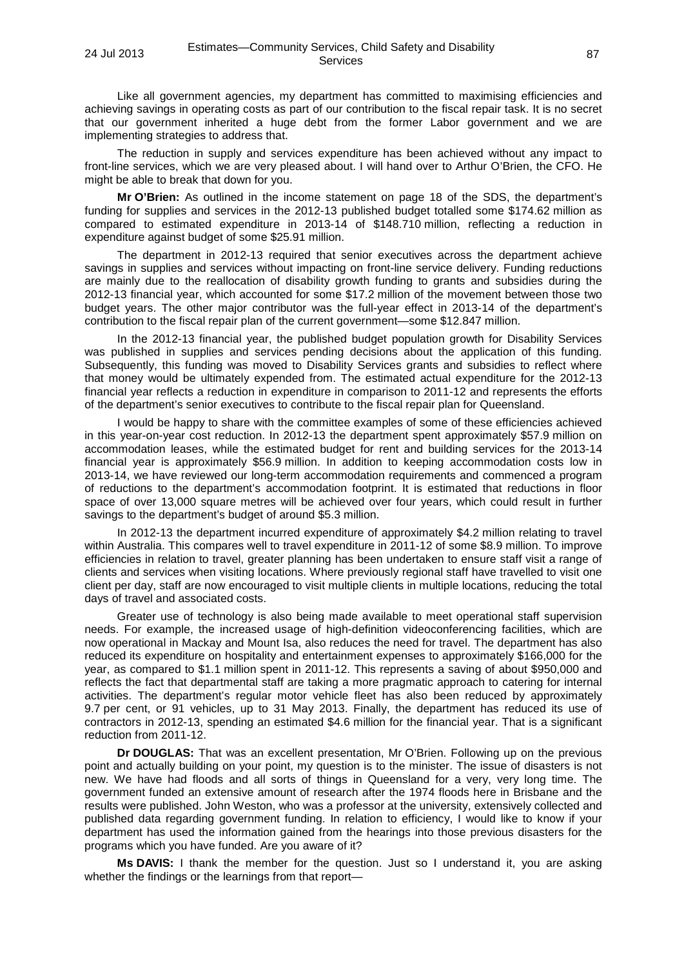Like all government agencies, my department has committed to maximising efficiencies and achieving savings in operating costs as part of our contribution to the fiscal repair task. It is no secret that our government inherited a huge debt from the former Labor government and we are implementing strategies to address that.

The reduction in supply and services expenditure has been achieved without any impact to front-line services, which we are very pleased about. I will hand over to Arthur O'Brien, the CFO. He might be able to break that down for you.

**Mr O'Brien:** As outlined in the income statement on page 18 of the SDS, the department's funding for supplies and services in the 2012-13 published budget totalled some \$174.62 million as compared to estimated expenditure in 2013-14 of \$148.710 million, reflecting a reduction in expenditure against budget of some \$25.91 million.

The department in 2012-13 required that senior executives across the department achieve savings in supplies and services without impacting on front-line service delivery. Funding reductions are mainly due to the reallocation of disability growth funding to grants and subsidies during the 2012-13 financial year, which accounted for some \$17.2 million of the movement between those two budget years. The other major contributor was the full-year effect in 2013-14 of the department's contribution to the fiscal repair plan of the current government—some \$12.847 million.

In the 2012-13 financial year, the published budget population growth for Disability Services was published in supplies and services pending decisions about the application of this funding. Subsequently, this funding was moved to Disability Services grants and subsidies to reflect where that money would be ultimately expended from. The estimated actual expenditure for the 2012-13 financial year reflects a reduction in expenditure in comparison to 2011-12 and represents the efforts of the department's senior executives to contribute to the fiscal repair plan for Queensland.

I would be happy to share with the committee examples of some of these efficiencies achieved in this year-on-year cost reduction. In 2012-13 the department spent approximately \$57.9 million on accommodation leases, while the estimated budget for rent and building services for the 2013-14 financial year is approximately \$56.9 million. In addition to keeping accommodation costs low in 2013-14, we have reviewed our long-term accommodation requirements and commenced a program of reductions to the department's accommodation footprint. It is estimated that reductions in floor space of over 13,000 square metres will be achieved over four years, which could result in further savings to the department's budget of around \$5.3 million.

In 2012-13 the department incurred expenditure of approximately \$4.2 million relating to travel within Australia. This compares well to travel expenditure in 2011-12 of some \$8.9 million. To improve efficiencies in relation to travel, greater planning has been undertaken to ensure staff visit a range of clients and services when visiting locations. Where previously regional staff have travelled to visit one client per day, staff are now encouraged to visit multiple clients in multiple locations, reducing the total days of travel and associated costs.

Greater use of technology is also being made available to meet operational staff supervision needs. For example, the increased usage of high-definition videoconferencing facilities, which are now operational in Mackay and Mount Isa, also reduces the need for travel. The department has also reduced its expenditure on hospitality and entertainment expenses to approximately \$166,000 for the year, as compared to \$1.1 million spent in 2011-12. This represents a saving of about \$950,000 and reflects the fact that departmental staff are taking a more pragmatic approach to catering for internal activities. The department's regular motor vehicle fleet has also been reduced by approximately 9.7 per cent, or 91 vehicles, up to 31 May 2013. Finally, the department has reduced its use of contractors in 2012-13, spending an estimated \$4.6 million for the financial year. That is a significant reduction from 2011-12.

**Dr DOUGLAS:** That was an excellent presentation, Mr O'Brien. Following up on the previous point and actually building on your point, my question is to the minister. The issue of disasters is not new. We have had floods and all sorts of things in Queensland for a very, very long time. The government funded an extensive amount of research after the 1974 floods here in Brisbane and the results were published. John Weston, who was a professor at the university, extensively collected and published data regarding government funding. In relation to efficiency, I would like to know if your department has used the information gained from the hearings into those previous disasters for the programs which you have funded. Are you aware of it?

**Ms DAVIS:** I thank the member for the question. Just so I understand it, you are asking whether the findings or the learnings from that report—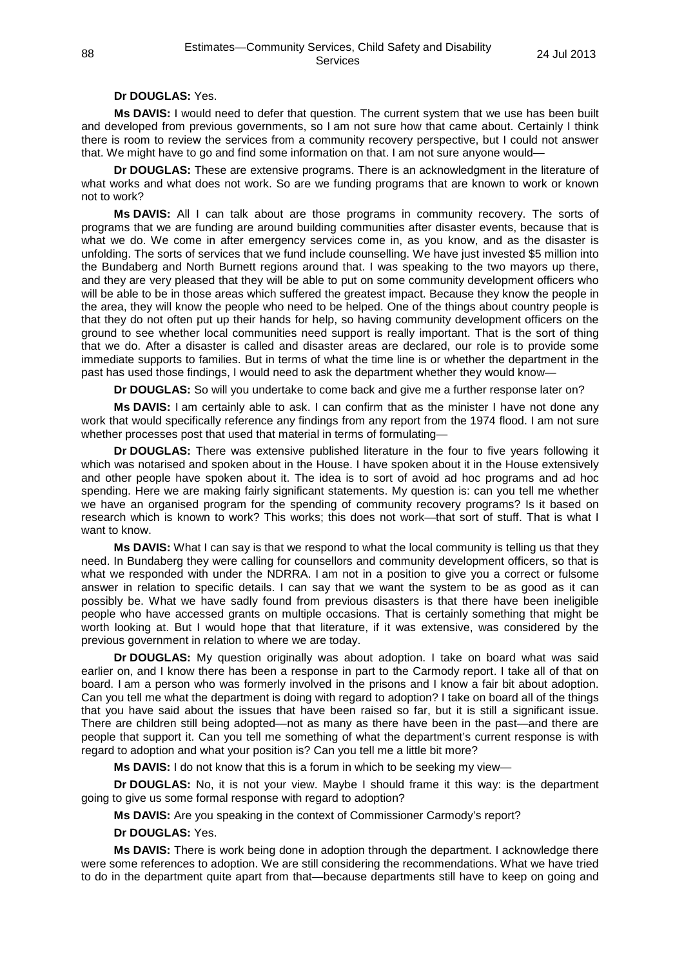# **Dr DOUGLAS:** Yes.

**Ms DAVIS:** I would need to defer that question. The current system that we use has been built and developed from previous governments, so I am not sure how that came about. Certainly I think there is room to review the services from a community recovery perspective, but I could not answer that. We might have to go and find some information on that. I am not sure anyone would—

**Dr DOUGLAS:** These are extensive programs. There is an acknowledgment in the literature of what works and what does not work. So are we funding programs that are known to work or known not to work?

**Ms DAVIS:** All I can talk about are those programs in community recovery. The sorts of programs that we are funding are around building communities after disaster events, because that is what we do. We come in after emergency services come in, as you know, and as the disaster is unfolding. The sorts of services that we fund include counselling. We have just invested \$5 million into the Bundaberg and North Burnett regions around that. I was speaking to the two mayors up there, and they are very pleased that they will be able to put on some community development officers who will be able to be in those areas which suffered the greatest impact. Because they know the people in the area, they will know the people who need to be helped. One of the things about country people is that they do not often put up their hands for help, so having community development officers on the ground to see whether local communities need support is really important. That is the sort of thing that we do. After a disaster is called and disaster areas are declared, our role is to provide some immediate supports to families. But in terms of what the time line is or whether the department in the past has used those findings, I would need to ask the department whether they would know—

**Dr DOUGLAS:** So will you undertake to come back and give me a further response later on?

**Ms DAVIS:** I am certainly able to ask. I can confirm that as the minister I have not done any work that would specifically reference any findings from any report from the 1974 flood. I am not sure whether processes post that used that material in terms of formulating—

**Dr DOUGLAS:** There was extensive published literature in the four to five years following it which was notarised and spoken about in the House. I have spoken about it in the House extensively and other people have spoken about it. The idea is to sort of avoid ad hoc programs and ad hoc spending. Here we are making fairly significant statements. My question is: can you tell me whether we have an organised program for the spending of community recovery programs? Is it based on research which is known to work? This works; this does not work—that sort of stuff. That is what I want to know.

**Ms DAVIS:** What I can say is that we respond to what the local community is telling us that they need. In Bundaberg they were calling for counsellors and community development officers, so that is what we responded with under the NDRRA. I am not in a position to give you a correct or fulsome answer in relation to specific details. I can say that we want the system to be as good as it can possibly be. What we have sadly found from previous disasters is that there have been ineligible people who have accessed grants on multiple occasions. That is certainly something that might be worth looking at. But I would hope that that literature, if it was extensive, was considered by the previous government in relation to where we are today.

**Dr DOUGLAS:** My question originally was about adoption. I take on board what was said earlier on, and I know there has been a response in part to the Carmody report. I take all of that on board. I am a person who was formerly involved in the prisons and I know a fair bit about adoption. Can you tell me what the department is doing with regard to adoption? I take on board all of the things that you have said about the issues that have been raised so far, but it is still a significant issue. There are children still being adopted—not as many as there have been in the past—and there are people that support it. Can you tell me something of what the department's current response is with regard to adoption and what your position is? Can you tell me a little bit more?

**Ms DAVIS:** I do not know that this is a forum in which to be seeking my view—

**Dr DOUGLAS:** No, it is not your view. Maybe I should frame it this way: is the department going to give us some formal response with regard to adoption?

**Ms DAVIS:** Are you speaking in the context of Commissioner Carmody's report?

**Dr DOUGLAS:** Yes.

**Ms DAVIS:** There is work being done in adoption through the department. I acknowledge there were some references to adoption. We are still considering the recommendations. What we have tried to do in the department quite apart from that—because departments still have to keep on going and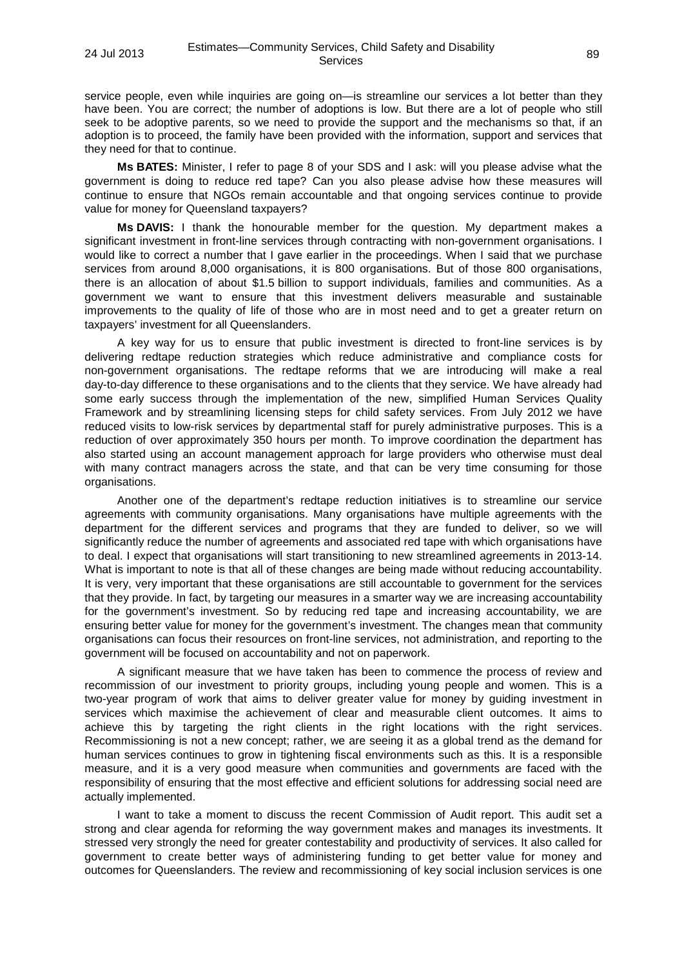service people, even while inquiries are going on—is streamline our services a lot better than they have been. You are correct; the number of adoptions is low. But there are a lot of people who still seek to be adoptive parents, so we need to provide the support and the mechanisms so that, if an adoption is to proceed, the family have been provided with the information, support and services that they need for that to continue.

**Ms BATES:** Minister, I refer to page 8 of your SDS and I ask: will you please advise what the government is doing to reduce red tape? Can you also please advise how these measures will continue to ensure that NGOs remain accountable and that ongoing services continue to provide value for money for Queensland taxpayers?

**Ms DAVIS:** I thank the honourable member for the question. My department makes a significant investment in front-line services through contracting with non-government organisations. I would like to correct a number that I gave earlier in the proceedings. When I said that we purchase services from around 8,000 organisations, it is 800 organisations. But of those 800 organisations, there is an allocation of about \$1.5 billion to support individuals, families and communities. As a government we want to ensure that this investment delivers measurable and sustainable improvements to the quality of life of those who are in most need and to get a greater return on taxpayers' investment for all Queenslanders.

A key way for us to ensure that public investment is directed to front-line services is by delivering redtape reduction strategies which reduce administrative and compliance costs for non-government organisations. The redtape reforms that we are introducing will make a real day-to-day difference to these organisations and to the clients that they service. We have already had some early success through the implementation of the new, simplified Human Services Quality Framework and by streamlining licensing steps for child safety services. From July 2012 we have reduced visits to low-risk services by departmental staff for purely administrative purposes. This is a reduction of over approximately 350 hours per month. To improve coordination the department has also started using an account management approach for large providers who otherwise must deal with many contract managers across the state, and that can be very time consuming for those organisations.

Another one of the department's redtape reduction initiatives is to streamline our service agreements with community organisations. Many organisations have multiple agreements with the department for the different services and programs that they are funded to deliver, so we will significantly reduce the number of agreements and associated red tape with which organisations have to deal. I expect that organisations will start transitioning to new streamlined agreements in 2013-14. What is important to note is that all of these changes are being made without reducing accountability. It is very, very important that these organisations are still accountable to government for the services that they provide. In fact, by targeting our measures in a smarter way we are increasing accountability for the government's investment. So by reducing red tape and increasing accountability, we are ensuring better value for money for the government's investment. The changes mean that community organisations can focus their resources on front-line services, not administration, and reporting to the government will be focused on accountability and not on paperwork.

A significant measure that we have taken has been to commence the process of review and recommission of our investment to priority groups, including young people and women. This is a two-year program of work that aims to deliver greater value for money by guiding investment in services which maximise the achievement of clear and measurable client outcomes. It aims to achieve this by targeting the right clients in the right locations with the right services. Recommissioning is not a new concept; rather, we are seeing it as a global trend as the demand for human services continues to grow in tightening fiscal environments such as this. It is a responsible measure, and it is a very good measure when communities and governments are faced with the responsibility of ensuring that the most effective and efficient solutions for addressing social need are actually implemented.

I want to take a moment to discuss the recent Commission of Audit report. This audit set a strong and clear agenda for reforming the way government makes and manages its investments. It stressed very strongly the need for greater contestability and productivity of services. It also called for government to create better ways of administering funding to get better value for money and outcomes for Queenslanders. The review and recommissioning of key social inclusion services is one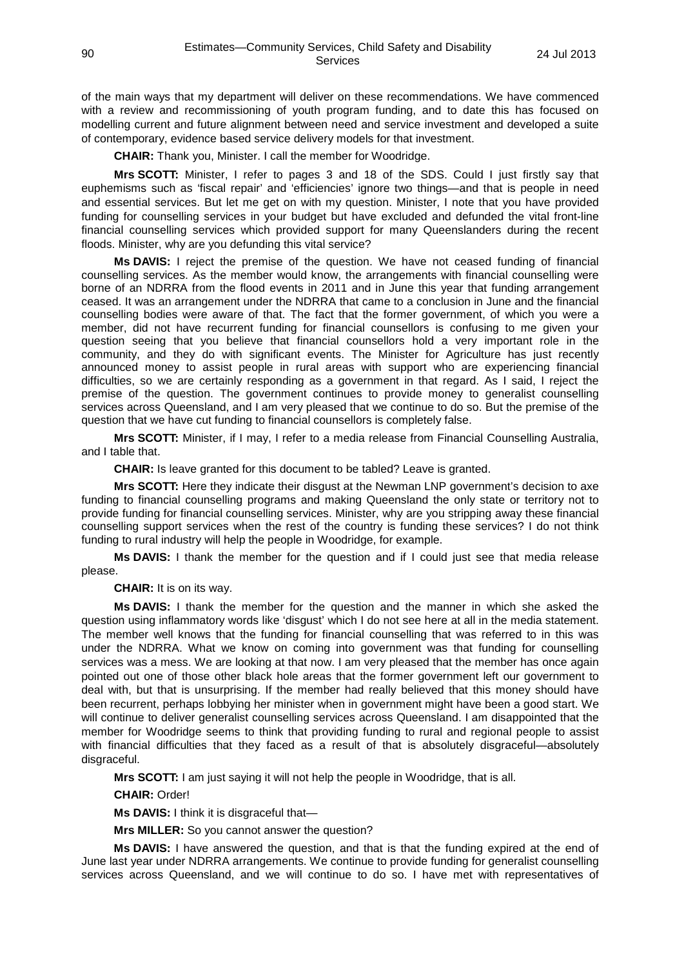of the main ways that my department will deliver on these recommendations. We have commenced with a review and recommissioning of youth program funding, and to date this has focused on modelling current and future alignment between need and service investment and developed a suite of contemporary, evidence based service delivery models for that investment.

**CHAIR:** Thank you, Minister. I call the member for Woodridge.

**Mrs SCOTT:** Minister, I refer to pages 3 and 18 of the SDS. Could I just firstly say that euphemisms such as 'fiscal repair' and 'efficiencies' ignore two things—and that is people in need and essential services. But let me get on with my question. Minister, I note that you have provided funding for counselling services in your budget but have excluded and defunded the vital front-line financial counselling services which provided support for many Queenslanders during the recent floods. Minister, why are you defunding this vital service?

**Ms DAVIS:** I reject the premise of the question. We have not ceased funding of financial counselling services. As the member would know, the arrangements with financial counselling were borne of an NDRRA from the flood events in 2011 and in June this year that funding arrangement ceased. It was an arrangement under the NDRRA that came to a conclusion in June and the financial counselling bodies were aware of that. The fact that the former government, of which you were a member, did not have recurrent funding for financial counsellors is confusing to me given your question seeing that you believe that financial counsellors hold a very important role in the community, and they do with significant events. The Minister for Agriculture has just recently announced money to assist people in rural areas with support who are experiencing financial difficulties, so we are certainly responding as a government in that regard. As I said, I reject the premise of the question. The government continues to provide money to generalist counselling services across Queensland, and I am very pleased that we continue to do so. But the premise of the question that we have cut funding to financial counsellors is completely false.

**Mrs SCOTT:** Minister, if I may, I refer to a media release from Financial Counselling Australia, and I table that.

**CHAIR:** Is leave granted for this document to be tabled? Leave is granted.

**Mrs SCOTT:** Here they indicate their disgust at the Newman LNP government's decision to axe funding to financial counselling programs and making Queensland the only state or territory not to provide funding for financial counselling services. Minister, why are you stripping away these financial counselling support services when the rest of the country is funding these services? I do not think funding to rural industry will help the people in Woodridge, for example.

**Ms DAVIS:** I thank the member for the question and if I could just see that media release please.

**CHAIR:** It is on its way.

**Ms DAVIS:** I thank the member for the question and the manner in which she asked the question using inflammatory words like 'disgust' which I do not see here at all in the media statement. The member well knows that the funding for financial counselling that was referred to in this was under the NDRRA. What we know on coming into government was that funding for counselling services was a mess. We are looking at that now. I am very pleased that the member has once again pointed out one of those other black hole areas that the former government left our government to deal with, but that is unsurprising. If the member had really believed that this money should have been recurrent, perhaps lobbying her minister when in government might have been a good start. We will continue to deliver generalist counselling services across Queensland. I am disappointed that the member for Woodridge seems to think that providing funding to rural and regional people to assist with financial difficulties that they faced as a result of that is absolutely disgraceful—absolutely disgraceful.

**Mrs SCOTT:** I am just saying it will not help the people in Woodridge, that is all.

**CHAIR:** Order!

**Ms DAVIS:** I think it is disgraceful that—

**Mrs MILLER:** So you cannot answer the question?

**Ms DAVIS:** I have answered the question, and that is that the funding expired at the end of June last year under NDRRA arrangements. We continue to provide funding for generalist counselling services across Queensland, and we will continue to do so. I have met with representatives of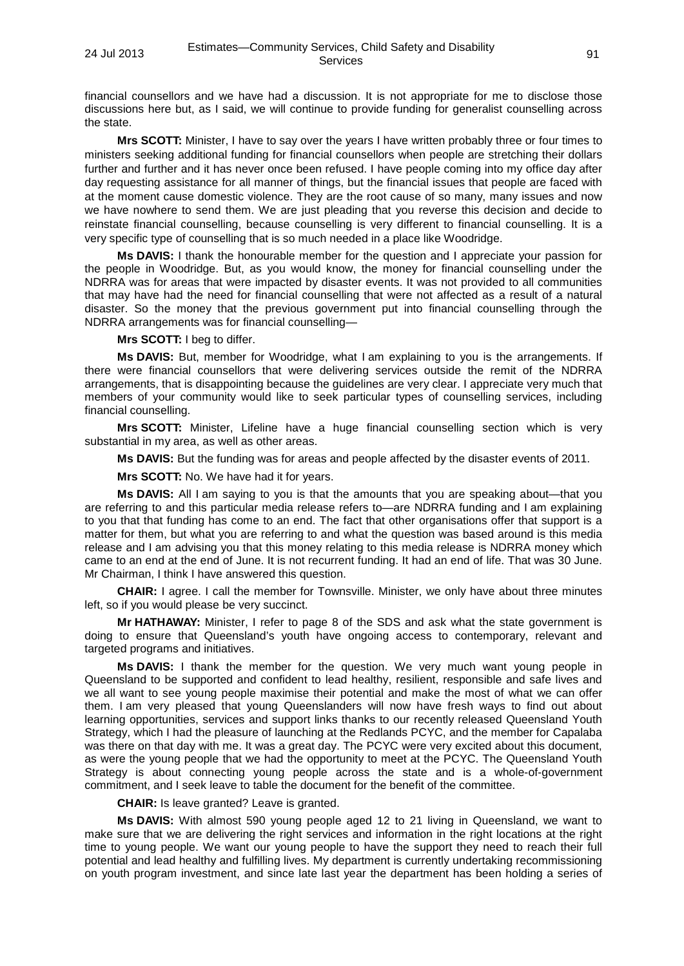financial counsellors and we have had a discussion. It is not appropriate for me to disclose those discussions here but, as I said, we will continue to provide funding for generalist counselling across the state.

**Mrs SCOTT:** Minister, I have to say over the years I have written probably three or four times to ministers seeking additional funding for financial counsellors when people are stretching their dollars further and further and it has never once been refused. I have people coming into my office day after day requesting assistance for all manner of things, but the financial issues that people are faced with at the moment cause domestic violence. They are the root cause of so many, many issues and now we have nowhere to send them. We are just pleading that you reverse this decision and decide to reinstate financial counselling, because counselling is very different to financial counselling. It is a very specific type of counselling that is so much needed in a place like Woodridge.

**Ms DAVIS:** I thank the honourable member for the question and I appreciate your passion for the people in Woodridge. But, as you would know, the money for financial counselling under the NDRRA was for areas that were impacted by disaster events. It was not provided to all communities that may have had the need for financial counselling that were not affected as a result of a natural disaster. So the money that the previous government put into financial counselling through the NDRRA arrangements was for financial counselling—

#### **Mrs SCOTT:** I beg to differ.

**Ms DAVIS:** But, member for Woodridge, what I am explaining to you is the arrangements. If there were financial counsellors that were delivering services outside the remit of the NDRRA arrangements, that is disappointing because the guidelines are very clear. I appreciate very much that members of your community would like to seek particular types of counselling services, including financial counselling.

**Mrs SCOTT:** Minister, Lifeline have a huge financial counselling section which is very substantial in my area, as well as other areas.

**Ms DAVIS:** But the funding was for areas and people affected by the disaster events of 2011.

**Mrs SCOTT:** No. We have had it for years.

**Ms DAVIS:** All I am saying to you is that the amounts that you are speaking about—that you are referring to and this particular media release refers to—are NDRRA funding and I am explaining to you that that funding has come to an end. The fact that other organisations offer that support is a matter for them, but what you are referring to and what the question was based around is this media release and I am advising you that this money relating to this media release is NDRRA money which came to an end at the end of June. It is not recurrent funding. It had an end of life. That was 30 June. Mr Chairman, I think I have answered this question.

**CHAIR:** I agree. I call the member for Townsville. Minister, we only have about three minutes left, so if you would please be very succinct.

**Mr HATHAWAY:** Minister, I refer to page 8 of the SDS and ask what the state government is doing to ensure that Queensland's youth have ongoing access to contemporary, relevant and targeted programs and initiatives.

**Ms DAVIS:** I thank the member for the question. We very much want young people in Queensland to be supported and confident to lead healthy, resilient, responsible and safe lives and we all want to see young people maximise their potential and make the most of what we can offer them. I am very pleased that young Queenslanders will now have fresh ways to find out about learning opportunities, services and support links thanks to our recently released Queensland Youth Strategy, which I had the pleasure of launching at the Redlands PCYC, and the member for Capalaba was there on that day with me. It was a great day. The PCYC were very excited about this document, as were the young people that we had the opportunity to meet at the PCYC. The Queensland Youth Strategy is about connecting young people across the state and is a whole-of-government commitment, and I seek leave to table the document for the benefit of the committee.

**CHAIR:** Is leave granted? Leave is granted.

**Ms DAVIS:** With almost 590 young people aged 12 to 21 living in Queensland, we want to make sure that we are delivering the right services and information in the right locations at the right time to young people. We want our young people to have the support they need to reach their full potential and lead healthy and fulfilling lives. My department is currently undertaking recommissioning on youth program investment, and since late last year the department has been holding a series of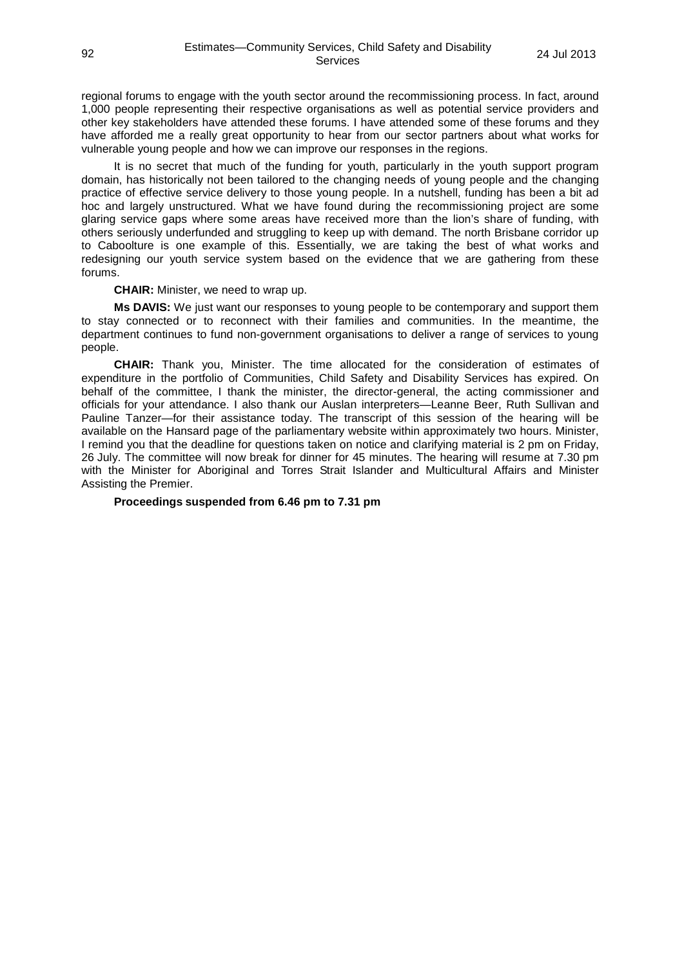regional forums to engage with the youth sector around the recommissioning process. In fact, around 1,000 people representing their respective organisations as well as potential service providers and other key stakeholders have attended these forums. I have attended some of these forums and they have afforded me a really great opportunity to hear from our sector partners about what works for vulnerable young people and how we can improve our responses in the regions.

It is no secret that much of the funding for youth, particularly in the youth support program domain, has historically not been tailored to the changing needs of young people and the changing practice of effective service delivery to those young people. In a nutshell, funding has been a bit ad hoc and largely unstructured. What we have found during the recommissioning project are some glaring service gaps where some areas have received more than the lion's share of funding, with others seriously underfunded and struggling to keep up with demand. The north Brisbane corridor up to Caboolture is one example of this. Essentially, we are taking the best of what works and redesigning our youth service system based on the evidence that we are gathering from these forums.

### **CHAIR:** Minister, we need to wrap up.

**Ms DAVIS:** We just want our responses to young people to be contemporary and support them to stay connected or to reconnect with their families and communities. In the meantime, the department continues to fund non-government organisations to deliver a range of services to young people.

**CHAIR:** Thank you, Minister. The time allocated for the consideration of estimates of expenditure in the portfolio of Communities, Child Safety and Disability Services has expired. On behalf of the committee, I thank the minister, the director-general, the acting commissioner and officials for your attendance. I also thank our Auslan interpreters—Leanne Beer, Ruth Sullivan and Pauline Tanzer—for their assistance today. The transcript of this session of the hearing will be available on the Hansard page of the parliamentary website within approximately two hours. Minister, I remind you that the deadline for questions taken on notice and clarifying material is 2 pm on Friday, 26 July. The committee will now break for dinner for 45 minutes. The hearing will resume at 7.30 pm with the Minister for Aboriginal and Torres Strait Islander and Multicultural Affairs and Minister Assisting the Premier.

### **Proceedings suspended from 6.46 pm to 7.31 pm**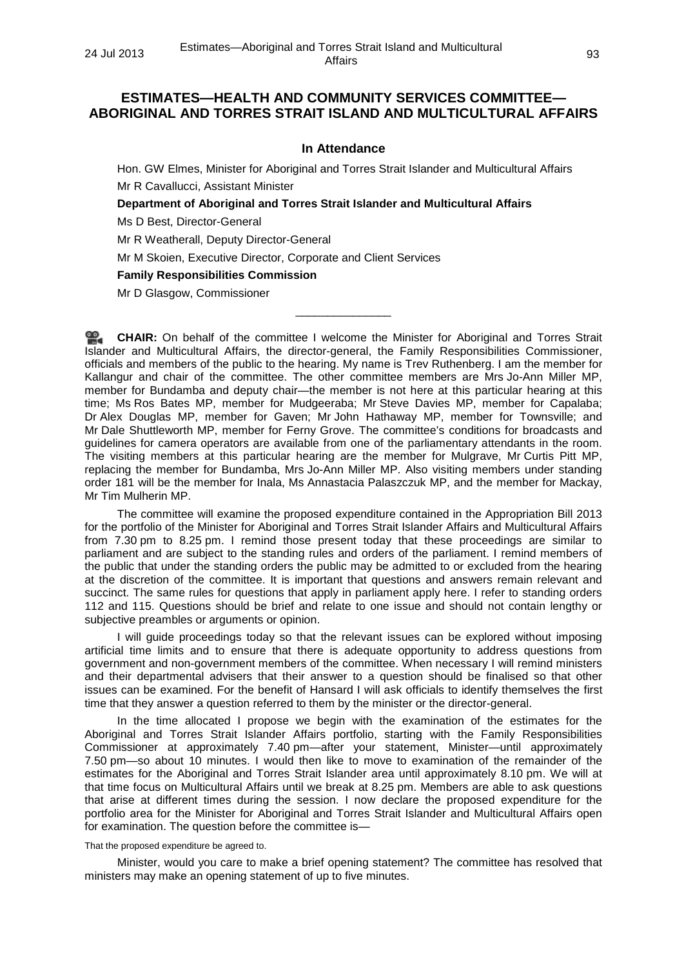# **ESTIMATES—HEALTH AND COMMUNITY SERVICES COMMITTEE— ABORIGINAL AND TORRES STRAIT ISLAND AND MULTICULTURAL AFFAIRS**

### **In Attendance**

Hon. GW Elmes, Minister for Aboriginal and Torres Strait Islander and Multicultural Affairs Mr R Cavallucci, Assistant Minister

**Department of Aboriginal and Torres Strait Islander and Multicultural Affairs**

Ms D Best, Director-General

Mr R Weatherall, Deputy Director-General

Mr M Skoien, Executive Director, Corporate and Client Services

**Family Responsibilities Commission**

Mr D Glasgow, Commissioner

**[CHAIR:](http://www.parliament.qld.gov.au/docs/find.aspx?id=0Mba20130724_193145)** On behalf of the committee I welcome the Minister for Aboriginal and Torres Strait Islander and Multicultural Affairs, the director-general, the Family Responsibilities Commissioner, officials and members of the public to the hearing. My name is Trev Ruthenberg. I am the member for Kallangur and chair of the committee. The other committee members are Mrs Jo-Ann Miller MP, member for Bundamba and deputy chair—the member is not here at this particular hearing at this time; Ms Ros Bates MP, member for Mudgeeraba; Mr Steve Davies MP, member for Capalaba; Dr Alex Douglas MP, member for Gaven; Mr John Hathaway MP, member for Townsville; and Mr Dale Shuttleworth MP, member for Ferny Grove. The committee's conditions for broadcasts and guidelines for camera operators are available from one of the parliamentary attendants in the room. The visiting members at this particular hearing are the member for Mulgrave, Mr Curtis Pitt MP, replacing the member for Bundamba, Mrs Jo-Ann Miller MP. Also visiting members under standing order 181 will be the member for Inala, Ms Annastacia Palaszczuk MP, and the member for Mackay, Mr Tim Mulherin MP.

\_\_\_\_\_\_\_\_\_\_\_\_\_\_\_

The committee will examine the proposed expenditure contained in the Appropriation Bill 2013 for the portfolio of the Minister for Aboriginal and Torres Strait Islander Affairs and Multicultural Affairs from 7.30 pm to 8.25 pm. I remind those present today that these proceedings are similar to parliament and are subject to the standing rules and orders of the parliament. I remind members of the public that under the standing orders the public may be admitted to or excluded from the hearing at the discretion of the committee. It is important that questions and answers remain relevant and succinct. The same rules for questions that apply in parliament apply here. I refer to standing orders 112 and 115. Questions should be brief and relate to one issue and should not contain lengthy or subjective preambles or arguments or opinion.

I will guide proceedings today so that the relevant issues can be explored without imposing artificial time limits and to ensure that there is adequate opportunity to address questions from government and non-government members of the committee. When necessary I will remind ministers and their departmental advisers that their answer to a question should be finalised so that other issues can be examined. For the benefit of Hansard I will ask officials to identify themselves the first time that they answer a question referred to them by the minister or the director-general.

In the time allocated I propose we begin with the examination of the estimates for the Aboriginal and Torres Strait Islander Affairs portfolio, starting with the Family Responsibilities Commissioner at approximately 7.40 pm—after your statement, Minister—until approximately 7.50 pm—so about 10 minutes. I would then like to move to examination of the remainder of the estimates for the Aboriginal and Torres Strait Islander area until approximately 8.10 pm. We will at that time focus on Multicultural Affairs until we break at 8.25 pm. Members are able to ask questions that arise at different times during the session. I now declare the proposed expenditure for the portfolio area for the Minister for Aboriginal and Torres Strait Islander and Multicultural Affairs open for examination. The question before the committee is—

That the proposed expenditure be agreed to.

Minister, would you care to make a brief opening statement? The committee has resolved that ministers may make an opening statement of up to five minutes.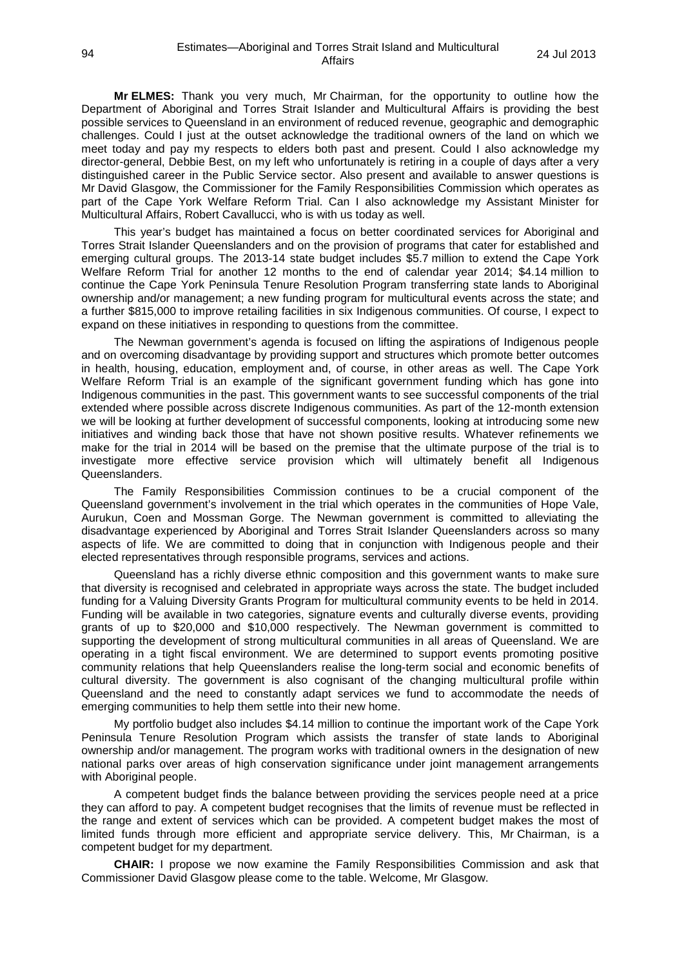**Mr ELMES:** Thank you very much, Mr Chairman, for the opportunity to outline how the Department of Aboriginal and Torres Strait Islander and Multicultural Affairs is providing the best possible services to Queensland in an environment of reduced revenue, geographic and demographic challenges. Could I just at the outset acknowledge the traditional owners of the land on which we meet today and pay my respects to elders both past and present. Could I also acknowledge my director-general, Debbie Best, on my left who unfortunately is retiring in a couple of days after a very distinguished career in the Public Service sector. Also present and available to answer questions is Mr David Glasgow, the Commissioner for the Family Responsibilities Commission which operates as part of the Cape York Welfare Reform Trial. Can I also acknowledge my Assistant Minister for Multicultural Affairs, Robert Cavallucci, who is with us today as well.

This year's budget has maintained a focus on better coordinated services for Aboriginal and Torres Strait Islander Queenslanders and on the provision of programs that cater for established and emerging cultural groups. The 2013-14 state budget includes \$5.7 million to extend the Cape York Welfare Reform Trial for another 12 months to the end of calendar year 2014; \$4.14 million to continue the Cape York Peninsula Tenure Resolution Program transferring state lands to Aboriginal ownership and/or management; a new funding program for multicultural events across the state; and a further \$815,000 to improve retailing facilities in six Indigenous communities. Of course, I expect to expand on these initiatives in responding to questions from the committee.

The Newman government's agenda is focused on lifting the aspirations of Indigenous people and on overcoming disadvantage by providing support and structures which promote better outcomes in health, housing, education, employment and, of course, in other areas as well. The Cape York Welfare Reform Trial is an example of the significant government funding which has gone into Indigenous communities in the past. This government wants to see successful components of the trial extended where possible across discrete Indigenous communities. As part of the 12-month extension we will be looking at further development of successful components, looking at introducing some new initiatives and winding back those that have not shown positive results. Whatever refinements we make for the trial in 2014 will be based on the premise that the ultimate purpose of the trial is to investigate more effective service provision which will ultimately benefit all Indigenous Queenslanders.

The Family Responsibilities Commission continues to be a crucial component of the Queensland government's involvement in the trial which operates in the communities of Hope Vale, Aurukun, Coen and Mossman Gorge. The Newman government is committed to alleviating the disadvantage experienced by Aboriginal and Torres Strait Islander Queenslanders across so many aspects of life. We are committed to doing that in conjunction with Indigenous people and their elected representatives through responsible programs, services and actions.

Queensland has a richly diverse ethnic composition and this government wants to make sure that diversity is recognised and celebrated in appropriate ways across the state. The budget included funding for a Valuing Diversity Grants Program for multicultural community events to be held in 2014. Funding will be available in two categories, signature events and culturally diverse events, providing grants of up to \$20,000 and \$10,000 respectively. The Newman government is committed to supporting the development of strong multicultural communities in all areas of Queensland. We are operating in a tight fiscal environment. We are determined to support events promoting positive community relations that help Queenslanders realise the long-term social and economic benefits of cultural diversity. The government is also cognisant of the changing multicultural profile within Queensland and the need to constantly adapt services we fund to accommodate the needs of emerging communities to help them settle into their new home.

My portfolio budget also includes \$4.14 million to continue the important work of the Cape York Peninsula Tenure Resolution Program which assists the transfer of state lands to Aboriginal ownership and/or management. The program works with traditional owners in the designation of new national parks over areas of high conservation significance under joint management arrangements with Aboriginal people.

A competent budget finds the balance between providing the services people need at a price they can afford to pay. A competent budget recognises that the limits of revenue must be reflected in the range and extent of services which can be provided. A competent budget makes the most of limited funds through more efficient and appropriate service delivery. This, Mr Chairman, is a competent budget for my department.

**CHAIR:** I propose we now examine the Family Responsibilities Commission and ask that Commissioner David Glasgow please come to the table. Welcome, Mr Glasgow.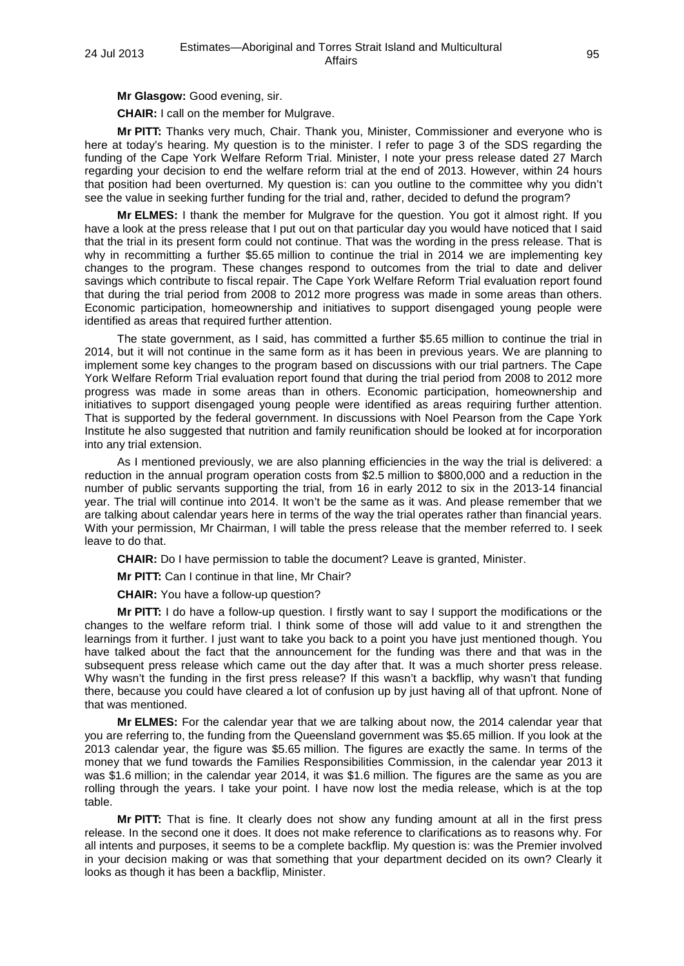**Mr Glasgow:** Good evening, sir.

**CHAIR:** I call on the member for Mulgrave.

**Mr PITT:** Thanks very much, Chair. Thank you, Minister, Commissioner and everyone who is here at today's hearing. My question is to the minister. I refer to page 3 of the SDS regarding the funding of the Cape York Welfare Reform Trial. Minister, I note your press release dated 27 March regarding your decision to end the welfare reform trial at the end of 2013. However, within 24 hours that position had been overturned. My question is: can you outline to the committee why you didn't see the value in seeking further funding for the trial and, rather, decided to defund the program?

**Mr ELMES:** I thank the member for Mulgrave for the question. You got it almost right. If you have a look at the press release that I put out on that particular day you would have noticed that I said that the trial in its present form could not continue. That was the wording in the press release. That is why in recommitting a further \$5.65 million to continue the trial in 2014 we are implementing key changes to the program. These changes respond to outcomes from the trial to date and deliver savings which contribute to fiscal repair. The Cape York Welfare Reform Trial evaluation report found that during the trial period from 2008 to 2012 more progress was made in some areas than others. Economic participation, homeownership and initiatives to support disengaged young people were identified as areas that required further attention.

The state government, as I said, has committed a further \$5.65 million to continue the trial in 2014, but it will not continue in the same form as it has been in previous years. We are planning to implement some key changes to the program based on discussions with our trial partners. The Cape York Welfare Reform Trial evaluation report found that during the trial period from 2008 to 2012 more progress was made in some areas than in others. Economic participation, homeownership and initiatives to support disengaged young people were identified as areas requiring further attention. That is supported by the federal government. In discussions with Noel Pearson from the Cape York Institute he also suggested that nutrition and family reunification should be looked at for incorporation into any trial extension.

As I mentioned previously, we are also planning efficiencies in the way the trial is delivered: a reduction in the annual program operation costs from \$2.5 million to \$800,000 and a reduction in the number of public servants supporting the trial, from 16 in early 2012 to six in the 2013-14 financial year. The trial will continue into 2014. It won't be the same as it was. And please remember that we are talking about calendar years here in terms of the way the trial operates rather than financial years. With your permission, Mr Chairman, I will table the press release that the member referred to. I seek leave to do that.

**CHAIR:** Do I have permission to table the document? Leave is granted, Minister.

**Mr PITT:** Can I continue in that line, Mr Chair?

**CHAIR:** You have a follow-up question?

**Mr PITT:** I do have a follow-up question. I firstly want to say I support the modifications or the changes to the welfare reform trial. I think some of those will add value to it and strengthen the learnings from it further. I just want to take you back to a point you have just mentioned though. You have talked about the fact that the announcement for the funding was there and that was in the subsequent press release which came out the day after that. It was a much shorter press release. Why wasn't the funding in the first press release? If this wasn't a backflip, why wasn't that funding there, because you could have cleared a lot of confusion up by just having all of that upfront. None of that was mentioned.

**Mr ELMES:** For the calendar year that we are talking about now, the 2014 calendar year that you are referring to, the funding from the Queensland government was \$5.65 million. If you look at the 2013 calendar year, the figure was \$5.65 million. The figures are exactly the same. In terms of the money that we fund towards the Families Responsibilities Commission, in the calendar year 2013 it was \$1.6 million; in the calendar year 2014, it was \$1.6 million. The figures are the same as you are rolling through the years. I take your point. I have now lost the media release, which is at the top table.

**Mr PITT:** That is fine. It clearly does not show any funding amount at all in the first press release. In the second one it does. It does not make reference to clarifications as to reasons why. For all intents and purposes, it seems to be a complete backflip. My question is: was the Premier involved in your decision making or was that something that your department decided on its own? Clearly it looks as though it has been a backflip, Minister.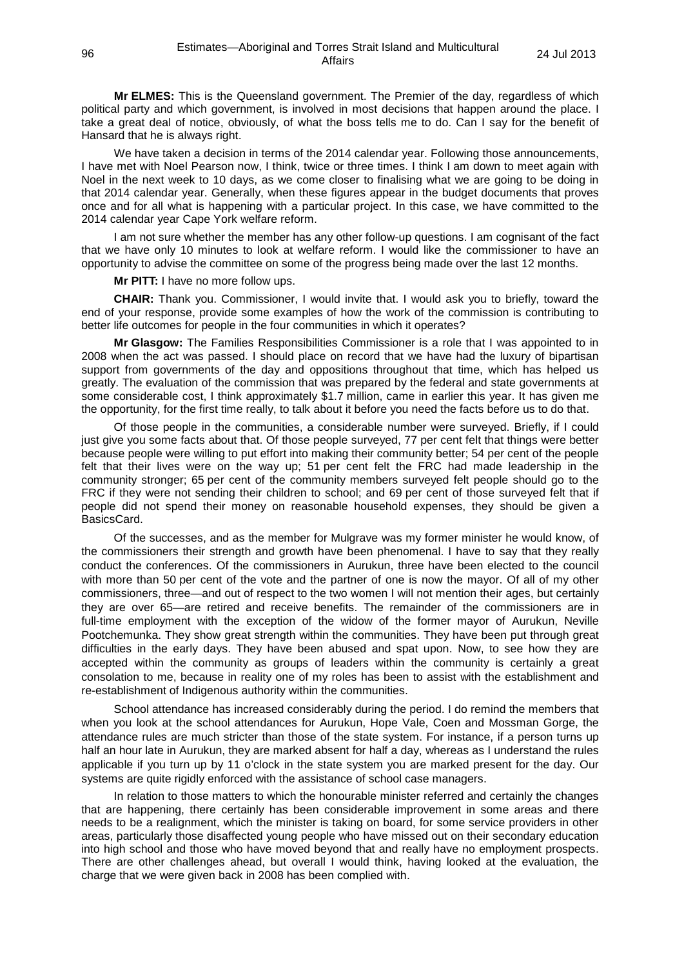**Mr ELMES:** This is the Queensland government. The Premier of the day, regardless of which political party and which government, is involved in most decisions that happen around the place. I take a great deal of notice, obviously, of what the boss tells me to do. Can I say for the benefit of Hansard that he is always right.

We have taken a decision in terms of the 2014 calendar year. Following those announcements, I have met with Noel Pearson now, I think, twice or three times. I think I am down to meet again with Noel in the next week to 10 days, as we come closer to finalising what we are going to be doing in that 2014 calendar year. Generally, when these figures appear in the budget documents that proves once and for all what is happening with a particular project. In this case, we have committed to the 2014 calendar year Cape York welfare reform.

I am not sure whether the member has any other follow-up questions. I am cognisant of the fact that we have only 10 minutes to look at welfare reform. I would like the commissioner to have an opportunity to advise the committee on some of the progress being made over the last 12 months.

**Mr PITT:** I have no more follow ups.

**CHAIR:** Thank you. Commissioner, I would invite that. I would ask you to briefly, toward the end of your response, provide some examples of how the work of the commission is contributing to better life outcomes for people in the four communities in which it operates?

**Mr Glasgow:** The Families Responsibilities Commissioner is a role that I was appointed to in 2008 when the act was passed. I should place on record that we have had the luxury of bipartisan support from governments of the day and oppositions throughout that time, which has helped us greatly. The evaluation of the commission that was prepared by the federal and state governments at some considerable cost, I think approximately \$1.7 million, came in earlier this year. It has given me the opportunity, for the first time really, to talk about it before you need the facts before us to do that.

Of those people in the communities, a considerable number were surveyed. Briefly, if I could just give you some facts about that. Of those people surveyed, 77 per cent felt that things were better because people were willing to put effort into making their community better; 54 per cent of the people felt that their lives were on the way up; 51 per cent felt the FRC had made leadership in the community stronger; 65 per cent of the community members surveyed felt people should go to the FRC if they were not sending their children to school; and 69 per cent of those surveyed felt that if people did not spend their money on reasonable household expenses, they should be given a BasicsCard.

Of the successes, and as the member for Mulgrave was my former minister he would know, of the commissioners their strength and growth have been phenomenal. I have to say that they really conduct the conferences. Of the commissioners in Aurukun, three have been elected to the council with more than 50 per cent of the vote and the partner of one is now the mayor. Of all of my other commissioners, three—and out of respect to the two women I will not mention their ages, but certainly they are over 65—are retired and receive benefits. The remainder of the commissioners are in full-time employment with the exception of the widow of the former mayor of Aurukun, Neville Pootchemunka. They show great strength within the communities. They have been put through great difficulties in the early days. They have been abused and spat upon. Now, to see how they are accepted within the community as groups of leaders within the community is certainly a great consolation to me, because in reality one of my roles has been to assist with the establishment and re-establishment of Indigenous authority within the communities.

School attendance has increased considerably during the period. I do remind the members that when you look at the school attendances for Aurukun, Hope Vale, Coen and Mossman Gorge, the attendance rules are much stricter than those of the state system. For instance, if a person turns up half an hour late in Aurukun, they are marked absent for half a day, whereas as I understand the rules applicable if you turn up by 11 o'clock in the state system you are marked present for the day. Our systems are quite rigidly enforced with the assistance of school case managers.

In relation to those matters to which the honourable minister referred and certainly the changes that are happening, there certainly has been considerable improvement in some areas and there needs to be a realignment, which the minister is taking on board, for some service providers in other areas, particularly those disaffected young people who have missed out on their secondary education into high school and those who have moved beyond that and really have no employment prospects. There are other challenges ahead, but overall I would think, having looked at the evaluation, the charge that we were given back in 2008 has been complied with.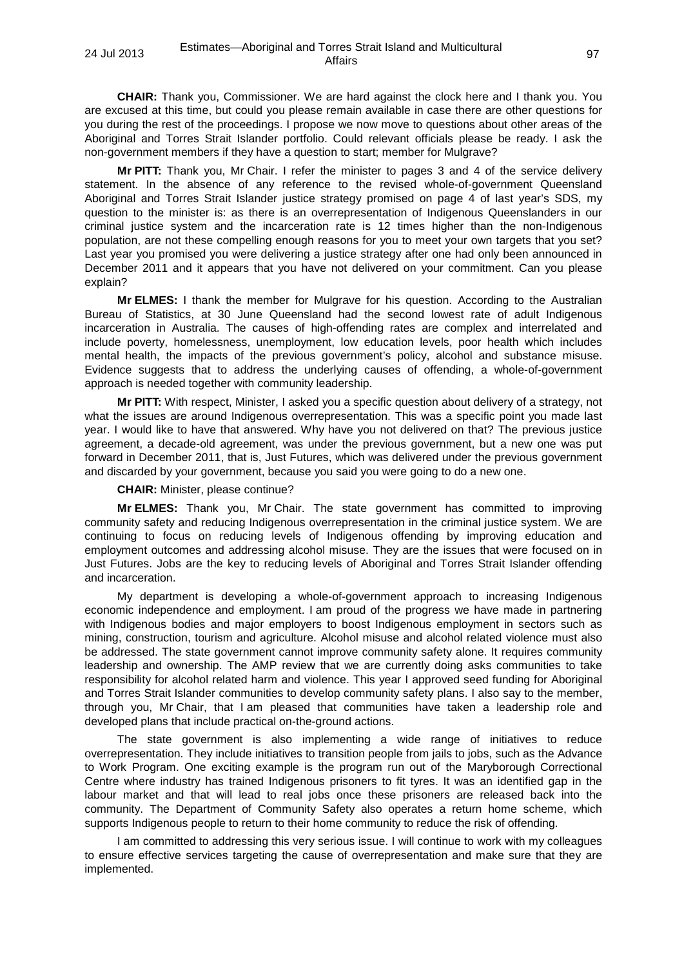**CHAIR:** Thank you, Commissioner. We are hard against the clock here and I thank you. You are excused at this time, but could you please remain available in case there are other questions for you during the rest of the proceedings. I propose we now move to questions about other areas of the Aboriginal and Torres Strait Islander portfolio. Could relevant officials please be ready. I ask the non-government members if they have a question to start; member for Mulgrave?

**Mr PITT:** Thank you, Mr Chair. I refer the minister to pages 3 and 4 of the service delivery statement. In the absence of any reference to the revised whole-of-government Queensland Aboriginal and Torres Strait Islander justice strategy promised on page 4 of last year's SDS, my question to the minister is: as there is an overrepresentation of Indigenous Queenslanders in our criminal justice system and the incarceration rate is 12 times higher than the non-Indigenous population, are not these compelling enough reasons for you to meet your own targets that you set? Last year you promised you were delivering a justice strategy after one had only been announced in December 2011 and it appears that you have not delivered on your commitment. Can you please explain?

**Mr ELMES:** I thank the member for Mulgrave for his question. According to the Australian Bureau of Statistics, at 30 June Queensland had the second lowest rate of adult Indigenous incarceration in Australia. The causes of high-offending rates are complex and interrelated and include poverty, homelessness, unemployment, low education levels, poor health which includes mental health, the impacts of the previous government's policy, alcohol and substance misuse. Evidence suggests that to address the underlying causes of offending, a whole-of-government approach is needed together with community leadership.

**Mr PITT:** With respect, Minister, I asked you a specific question about delivery of a strategy, not what the issues are around Indigenous overrepresentation. This was a specific point you made last year. I would like to have that answered. Why have you not delivered on that? The previous justice agreement, a decade-old agreement, was under the previous government, but a new one was put forward in December 2011, that is, Just Futures, which was delivered under the previous government and discarded by your government, because you said you were going to do a new one.

**CHAIR:** Minister, please continue?

**Mr ELMES:** Thank you, Mr Chair. The state government has committed to improving community safety and reducing Indigenous overrepresentation in the criminal justice system. We are continuing to focus on reducing levels of Indigenous offending by improving education and employment outcomes and addressing alcohol misuse. They are the issues that were focused on in Just Futures. Jobs are the key to reducing levels of Aboriginal and Torres Strait Islander offending and incarceration.

My department is developing a whole-of-government approach to increasing Indigenous economic independence and employment. I am proud of the progress we have made in partnering with Indigenous bodies and major employers to boost Indigenous employment in sectors such as mining, construction, tourism and agriculture. Alcohol misuse and alcohol related violence must also be addressed. The state government cannot improve community safety alone. It requires community leadership and ownership. The AMP review that we are currently doing asks communities to take responsibility for alcohol related harm and violence. This year I approved seed funding for Aboriginal and Torres Strait Islander communities to develop community safety plans. I also say to the member, through you, Mr Chair, that I am pleased that communities have taken a leadership role and developed plans that include practical on-the-ground actions.

The state government is also implementing a wide range of initiatives to reduce overrepresentation. They include initiatives to transition people from jails to jobs, such as the Advance to Work Program. One exciting example is the program run out of the Maryborough Correctional Centre where industry has trained Indigenous prisoners to fit tyres. It was an identified gap in the labour market and that will lead to real jobs once these prisoners are released back into the community. The Department of Community Safety also operates a return home scheme, which supports Indigenous people to return to their home community to reduce the risk of offending.

I am committed to addressing this very serious issue. I will continue to work with my colleagues to ensure effective services targeting the cause of overrepresentation and make sure that they are implemented.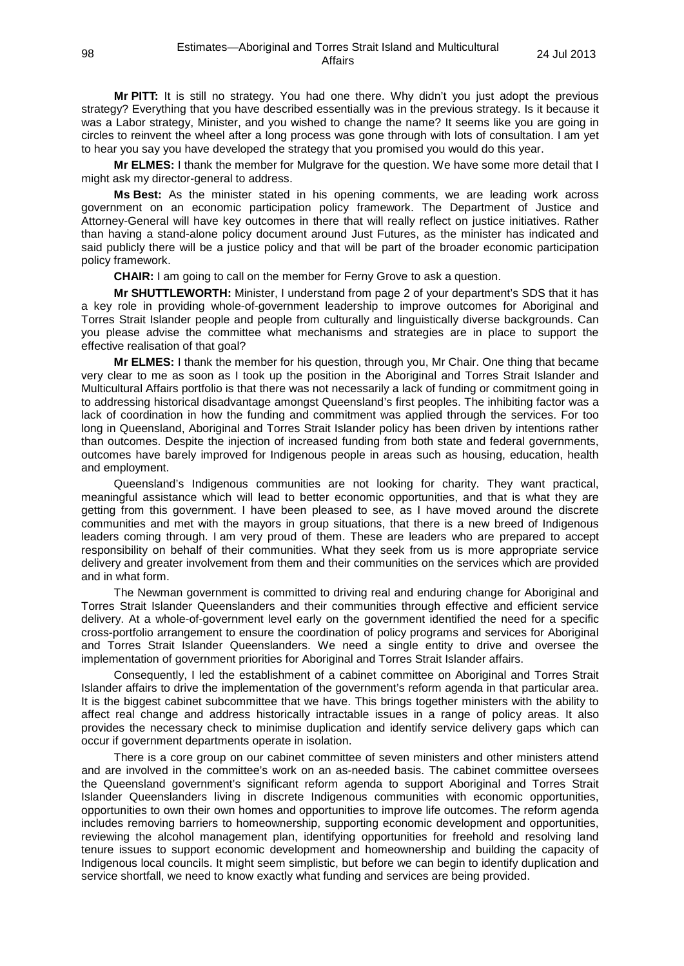**Mr PITT:** It is still no strategy. You had one there. Why didn't you just adopt the previous strategy? Everything that you have described essentially was in the previous strategy. Is it because it was a Labor strategy, Minister, and you wished to change the name? It seems like you are going in circles to reinvent the wheel after a long process was gone through with lots of consultation. I am yet to hear you say you have developed the strategy that you promised you would do this year.

**Mr ELMES:** I thank the member for Mulgrave for the question. We have some more detail that I might ask my director-general to address.

**Ms Best:** As the minister stated in his opening comments, we are leading work across government on an economic participation policy framework. The Department of Justice and Attorney-General will have key outcomes in there that will really reflect on justice initiatives. Rather than having a stand-alone policy document around Just Futures, as the minister has indicated and said publicly there will be a justice policy and that will be part of the broader economic participation policy framework.

**CHAIR:** I am going to call on the member for Ferny Grove to ask a question.

**Mr SHUTTLEWORTH:** Minister, I understand from page 2 of your department's SDS that it has a key role in providing whole-of-government leadership to improve outcomes for Aboriginal and Torres Strait Islander people and people from culturally and linguistically diverse backgrounds. Can you please advise the committee what mechanisms and strategies are in place to support the effective realisation of that goal?

**Mr ELMES:** I thank the member for his question, through you, Mr Chair. One thing that became very clear to me as soon as I took up the position in the Aboriginal and Torres Strait Islander and Multicultural Affairs portfolio is that there was not necessarily a lack of funding or commitment going in to addressing historical disadvantage amongst Queensland's first peoples. The inhibiting factor was a lack of coordination in how the funding and commitment was applied through the services. For too long in Queensland, Aboriginal and Torres Strait Islander policy has been driven by intentions rather than outcomes. Despite the injection of increased funding from both state and federal governments, outcomes have barely improved for Indigenous people in areas such as housing, education, health and employment.

Queensland's Indigenous communities are not looking for charity. They want practical, meaningful assistance which will lead to better economic opportunities, and that is what they are getting from this government. I have been pleased to see, as I have moved around the discrete communities and met with the mayors in group situations, that there is a new breed of Indigenous leaders coming through. I am very proud of them. These are leaders who are prepared to accept responsibility on behalf of their communities. What they seek from us is more appropriate service delivery and greater involvement from them and their communities on the services which are provided and in what form.

The Newman government is committed to driving real and enduring change for Aboriginal and Torres Strait Islander Queenslanders and their communities through effective and efficient service delivery. At a whole-of-government level early on the government identified the need for a specific cross-portfolio arrangement to ensure the coordination of policy programs and services for Aboriginal and Torres Strait Islander Queenslanders. We need a single entity to drive and oversee the implementation of government priorities for Aboriginal and Torres Strait Islander affairs.

Consequently, I led the establishment of a cabinet committee on Aboriginal and Torres Strait Islander affairs to drive the implementation of the government's reform agenda in that particular area. It is the biggest cabinet subcommittee that we have. This brings together ministers with the ability to affect real change and address historically intractable issues in a range of policy areas. It also provides the necessary check to minimise duplication and identify service delivery gaps which can occur if government departments operate in isolation.

There is a core group on our cabinet committee of seven ministers and other ministers attend and are involved in the committee's work on an as-needed basis. The cabinet committee oversees the Queensland government's significant reform agenda to support Aboriginal and Torres Strait Islander Queenslanders living in discrete Indigenous communities with economic opportunities, opportunities to own their own homes and opportunities to improve life outcomes. The reform agenda includes removing barriers to homeownership, supporting economic development and opportunities, reviewing the alcohol management plan, identifying opportunities for freehold and resolving land tenure issues to support economic development and homeownership and building the capacity of Indigenous local councils. It might seem simplistic, but before we can begin to identify duplication and service shortfall, we need to know exactly what funding and services are being provided.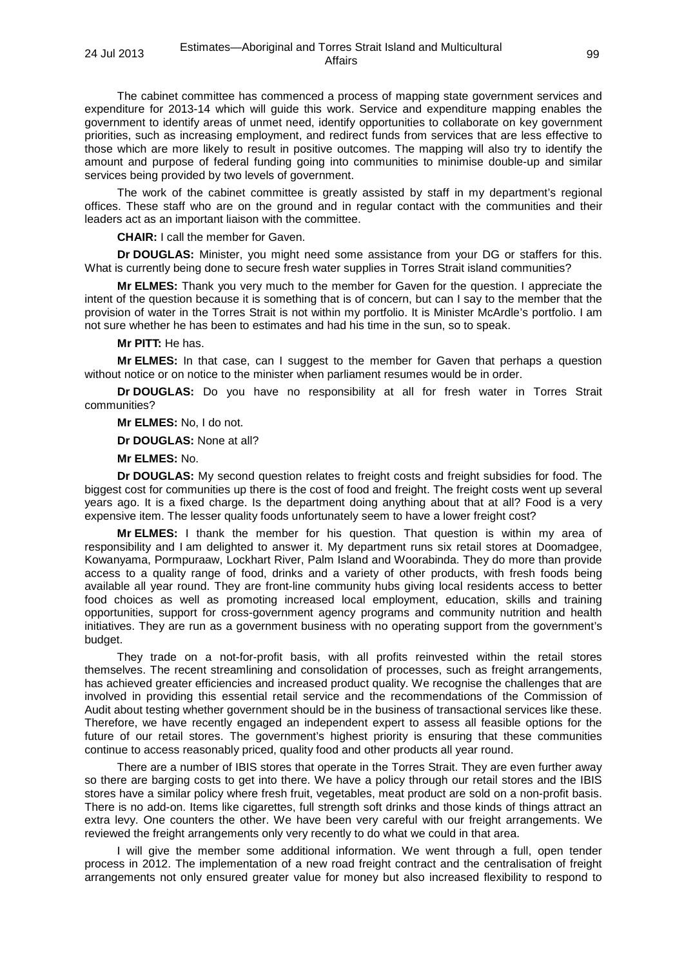The cabinet committee has commenced a process of mapping state government services and expenditure for 2013-14 which will guide this work. Service and expenditure mapping enables the government to identify areas of unmet need, identify opportunities to collaborate on key government priorities, such as increasing employment, and redirect funds from services that are less effective to those which are more likely to result in positive outcomes. The mapping will also try to identify the amount and purpose of federal funding going into communities to minimise double-up and similar services being provided by two levels of government.

The work of the cabinet committee is greatly assisted by staff in my department's regional offices. These staff who are on the ground and in regular contact with the communities and their leaders act as an important liaison with the committee.

**CHAIR:** I call the member for Gaven.

**Dr DOUGLAS:** Minister, you might need some assistance from your DG or staffers for this. What is currently being done to secure fresh water supplies in Torres Strait island communities?

**Mr ELMES:** Thank you very much to the member for Gaven for the question. I appreciate the intent of the question because it is something that is of concern, but can I say to the member that the provision of water in the Torres Strait is not within my portfolio. It is Minister McArdle's portfolio. I am not sure whether he has been to estimates and had his time in the sun, so to speak.

# **Mr PITT:** He has.

**Mr ELMES:** In that case, can I suggest to the member for Gaven that perhaps a question without notice or on notice to the minister when parliament resumes would be in order.

**Dr DOUGLAS:** Do you have no responsibility at all for fresh water in Torres Strait communities?

**Mr ELMES:** No, I do not.

**Dr DOUGLAS:** None at all?

**Mr ELMES:** No.

**Dr DOUGLAS:** My second question relates to freight costs and freight subsidies for food. The biggest cost for communities up there is the cost of food and freight. The freight costs went up several years ago. It is a fixed charge. Is the department doing anything about that at all? Food is a very expensive item. The lesser quality foods unfortunately seem to have a lower freight cost?

**Mr ELMES:** I thank the member for his question. That question is within my area of responsibility and I am delighted to answer it. My department runs six retail stores at Doomadgee, Kowanyama, Pormpuraaw, Lockhart River, Palm Island and Woorabinda. They do more than provide access to a quality range of food, drinks and a variety of other products, with fresh foods being available all year round. They are front-line community hubs giving local residents access to better food choices as well as promoting increased local employment, education, skills and training opportunities, support for cross-government agency programs and community nutrition and health initiatives. They are run as a government business with no operating support from the government's budget.

They trade on a not-for-profit basis, with all profits reinvested within the retail stores themselves. The recent streamlining and consolidation of processes, such as freight arrangements, has achieved greater efficiencies and increased product quality. We recognise the challenges that are involved in providing this essential retail service and the recommendations of the Commission of Audit about testing whether government should be in the business of transactional services like these. Therefore, we have recently engaged an independent expert to assess all feasible options for the future of our retail stores. The government's highest priority is ensuring that these communities continue to access reasonably priced, quality food and other products all year round.

There are a number of IBIS stores that operate in the Torres Strait. They are even further away so there are barging costs to get into there. We have a policy through our retail stores and the IBIS stores have a similar policy where fresh fruit, vegetables, meat product are sold on a non-profit basis. There is no add-on. Items like cigarettes, full strength soft drinks and those kinds of things attract an extra levy. One counters the other. We have been very careful with our freight arrangements. We reviewed the freight arrangements only very recently to do what we could in that area.

I will give the member some additional information. We went through a full, open tender process in 2012. The implementation of a new road freight contract and the centralisation of freight arrangements not only ensured greater value for money but also increased flexibility to respond to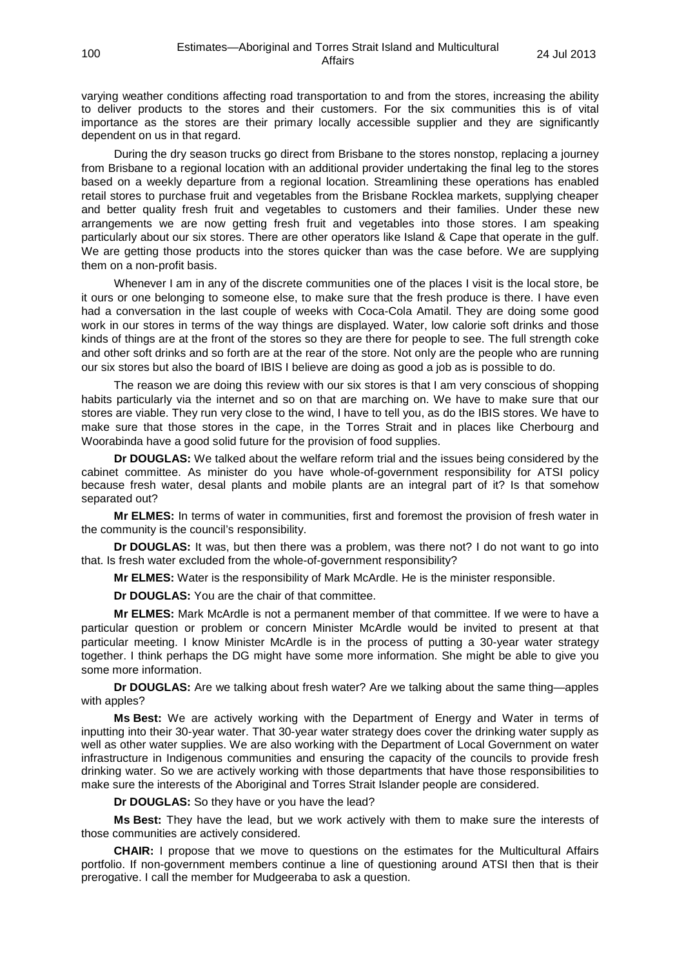varying weather conditions affecting road transportation to and from the stores, increasing the ability to deliver products to the stores and their customers. For the six communities this is of vital importance as the stores are their primary locally accessible supplier and they are significantly dependent on us in that regard.

During the dry season trucks go direct from Brisbane to the stores nonstop, replacing a journey from Brisbane to a regional location with an additional provider undertaking the final leg to the stores based on a weekly departure from a regional location. Streamlining these operations has enabled retail stores to purchase fruit and vegetables from the Brisbane Rocklea markets, supplying cheaper and better quality fresh fruit and vegetables to customers and their families. Under these new arrangements we are now getting fresh fruit and vegetables into those stores. I am speaking particularly about our six stores. There are other operators like Island & Cape that operate in the gulf. We are getting those products into the stores quicker than was the case before. We are supplying them on a non-profit basis.

Whenever I am in any of the discrete communities one of the places I visit is the local store, be it ours or one belonging to someone else, to make sure that the fresh produce is there. I have even had a conversation in the last couple of weeks with Coca-Cola Amatil. They are doing some good work in our stores in terms of the way things are displayed. Water, low calorie soft drinks and those kinds of things are at the front of the stores so they are there for people to see. The full strength coke and other soft drinks and so forth are at the rear of the store. Not only are the people who are running our six stores but also the board of IBIS I believe are doing as good a job as is possible to do.

The reason we are doing this review with our six stores is that I am very conscious of shopping habits particularly via the internet and so on that are marching on. We have to make sure that our stores are viable. They run very close to the wind, I have to tell you, as do the IBIS stores. We have to make sure that those stores in the cape, in the Torres Strait and in places like Cherbourg and Woorabinda have a good solid future for the provision of food supplies.

**Dr DOUGLAS:** We talked about the welfare reform trial and the issues being considered by the cabinet committee. As minister do you have whole-of-government responsibility for ATSI policy because fresh water, desal plants and mobile plants are an integral part of it? Is that somehow separated out?

**Mr ELMES:** In terms of water in communities, first and foremost the provision of fresh water in the community is the council's responsibility.

**Dr DOUGLAS:** It was, but then there was a problem, was there not? I do not want to go into that. Is fresh water excluded from the whole-of-government responsibility?

**Mr ELMES:** Water is the responsibility of Mark McArdle. He is the minister responsible.

**Dr DOUGLAS:** You are the chair of that committee.

**Mr ELMES:** Mark McArdle is not a permanent member of that committee. If we were to have a particular question or problem or concern Minister McArdle would be invited to present at that particular meeting. I know Minister McArdle is in the process of putting a 30-year water strategy together. I think perhaps the DG might have some more information. She might be able to give you some more information.

**Dr DOUGLAS:** Are we talking about fresh water? Are we talking about the same thing—apples with apples?

**Ms Best:** We are actively working with the Department of Energy and Water in terms of inputting into their 30-year water. That 30-year water strategy does cover the drinking water supply as well as other water supplies. We are also working with the Department of Local Government on water infrastructure in Indigenous communities and ensuring the capacity of the councils to provide fresh drinking water. So we are actively working with those departments that have those responsibilities to make sure the interests of the Aboriginal and Torres Strait Islander people are considered.

**Dr DOUGLAS:** So they have or you have the lead?

**Ms Best:** They have the lead, but we work actively with them to make sure the interests of those communities are actively considered.

**CHAIR:** I propose that we move to questions on the estimates for the Multicultural Affairs portfolio. If non-government members continue a line of questioning around ATSI then that is their prerogative. I call the member for Mudgeeraba to ask a question.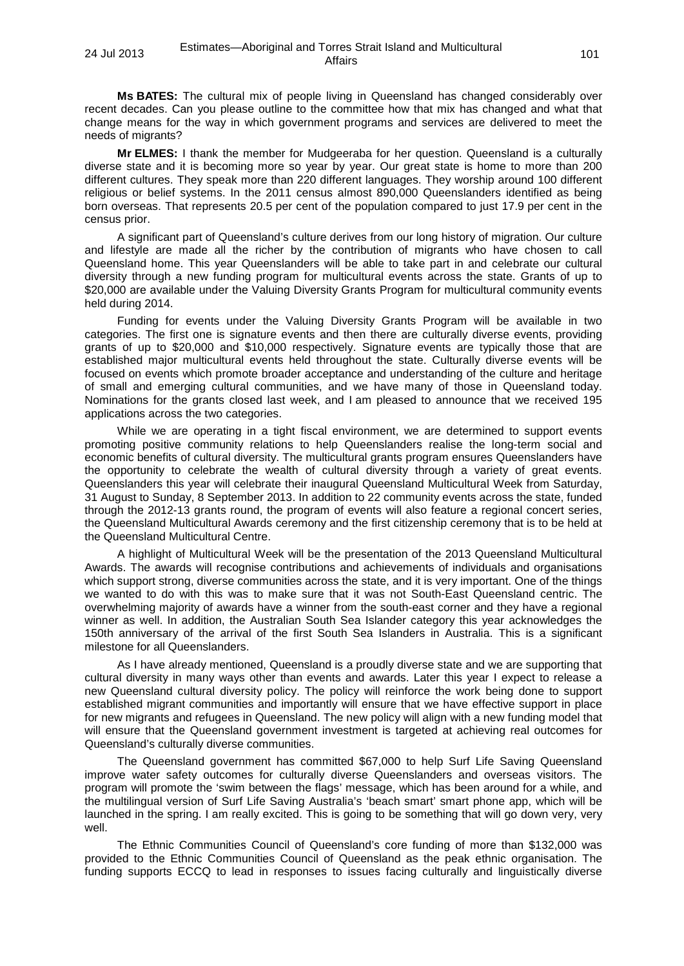**Ms BATES:** The cultural mix of people living in Queensland has changed considerably over recent decades. Can you please outline to the committee how that mix has changed and what that change means for the way in which government programs and services are delivered to meet the needs of migrants?

**Mr ELMES:** I thank the member for Mudgeeraba for her question. Queensland is a culturally diverse state and it is becoming more so year by year. Our great state is home to more than 200 different cultures. They speak more than 220 different languages. They worship around 100 different religious or belief systems. In the 2011 census almost 890,000 Queenslanders identified as being born overseas. That represents 20.5 per cent of the population compared to just 17.9 per cent in the census prior.

A significant part of Queensland's culture derives from our long history of migration. Our culture and lifestyle are made all the richer by the contribution of migrants who have chosen to call Queensland home. This year Queenslanders will be able to take part in and celebrate our cultural diversity through a new funding program for multicultural events across the state. Grants of up to \$20,000 are available under the Valuing Diversity Grants Program for multicultural community events held during 2014.

Funding for events under the Valuing Diversity Grants Program will be available in two categories. The first one is signature events and then there are culturally diverse events, providing grants of up to \$20,000 and \$10,000 respectively. Signature events are typically those that are established major multicultural events held throughout the state. Culturally diverse events will be focused on events which promote broader acceptance and understanding of the culture and heritage of small and emerging cultural communities, and we have many of those in Queensland today. Nominations for the grants closed last week, and I am pleased to announce that we received 195 applications across the two categories.

While we are operating in a tight fiscal environment, we are determined to support events promoting positive community relations to help Queenslanders realise the long-term social and economic benefits of cultural diversity. The multicultural grants program ensures Queenslanders have the opportunity to celebrate the wealth of cultural diversity through a variety of great events. Queenslanders this year will celebrate their inaugural Queensland Multicultural Week from Saturday, 31 August to Sunday, 8 September 2013. In addition to 22 community events across the state, funded through the 2012-13 grants round, the program of events will also feature a regional concert series, the Queensland Multicultural Awards ceremony and the first citizenship ceremony that is to be held at the Queensland Multicultural Centre.

A highlight of Multicultural Week will be the presentation of the 2013 Queensland Multicultural Awards. The awards will recognise contributions and achievements of individuals and organisations which support strong, diverse communities across the state, and it is very important. One of the things we wanted to do with this was to make sure that it was not South-East Queensland centric. The overwhelming majority of awards have a winner from the south-east corner and they have a regional winner as well. In addition, the Australian South Sea Islander category this year acknowledges the 150th anniversary of the arrival of the first South Sea Islanders in Australia. This is a significant milestone for all Queenslanders.

As I have already mentioned, Queensland is a proudly diverse state and we are supporting that cultural diversity in many ways other than events and awards. Later this year I expect to release a new Queensland cultural diversity policy. The policy will reinforce the work being done to support established migrant communities and importantly will ensure that we have effective support in place for new migrants and refugees in Queensland. The new policy will align with a new funding model that will ensure that the Queensland government investment is targeted at achieving real outcomes for Queensland's culturally diverse communities.

The Queensland government has committed \$67,000 to help Surf Life Saving Queensland improve water safety outcomes for culturally diverse Queenslanders and overseas visitors. The program will promote the 'swim between the flags' message, which has been around for a while, and the multilingual version of Surf Life Saving Australia's 'beach smart' smart phone app, which will be launched in the spring. I am really excited. This is going to be something that will go down very, very well.

The Ethnic Communities Council of Queensland's core funding of more than \$132,000 was provided to the Ethnic Communities Council of Queensland as the peak ethnic organisation. The funding supports ECCQ to lead in responses to issues facing culturally and linguistically diverse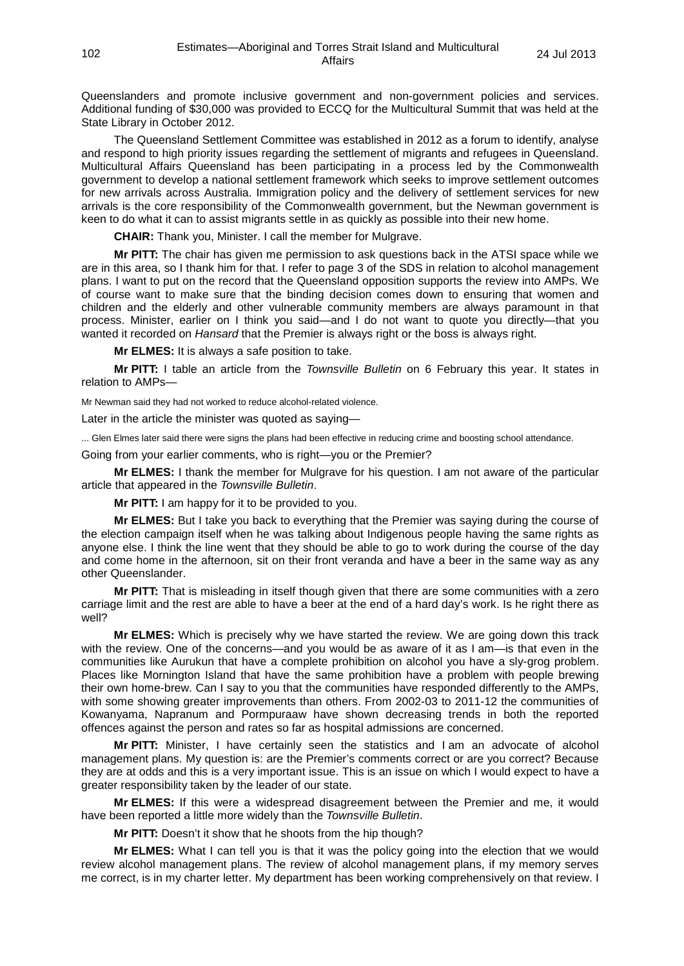Queenslanders and promote inclusive government and non-government policies and services. Additional funding of \$30,000 was provided to ECCQ for the Multicultural Summit that was held at the State Library in October 2012.

The Queensland Settlement Committee was established in 2012 as a forum to identify, analyse and respond to high priority issues regarding the settlement of migrants and refugees in Queensland. Multicultural Affairs Queensland has been participating in a process led by the Commonwealth government to develop a national settlement framework which seeks to improve settlement outcomes for new arrivals across Australia. Immigration policy and the delivery of settlement services for new arrivals is the core responsibility of the Commonwealth government, but the Newman government is keen to do what it can to assist migrants settle in as quickly as possible into their new home.

**CHAIR:** Thank you, Minister. I call the member for Mulgrave.

**Mr PITT:** The chair has given me permission to ask questions back in the ATSI space while we are in this area, so I thank him for that. I refer to page 3 of the SDS in relation to alcohol management plans. I want to put on the record that the Queensland opposition supports the review into AMPs. We of course want to make sure that the binding decision comes down to ensuring that women and children and the elderly and other vulnerable community members are always paramount in that process. Minister, earlier on I think you said—and I do not want to quote you directly—that you wanted it recorded on *Hansard* that the Premier is always right or the boss is always right.

**Mr ELMES:** It is always a safe position to take.

**Mr PITT:** I table an article from the *Townsville Bulletin* on 6 February this year. It states in relation to AMPs—

Mr Newman said they had not worked to reduce alcohol-related violence.

Later in the article the minister was quoted as saying—

... Glen Elmes later said there were signs the plans had been effective in reducing crime and boosting school attendance.

Going from your earlier comments, who is right—you or the Premier?

**Mr ELMES:** I thank the member for Mulgrave for his question. I am not aware of the particular article that appeared in the *Townsville Bulletin*.

**Mr PITT:** I am happy for it to be provided to you.

**Mr ELMES:** But I take you back to everything that the Premier was saying during the course of the election campaign itself when he was talking about Indigenous people having the same rights as anyone else. I think the line went that they should be able to go to work during the course of the day and come home in the afternoon, sit on their front veranda and have a beer in the same way as any other Queenslander.

**Mr PITT:** That is misleading in itself though given that there are some communities with a zero carriage limit and the rest are able to have a beer at the end of a hard day's work. Is he right there as well?

**Mr ELMES:** Which is precisely why we have started the review. We are going down this track with the review. One of the concerns—and you would be as aware of it as I am—is that even in the communities like Aurukun that have a complete prohibition on alcohol you have a sly-grog problem. Places like Mornington Island that have the same prohibition have a problem with people brewing their own home-brew. Can I say to you that the communities have responded differently to the AMPs, with some showing greater improvements than others. From 2002-03 to 2011-12 the communities of Kowanyama, Napranum and Pormpuraaw have shown decreasing trends in both the reported offences against the person and rates so far as hospital admissions are concerned.

**Mr PITT:** Minister, I have certainly seen the statistics and I am an advocate of alcohol management plans. My question is: are the Premier's comments correct or are you correct? Because they are at odds and this is a very important issue. This is an issue on which I would expect to have a greater responsibility taken by the leader of our state.

**Mr ELMES:** If this were a widespread disagreement between the Premier and me, it would have been reported a little more widely than the *Townsville Bulletin*.

**Mr PITT:** Doesn't it show that he shoots from the hip though?

**Mr ELMES:** What I can tell you is that it was the policy going into the election that we would review alcohol management plans. The review of alcohol management plans, if my memory serves me correct, is in my charter letter. My department has been working comprehensively on that review. I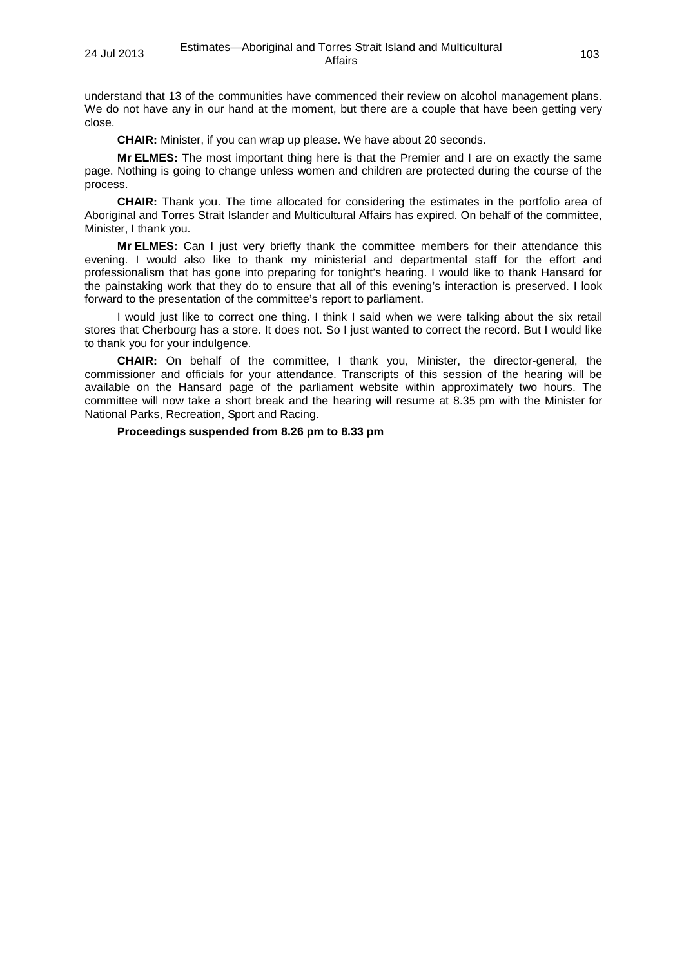understand that 13 of the communities have commenced their review on alcohol management plans. We do not have any in our hand at the moment, but there are a couple that have been getting very close.

**CHAIR:** Minister, if you can wrap up please. We have about 20 seconds.

**Mr ELMES:** The most important thing here is that the Premier and I are on exactly the same page. Nothing is going to change unless women and children are protected during the course of the process.

**CHAIR:** Thank you. The time allocated for considering the estimates in the portfolio area of Aboriginal and Torres Strait Islander and Multicultural Affairs has expired. On behalf of the committee, Minister, I thank you.

**Mr ELMES:** Can I just very briefly thank the committee members for their attendance this evening. I would also like to thank my ministerial and departmental staff for the effort and professionalism that has gone into preparing for tonight's hearing. I would like to thank Hansard for the painstaking work that they do to ensure that all of this evening's interaction is preserved. I look forward to the presentation of the committee's report to parliament.

I would just like to correct one thing. I think I said when we were talking about the six retail stores that Cherbourg has a store. It does not. So I just wanted to correct the record. But I would like to thank you for your indulgence.

**CHAIR:** On behalf of the committee, I thank you, Minister, the director-general, the commissioner and officials for your attendance. Transcripts of this session of the hearing will be available on the Hansard page of the parliament website within approximately two hours. The committee will now take a short break and the hearing will resume at 8.35 pm with the Minister for National Parks, Recreation, Sport and Racing.

### **Proceedings suspended from 8.26 pm to 8.33 pm**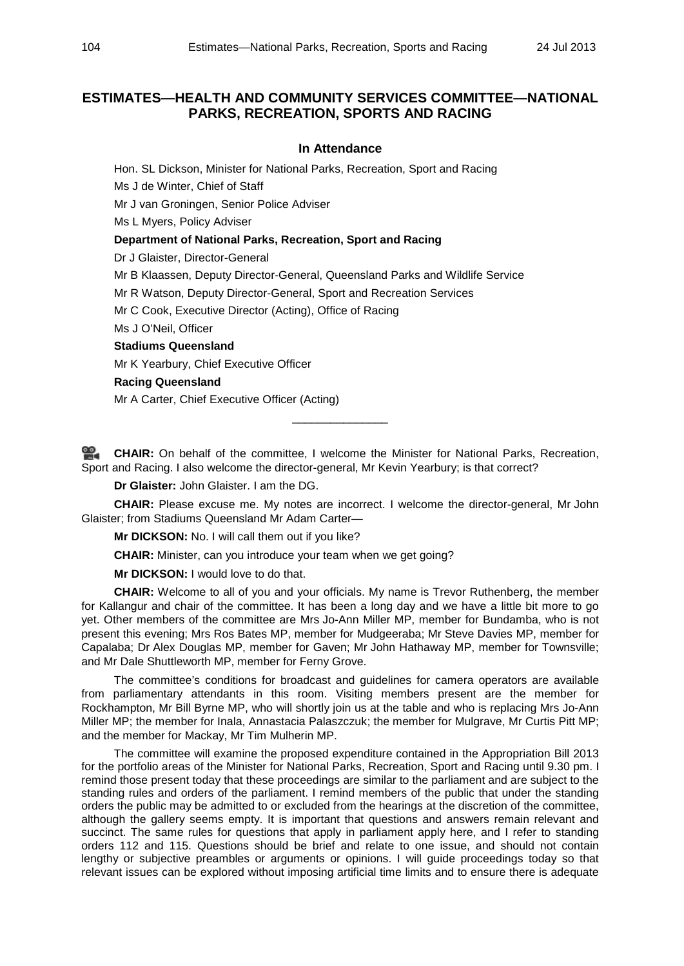# **ESTIMATES—HEALTH AND COMMUNITY SERVICES COMMITTEE—NATIONAL PARKS, RECREATION, SPORTS AND RACING**

# **In Attendance**

Hon. SL Dickson, Minister for National Parks, Recreation, Sport and Racing

Ms J de Winter, Chief of Staff

Mr J van Groningen, Senior Police Adviser

Ms L Myers, Policy Adviser

# **Department of National Parks, Recreation, Sport and Racing**

Dr J Glaister, Director-General

Mr B Klaassen, Deputy Director-General, Queensland Parks and Wildlife Service

Mr R Watson, Deputy Director-General, Sport and Recreation Services

Mr C Cook, Executive Director (Acting), Office of Racing

Ms J O'Neil, Officer

### **Stadiums Queensland**

Mr K Yearbury, Chief Executive Officer

# **Racing Queensland**

Mr A Carter, Chief Executive Officer (Acting)

**[CHAIR:](http://www.parliament.qld.gov.au/docs/find.aspx?id=0Mba20130724_203423)** On behalf of the committee, I welcome the Minister for National Parks, Recreation, Sport and Racing. I also welcome the director-general, Mr Kevin Yearbury; is that correct?

\_\_\_\_\_\_\_\_\_\_\_\_\_\_\_

**Dr Glaister:** John Glaister. I am the DG.

**CHAIR:** Please excuse me. My notes are incorrect. I welcome the director-general, Mr John Glaister; from Stadiums Queensland Mr Adam Carter—

**Mr DICKSON:** No. I will call them out if you like?

**CHAIR:** Minister, can you introduce your team when we get going?

**Mr DICKSON:** I would love to do that.

**CHAIR:** Welcome to all of you and your officials. My name is Trevor Ruthenberg, the member for Kallangur and chair of the committee. It has been a long day and we have a little bit more to go yet. Other members of the committee are Mrs Jo-Ann Miller MP, member for Bundamba, who is not present this evening; Mrs Ros Bates MP, member for Mudgeeraba; Mr Steve Davies MP, member for Capalaba; Dr Alex Douglas MP, member for Gaven; Mr John Hathaway MP, member for Townsville; and Mr Dale Shuttleworth MP, member for Ferny Grove.

The committee's conditions for broadcast and guidelines for camera operators are available from parliamentary attendants in this room. Visiting members present are the member for Rockhampton, Mr Bill Byrne MP, who will shortly join us at the table and who is replacing Mrs Jo-Ann Miller MP; the member for Inala, Annastacia Palaszczuk; the member for Mulgrave, Mr Curtis Pitt MP; and the member for Mackay, Mr Tim Mulherin MP.

The committee will examine the proposed expenditure contained in the Appropriation Bill 2013 for the portfolio areas of the Minister for National Parks, Recreation, Sport and Racing until 9.30 pm. I remind those present today that these proceedings are similar to the parliament and are subject to the standing rules and orders of the parliament. I remind members of the public that under the standing orders the public may be admitted to or excluded from the hearings at the discretion of the committee, although the gallery seems empty. It is important that questions and answers remain relevant and succinct. The same rules for questions that apply in parliament apply here, and I refer to standing orders 112 and 115. Questions should be brief and relate to one issue, and should not contain lengthy or subjective preambles or arguments or opinions. I will guide proceedings today so that relevant issues can be explored without imposing artificial time limits and to ensure there is adequate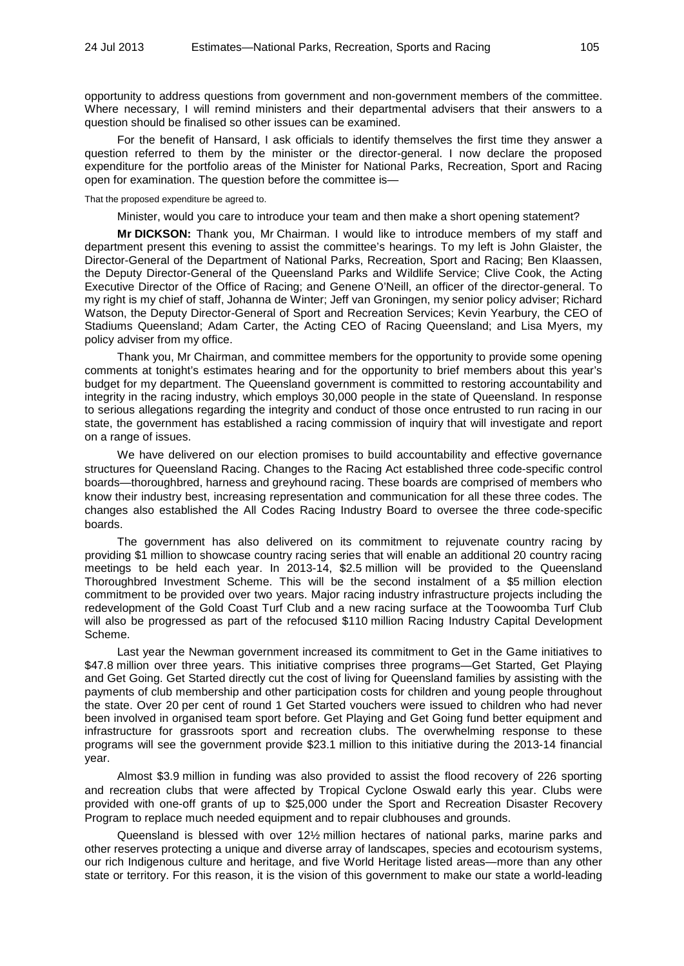opportunity to address questions from government and non-government members of the committee. Where necessary, I will remind ministers and their departmental advisers that their answers to a question should be finalised so other issues can be examined.

For the benefit of Hansard, I ask officials to identify themselves the first time they answer a question referred to them by the minister or the director-general. I now declare the proposed expenditure for the portfolio areas of the Minister for National Parks, Recreation, Sport and Racing open for examination. The question before the committee is—

That the proposed expenditure be agreed to.

Minister, would you care to introduce your team and then make a short opening statement?

**Mr DICKSON:** Thank you, Mr Chairman. I would like to introduce members of my staff and department present this evening to assist the committee's hearings. To my left is John Glaister, the Director-General of the Department of National Parks, Recreation, Sport and Racing; Ben Klaassen, the Deputy Director-General of the Queensland Parks and Wildlife Service; Clive Cook, the Acting Executive Director of the Office of Racing; and Genene O'Neill, an officer of the director-general. To my right is my chief of staff, Johanna de Winter; Jeff van Groningen, my senior policy adviser; Richard Watson, the Deputy Director-General of Sport and Recreation Services; Kevin Yearbury, the CEO of Stadiums Queensland; Adam Carter, the Acting CEO of Racing Queensland; and Lisa Myers, my policy adviser from my office.

Thank you, Mr Chairman, and committee members for the opportunity to provide some opening comments at tonight's estimates hearing and for the opportunity to brief members about this year's budget for my department. The Queensland government is committed to restoring accountability and integrity in the racing industry, which employs 30,000 people in the state of Queensland. In response to serious allegations regarding the integrity and conduct of those once entrusted to run racing in our state, the government has established a racing commission of inquiry that will investigate and report on a range of issues.

We have delivered on our election promises to build accountability and effective governance structures for Queensland Racing. Changes to the Racing Act established three code-specific control boards—thoroughbred, harness and greyhound racing. These boards are comprised of members who know their industry best, increasing representation and communication for all these three codes. The changes also established the All Codes Racing Industry Board to oversee the three code-specific boards.

The government has also delivered on its commitment to rejuvenate country racing by providing \$1 million to showcase country racing series that will enable an additional 20 country racing meetings to be held each year. In 2013-14, \$2.5 million will be provided to the Queensland Thoroughbred Investment Scheme. This will be the second instalment of a \$5 million election commitment to be provided over two years. Major racing industry infrastructure projects including the redevelopment of the Gold Coast Turf Club and a new racing surface at the Toowoomba Turf Club will also be progressed as part of the refocused \$110 million Racing Industry Capital Development Scheme.

Last year the Newman government increased its commitment to Get in the Game initiatives to \$47.8 million over three years. This initiative comprises three programs—Get Started, Get Playing and Get Going. Get Started directly cut the cost of living for Queensland families by assisting with the payments of club membership and other participation costs for children and young people throughout the state. Over 20 per cent of round 1 Get Started vouchers were issued to children who had never been involved in organised team sport before. Get Playing and Get Going fund better equipment and infrastructure for grassroots sport and recreation clubs. The overwhelming response to these programs will see the government provide \$23.1 million to this initiative during the 2013-14 financial year.

Almost \$3.9 million in funding was also provided to assist the flood recovery of 226 sporting and recreation clubs that were affected by Tropical Cyclone Oswald early this year. Clubs were provided with one-off grants of up to \$25,000 under the Sport and Recreation Disaster Recovery Program to replace much needed equipment and to repair clubhouses and grounds.

Queensland is blessed with over 12½ million hectares of national parks, marine parks and other reserves protecting a unique and diverse array of landscapes, species and ecotourism systems, our rich Indigenous culture and heritage, and five World Heritage listed areas—more than any other state or territory. For this reason, it is the vision of this government to make our state a world-leading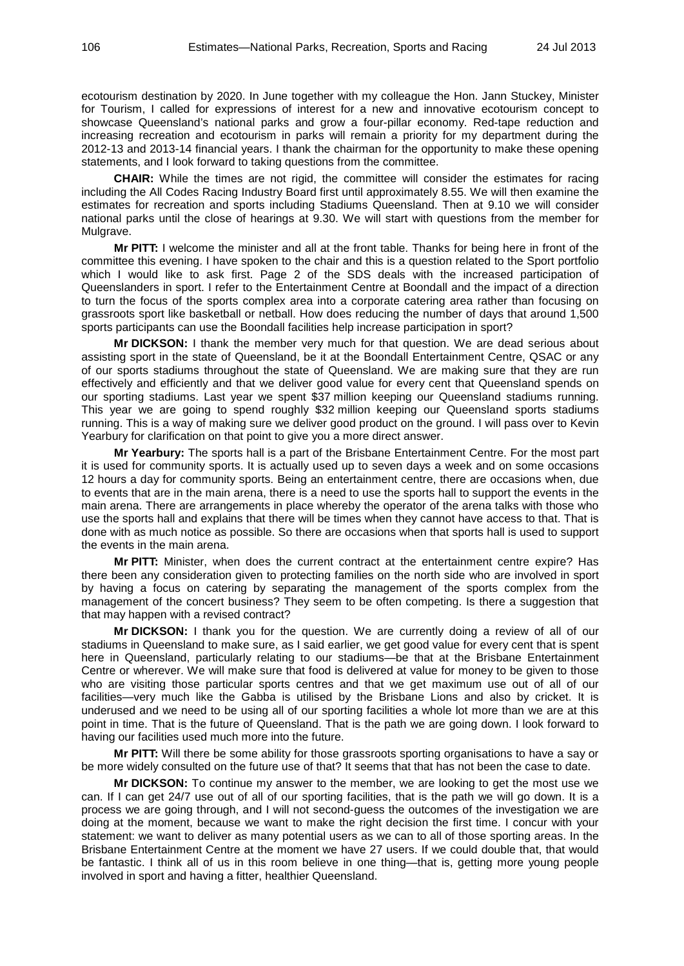ecotourism destination by 2020. In June together with my colleague the Hon. Jann Stuckey, Minister for Tourism, I called for expressions of interest for a new and innovative ecotourism concept to showcase Queensland's national parks and grow a four-pillar economy. Red-tape reduction and increasing recreation and ecotourism in parks will remain a priority for my department during the 2012-13 and 2013-14 financial years. I thank the chairman for the opportunity to make these opening statements, and I look forward to taking questions from the committee.

**CHAIR:** While the times are not rigid, the committee will consider the estimates for racing including the All Codes Racing Industry Board first until approximately 8.55. We will then examine the estimates for recreation and sports including Stadiums Queensland. Then at 9.10 we will consider national parks until the close of hearings at 9.30. We will start with questions from the member for Mulgrave.

**Mr PITT:** I welcome the minister and all at the front table. Thanks for being here in front of the committee this evening. I have spoken to the chair and this is a question related to the Sport portfolio which I would like to ask first. Page 2 of the SDS deals with the increased participation of Queenslanders in sport. I refer to the Entertainment Centre at Boondall and the impact of a direction to turn the focus of the sports complex area into a corporate catering area rather than focusing on grassroots sport like basketball or netball. How does reducing the number of days that around 1,500 sports participants can use the Boondall facilities help increase participation in sport?

**Mr DICKSON:** I thank the member very much for that question. We are dead serious about assisting sport in the state of Queensland, be it at the Boondall Entertainment Centre, QSAC or any of our sports stadiums throughout the state of Queensland. We are making sure that they are run effectively and efficiently and that we deliver good value for every cent that Queensland spends on our sporting stadiums. Last year we spent \$37 million keeping our Queensland stadiums running. This year we are going to spend roughly \$32 million keeping our Queensland sports stadiums running. This is a way of making sure we deliver good product on the ground. I will pass over to Kevin Yearbury for clarification on that point to give you a more direct answer.

**Mr Yearbury:** The sports hall is a part of the Brisbane Entertainment Centre. For the most part it is used for community sports. It is actually used up to seven days a week and on some occasions 12 hours a day for community sports. Being an entertainment centre, there are occasions when, due to events that are in the main arena, there is a need to use the sports hall to support the events in the main arena. There are arrangements in place whereby the operator of the arena talks with those who use the sports hall and explains that there will be times when they cannot have access to that. That is done with as much notice as possible. So there are occasions when that sports hall is used to support the events in the main arena.

**Mr PITT:** Minister, when does the current contract at the entertainment centre expire? Has there been any consideration given to protecting families on the north side who are involved in sport by having a focus on catering by separating the management of the sports complex from the management of the concert business? They seem to be often competing. Is there a suggestion that that may happen with a revised contract?

**Mr DICKSON:** I thank you for the question. We are currently doing a review of all of our stadiums in Queensland to make sure, as I said earlier, we get good value for every cent that is spent here in Queensland, particularly relating to our stadiums—be that at the Brisbane Entertainment Centre or wherever. We will make sure that food is delivered at value for money to be given to those who are visiting those particular sports centres and that we get maximum use out of all of our facilities—very much like the Gabba is utilised by the Brisbane Lions and also by cricket. It is underused and we need to be using all of our sporting facilities a whole lot more than we are at this point in time. That is the future of Queensland. That is the path we are going down. I look forward to having our facilities used much more into the future.

**Mr PITT:** Will there be some ability for those grassroots sporting organisations to have a say or be more widely consulted on the future use of that? It seems that that has not been the case to date.

**Mr DICKSON:** To continue my answer to the member, we are looking to get the most use we can. If I can get 24/7 use out of all of our sporting facilities, that is the path we will go down. It is a process we are going through, and I will not second-guess the outcomes of the investigation we are doing at the moment, because we want to make the right decision the first time. I concur with your statement: we want to deliver as many potential users as we can to all of those sporting areas. In the Brisbane Entertainment Centre at the moment we have 27 users. If we could double that, that would be fantastic. I think all of us in this room believe in one thing—that is, getting more young people involved in sport and having a fitter, healthier Queensland.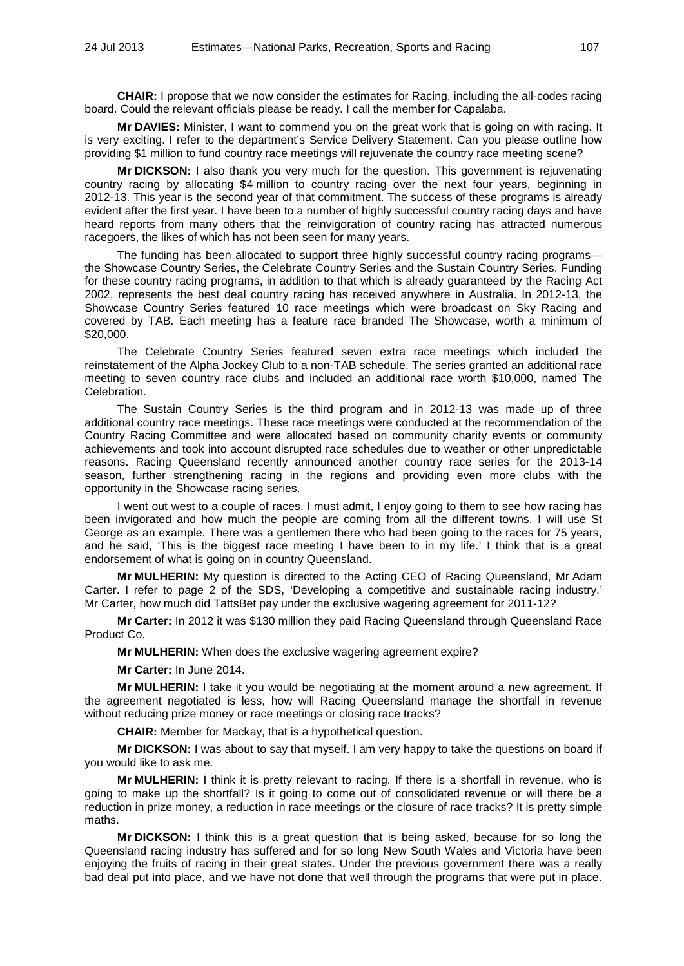**CHAIR:** I propose that we now consider the estimates for Racing, including the all-codes racing board. Could the relevant officials please be ready. I call the member for Capalaba.

**Mr DAVIES:** Minister, I want to commend you on the great work that is going on with racing. It is very exciting. I refer to the department's Service Delivery Statement. Can you please outline how providing \$1 million to fund country race meetings will rejuvenate the country race meeting scene?

**Mr DICKSON:** I also thank you very much for the question. This government is rejuvenating country racing by allocating \$4 million to country racing over the next four years, beginning in 2012-13. This year is the second year of that commitment. The success of these programs is already evident after the first year. I have been to a number of highly successful country racing days and have heard reports from many others that the reinvigoration of country racing has attracted numerous racegoers, the likes of which has not been seen for many years.

The funding has been allocated to support three highly successful country racing programs the Showcase Country Series, the Celebrate Country Series and the Sustain Country Series. Funding for these country racing programs, in addition to that which is already guaranteed by the Racing Act 2002, represents the best deal country racing has received anywhere in Australia. In 2012-13, the Showcase Country Series featured 10 race meetings which were broadcast on Sky Racing and covered by TAB. Each meeting has a feature race branded The Showcase, worth a minimum of \$20,000.

The Celebrate Country Series featured seven extra race meetings which included the reinstatement of the Alpha Jockey Club to a non-TAB schedule. The series granted an additional race meeting to seven country race clubs and included an additional race worth \$10,000, named The Celebration.

The Sustain Country Series is the third program and in 2012-13 was made up of three additional country race meetings. These race meetings were conducted at the recommendation of the Country Racing Committee and were allocated based on community charity events or community achievements and took into account disrupted race schedules due to weather or other unpredictable reasons. Racing Queensland recently announced another country race series for the 2013-14 season, further strengthening racing in the regions and providing even more clubs with the opportunity in the Showcase racing series.

I went out west to a couple of races. I must admit, I enjoy going to them to see how racing has been invigorated and how much the people are coming from all the different towns. I will use St George as an example. There was a gentlemen there who had been going to the races for 75 years, and he said, 'This is the biggest race meeting I have been to in my life.' I think that is a great endorsement of what is going on in country Queensland.

**Mr MULHERIN:** My question is directed to the Acting CEO of Racing Queensland, Mr Adam Carter. I refer to page 2 of the SDS, 'Developing a competitive and sustainable racing industry.' Mr Carter, how much did TattsBet pay under the exclusive wagering agreement for 2011-12?

**Mr Carter:** In 2012 it was \$130 million they paid Racing Queensland through Queensland Race Product Co.

**Mr MULHERIN:** When does the exclusive wagering agreement expire?

**Mr Carter:** In June 2014.

**Mr MULHERIN:** I take it you would be negotiating at the moment around a new agreement. If the agreement negotiated is less, how will Racing Queensland manage the shortfall in revenue without reducing prize money or race meetings or closing race tracks?

**CHAIR:** Member for Mackay, that is a hypothetical question.

**Mr DICKSON:** I was about to say that myself. I am very happy to take the questions on board if you would like to ask me.

**Mr MULHERIN:** I think it is pretty relevant to racing. If there is a shortfall in revenue, who is going to make up the shortfall? Is it going to come out of consolidated revenue or will there be a reduction in prize money, a reduction in race meetings or the closure of race tracks? It is pretty simple maths.

**Mr DICKSON:** I think this is a great question that is being asked, because for so long the Queensland racing industry has suffered and for so long New South Wales and Victoria have been enjoying the fruits of racing in their great states. Under the previous government there was a really bad deal put into place, and we have not done that well through the programs that were put in place.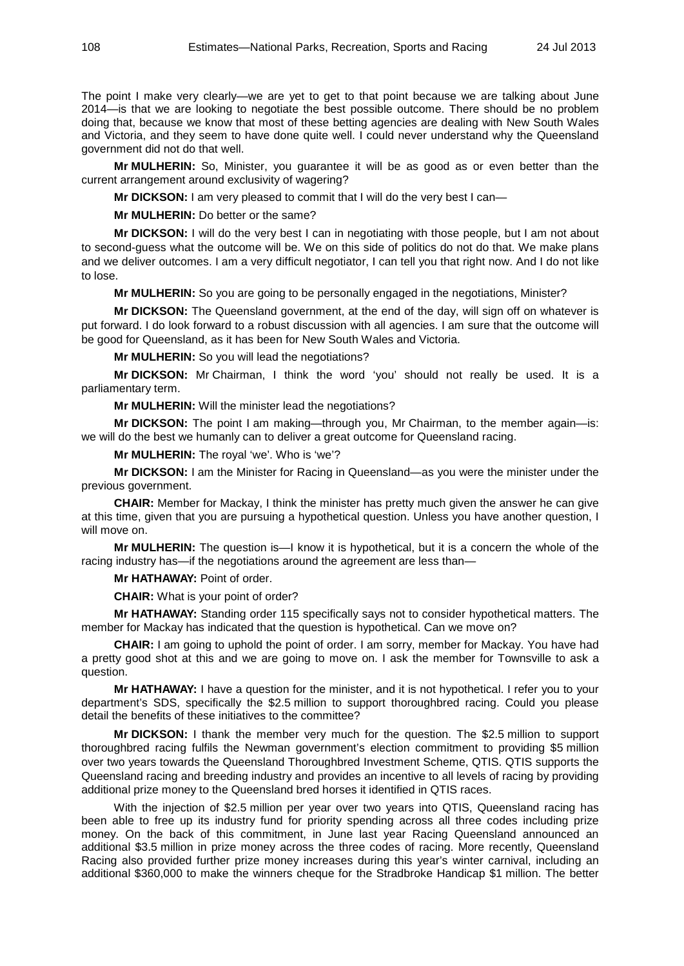The point I make very clearly—we are yet to get to that point because we are talking about June 2014—is that we are looking to negotiate the best possible outcome. There should be no problem doing that, because we know that most of these betting agencies are dealing with New South Wales and Victoria, and they seem to have done quite well. I could never understand why the Queensland government did not do that well.

**Mr MULHERIN:** So, Minister, you guarantee it will be as good as or even better than the current arrangement around exclusivity of wagering?

**Mr DICKSON:** I am very pleased to commit that I will do the very best I can—

**Mr MULHERIN:** Do better or the same?

**Mr DICKSON:** I will do the very best I can in negotiating with those people, but I am not about to second-guess what the outcome will be. We on this side of politics do not do that. We make plans and we deliver outcomes. I am a very difficult negotiator, I can tell you that right now. And I do not like to lose.

**Mr MULHERIN:** So you are going to be personally engaged in the negotiations, Minister?

**Mr DICKSON:** The Queensland government, at the end of the day, will sign off on whatever is put forward. I do look forward to a robust discussion with all agencies. I am sure that the outcome will be good for Queensland, as it has been for New South Wales and Victoria.

**Mr MULHERIN:** So you will lead the negotiations?

**Mr DICKSON:** Mr Chairman, I think the word 'you' should not really be used. It is a parliamentary term.

**Mr MULHERIN:** Will the minister lead the negotiations?

**Mr DICKSON:** The point I am making—through you, Mr Chairman, to the member again—is: we will do the best we humanly can to deliver a great outcome for Queensland racing.

**Mr MULHERIN:** The royal 'we'. Who is 'we'?

**Mr DICKSON:** I am the Minister for Racing in Queensland—as you were the minister under the previous government.

**CHAIR:** Member for Mackay, I think the minister has pretty much given the answer he can give at this time, given that you are pursuing a hypothetical question. Unless you have another question, I will move on.

**Mr MULHERIN:** The question is—I know it is hypothetical, but it is a concern the whole of the racing industry has—if the negotiations around the agreement are less than—

**Mr HATHAWAY:** Point of order.

**CHAIR:** What is your point of order?

**Mr HATHAWAY:** Standing order 115 specifically says not to consider hypothetical matters. The member for Mackay has indicated that the question is hypothetical. Can we move on?

**CHAIR:** I am going to uphold the point of order. I am sorry, member for Mackay. You have had a pretty good shot at this and we are going to move on. I ask the member for Townsville to ask a question.

**Mr HATHAWAY:** I have a question for the minister, and it is not hypothetical. I refer you to your department's SDS, specifically the \$2.5 million to support thoroughbred racing. Could you please detail the benefits of these initiatives to the committee?

**Mr DICKSON:** I thank the member very much for the question. The \$2.5 million to support thoroughbred racing fulfils the Newman government's election commitment to providing \$5 million over two years towards the Queensland Thoroughbred Investment Scheme, QTIS. QTIS supports the Queensland racing and breeding industry and provides an incentive to all levels of racing by providing additional prize money to the Queensland bred horses it identified in QTIS races.

With the injection of \$2.5 million per year over two years into QTIS, Queensland racing has been able to free up its industry fund for priority spending across all three codes including prize money. On the back of this commitment, in June last year Racing Queensland announced an additional \$3.5 million in prize money across the three codes of racing. More recently, Queensland Racing also provided further prize money increases during this year's winter carnival, including an additional \$360,000 to make the winners cheque for the Stradbroke Handicap \$1 million. The better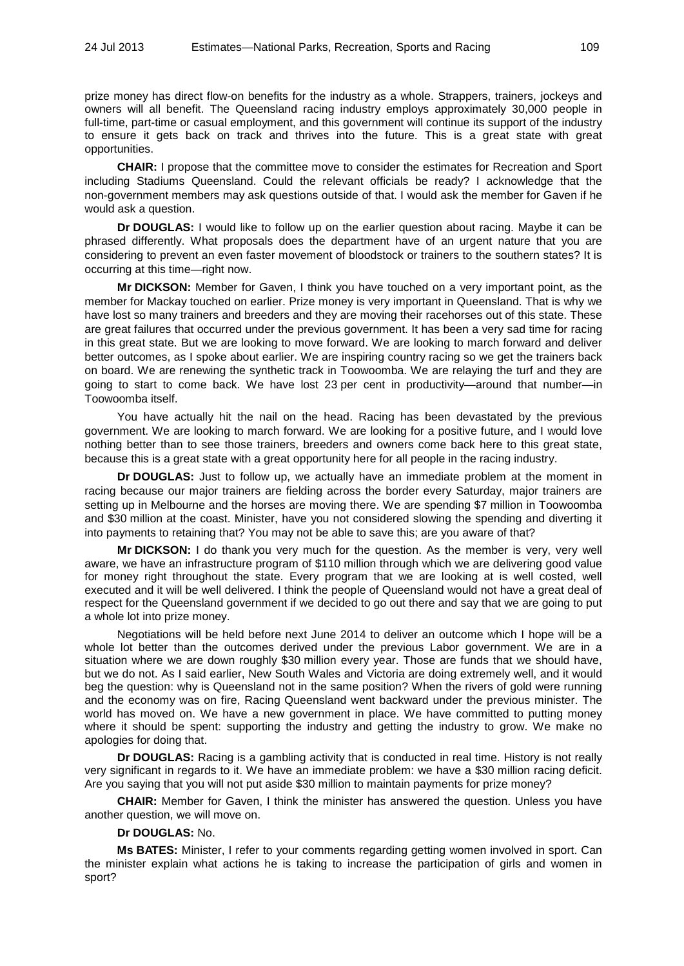prize money has direct flow-on benefits for the industry as a whole. Strappers, trainers, jockeys and owners will all benefit. The Queensland racing industry employs approximately 30,000 people in full-time, part-time or casual employment, and this government will continue its support of the industry to ensure it gets back on track and thrives into the future. This is a great state with great opportunities.

**CHAIR:** I propose that the committee move to consider the estimates for Recreation and Sport including Stadiums Queensland. Could the relevant officials be ready? I acknowledge that the non-government members may ask questions outside of that. I would ask the member for Gaven if he would ask a question.

**Dr DOUGLAS:** I would like to follow up on the earlier question about racing. Maybe it can be phrased differently. What proposals does the department have of an urgent nature that you are considering to prevent an even faster movement of bloodstock or trainers to the southern states? It is occurring at this time—right now.

**Mr DICKSON:** Member for Gaven, I think you have touched on a very important point, as the member for Mackay touched on earlier. Prize money is very important in Queensland. That is why we have lost so many trainers and breeders and they are moving their racehorses out of this state. These are great failures that occurred under the previous government. It has been a very sad time for racing in this great state. But we are looking to move forward. We are looking to march forward and deliver better outcomes, as I spoke about earlier. We are inspiring country racing so we get the trainers back on board. We are renewing the synthetic track in Toowoomba. We are relaying the turf and they are going to start to come back. We have lost 23 per cent in productivity—around that number—in Toowoomba itself.

You have actually hit the nail on the head. Racing has been devastated by the previous government. We are looking to march forward. We are looking for a positive future, and I would love nothing better than to see those trainers, breeders and owners come back here to this great state, because this is a great state with a great opportunity here for all people in the racing industry.

**Dr DOUGLAS:** Just to follow up, we actually have an immediate problem at the moment in racing because our major trainers are fielding across the border every Saturday, major trainers are setting up in Melbourne and the horses are moving there. We are spending \$7 million in Toowoomba and \$30 million at the coast. Minister, have you not considered slowing the spending and diverting it into payments to retaining that? You may not be able to save this; are you aware of that?

**Mr DICKSON:** I do thank you very much for the question. As the member is very, very well aware, we have an infrastructure program of \$110 million through which we are delivering good value for money right throughout the state. Every program that we are looking at is well costed, well executed and it will be well delivered. I think the people of Queensland would not have a great deal of respect for the Queensland government if we decided to go out there and say that we are going to put a whole lot into prize money.

Negotiations will be held before next June 2014 to deliver an outcome which I hope will be a whole lot better than the outcomes derived under the previous Labor government. We are in a situation where we are down roughly \$30 million every year. Those are funds that we should have, but we do not. As I said earlier, New South Wales and Victoria are doing extremely well, and it would beg the question: why is Queensland not in the same position? When the rivers of gold were running and the economy was on fire, Racing Queensland went backward under the previous minister. The world has moved on. We have a new government in place. We have committed to putting money where it should be spent: supporting the industry and getting the industry to grow. We make no apologies for doing that.

**Dr DOUGLAS:** Racing is a gambling activity that is conducted in real time. History is not really very significant in regards to it. We have an immediate problem: we have a \$30 million racing deficit. Are you saying that you will not put aside \$30 million to maintain payments for prize money?

**CHAIR:** Member for Gaven, I think the minister has answered the question. Unless you have another question, we will move on.

## **Dr DOUGLAS:** No.

**Ms BATES:** Minister, I refer to your comments regarding getting women involved in sport. Can the minister explain what actions he is taking to increase the participation of girls and women in sport?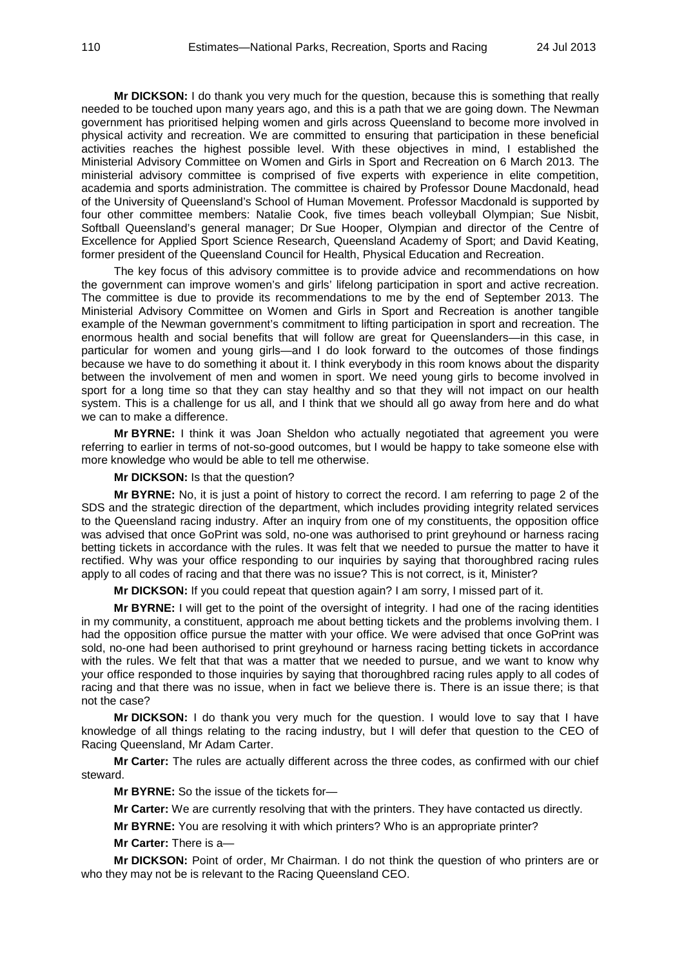**Mr DICKSON:** I do thank you very much for the question, because this is something that really needed to be touched upon many years ago, and this is a path that we are going down. The Newman government has prioritised helping women and girls across Queensland to become more involved in physical activity and recreation. We are committed to ensuring that participation in these beneficial activities reaches the highest possible level. With these objectives in mind, I established the Ministerial Advisory Committee on Women and Girls in Sport and Recreation on 6 March 2013. The ministerial advisory committee is comprised of five experts with experience in elite competition, academia and sports administration. The committee is chaired by Professor Doune Macdonald, head of the University of Queensland's School of Human Movement. Professor Macdonald is supported by four other committee members: Natalie Cook, five times beach volleyball Olympian; Sue Nisbit, Softball Queensland's general manager; Dr Sue Hooper, Olympian and director of the Centre of Excellence for Applied Sport Science Research, Queensland Academy of Sport; and David Keating, former president of the Queensland Council for Health, Physical Education and Recreation.

The key focus of this advisory committee is to provide advice and recommendations on how the government can improve women's and girls' lifelong participation in sport and active recreation. The committee is due to provide its recommendations to me by the end of September 2013. The Ministerial Advisory Committee on Women and Girls in Sport and Recreation is another tangible example of the Newman government's commitment to lifting participation in sport and recreation. The enormous health and social benefits that will follow are great for Queenslanders—in this case, in particular for women and young girls—and I do look forward to the outcomes of those findings because we have to do something it about it. I think everybody in this room knows about the disparity between the involvement of men and women in sport. We need young girls to become involved in sport for a long time so that they can stay healthy and so that they will not impact on our health system. This is a challenge for us all, and I think that we should all go away from here and do what we can to make a difference.

**Mr BYRNE:** I think it was Joan Sheldon who actually negotiated that agreement you were referring to earlier in terms of not-so-good outcomes, but I would be happy to take someone else with more knowledge who would be able to tell me otherwise.

**Mr DICKSON:** Is that the question?

**Mr BYRNE:** No, it is just a point of history to correct the record. I am referring to page 2 of the SDS and the strategic direction of the department, which includes providing integrity related services to the Queensland racing industry. After an inquiry from one of my constituents, the opposition office was advised that once GoPrint was sold, no-one was authorised to print greyhound or harness racing betting tickets in accordance with the rules. It was felt that we needed to pursue the matter to have it rectified. Why was your office responding to our inquiries by saying that thoroughbred racing rules apply to all codes of racing and that there was no issue? This is not correct, is it, Minister?

**Mr DICKSON:** If you could repeat that question again? I am sorry, I missed part of it.

**Mr BYRNE:** I will get to the point of the oversight of integrity. I had one of the racing identities in my community, a constituent, approach me about betting tickets and the problems involving them. I had the opposition office pursue the matter with your office. We were advised that once GoPrint was sold, no-one had been authorised to print greyhound or harness racing betting tickets in accordance with the rules. We felt that that was a matter that we needed to pursue, and we want to know why your office responded to those inquiries by saying that thoroughbred racing rules apply to all codes of racing and that there was no issue, when in fact we believe there is. There is an issue there; is that not the case?

**Mr DICKSON:** I do thank you very much for the question. I would love to say that I have knowledge of all things relating to the racing industry, but I will defer that question to the CEO of Racing Queensland, Mr Adam Carter.

**Mr Carter:** The rules are actually different across the three codes, as confirmed with our chief steward.

**Mr BYRNE:** So the issue of the tickets for—

**Mr Carter:** We are currently resolving that with the printers. They have contacted us directly.

**Mr BYRNE:** You are resolving it with which printers? Who is an appropriate printer?

**Mr Carter:** There is a—

**Mr DICKSON:** Point of order, Mr Chairman. I do not think the question of who printers are or who they may not be is relevant to the Racing Queensland CEO.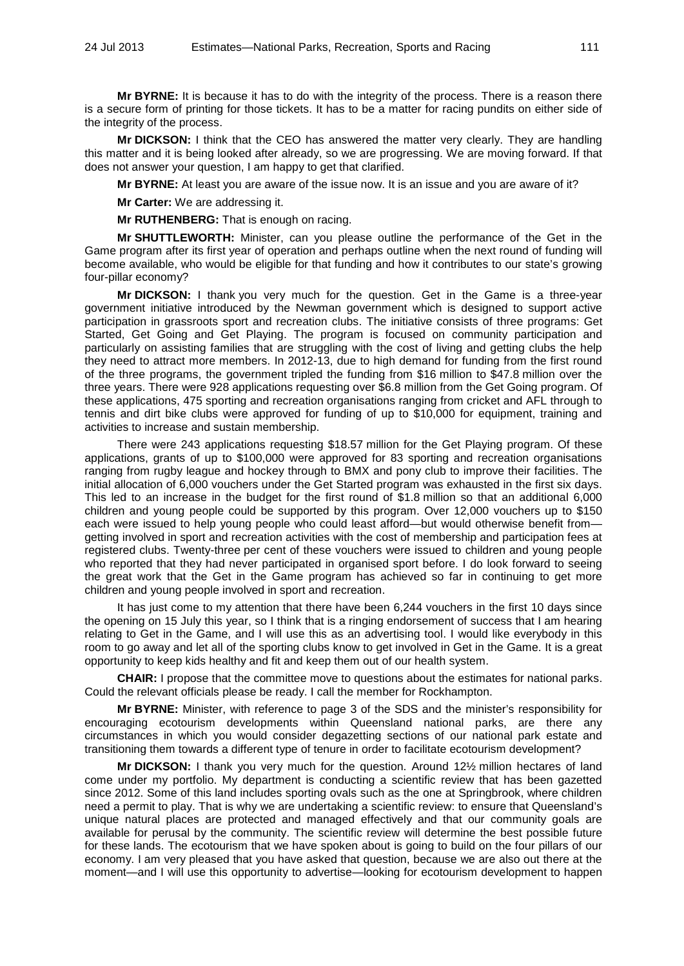**Mr BYRNE:** It is because it has to do with the integrity of the process. There is a reason there is a secure form of printing for those tickets. It has to be a matter for racing pundits on either side of the integrity of the process.

**Mr DICKSON:** I think that the CEO has answered the matter very clearly. They are handling this matter and it is being looked after already, so we are progressing. We are moving forward. If that does not answer your question, I am happy to get that clarified.

**Mr BYRNE:** At least you are aware of the issue now. It is an issue and you are aware of it?

**Mr Carter:** We are addressing it.

**Mr RUTHENBERG:** That is enough on racing.

**Mr SHUTTLEWORTH:** Minister, can you please outline the performance of the Get in the Game program after its first year of operation and perhaps outline when the next round of funding will become available, who would be eligible for that funding and how it contributes to our state's growing four-pillar economy?

**Mr DICKSON:** I thank you very much for the question. Get in the Game is a three-year government initiative introduced by the Newman government which is designed to support active participation in grassroots sport and recreation clubs. The initiative consists of three programs: Get Started, Get Going and Get Playing. The program is focused on community participation and particularly on assisting families that are struggling with the cost of living and getting clubs the help they need to attract more members. In 2012-13, due to high demand for funding from the first round of the three programs, the government tripled the funding from \$16 million to \$47.8 million over the three years. There were 928 applications requesting over \$6.8 million from the Get Going program. Of these applications, 475 sporting and recreation organisations ranging from cricket and AFL through to tennis and dirt bike clubs were approved for funding of up to \$10,000 for equipment, training and activities to increase and sustain membership.

There were 243 applications requesting \$18.57 million for the Get Playing program. Of these applications, grants of up to \$100,000 were approved for 83 sporting and recreation organisations ranging from rugby league and hockey through to BMX and pony club to improve their facilities. The initial allocation of 6,000 vouchers under the Get Started program was exhausted in the first six days. This led to an increase in the budget for the first round of \$1.8 million so that an additional 6,000 children and young people could be supported by this program. Over 12,000 vouchers up to \$150 each were issued to help young people who could least afford—but would otherwise benefit from getting involved in sport and recreation activities with the cost of membership and participation fees at registered clubs. Twenty-three per cent of these vouchers were issued to children and young people who reported that they had never participated in organised sport before. I do look forward to seeing the great work that the Get in the Game program has achieved so far in continuing to get more children and young people involved in sport and recreation.

It has just come to my attention that there have been 6,244 vouchers in the first 10 days since the opening on 15 July this year, so I think that is a ringing endorsement of success that I am hearing relating to Get in the Game, and I will use this as an advertising tool. I would like everybody in this room to go away and let all of the sporting clubs know to get involved in Get in the Game. It is a great opportunity to keep kids healthy and fit and keep them out of our health system.

**CHAIR:** I propose that the committee move to questions about the estimates for national parks. Could the relevant officials please be ready. I call the member for Rockhampton.

**Mr BYRNE:** Minister, with reference to page 3 of the SDS and the minister's responsibility for encouraging ecotourism developments within Queensland national parks, are there any circumstances in which you would consider degazetting sections of our national park estate and transitioning them towards a different type of tenure in order to facilitate ecotourism development?

**Mr DICKSON:** I thank you very much for the question. Around 12½ million hectares of land come under my portfolio. My department is conducting a scientific review that has been gazetted since 2012. Some of this land includes sporting ovals such as the one at Springbrook, where children need a permit to play. That is why we are undertaking a scientific review: to ensure that Queensland's unique natural places are protected and managed effectively and that our community goals are available for perusal by the community. The scientific review will determine the best possible future for these lands. The ecotourism that we have spoken about is going to build on the four pillars of our economy. I am very pleased that you have asked that question, because we are also out there at the moment—and I will use this opportunity to advertise—looking for ecotourism development to happen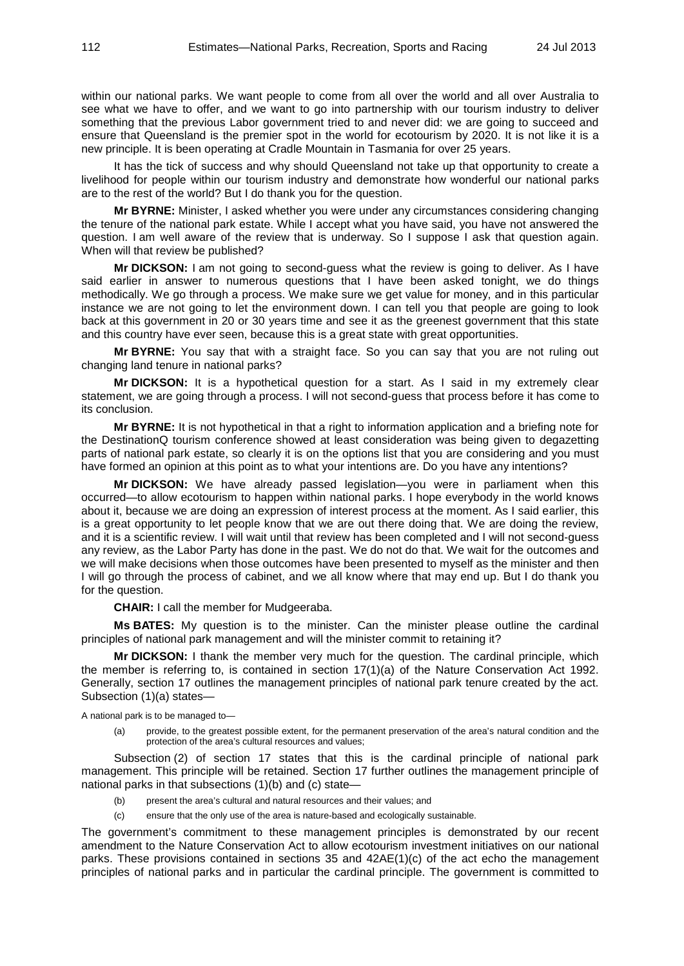within our national parks. We want people to come from all over the world and all over Australia to see what we have to offer, and we want to go into partnership with our tourism industry to deliver something that the previous Labor government tried to and never did: we are going to succeed and ensure that Queensland is the premier spot in the world for ecotourism by 2020. It is not like it is a new principle. It is been operating at Cradle Mountain in Tasmania for over 25 years.

It has the tick of success and why should Queensland not take up that opportunity to create a livelihood for people within our tourism industry and demonstrate how wonderful our national parks are to the rest of the world? But I do thank you for the question.

**Mr BYRNE:** Minister, I asked whether you were under any circumstances considering changing the tenure of the national park estate. While I accept what you have said, you have not answered the question. I am well aware of the review that is underway. So I suppose I ask that question again. When will that review be published?

**Mr DICKSON:** I am not going to second-guess what the review is going to deliver. As I have said earlier in answer to numerous questions that I have been asked tonight, we do things methodically. We go through a process. We make sure we get value for money, and in this particular instance we are not going to let the environment down. I can tell you that people are going to look back at this government in 20 or 30 years time and see it as the greenest government that this state and this country have ever seen, because this is a great state with great opportunities.

**Mr BYRNE:** You say that with a straight face. So you can say that you are not ruling out changing land tenure in national parks?

**Mr DICKSON:** It is a hypothetical question for a start. As I said in my extremely clear statement, we are going through a process. I will not second-guess that process before it has come to its conclusion.

**Mr BYRNE:** It is not hypothetical in that a right to information application and a briefing note for the DestinationQ tourism conference showed at least consideration was being given to degazetting parts of national park estate, so clearly it is on the options list that you are considering and you must have formed an opinion at this point as to what your intentions are. Do you have any intentions?

**Mr DICKSON:** We have already passed legislation—you were in parliament when this occurred—to allow ecotourism to happen within national parks. I hope everybody in the world knows about it, because we are doing an expression of interest process at the moment. As I said earlier, this is a great opportunity to let people know that we are out there doing that. We are doing the review, and it is a scientific review. I will wait until that review has been completed and I will not second-guess any review, as the Labor Party has done in the past. We do not do that. We wait for the outcomes and we will make decisions when those outcomes have been presented to myself as the minister and then I will go through the process of cabinet, and we all know where that may end up. But I do thank you for the question.

**CHAIR:** I call the member for Mudgeeraba.

**Ms BATES:** My question is to the minister. Can the minister please outline the cardinal principles of national park management and will the minister commit to retaining it?

**Mr DICKSON:** I thank the member very much for the question. The cardinal principle, which the member is referring to, is contained in section 17(1)(a) of the Nature Conservation Act 1992. Generally, section 17 outlines the management principles of national park tenure created by the act. Subsection (1)(a) states—

A national park is to be managed to—

(a) provide, to the greatest possible extent, for the permanent preservation of the area's natural condition and the protection of the area's cultural resources and values;

Subsection (2) of section 17 states that this is the cardinal principle of national park management. This principle will be retained. Section 17 further outlines the management principle of national parks in that subsections (1)(b) and (c) state—

- (b) present the area's cultural and natural resources and their values; and
- (c) ensure that the only use of the area is nature-based and ecologically sustainable.

The government's commitment to these management principles is demonstrated by our recent amendment to the Nature Conservation Act to allow ecotourism investment initiatives on our national parks. These provisions contained in sections 35 and 42AE(1)(c) of the act echo the management principles of national parks and in particular the cardinal principle. The government is committed to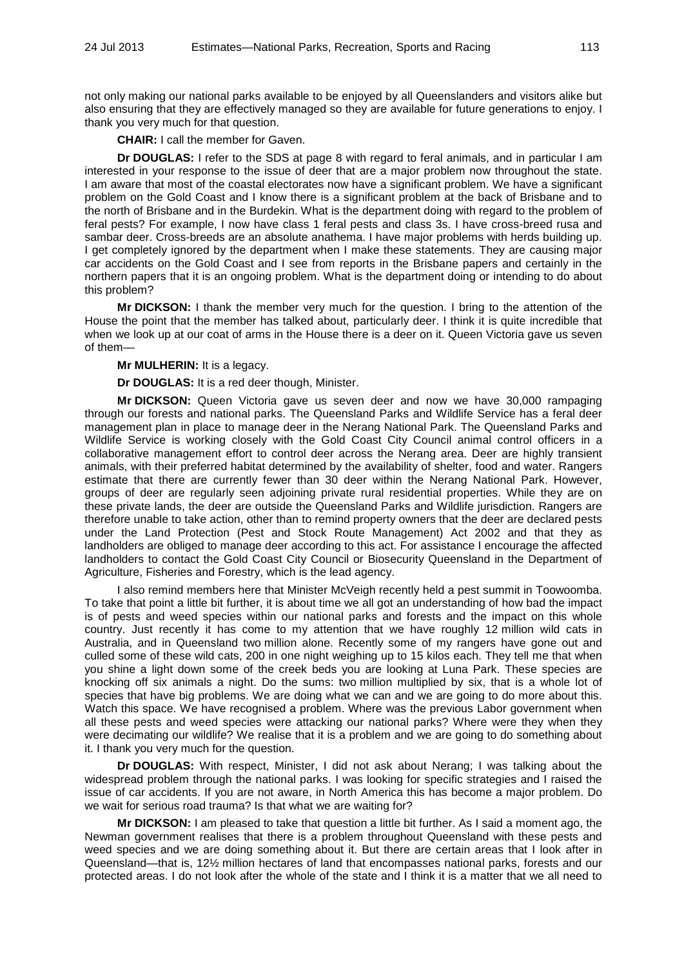not only making our national parks available to be enjoyed by all Queenslanders and visitors alike but also ensuring that they are effectively managed so they are available for future generations to enjoy. I thank you very much for that question.

**CHAIR:** I call the member for Gaven.

**Dr DOUGLAS:** I refer to the SDS at page 8 with regard to feral animals, and in particular I am interested in your response to the issue of deer that are a major problem now throughout the state. I am aware that most of the coastal electorates now have a significant problem. We have a significant problem on the Gold Coast and I know there is a significant problem at the back of Brisbane and to the north of Brisbane and in the Burdekin. What is the department doing with regard to the problem of feral pests? For example, I now have class 1 feral pests and class 3s. I have cross-breed rusa and sambar deer. Cross-breeds are an absolute anathema. I have major problems with herds building up. I get completely ignored by the department when I make these statements. They are causing major car accidents on the Gold Coast and I see from reports in the Brisbane papers and certainly in the northern papers that it is an ongoing problem. What is the department doing or intending to do about this problem?

**Mr DICKSON:** I thank the member very much for the question. I bring to the attention of the House the point that the member has talked about, particularly deer. I think it is quite incredible that when we look up at our coat of arms in the House there is a deer on it. Queen Victoria gave us seven of them—

**Mr MULHERIN:** It is a legacy.

**Dr DOUGLAS:** It is a red deer though, Minister.

**Mr DICKSON:** Queen Victoria gave us seven deer and now we have 30,000 rampaging through our forests and national parks. The Queensland Parks and Wildlife Service has a feral deer management plan in place to manage deer in the Nerang National Park. The Queensland Parks and Wildlife Service is working closely with the Gold Coast City Council animal control officers in a collaborative management effort to control deer across the Nerang area. Deer are highly transient animals, with their preferred habitat determined by the availability of shelter, food and water. Rangers estimate that there are currently fewer than 30 deer within the Nerang National Park. However, groups of deer are regularly seen adjoining private rural residential properties. While they are on these private lands, the deer are outside the Queensland Parks and Wildlife jurisdiction. Rangers are therefore unable to take action, other than to remind property owners that the deer are declared pests under the Land Protection (Pest and Stock Route Management) Act 2002 and that they as landholders are obliged to manage deer according to this act. For assistance I encourage the affected landholders to contact the Gold Coast City Council or Biosecurity Queensland in the Department of Agriculture, Fisheries and Forestry, which is the lead agency.

I also remind members here that Minister McVeigh recently held a pest summit in Toowoomba. To take that point a little bit further, it is about time we all got an understanding of how bad the impact is of pests and weed species within our national parks and forests and the impact on this whole country. Just recently it has come to my attention that we have roughly 12 million wild cats in Australia, and in Queensland two million alone. Recently some of my rangers have gone out and culled some of these wild cats, 200 in one night weighing up to 15 kilos each. They tell me that when you shine a light down some of the creek beds you are looking at Luna Park. These species are knocking off six animals a night. Do the sums: two million multiplied by six, that is a whole lot of species that have big problems. We are doing what we can and we are going to do more about this. Watch this space. We have recognised a problem. Where was the previous Labor government when all these pests and weed species were attacking our national parks? Where were they when they were decimating our wildlife? We realise that it is a problem and we are going to do something about it. I thank you very much for the question.

**Dr DOUGLAS:** With respect, Minister, I did not ask about Nerang; I was talking about the widespread problem through the national parks. I was looking for specific strategies and I raised the issue of car accidents. If you are not aware, in North America this has become a major problem. Do we wait for serious road trauma? Is that what we are waiting for?

**Mr DICKSON:** I am pleased to take that question a little bit further. As I said a moment ago, the Newman government realises that there is a problem throughout Queensland with these pests and weed species and we are doing something about it. But there are certain areas that I look after in Queensland—that is, 12½ million hectares of land that encompasses national parks, forests and our protected areas. I do not look after the whole of the state and I think it is a matter that we all need to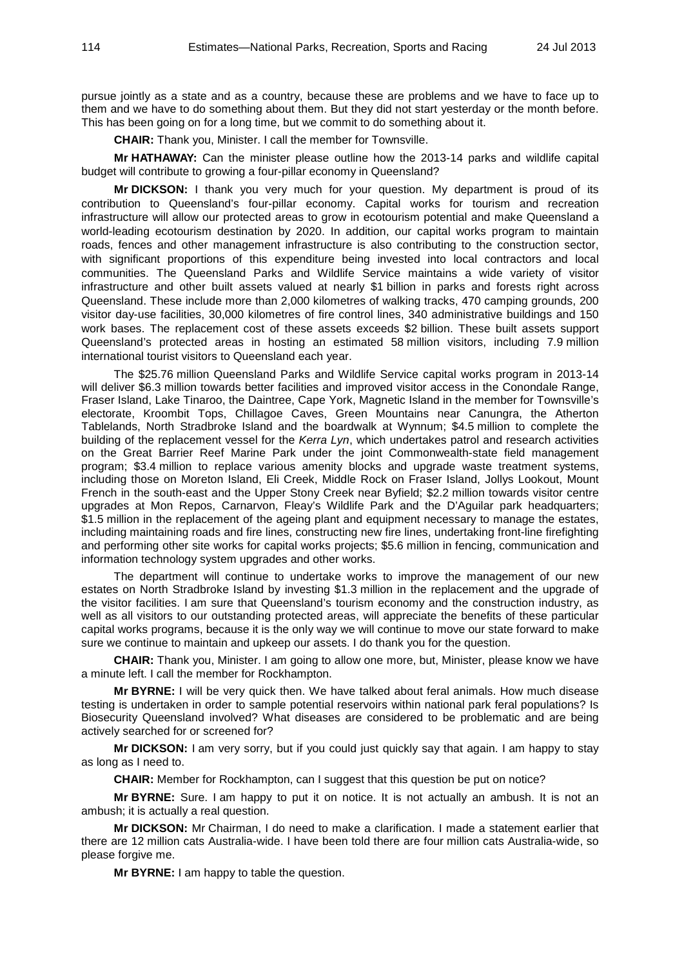pursue jointly as a state and as a country, because these are problems and we have to face up to them and we have to do something about them. But they did not start yesterday or the month before. This has been going on for a long time, but we commit to do something about it.

**CHAIR:** Thank you, Minister. I call the member for Townsville.

**Mr HATHAWAY:** Can the minister please outline how the 2013-14 parks and wildlife capital budget will contribute to growing a four-pillar economy in Queensland?

**Mr DICKSON:** I thank you very much for your question. My department is proud of its contribution to Queensland's four-pillar economy. Capital works for tourism and recreation infrastructure will allow our protected areas to grow in ecotourism potential and make Queensland a world-leading ecotourism destination by 2020. In addition, our capital works program to maintain roads, fences and other management infrastructure is also contributing to the construction sector, with significant proportions of this expenditure being invested into local contractors and local communities. The Queensland Parks and Wildlife Service maintains a wide variety of visitor infrastructure and other built assets valued at nearly \$1 billion in parks and forests right across Queensland. These include more than 2,000 kilometres of walking tracks, 470 camping grounds, 200 visitor day-use facilities, 30,000 kilometres of fire control lines, 340 administrative buildings and 150 work bases. The replacement cost of these assets exceeds \$2 billion. These built assets support Queensland's protected areas in hosting an estimated 58 million visitors, including 7.9 million international tourist visitors to Queensland each year.

The \$25.76 million Queensland Parks and Wildlife Service capital works program in 2013-14 will deliver \$6.3 million towards better facilities and improved visitor access in the Conondale Range, Fraser Island, Lake Tinaroo, the Daintree, Cape York, Magnetic Island in the member for Townsville's electorate, Kroombit Tops, Chillagoe Caves, Green Mountains near Canungra, the Atherton Tablelands, North Stradbroke Island and the boardwalk at Wynnum; \$4.5 million to complete the building of the replacement vessel for the *Kerra Lyn*, which undertakes patrol and research activities on the Great Barrier Reef Marine Park under the joint Commonwealth-state field management program; \$3.4 million to replace various amenity blocks and upgrade waste treatment systems, including those on Moreton Island, Eli Creek, Middle Rock on Fraser Island, Jollys Lookout, Mount French in the south-east and the Upper Stony Creek near Byfield; \$2.2 million towards visitor centre upgrades at Mon Repos, Carnarvon, Fleay's Wildlife Park and the D'Aguilar park headquarters; \$1.5 million in the replacement of the ageing plant and equipment necessary to manage the estates, including maintaining roads and fire lines, constructing new fire lines, undertaking front-line firefighting and performing other site works for capital works projects; \$5.6 million in fencing, communication and information technology system upgrades and other works.

The department will continue to undertake works to improve the management of our new estates on North Stradbroke Island by investing \$1.3 million in the replacement and the upgrade of the visitor facilities. I am sure that Queensland's tourism economy and the construction industry, as well as all visitors to our outstanding protected areas, will appreciate the benefits of these particular capital works programs, because it is the only way we will continue to move our state forward to make sure we continue to maintain and upkeep our assets. I do thank you for the question.

**CHAIR:** Thank you, Minister. I am going to allow one more, but, Minister, please know we have a minute left. I call the member for Rockhampton.

**Mr BYRNE:** I will be very quick then. We have talked about feral animals. How much disease testing is undertaken in order to sample potential reservoirs within national park feral populations? Is Biosecurity Queensland involved? What diseases are considered to be problematic and are being actively searched for or screened for?

**Mr DICKSON:** I am very sorry, but if you could just quickly say that again. I am happy to stay as long as I need to.

**CHAIR:** Member for Rockhampton, can I suggest that this question be put on notice?

**Mr BYRNE:** Sure. I am happy to put it on notice. It is not actually an ambush. It is not an ambush; it is actually a real question.

**Mr DICKSON:** Mr Chairman, I do need to make a clarification. I made a statement earlier that there are 12 million cats Australia-wide. I have been told there are four million cats Australia-wide, so please forgive me.

**Mr BYRNE:** I am happy to table the question.